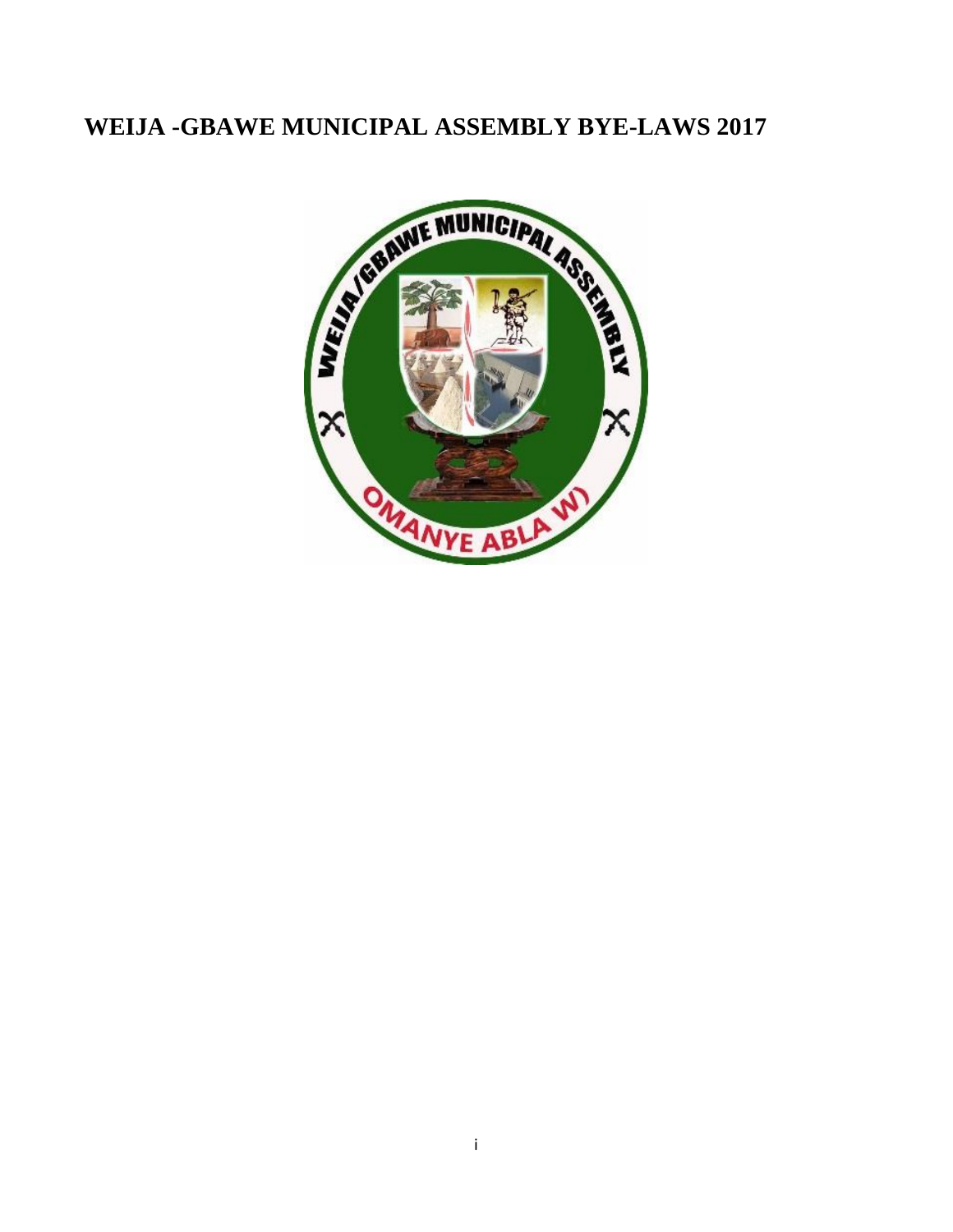## **WEIJA -GBAWE MUNICIPAL ASSEMBLY BYE-LAWS 2017**

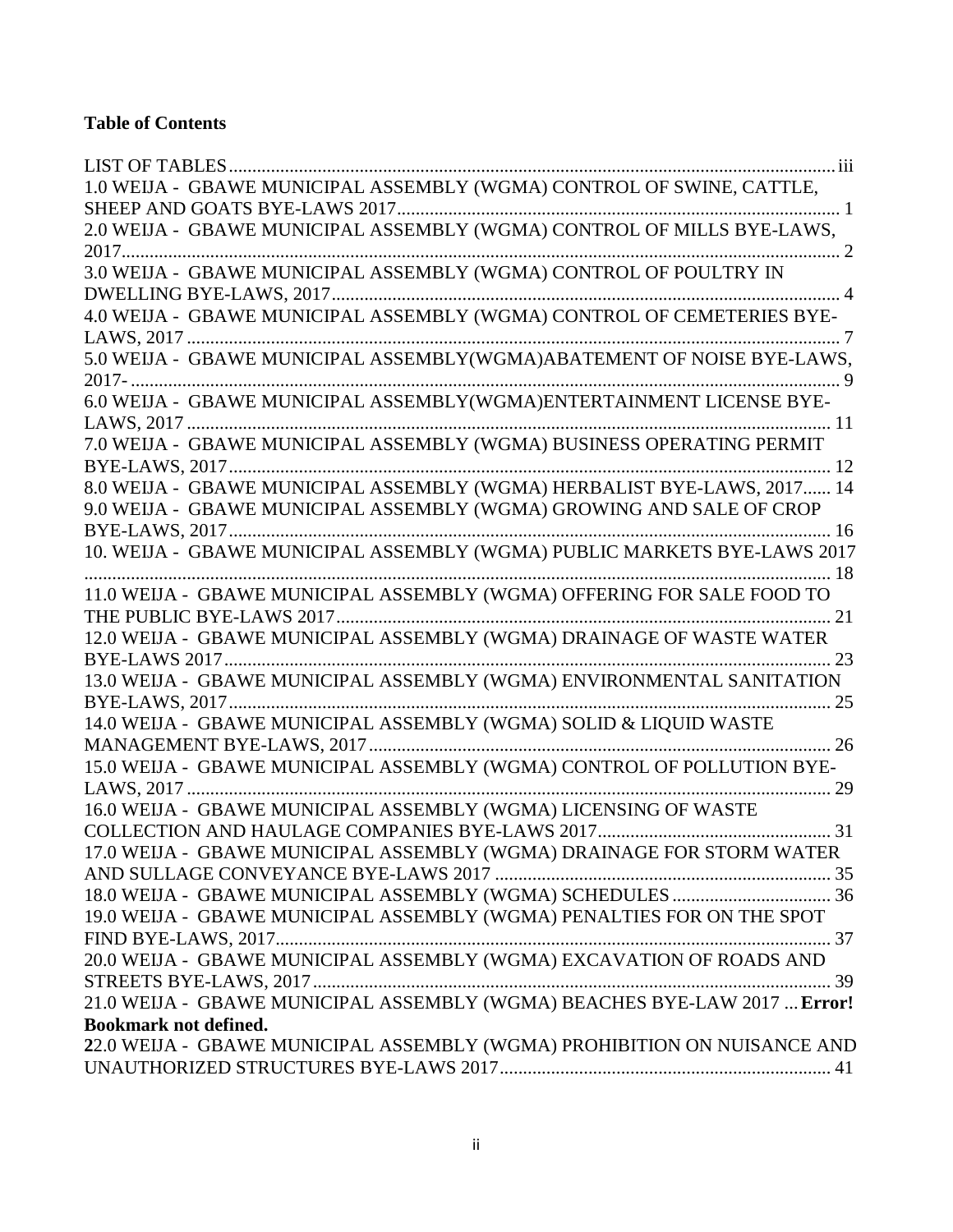## **Table of Contents**

| 1.0 WEIJA - GBAWE MUNICIPAL ASSEMBLY (WGMA) CONTROL OF SWINE, CATTLE,     |
|---------------------------------------------------------------------------|
|                                                                           |
| 2.0 WEIJA - GBAWE MUNICIPAL ASSEMBLY (WGMA) CONTROL OF MILLS BYE-LAWS,    |
|                                                                           |
| 3.0 WEIJA - GBAWE MUNICIPAL ASSEMBLY (WGMA) CONTROL OF POULTRY IN         |
|                                                                           |
| 4.0 WEIJA - GBAWE MUNICIPAL ASSEMBLY (WGMA) CONTROL OF CEMETERIES BYE-    |
|                                                                           |
|                                                                           |
|                                                                           |
| 6.0 WEIJA - GBAWE MUNICIPAL ASSEMBLY(WGMA)ENTERTAINMENT LICENSE BYE-      |
|                                                                           |
| 7.0 WEIJA - GBAWE MUNICIPAL ASSEMBLY (WGMA) BUSINESS OPERATING PERMIT     |
|                                                                           |
| 8.0 WEIJA - GBAWE MUNICIPAL ASSEMBLY (WGMA) HERBALIST BYE-LAWS, 2017 14   |
| 9.0 WEIJA - GBAWE MUNICIPAL ASSEMBLY (WGMA) GROWING AND SALE OF CROP      |
|                                                                           |
| 10. WEIJA - GBAWE MUNICIPAL ASSEMBLY (WGMA) PUBLIC MARKETS BYE-LAWS 2017  |
|                                                                           |
| 11.0 WEIJA - GBAWE MUNICIPAL ASSEMBLY (WGMA) OFFERING FOR SALE FOOD TO    |
|                                                                           |
| 12.0 WEIJA - GBAWE MUNICIPAL ASSEMBLY (WGMA) DRAINAGE OF WASTE WATER      |
|                                                                           |
| 13.0 WEIJA - GBAWE MUNICIPAL ASSEMBLY (WGMA) ENVIRONMENTAL SANITATION     |
| 14.0 WEIJA - GBAWE MUNICIPAL ASSEMBLY (WGMA) SOLID & LIQUID WASTE         |
|                                                                           |
| 15.0 WEIJA - GBAWE MUNICIPAL ASSEMBLY (WGMA) CONTROL OF POLLUTION BYE-    |
|                                                                           |
| 16.0 WEIJA - GBAWE MUNICIPAL ASSEMBLY (WGMA) LICENSING OF WASTE           |
|                                                                           |
| 17.0 WEIJA - GBAWE MUNICIPAL ASSEMBLY (WGMA) DRAINAGE FOR STORM WATER     |
|                                                                           |
|                                                                           |
| 19.0 WEIJA - GBAWE MUNICIPAL ASSEMBLY (WGMA) PENALTIES FOR ON THE SPOT    |
|                                                                           |
| 20.0 WEIJA - GBAWE MUNICIPAL ASSEMBLY (WGMA) EXCAVATION OF ROADS AND      |
|                                                                           |
| 21.0 WEIJA - GBAWE MUNICIPAL ASSEMBLY (WGMA) BEACHES BYE-LAW 2017  Error! |
| <b>Bookmark not defined.</b>                                              |
| 22.0 WEIJA - GBAWE MUNICIPAL ASSEMBLY (WGMA) PROHIBITION ON NUISANCE AND  |
|                                                                           |
|                                                                           |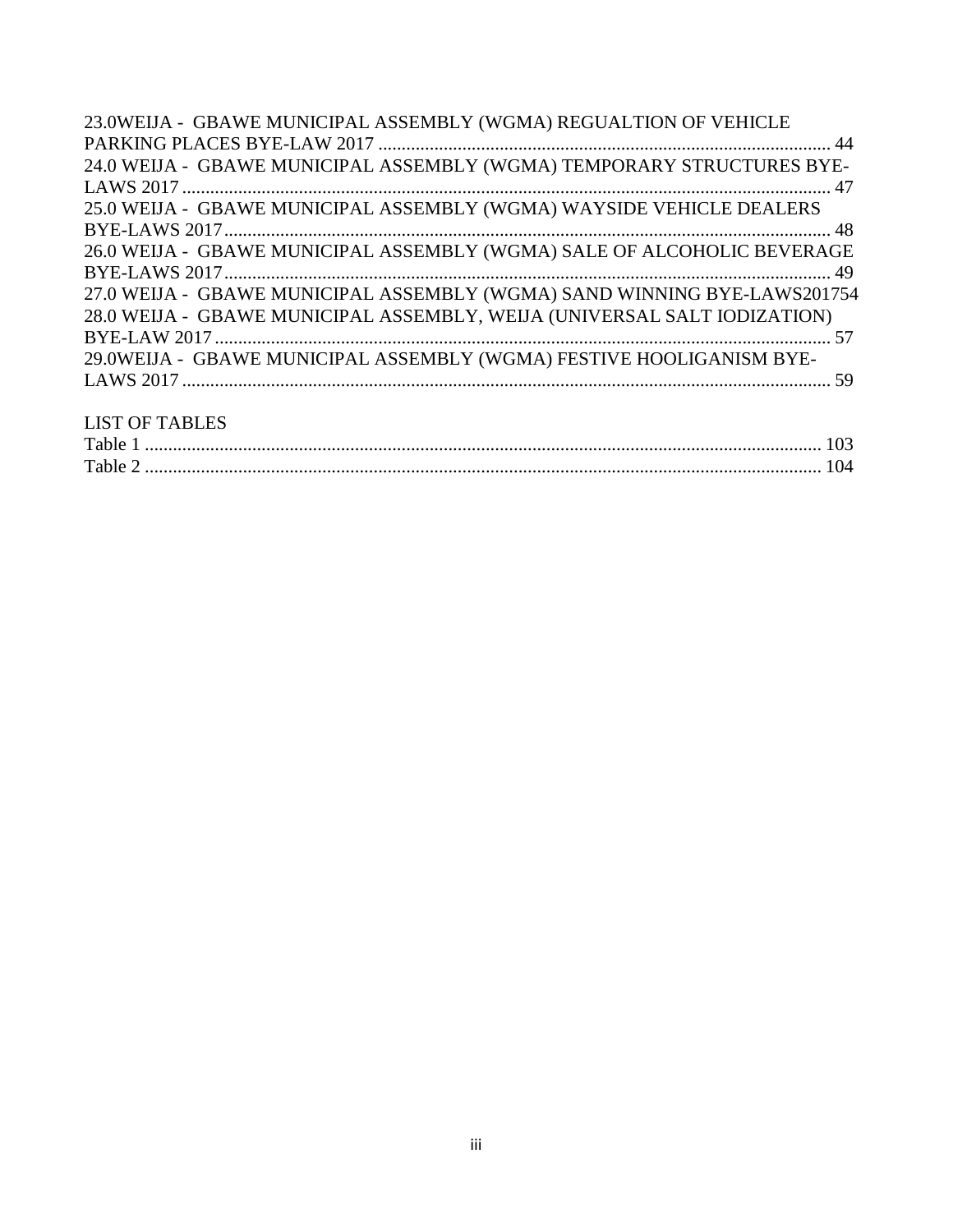| 23.0WEIJA - GBAWE MUNICIPAL ASSEMBLY (WGMA) REGUALTION OF VEHICLE        |
|--------------------------------------------------------------------------|
|                                                                          |
| 24.0 WEIJA - GBAWE MUNICIPAL ASSEMBLY (WGMA) TEMPORARY STRUCTURES BYE-   |
|                                                                          |
| 25.0 WEIJA - GBAWE MUNICIPAL ASSEMBLY (WGMA) WAYSIDE VEHICLE DEALERS     |
|                                                                          |
| 26.0 WEIJA - GBAWE MUNICIPAL ASSEMBLY (WGMA) SALE OF ALCOHOLIC BEVERAGE  |
|                                                                          |
| 27.0 WEIJA - GBAWE MUNICIPAL ASSEMBLY (WGMA) SAND WINNING BYE-LAWS201754 |
| 28.0 WEIJA - GBAWE MUNICIPAL ASSEMBLY, WEIJA (UNIVERSAL SALT IODIZATION) |
|                                                                          |
| 29.0WEIJA - GBAWE MUNICIPAL ASSEMBLY (WGMA) FESTIVE HOOLIGANISM BYE-     |
|                                                                          |
|                                                                          |
|                                                                          |

## <span id="page-2-0"></span>LIST OF TABLES

| Table |  |
|-------|--|
| Table |  |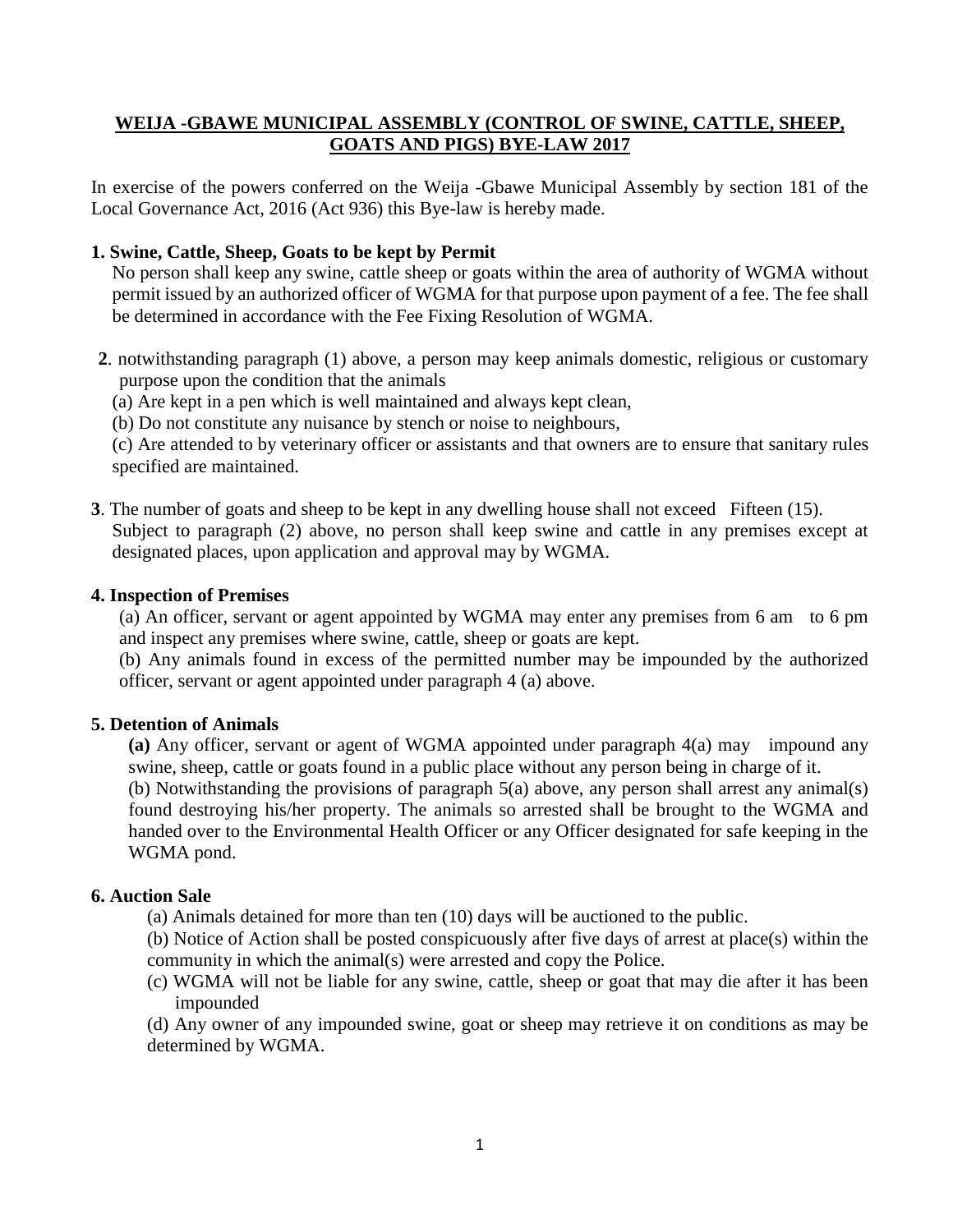#### <span id="page-3-0"></span>**WEIJA -GBAWE MUNICIPAL ASSEMBLY (CONTROL OF SWINE, CATTLE, SHEEP, GOATS AND PIGS) BYE-LAW 2017**

In exercise of the powers conferred on the Weija -Gbawe Municipal Assembly by section 181 of the Local Governance Act, 2016 (Act 936) this Bye-law is hereby made.

#### **1. Swine, Cattle, Sheep, Goats to be kept by Permit**

No person shall keep any swine, cattle sheep or goats within the area of authority of WGMA without permit issued by an authorized officer of WGMA for that purpose upon payment of a fee. The fee shall be determined in accordance with the Fee Fixing Resolution of WGMA.

**2**. notwithstanding paragraph (1) above, a person may keep animals domestic, religious or customary purpose upon the condition that the animals

(a) Are kept in a pen which is well maintained and always kept clean,

(b) Do not constitute any nuisance by stench or noise to neighbours,

(c) Are attended to by veterinary officer or assistants and that owners are to ensure that sanitary rules specified are maintained.

**3**. The number of goats and sheep to be kept in any dwelling house shall not exceed Fifteen (15). Subject to paragraph (2) above, no person shall keep swine and cattle in any premises except at designated places, upon application and approval may by WGMA.

#### **4. Inspection of Premises**

(a) An officer, servant or agent appointed by WGMA may enter any premises from 6 am to 6 pm and inspect any premises where swine, cattle, sheep or goats are kept.

(b) Any animals found in excess of the permitted number may be impounded by the authorized officer, servant or agent appointed under paragraph 4 (a) above.

#### **5. Detention of Animals**

**(a)** Any officer, servant or agent of WGMA appointed under paragraph 4(a) may impound any swine, sheep, cattle or goats found in a public place without any person being in charge of it.

(b) Notwithstanding the provisions of paragraph 5(a) above, any person shall arrest any animal(s) found destroying his/her property. The animals so arrested shall be brought to the WGMA and handed over to the Environmental Health Officer or any Officer designated for safe keeping in the WGMA pond.

#### **6. Auction Sale**

- (a) Animals detained for more than ten (10) days will be auctioned to the public.
- (b) Notice of Action shall be posted conspicuously after five days of arrest at place(s) within the community in which the animal(s) were arrested and copy the Police.
- (c) WGMA will not be liable for any swine, cattle, sheep or goat that may die after it has been impounded

(d) Any owner of any impounded swine, goat or sheep may retrieve it on conditions as may be determined by WGMA.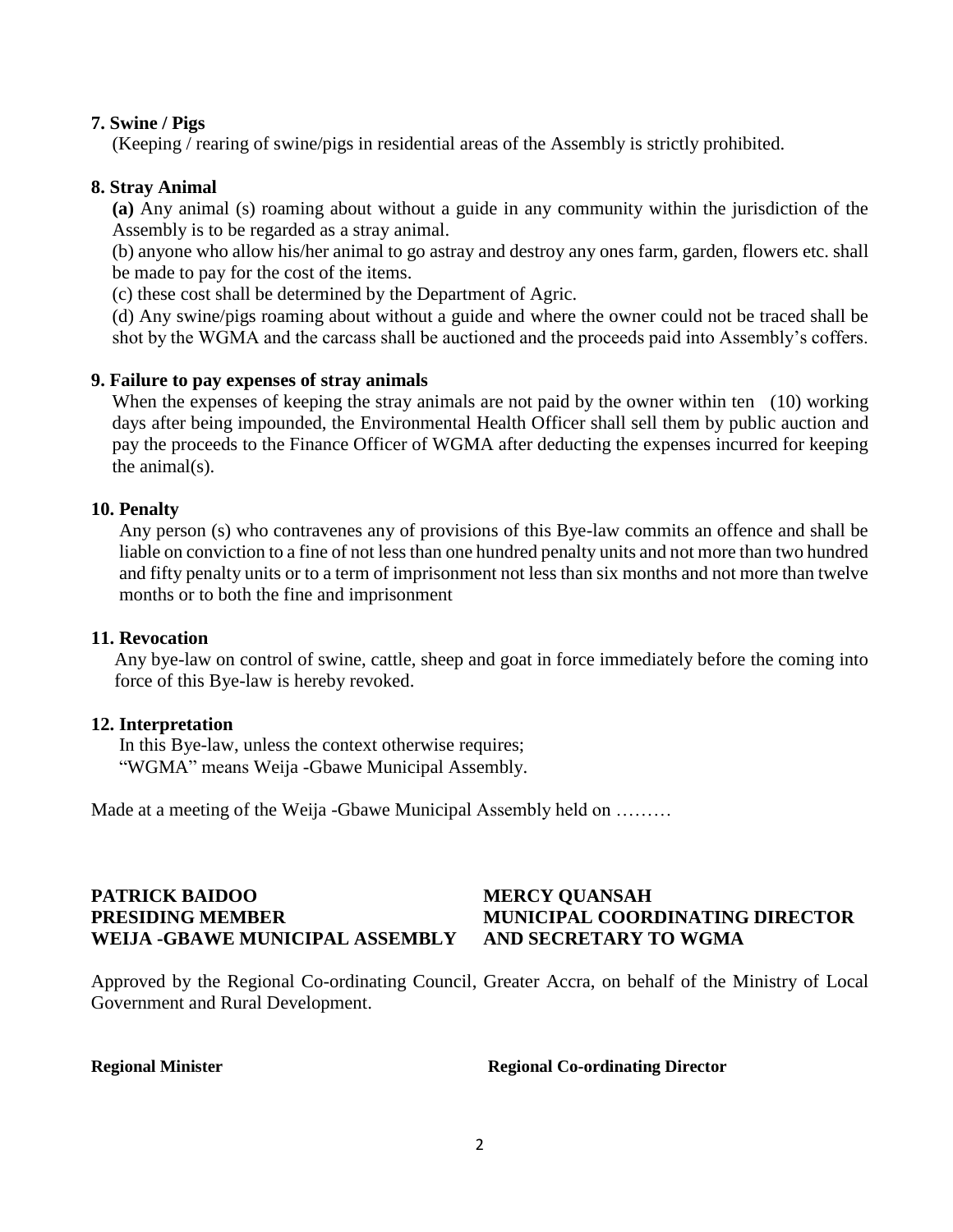#### **7. Swine / Pigs**

(Keeping / rearing of swine/pigs in residential areas of the Assembly is strictly prohibited.

#### **8. Stray Animal**

**(a)** Any animal (s) roaming about without a guide in any community within the jurisdiction of the Assembly is to be regarded as a stray animal.

(b) anyone who allow his/her animal to go astray and destroy any ones farm, garden, flowers etc. shall be made to pay for the cost of the items.

(c) these cost shall be determined by the Department of Agric.

(d) Any swine/pigs roaming about without a guide and where the owner could not be traced shall be shot by the WGMA and the carcass shall be auctioned and the proceeds paid into Assembly's coffers.

#### **9. Failure to pay expenses of stray animals**

When the expenses of keeping the stray animals are not paid by the owner within ten (10) working days after being impounded, the Environmental Health Officer shall sell them by public auction and pay the proceeds to the Finance Officer of WGMA after deducting the expenses incurred for keeping the animal(s).

#### **10. Penalty**

Any person (s) who contravenes any of provisions of this Bye-law commits an offence and shall be liable on conviction to a fine of not less than one hundred penalty units and not more than two hundred and fifty penalty units or to a term of imprisonment not less than six months and not more than twelve months or to both the fine and imprisonment

#### **11. Revocation**

Any bye-law on control of swine, cattle, sheep and goat in force immediately before the coming into force of this Bye-law is hereby revoked.

#### **12. Interpretation**

In this Bye-law, unless the context otherwise requires; "WGMA" means Weija -Gbawe Municipal Assembly.

Made at a meeting of the Weija -Gbawe Municipal Assembly held on ………

#### **PATRICK BAIDOO MERCY QUANSAH PRESIDING MEMBER MUNICIPAL COORDINATING DIRECTOR WEIJA -GBAWE MUNICIPAL ASSEMBLY AND SECRETARY TO WGMA**

<span id="page-4-0"></span>Approved by the Regional Co-ordinating Council, Greater Accra, on behalf of the Ministry of Local Government and Rural Development.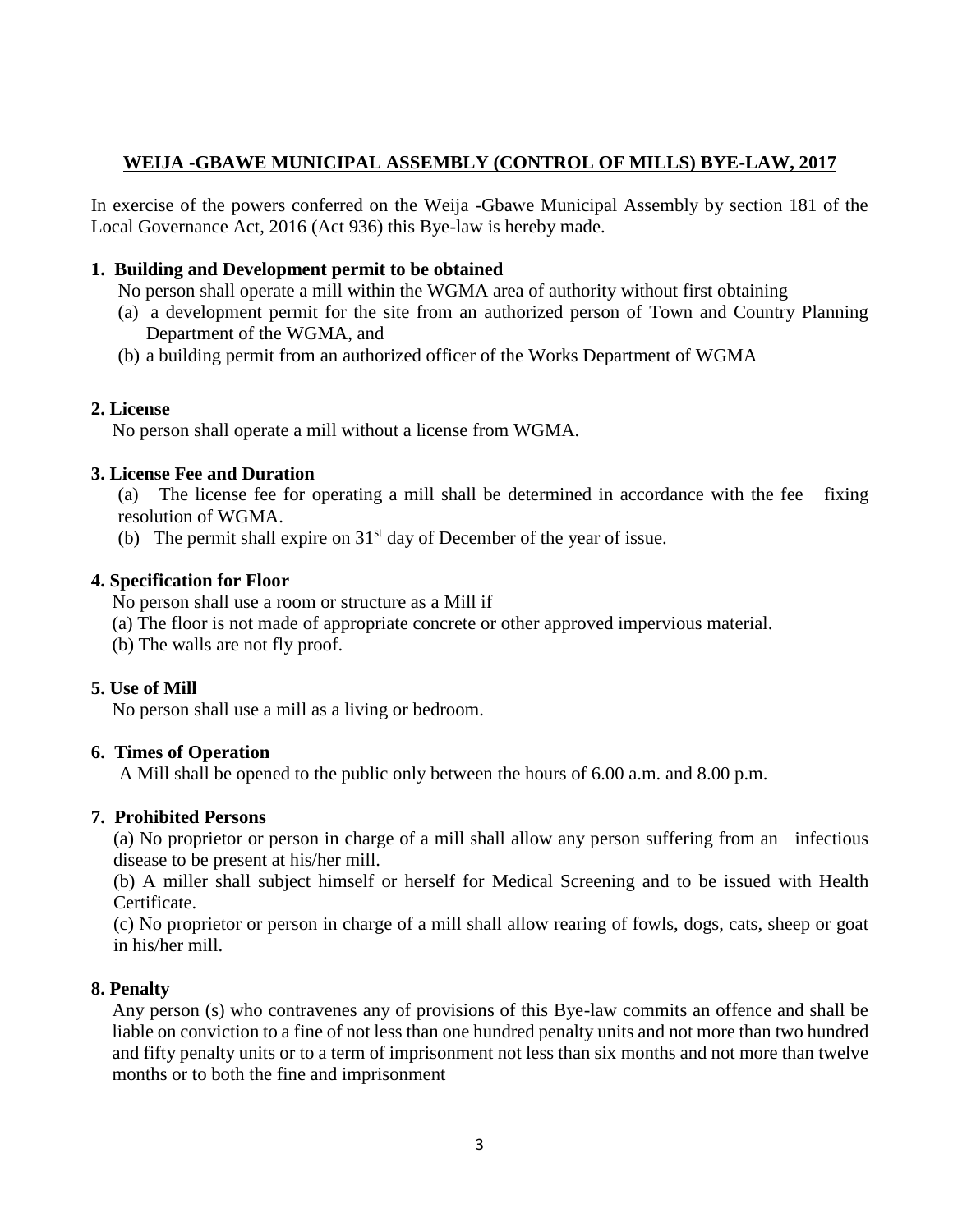### **WEIJA -GBAWE MUNICIPAL ASSEMBLY (CONTROL OF MILLS) BYE-LAW, 2017**

In exercise of the powers conferred on the Weija -Gbawe Municipal Assembly by section 181 of the Local Governance Act, 2016 (Act 936) this Bye-law is hereby made.

### **1. Building and Development permit to be obtained**

No person shall operate a mill within the WGMA area of authority without first obtaining

- (a) a development permit for the site from an authorized person of Town and Country Planning Department of the WGMA, and
- (b) a building permit from an authorized officer of the Works Department of WGMA

### **2. License**

No person shall operate a mill without a license from WGMA.

### **3. License Fee and Duration**

(a) The license fee for operating a mill shall be determined in accordance with the fee fixing resolution of WGMA.

(b) The permit shall expire on  $31<sup>st</sup>$  day of December of the year of issue.

#### **4. Specification for Floor**

No person shall use a room or structure as a Mill if

- (a) The floor is not made of appropriate concrete or other approved impervious material.
- (b) The walls are not fly proof.

### **5. Use of Mill**

No person shall use a mill as a living or bedroom.

#### **6. Times of Operation**

A Mill shall be opened to the public only between the hours of 6.00 a.m. and 8.00 p.m.

### **7. Prohibited Persons**

(a) No proprietor or person in charge of a mill shall allow any person suffering from an infectious disease to be present at his/her mill.

(b) A miller shall subject himself or herself for Medical Screening and to be issued with Health Certificate.

(c) No proprietor or person in charge of a mill shall allow rearing of fowls, dogs, cats, sheep or goat in his/her mill.

### **8. Penalty**

Any person (s) who contravenes any of provisions of this Bye-law commits an offence and shall be liable on conviction to a fine of not less than one hundred penalty units and not more than two hundred and fifty penalty units or to a term of imprisonment not less than six months and not more than twelve months or to both the fine and imprisonment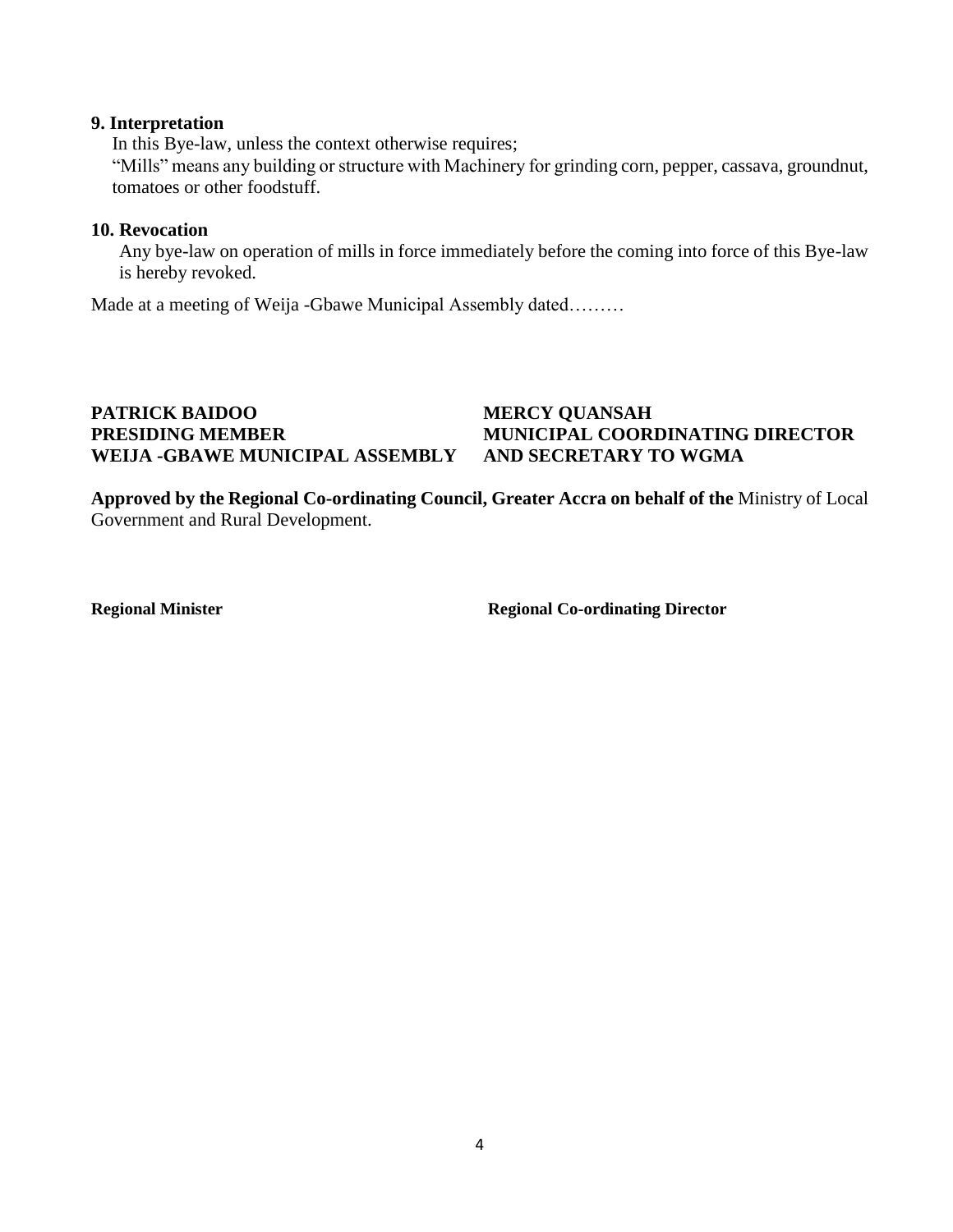#### **9. Interpretation**

In this Bye-law, unless the context otherwise requires; "Mills" means any building or structure with Machinery for grinding corn, pepper, cassava, groundnut, tomatoes or other foodstuff.

#### **10. Revocation**

Any bye-law on operation of mills in force immediately before the coming into force of this Bye-law is hereby revoked.

Made at a meeting of Weija -Gbawe Municipal Assembly dated………

## <span id="page-6-0"></span>PATRICK BAIDOO MERCY QUANSAH **PRESIDING MEMBER MUNICIPAL COORDINATING DIRECTOR WEIJA -GBAWE MUNICIPAL ASSEMBLY AND SECRETARY TO WGMA**

**Approved by the Regional Co-ordinating Council, Greater Accra on behalf of the** Ministry of Local Government and Rural Development.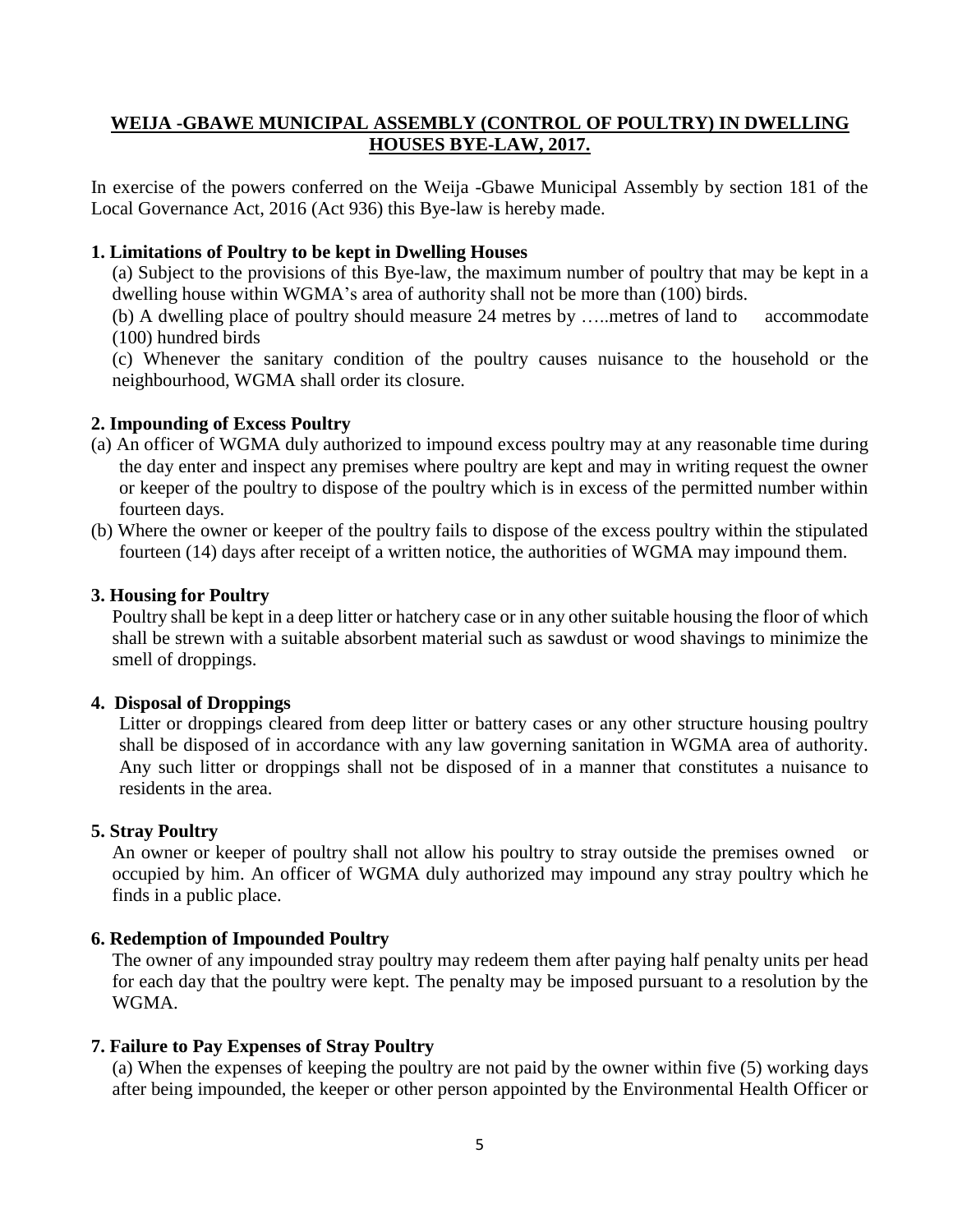#### **WEIJA -GBAWE MUNICIPAL ASSEMBLY (CONTROL OF POULTRY) IN DWELLING HOUSES BYE-LAW, 2017.**

In exercise of the powers conferred on the Weija -Gbawe Municipal Assembly by section 181 of the Local Governance Act, 2016 (Act 936) this Bye-law is hereby made.

#### **1. Limitations of Poultry to be kept in Dwelling Houses**

(a) Subject to the provisions of this Bye-law, the maximum number of poultry that may be kept in a dwelling house within WGMA's area of authority shall not be more than (100) birds.

(b) A dwelling place of poultry should measure 24 metres by …..metres of land to accommodate (100) hundred birds

(c) Whenever the sanitary condition of the poultry causes nuisance to the household or the neighbourhood, WGMA shall order its closure.

#### **2. Impounding of Excess Poultry**

- (a) An officer of WGMA duly authorized to impound excess poultry may at any reasonable time during the day enter and inspect any premises where poultry are kept and may in writing request the owner or keeper of the poultry to dispose of the poultry which is in excess of the permitted number within fourteen days.
- (b) Where the owner or keeper of the poultry fails to dispose of the excess poultry within the stipulated fourteen (14) days after receipt of a written notice, the authorities of WGMA may impound them.

#### **3. Housing for Poultry**

Poultry shall be kept in a deep litter or hatchery case or in any other suitable housing the floor of which shall be strewn with a suitable absorbent material such as sawdust or wood shavings to minimize the smell of droppings.

#### **4. Disposal of Droppings**

Litter or droppings cleared from deep litter or battery cases or any other structure housing poultry shall be disposed of in accordance with any law governing sanitation in WGMA area of authority. Any such litter or droppings shall not be disposed of in a manner that constitutes a nuisance to residents in the area.

#### **5. Stray Poultry**

An owner or keeper of poultry shall not allow his poultry to stray outside the premises owned or occupied by him. An officer of WGMA duly authorized may impound any stray poultry which he finds in a public place.

#### **6. Redemption of Impounded Poultry**

The owner of any impounded stray poultry may redeem them after paying half penalty units per head for each day that the poultry were kept. The penalty may be imposed pursuant to a resolution by the WGMA.

#### **7. Failure to Pay Expenses of Stray Poultry**

(a) When the expenses of keeping the poultry are not paid by the owner within five (5) working days after being impounded, the keeper or other person appointed by the Environmental Health Officer or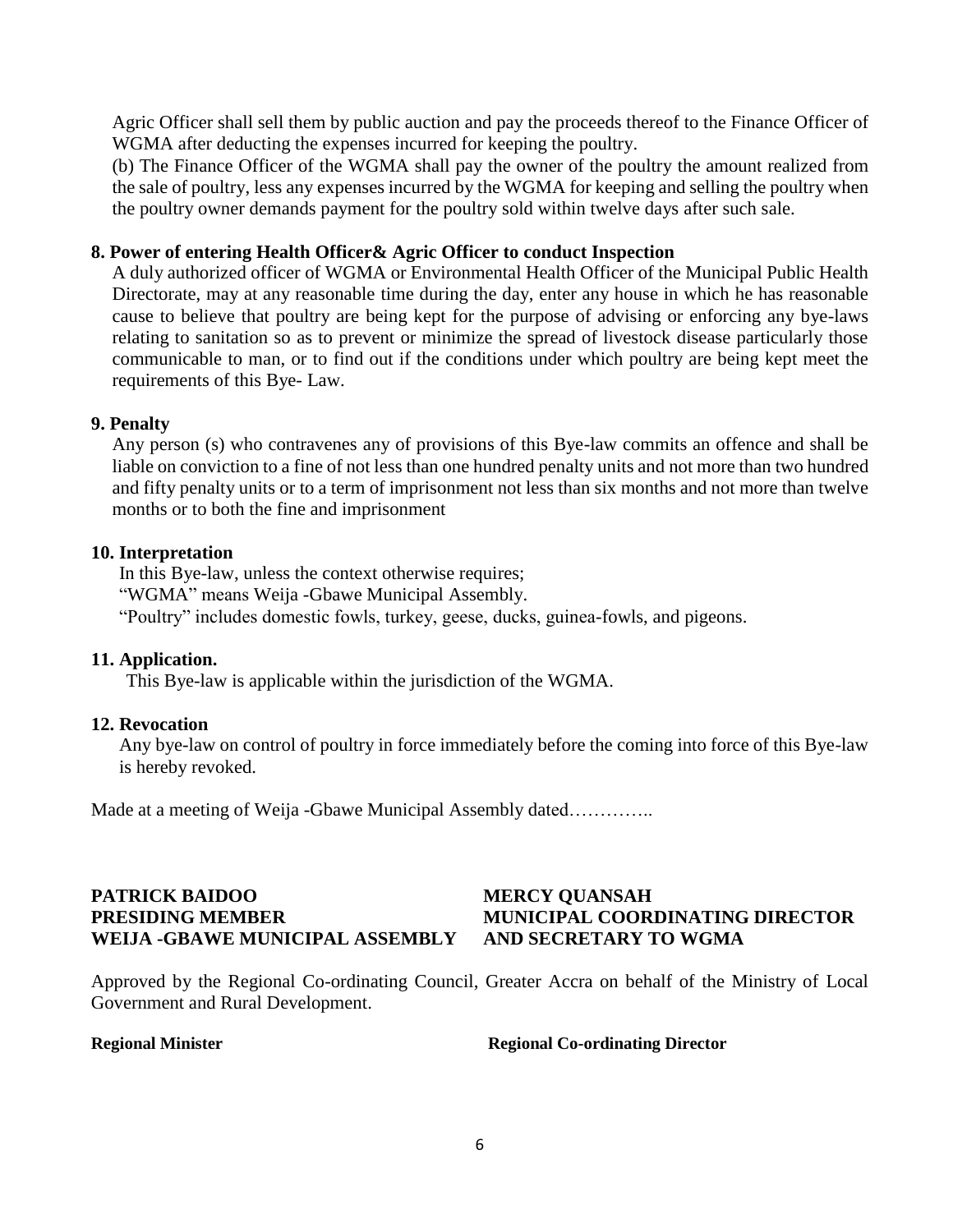Agric Officer shall sell them by public auction and pay the proceeds thereof to the Finance Officer of WGMA after deducting the expenses incurred for keeping the poultry.

(b) The Finance Officer of the WGMA shall pay the owner of the poultry the amount realized from the sale of poultry, less any expenses incurred by the WGMA for keeping and selling the poultry when the poultry owner demands payment for the poultry sold within twelve days after such sale.

#### **8. Power of entering Health Officer& Agric Officer to conduct Inspection**

A duly authorized officer of WGMA or Environmental Health Officer of the Municipal Public Health Directorate, may at any reasonable time during the day, enter any house in which he has reasonable cause to believe that poultry are being kept for the purpose of advising or enforcing any bye-laws relating to sanitation so as to prevent or minimize the spread of livestock disease particularly those communicable to man, or to find out if the conditions under which poultry are being kept meet the requirements of this Bye- Law.

#### **9. Penalty**

Any person (s) who contravenes any of provisions of this Bye-law commits an offence and shall be liable on conviction to a fine of not less than one hundred penalty units and not more than two hundred and fifty penalty units or to a term of imprisonment not less than six months and not more than twelve months or to both the fine and imprisonment

#### **10. Interpretation**

In this Bye-law, unless the context otherwise requires; "WGMA" means Weija -Gbawe Municipal Assembly. "Poultry" includes domestic fowls, turkey, geese, ducks, guinea-fowls, and pigeons.

#### **11. Application.**

This Bye-law is applicable within the jurisdiction of the WGMA.

#### **12. Revocation**

Any bye-law on control of poultry in force immediately before the coming into force of this Bye-law is hereby revoked.

Made at a meeting of Weija -Gbawe Municipal Assembly dated…………..

### **PATRICK BAIDOO MERCY QUANSAH PRESIDING MEMBER MUNICIPAL COORDINATING DIRECTOR WEIJA -GBAWE MUNICIPAL ASSEMBLY AND SECRETARY TO WGMA**

Approved by the Regional Co-ordinating Council, Greater Accra on behalf of the Ministry of Local Government and Rural Development.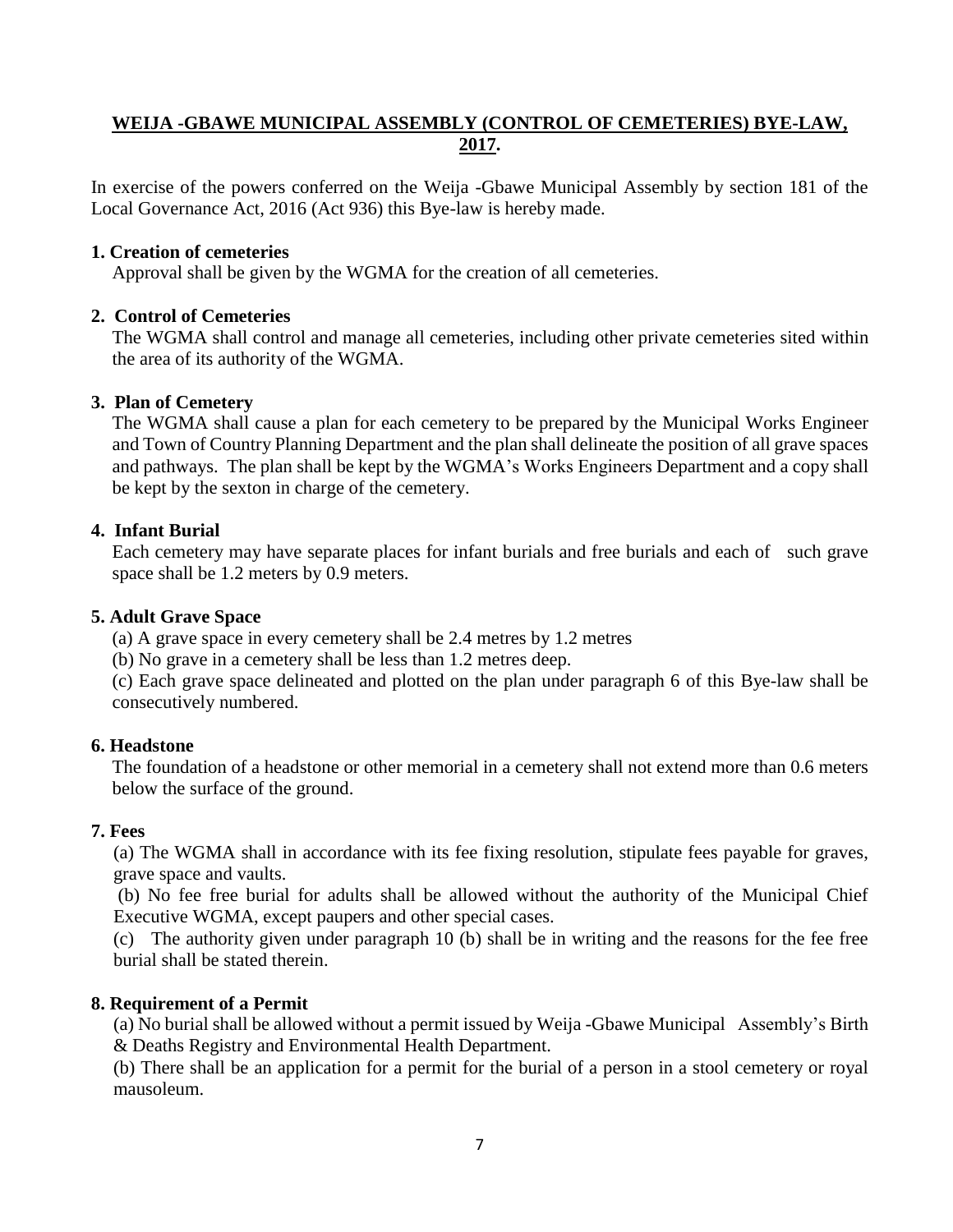### <span id="page-9-0"></span>**WEIJA -GBAWE MUNICIPAL ASSEMBLY (CONTROL OF CEMETERIES) BYE-LAW, 2017.**

In exercise of the powers conferred on the Weija -Gbawe Municipal Assembly by section 181 of the Local Governance Act, 2016 (Act 936) this Bye-law is hereby made.

#### **1. Creation of cemeteries**

Approval shall be given by the WGMA for the creation of all cemeteries.

#### **2. Control of Cemeteries**

The WGMA shall control and manage all cemeteries, including other private cemeteries sited within the area of its authority of the WGMA.

#### **3. Plan of Cemetery**

The WGMA shall cause a plan for each cemetery to be prepared by the Municipal Works Engineer and Town of Country Planning Department and the plan shall delineate the position of all grave spaces and pathways. The plan shall be kept by the WGMA's Works Engineers Department and a copy shall be kept by the sexton in charge of the cemetery.

#### **4. Infant Burial**

Each cemetery may have separate places for infant burials and free burials and each of such grave space shall be 1.2 meters by 0.9 meters.

#### **5. Adult Grave Space**

(a) A grave space in every cemetery shall be 2.4 metres by 1.2 metres

(b) No grave in a cemetery shall be less than 1.2 metres deep.

(c) Each grave space delineated and plotted on the plan under paragraph 6 of this Bye-law shall be consecutively numbered.

#### **6. Headstone**

The foundation of a headstone or other memorial in a cemetery shall not extend more than 0.6 meters below the surface of the ground.

#### **7. Fees**

(a) The WGMA shall in accordance with its fee fixing resolution, stipulate fees payable for graves, grave space and vaults.

(b) No fee free burial for adults shall be allowed without the authority of the Municipal Chief Executive WGMA, except paupers and other special cases.

(c) The authority given under paragraph 10 (b) shall be in writing and the reasons for the fee free burial shall be stated therein.

#### **8. Requirement of a Permit**

(a) No burial shall be allowed without a permit issued by Weija -Gbawe Municipal Assembly's Birth & Deaths Registry and Environmental Health Department.

(b) There shall be an application for a permit for the burial of a person in a stool cemetery or royal mausoleum.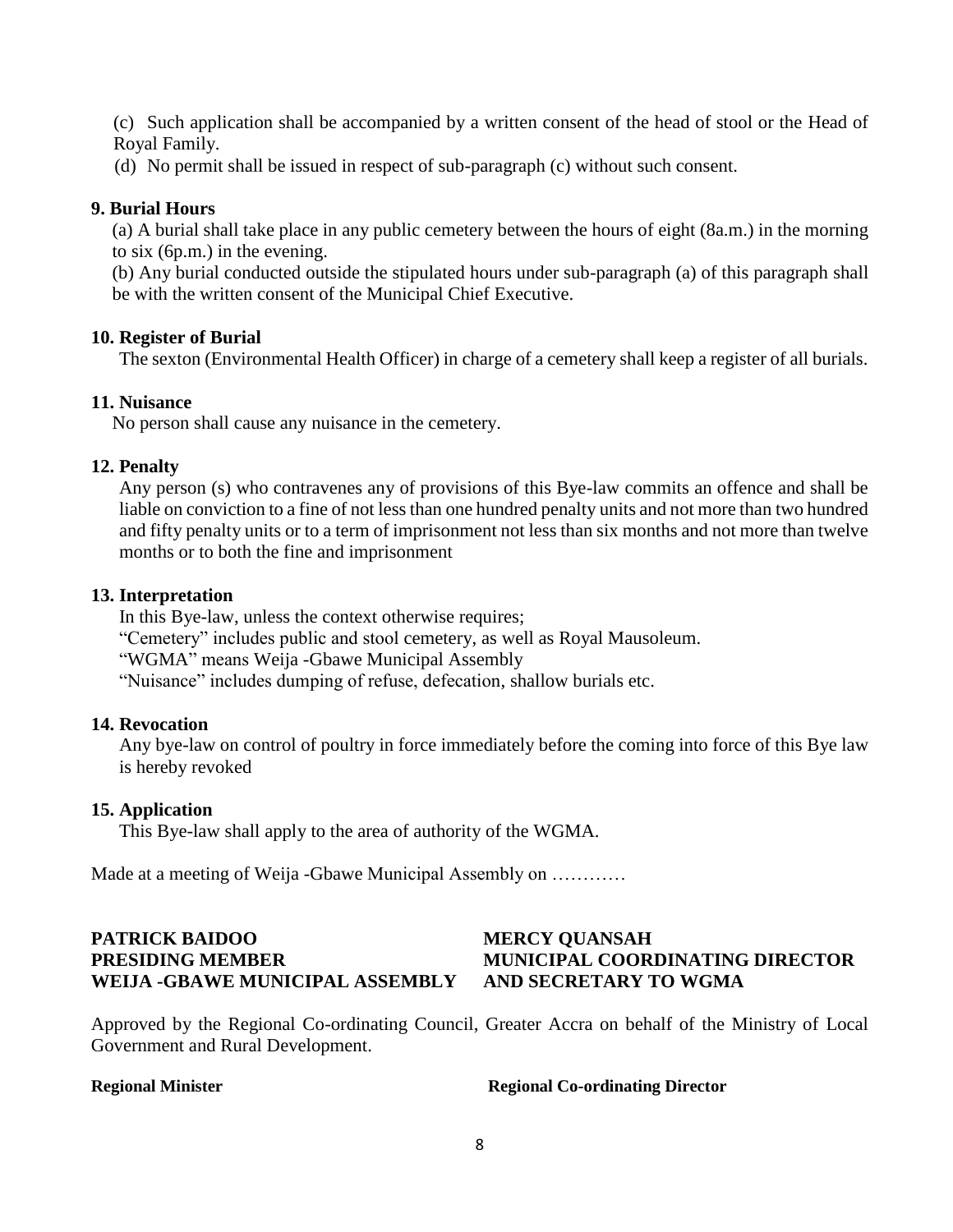(c) Such application shall be accompanied by a written consent of the head of stool or the Head of Royal Family.

(d) No permit shall be issued in respect of sub-paragraph (c) without such consent.

#### **9. Burial Hours**

(a) A burial shall take place in any public cemetery between the hours of eight (8a.m.) in the morning to six (6p.m.) in the evening.

(b) Any burial conducted outside the stipulated hours under sub-paragraph (a) of this paragraph shall be with the written consent of the Municipal Chief Executive.

#### **10. Register of Burial**

The sexton (Environmental Health Officer) in charge of a cemetery shall keep a register of all burials.

#### **11. Nuisance**

No person shall cause any nuisance in the cemetery.

#### **12. Penalty**

Any person (s) who contravenes any of provisions of this Bye-law commits an offence and shall be liable on conviction to a fine of not less than one hundred penalty units and not more than two hundred and fifty penalty units or to a term of imprisonment not less than six months and not more than twelve months or to both the fine and imprisonment

#### **13. Interpretation**

In this Bye-law, unless the context otherwise requires; "Cemetery" includes public and stool cemetery, as well as Royal Mausoleum. "WGMA" means Weija -Gbawe Municipal Assembly "Nuisance" includes dumping of refuse, defecation, shallow burials etc.

#### **14. Revocation**

Any bye-law on control of poultry in force immediately before the coming into force of this Bye law is hereby revoked

### **15. Application**

This Bye-law shall apply to the area of authority of the WGMA.

Made at a meeting of Weija -Gbawe Municipal Assembly on …………

## **PATRICK BAIDOO MERCY QUANSAH PRESIDING MEMBER MUNICIPAL COORDINATING DIRECTOR WEIJA -GBAWE MUNICIPAL ASSEMBLY AND SECRETARY TO WGMA**

Approved by the Regional Co-ordinating Council, Greater Accra on behalf of the Ministry of Local Government and Rural Development.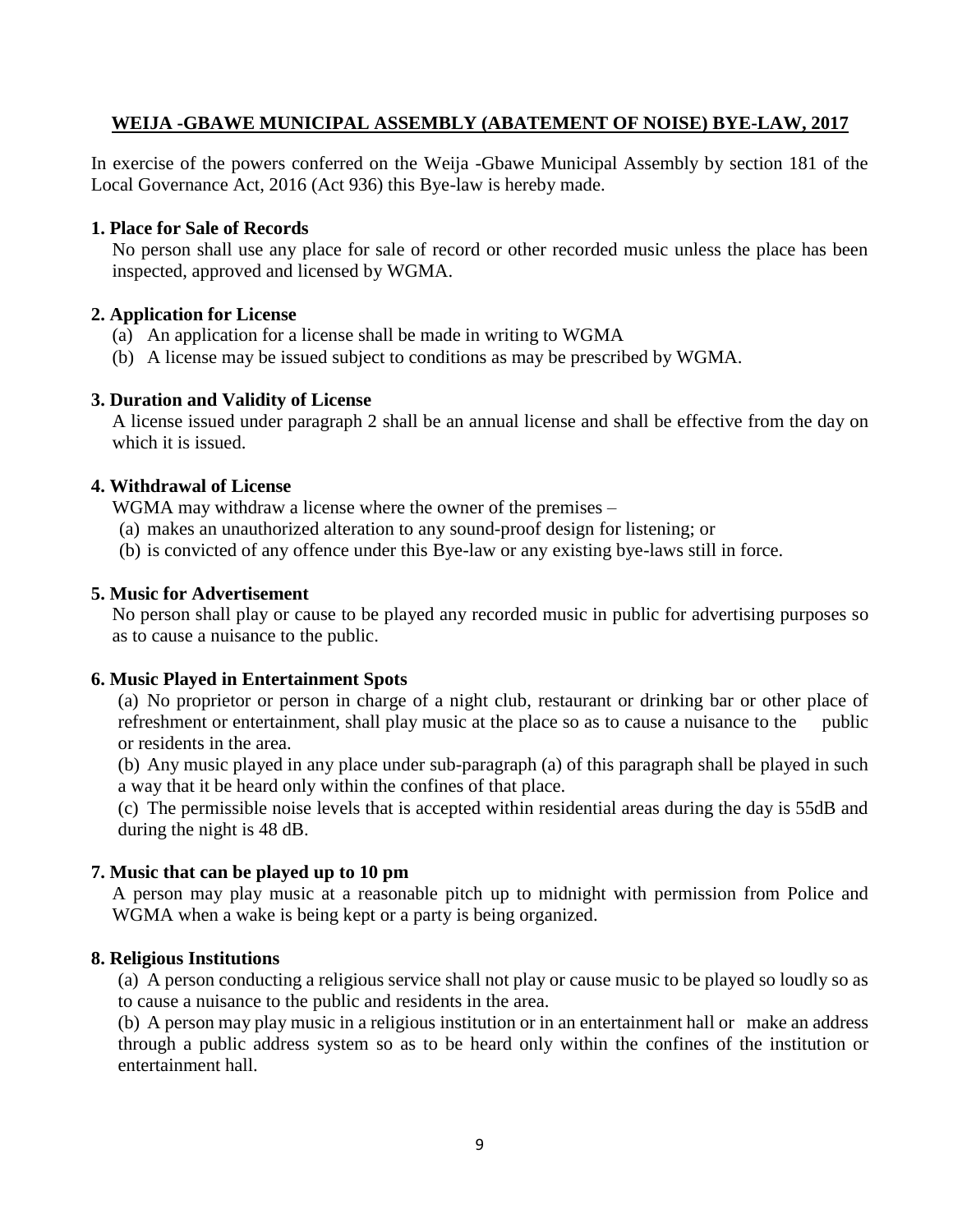#### <span id="page-11-0"></span>**WEIJA -GBAWE MUNICIPAL ASSEMBLY (ABATEMENT OF NOISE) BYE-LAW, 2017**

In exercise of the powers conferred on the Weija -Gbawe Municipal Assembly by section 181 of the Local Governance Act, 2016 (Act 936) this Bye-law is hereby made.

#### **1. Place for Sale of Records**

No person shall use any place for sale of record or other recorded music unless the place has been inspected, approved and licensed by WGMA.

#### **2. Application for License**

- (a) An application for a license shall be made in writing to WGMA
- (b) A license may be issued subject to conditions as may be prescribed by WGMA.

#### **3. Duration and Validity of License**

A license issued under paragraph 2 shall be an annual license and shall be effective from the day on which it is issued.

#### **4. Withdrawal of License**

WGMA may withdraw a license where the owner of the premises –

- (a) makes an unauthorized alteration to any sound-proof design for listening; or
- (b) is convicted of any offence under this Bye-law or any existing bye-laws still in force.

#### **5. Music for Advertisement**

No person shall play or cause to be played any recorded music in public for advertising purposes so as to cause a nuisance to the public.

#### **6. Music Played in Entertainment Spots**

(a) No proprietor or person in charge of a night club, restaurant or drinking bar or other place of refreshment or entertainment, shall play music at the place so as to cause a nuisance to the public or residents in the area.

(b) Any music played in any place under sub-paragraph (a) of this paragraph shall be played in such a way that it be heard only within the confines of that place.

(c) The permissible noise levels that is accepted within residential areas during the day is 55dB and during the night is 48 dB.

#### **7. Music that can be played up to 10 pm**

A person may play music at a reasonable pitch up to midnight with permission from Police and WGMA when a wake is being kept or a party is being organized.

#### **8. Religious Institutions**

(a) A person conducting a religious service shall not play or cause music to be played so loudly so as to cause a nuisance to the public and residents in the area.

(b) A person may play music in a religious institution or in an entertainment hall or make an address through a public address system so as to be heard only within the confines of the institution or entertainment hall.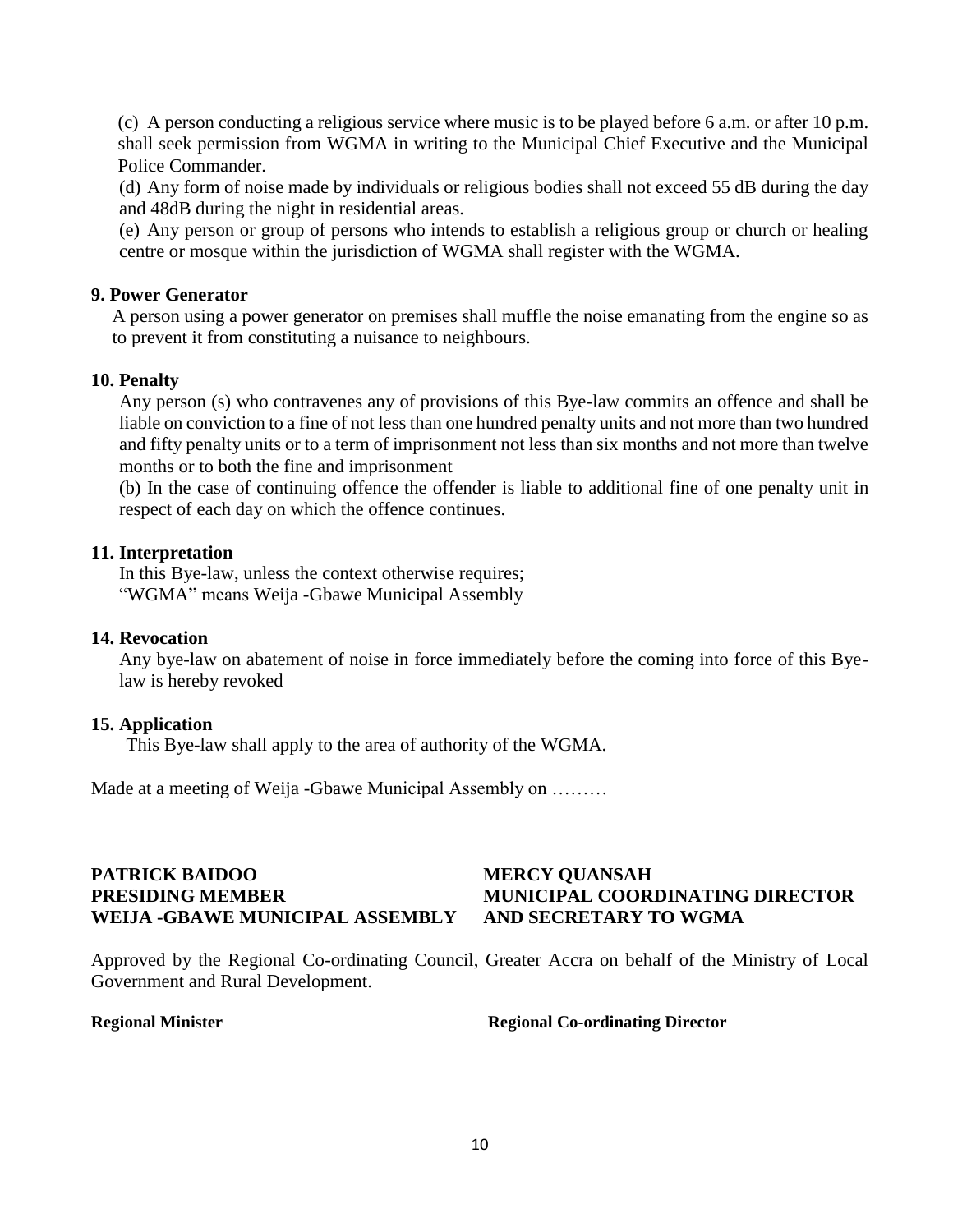(c) A person conducting a religious service where music is to be played before 6 a.m. or after 10 p.m. shall seek permission from WGMA in writing to the Municipal Chief Executive and the Municipal Police Commander.

(d) Any form of noise made by individuals or religious bodies shall not exceed 55 dB during the day and 48dB during the night in residential areas.

(e) Any person or group of persons who intends to establish a religious group or church or healing centre or mosque within the jurisdiction of WGMA shall register with the WGMA.

#### **9. Power Generator**

A person using a power generator on premises shall muffle the noise emanating from the engine so as to prevent it from constituting a nuisance to neighbours.

#### **10. Penalty**

Any person (s) who contravenes any of provisions of this Bye-law commits an offence and shall be liable on conviction to a fine of not less than one hundred penalty units and not more than two hundred and fifty penalty units or to a term of imprisonment not less than six months and not more than twelve months or to both the fine and imprisonment

(b) In the case of continuing offence the offender is liable to additional fine of one penalty unit in respect of each day on which the offence continues.

#### **11. Interpretation**

In this Bye-law, unless the context otherwise requires; "WGMA" means Weija -Gbawe Municipal Assembly

#### **14. Revocation**

Any bye-law on abatement of noise in force immediately before the coming into force of this Byelaw is hereby revoked

#### **15. Application**

This Bye-law shall apply to the area of authority of the WGMA.

Made at a meeting of Weija -Gbawe Municipal Assembly on ………

## **PATRICK BAIDOO MERCY QUANSAH WEIJA -GBAWE MUNICIPAL ASSEMBLY AND SECRETARY TO WGMA**

# **PRESIDING MEMBER MUNICIPAL COORDINATING DIRECTOR**

Approved by the Regional Co-ordinating Council, Greater Accra on behalf of the Ministry of Local Government and Rural Development.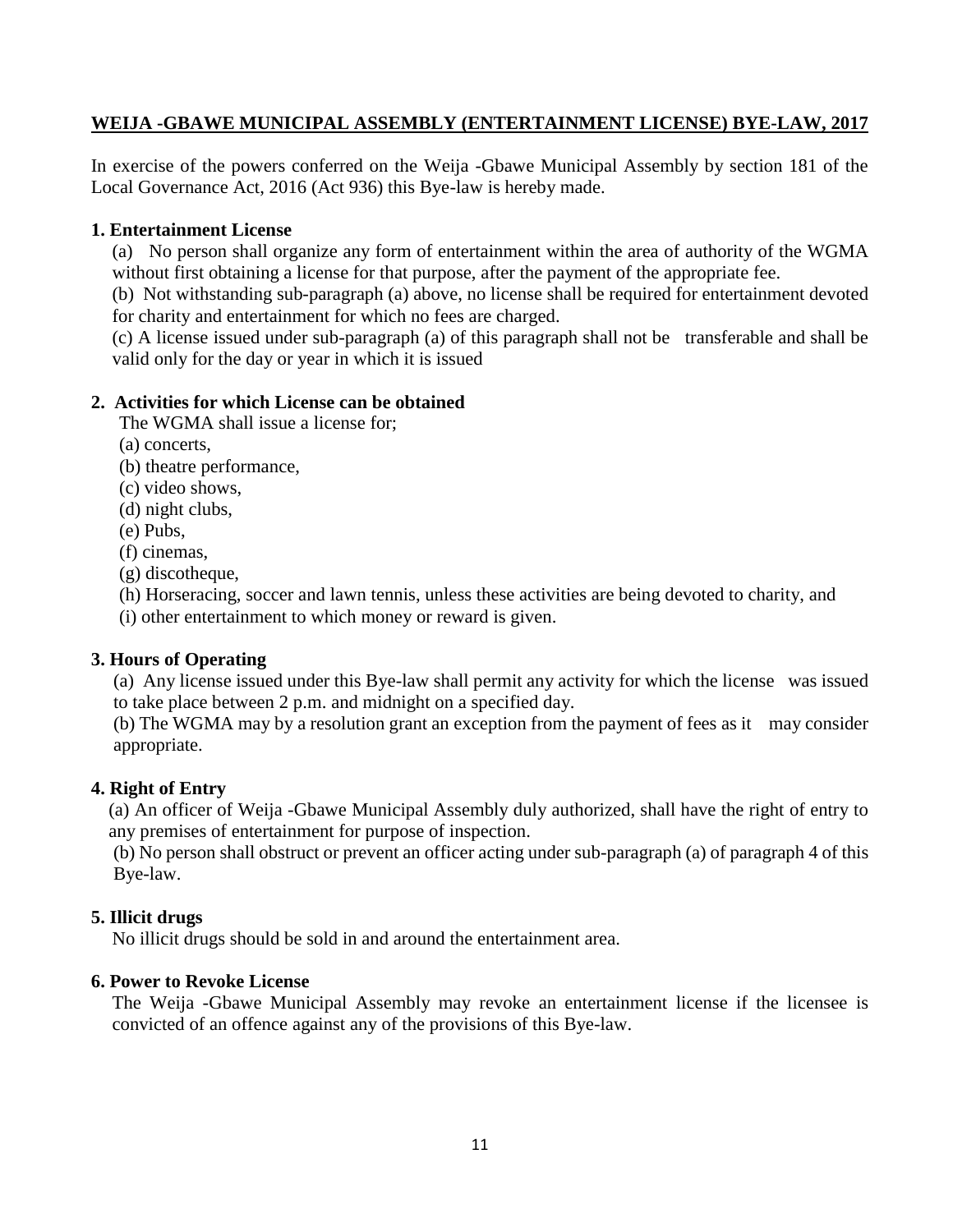#### <span id="page-13-0"></span>**WEIJA -GBAWE MUNICIPAL ASSEMBLY (ENTERTAINMENT LICENSE) BYE-LAW, 2017**

In exercise of the powers conferred on the Weija -Gbawe Municipal Assembly by section 181 of the Local Governance Act, 2016 (Act 936) this Bye-law is hereby made.

#### **1. Entertainment License**

(a) No person shall organize any form of entertainment within the area of authority of the WGMA without first obtaining a license for that purpose, after the payment of the appropriate fee.

(b) Not withstanding sub-paragraph (a) above, no license shall be required for entertainment devoted for charity and entertainment for which no fees are charged.

(c) A license issued under sub-paragraph (a) of this paragraph shall not be transferable and shall be valid only for the day or year in which it is issued

#### **2. Activities for which License can be obtained**

The WGMA shall issue a license for;

- (a) concerts,
- (b) theatre performance,
- (c) video shows,
- (d) night clubs,
- (e) Pubs,
- (f) cinemas,
- (g) discotheque,

(h) Horseracing, soccer and lawn tennis, unless these activities are being devoted to charity, and

(i) other entertainment to which money or reward is given.

#### **3. Hours of Operating**

(a) Any license issued under this Bye-law shall permit any activity for which the license was issued to take place between 2 p.m. and midnight on a specified day.

(b) The WGMA may by a resolution grant an exception from the payment of fees as it may consider appropriate.

#### **4. Right of Entry**

(a) An officer of Weija -Gbawe Municipal Assembly duly authorized, shall have the right of entry to any premises of entertainment for purpose of inspection.

(b) No person shall obstruct or prevent an officer acting under sub-paragraph (a) of paragraph 4 of this Bye-law.

#### **5. Illicit drugs**

No illicit drugs should be sold in and around the entertainment area.

#### **6. Power to Revoke License**

The Weija -Gbawe Municipal Assembly may revoke an entertainment license if the licensee is convicted of an offence against any of the provisions of this Bye-law.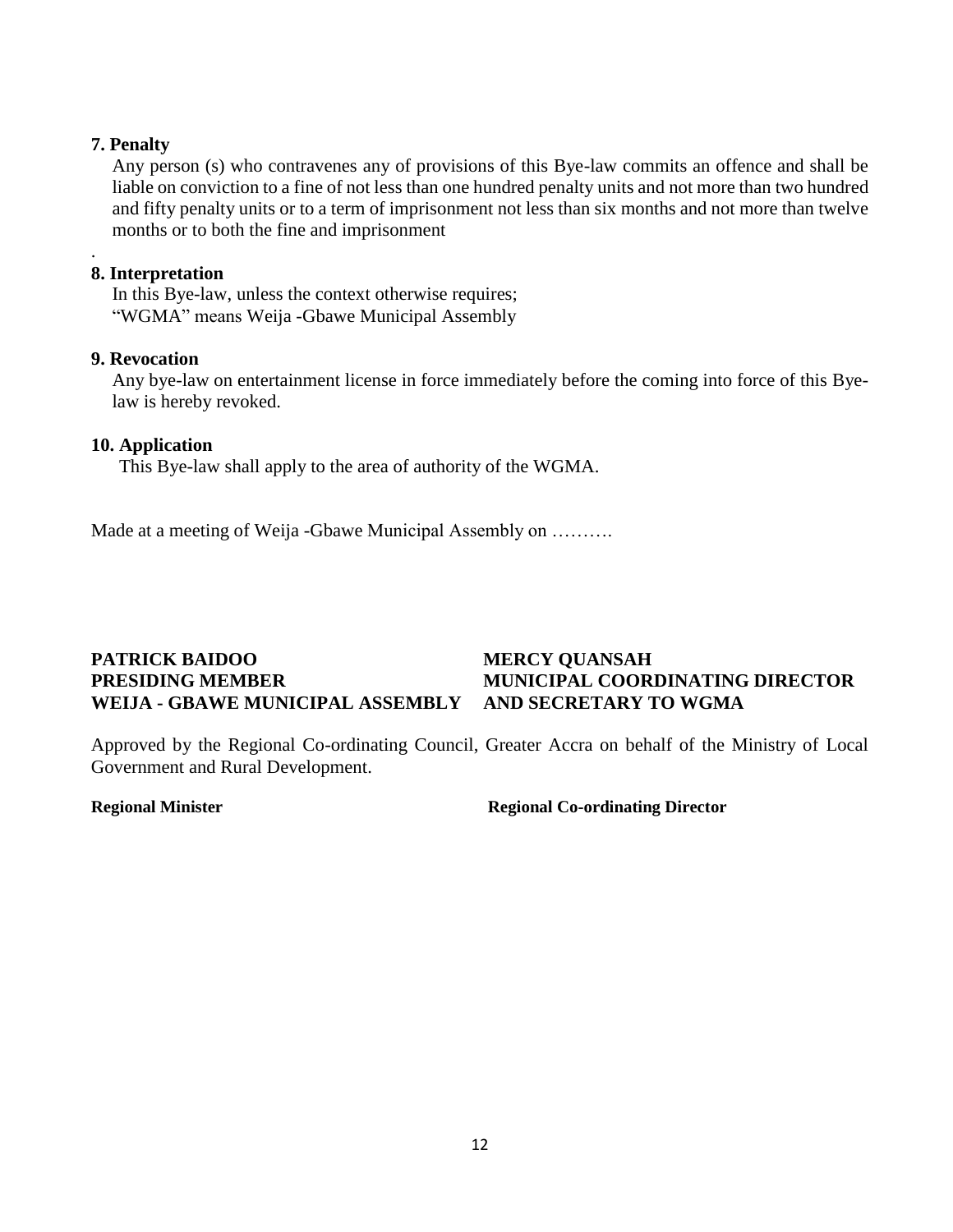#### **7. Penalty**

.

Any person (s) who contravenes any of provisions of this Bye-law commits an offence and shall be liable on conviction to a fine of not less than one hundred penalty units and not more than two hundred and fifty penalty units or to a term of imprisonment not less than six months and not more than twelve months or to both the fine and imprisonment

#### **8. Interpretation**

In this Bye-law, unless the context otherwise requires; "WGMA" means Weija -Gbawe Municipal Assembly

#### **9. Revocation**

Any bye-law on entertainment license in force immediately before the coming into force of this Byelaw is hereby revoked.

#### **10. Application**

This Bye-law shall apply to the area of authority of the WGMA.

Made at a meeting of Weija -Gbawe Municipal Assembly on ……….

### **PATRICK BAIDOO MERCY QUANSAH PRESIDING MEMBER MUNICIPAL COORDINATING DIRECTOR WEIJA - GBAWE MUNICIPAL ASSEMBLY AND SECRETARY TO WGMA**

<span id="page-14-0"></span>Approved by the Regional Co-ordinating Council, Greater Accra on behalf of the Ministry of Local Government and Rural Development.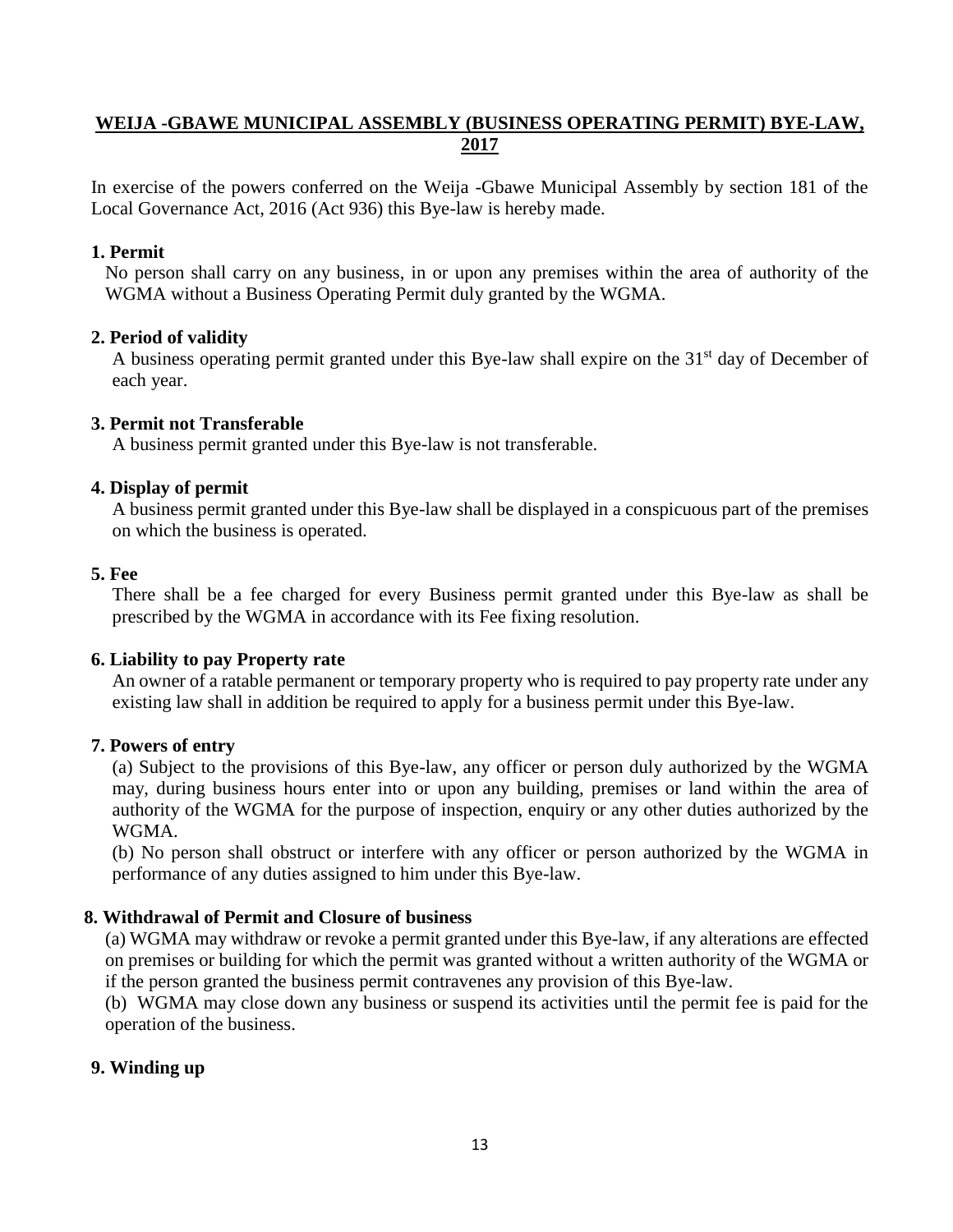### **WEIJA -GBAWE MUNICIPAL ASSEMBLY (BUSINESS OPERATING PERMIT) BYE-LAW, 2017**

In exercise of the powers conferred on the Weija -Gbawe Municipal Assembly by section 181 of the Local Governance Act, 2016 (Act 936) this Bye-law is hereby made.

#### **1. Permit**

No person shall carry on any business, in or upon any premises within the area of authority of the WGMA without a Business Operating Permit duly granted by the WGMA.

#### **2. Period of validity**

A business operating permit granted under this Bye-law shall expire on the 31<sup>st</sup> day of December of each year.

#### **3. Permit not Transferable**

A business permit granted under this Bye-law is not transferable.

#### **4. Display of permit**

A business permit granted under this Bye-law shall be displayed in a conspicuous part of the premises on which the business is operated.

#### **5. Fee**

There shall be a fee charged for every Business permit granted under this Bye-law as shall be prescribed by the WGMA in accordance with its Fee fixing resolution.

#### **6. Liability to pay Property rate**

An owner of a ratable permanent or temporary property who is required to pay property rate under any existing law shall in addition be required to apply for a business permit under this Bye-law.

### **7. Powers of entry**

(a) Subject to the provisions of this Bye-law, any officer or person duly authorized by the WGMA may, during business hours enter into or upon any building, premises or land within the area of authority of the WGMA for the purpose of inspection, enquiry or any other duties authorized by the WGMA.

(b) No person shall obstruct or interfere with any officer or person authorized by the WGMA in performance of any duties assigned to him under this Bye-law.

### **8. Withdrawal of Permit and Closure of business**

(a) WGMA may withdraw or revoke a permit granted under this Bye-law, if any alterations are effected on premises or building for which the permit was granted without a written authority of the WGMA or if the person granted the business permit contravenes any provision of this Bye-law.

(b) WGMA may close down any business or suspend its activities until the permit fee is paid for the operation of the business.

### **9. Winding up**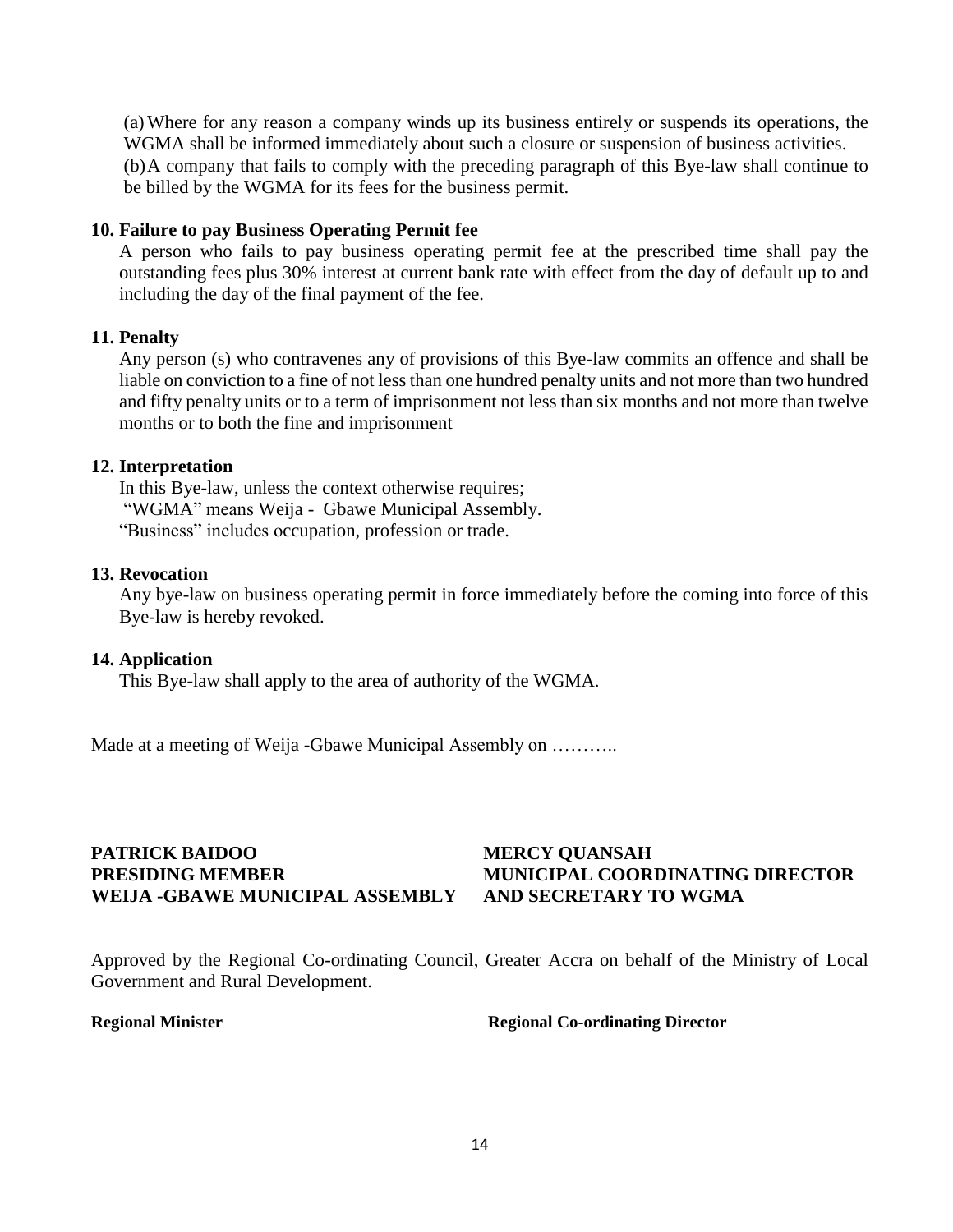(a)Where for any reason a company winds up its business entirely or suspends its operations, the WGMA shall be informed immediately about such a closure or suspension of business activities. (b)A company that fails to comply with the preceding paragraph of this Bye-law shall continue to be billed by the WGMA for its fees for the business permit.

#### **10. Failure to pay Business Operating Permit fee**

A person who fails to pay business operating permit fee at the prescribed time shall pay the outstanding fees plus 30% interest at current bank rate with effect from the day of default up to and including the day of the final payment of the fee.

#### **11. Penalty**

Any person (s) who contravenes any of provisions of this Bye-law commits an offence and shall be liable on conviction to a fine of not less than one hundred penalty units and not more than two hundred and fifty penalty units or to a term of imprisonment not less than six months and not more than twelve months or to both the fine and imprisonment

#### **12. Interpretation**

In this Bye-law, unless the context otherwise requires; "WGMA" means Weija - Gbawe Municipal Assembly. "Business" includes occupation, profession or trade.

#### **13. Revocation**

Any bye-law on business operating permit in force immediately before the coming into force of this Bye-law is hereby revoked.

#### **14. Application**

This Bye-law shall apply to the area of authority of the WGMA.

Made at a meeting of Weija -Gbawe Municipal Assembly on ………..

# **PATRICK BAIDOO MERCY QUANSAH WEIJA -GBAWE MUNICIPAL ASSEMBLY AND SECRETARY TO WGMA**

# **PRESIDING MEMBER MUNICIPAL COORDINATING DIRECTOR**

<span id="page-16-0"></span>Approved by the Regional Co-ordinating Council, Greater Accra on behalf of the Ministry of Local Government and Rural Development.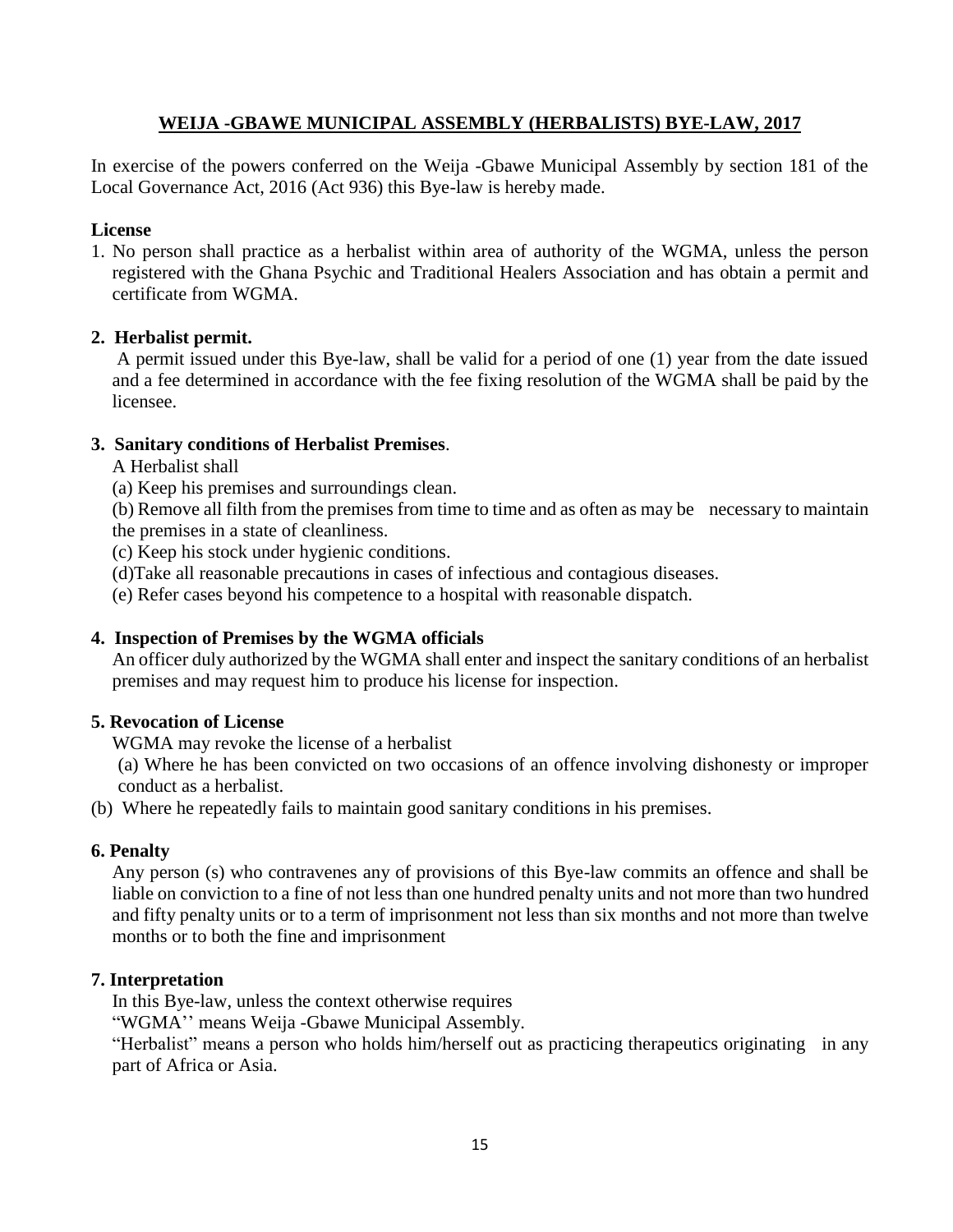#### **WEIJA -GBAWE MUNICIPAL ASSEMBLY (HERBALISTS) BYE-LAW, 2017**

In exercise of the powers conferred on the Weija -Gbawe Municipal Assembly by section 181 of the Local Governance Act, 2016 (Act 936) this Bye-law is hereby made.

#### **License**

1. No person shall practice as a herbalist within area of authority of the WGMA, unless the person registered with the Ghana Psychic and Traditional Healers Association and has obtain a permit and certificate from WGMA.

#### **2. Herbalist permit.**

A permit issued under this Bye-law, shall be valid for a period of one (1) year from the date issued and a fee determined in accordance with the fee fixing resolution of the WGMA shall be paid by the licensee.

#### **3. Sanitary conditions of Herbalist Premises**.

- A Herbalist shall
- (a) Keep his premises and surroundings clean.

(b) Remove all filth from the premises from time to time and as often as may be necessary to maintain the premises in a state of cleanliness.

- (c) Keep his stock under hygienic conditions.
- (d)Take all reasonable precautions in cases of infectious and contagious diseases.
- (e) Refer cases beyond his competence to a hospital with reasonable dispatch.

#### **4. Inspection of Premises by the WGMA officials**

An officer duly authorized by the WGMA shall enter and inspect the sanitary conditions of an herbalist premises and may request him to produce his license for inspection.

#### **5. Revocation of License**

WGMA may revoke the license of a herbalist

(a) Where he has been convicted on two occasions of an offence involving dishonesty or improper conduct as a herbalist.

(b) Where he repeatedly fails to maintain good sanitary conditions in his premises.

#### **6. Penalty**

Any person (s) who contravenes any of provisions of this Bye-law commits an offence and shall be liable on conviction to a fine of not less than one hundred penalty units and not more than two hundred and fifty penalty units or to a term of imprisonment not less than six months and not more than twelve months or to both the fine and imprisonment

#### **7. Interpretation**

In this Bye-law, unless the context otherwise requires

"WGMA'' means Weija -Gbawe Municipal Assembly.

"Herbalist" means a person who holds him/herself out as practicing therapeutics originating in any part of Africa or Asia.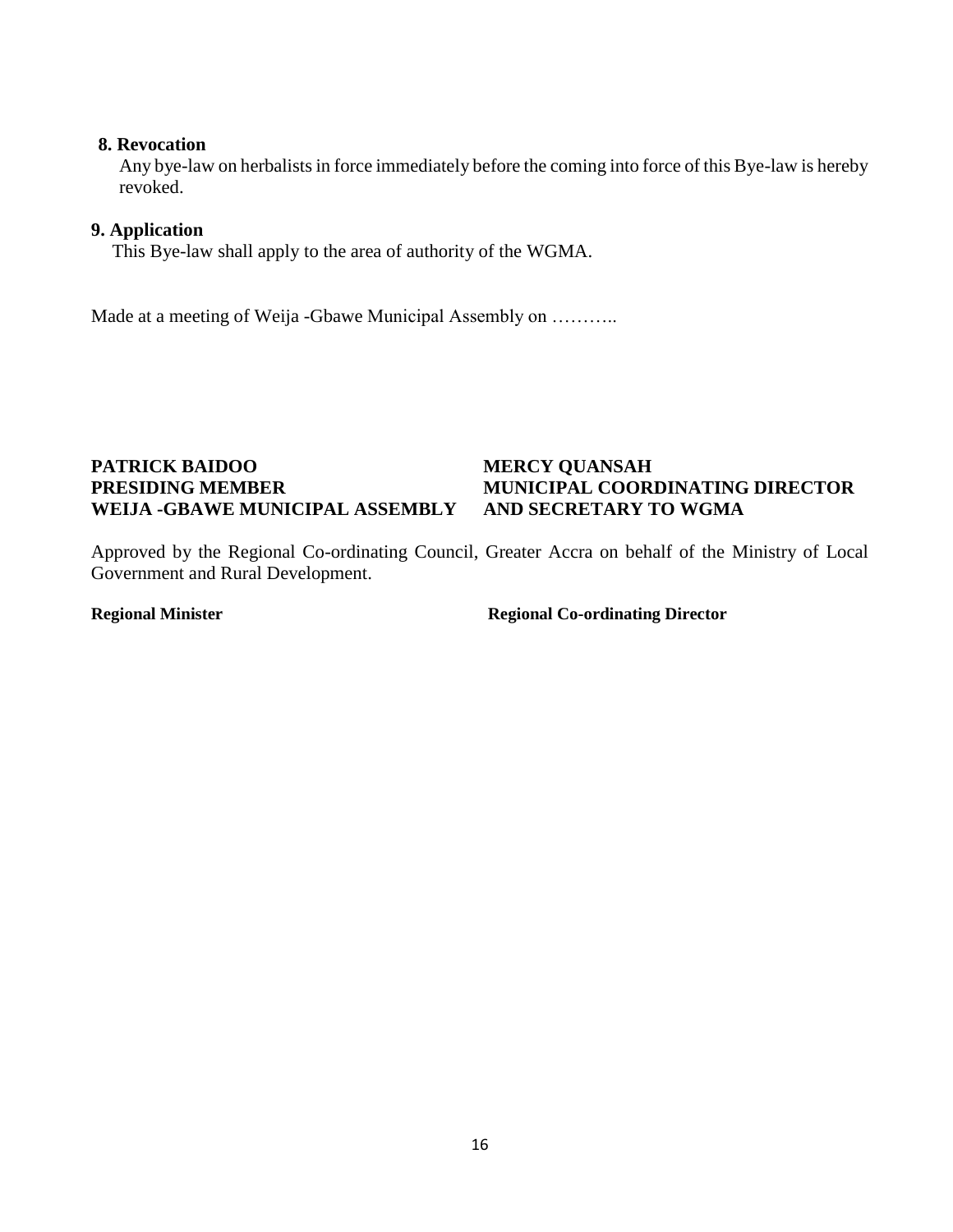#### **8. Revocation**

Any bye-law on herbalists in force immediately before the coming into force of this Bye-law is hereby revoked.

#### **9. Application**

This Bye-law shall apply to the area of authority of the WGMA.

Made at a meeting of Weija -Gbawe Municipal Assembly on ………..

## <span id="page-18-0"></span>**PATRICK BAIDOO MERCY QUANSAH WEIJA -GBAWE MUNICIPAL ASSEMBLY AND SECRETARY TO WGMA**

# **PRESIDING MEMBER MUNICIPAL COORDINATING DIRECTOR**

Approved by the Regional Co-ordinating Council, Greater Accra on behalf of the Ministry of Local Government and Rural Development.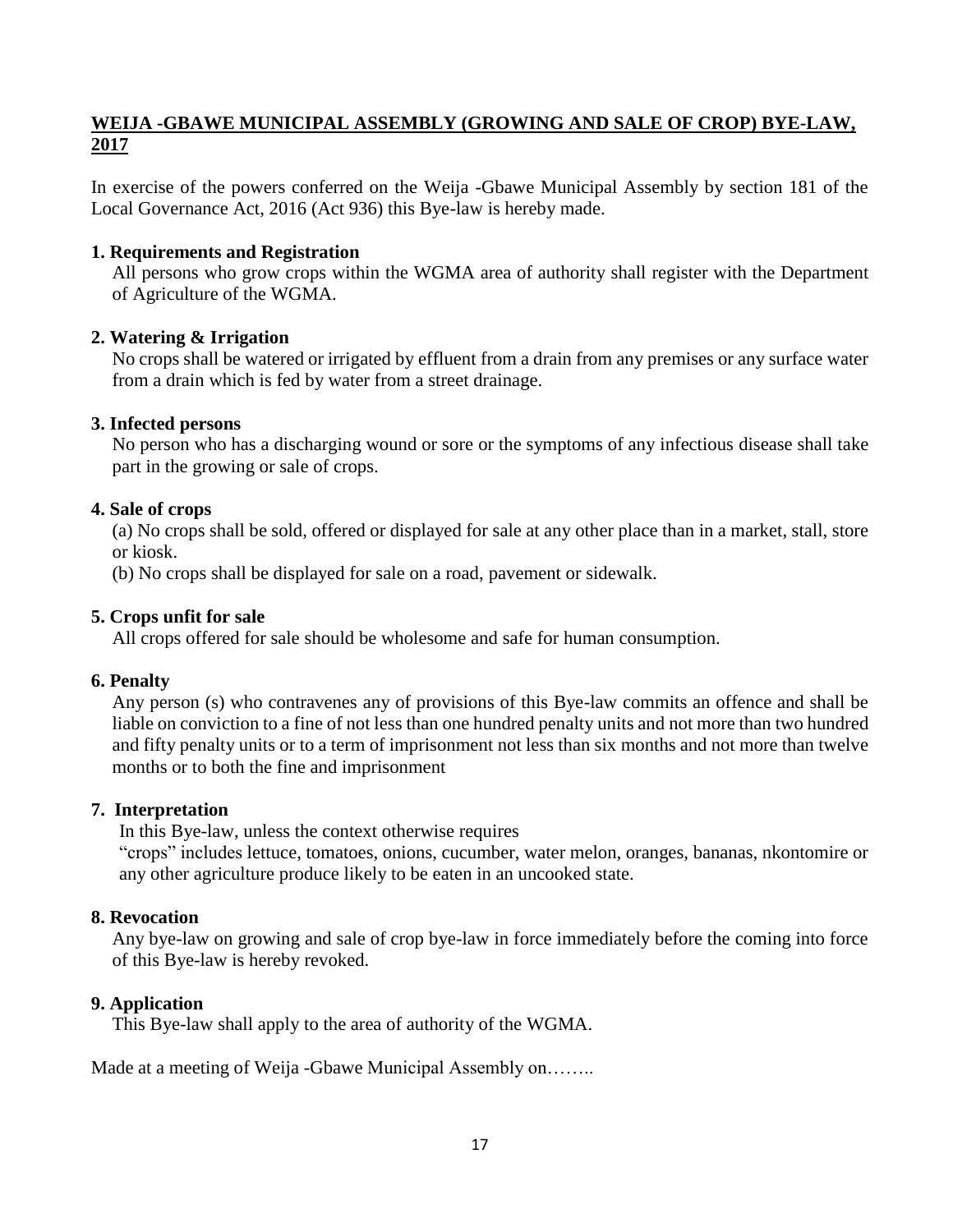## **WEIJA -GBAWE MUNICIPAL ASSEMBLY (GROWING AND SALE OF CROP) BYE-LAW, 2017**

In exercise of the powers conferred on the Weija -Gbawe Municipal Assembly by section 181 of the Local Governance Act, 2016 (Act 936) this Bye-law is hereby made.

#### **1. Requirements and Registration**

All persons who grow crops within the WGMA area of authority shall register with the Department of Agriculture of the WGMA.

#### **2. Watering & Irrigation**

No crops shall be watered or irrigated by effluent from a drain from any premises or any surface water from a drain which is fed by water from a street drainage.

#### **3. Infected persons**

No person who has a discharging wound or sore or the symptoms of any infectious disease shall take part in the growing or sale of crops.

#### **4. Sale of crops**

(a) No crops shall be sold, offered or displayed for sale at any other place than in a market, stall, store or kiosk.

(b) No crops shall be displayed for sale on a road, pavement or sidewalk.

#### **5. Crops unfit for sale**

All crops offered for sale should be wholesome and safe for human consumption.

#### **6. Penalty**

Any person (s) who contravenes any of provisions of this Bye-law commits an offence and shall be liable on conviction to a fine of not less than one hundred penalty units and not more than two hundred and fifty penalty units or to a term of imprisonment not less than six months and not more than twelve months or to both the fine and imprisonment

#### **7. Interpretation**

In this Bye-law, unless the context otherwise requires

"crops" includes lettuce, tomatoes, onions, cucumber, water melon, oranges, bananas, nkontomire or any other agriculture produce likely to be eaten in an uncooked state.

#### **8. Revocation**

Any bye-law on growing and sale of crop bye-law in force immediately before the coming into force of this Bye-law is hereby revoked.

#### **9. Application**

This Bye-law shall apply to the area of authority of the WGMA.

Made at a meeting of Weija -Gbawe Municipal Assembly on……..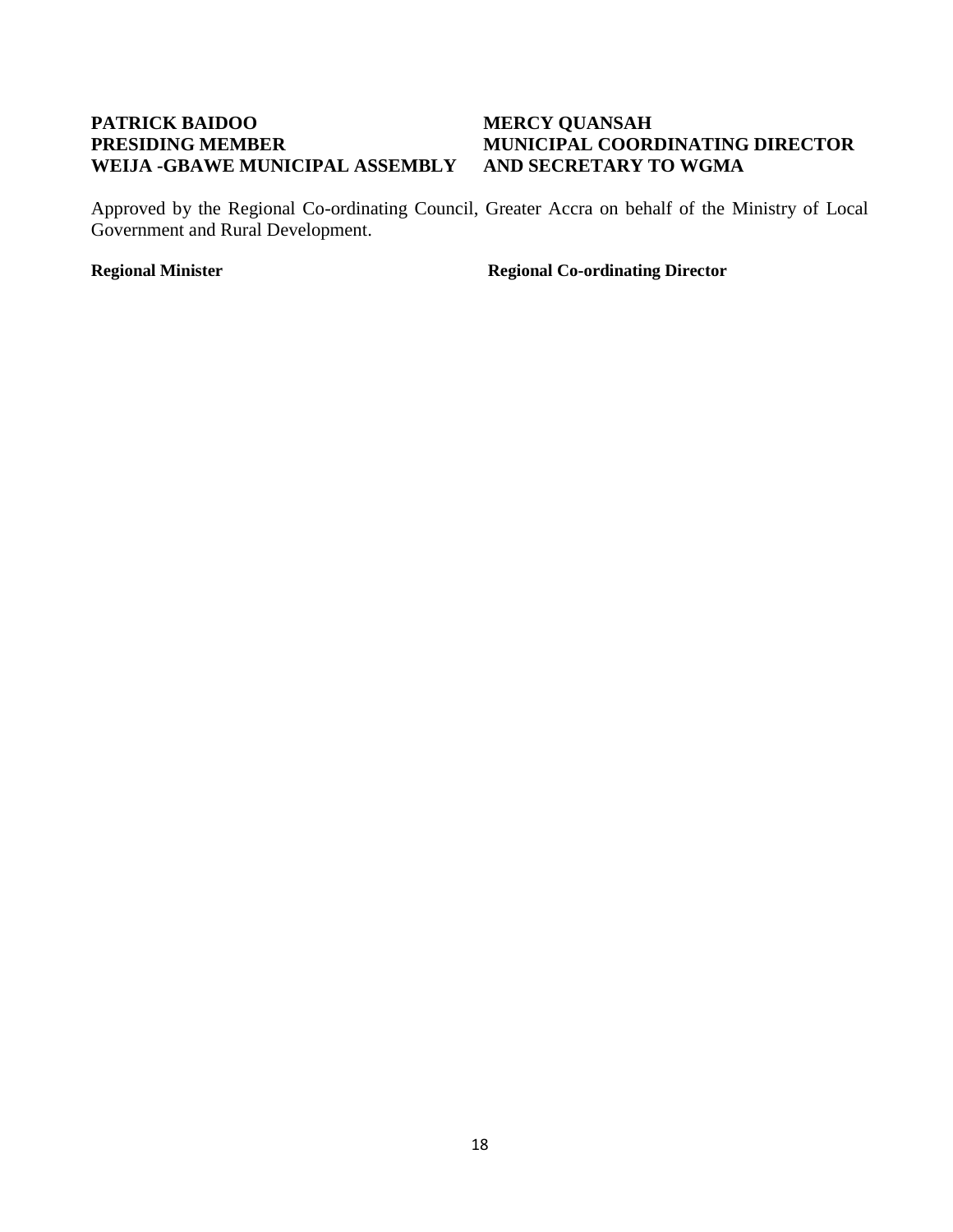## <span id="page-20-0"></span>**PATRICK BAIDOO MERCY QUANSAH WEIJA -GBAWE MUNICIPAL ASSEMBLY AND SECRETARY TO WGMA**

# **PRESIDING MEMBER MUNICIPAL COORDINATING DIRECTOR**

Approved by the Regional Co-ordinating Council, Greater Accra on behalf of the Ministry of Local Government and Rural Development.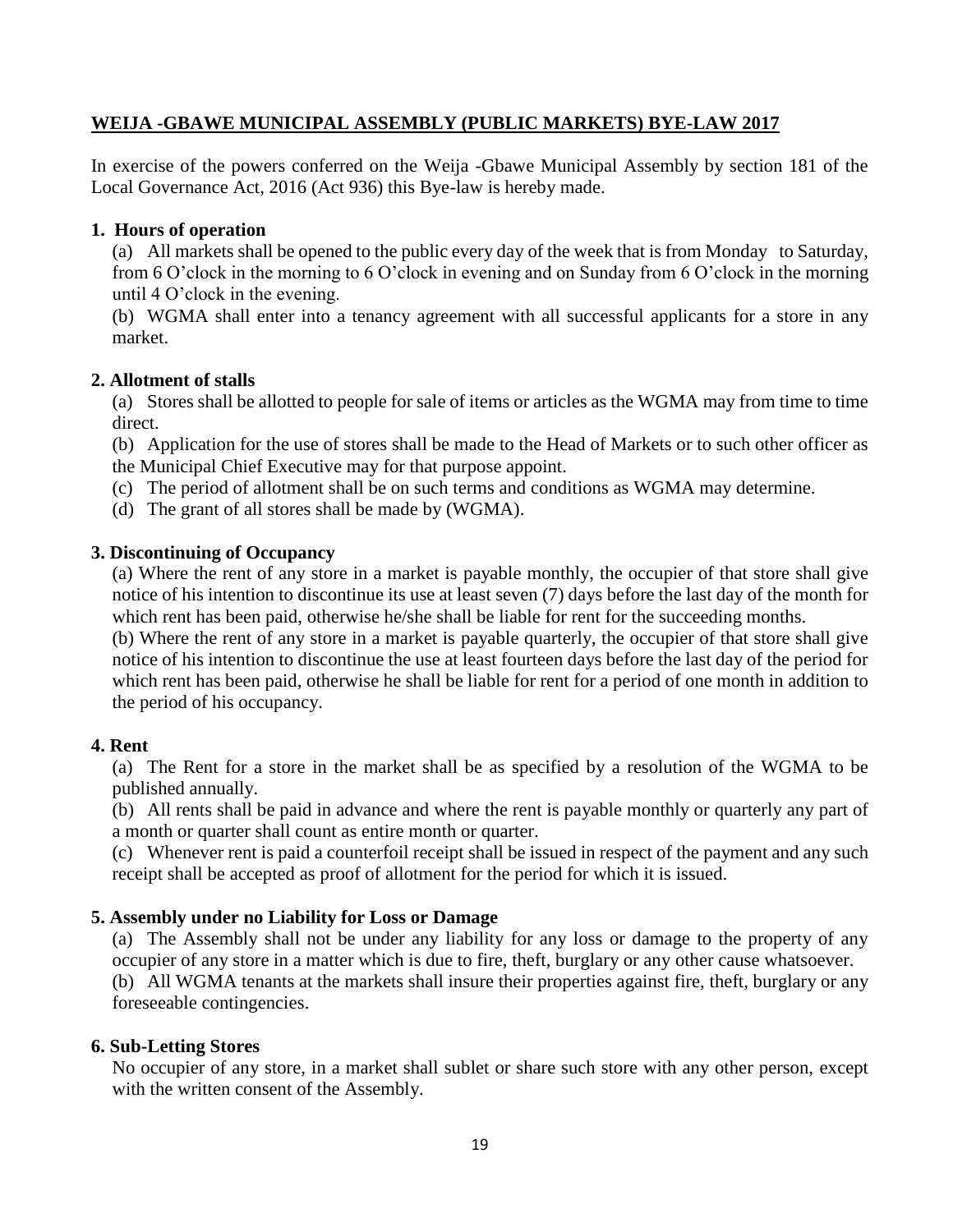#### **WEIJA -GBAWE MUNICIPAL ASSEMBLY (PUBLIC MARKETS) BYE-LAW 2017**

In exercise of the powers conferred on the Weija -Gbawe Municipal Assembly by section 181 of the Local Governance Act, 2016 (Act 936) this Bye-law is hereby made.

#### **1. Hours of operation**

(a) All markets shall be opened to the public every day of the week that is from Monday to Saturday, from 6 O'clock in the morning to 6 O'clock in evening and on Sunday from 6 O'clock in the morning until 4 O'clock in the evening.

(b) WGMA shall enter into a tenancy agreement with all successful applicants for a store in any market.

#### **2. Allotment of stalls**

(a) Stores shall be allotted to people for sale of items or articles as the WGMA may from time to time direct.

(b) Application for the use of stores shall be made to the Head of Markets or to such other officer as the Municipal Chief Executive may for that purpose appoint.

- (c) The period of allotment shall be on such terms and conditions as WGMA may determine.
- (d) The grant of all stores shall be made by (WGMA).

#### **3. Discontinuing of Occupancy**

(a) Where the rent of any store in a market is payable monthly, the occupier of that store shall give notice of his intention to discontinue its use at least seven (7) days before the last day of the month for which rent has been paid, otherwise he/she shall be liable for rent for the succeeding months.

(b) Where the rent of any store in a market is payable quarterly, the occupier of that store shall give notice of his intention to discontinue the use at least fourteen days before the last day of the period for which rent has been paid, otherwise he shall be liable for rent for a period of one month in addition to the period of his occupancy.

#### **4. Rent**

(a) The Rent for a store in the market shall be as specified by a resolution of the WGMA to be published annually.

(b) All rents shall be paid in advance and where the rent is payable monthly or quarterly any part of a month or quarter shall count as entire month or quarter.

(c) Whenever rent is paid a counterfoil receipt shall be issued in respect of the payment and any such receipt shall be accepted as proof of allotment for the period for which it is issued.

#### **5. Assembly under no Liability for Loss or Damage**

(a) The Assembly shall not be under any liability for any loss or damage to the property of any occupier of any store in a matter which is due to fire, theft, burglary or any other cause whatsoever. (b) All WGMA tenants at the markets shall insure their properties against fire, theft, burglary or any foreseeable contingencies.

#### **6. Sub-Letting Stores**

No occupier of any store, in a market shall sublet or share such store with any other person, except with the written consent of the Assembly.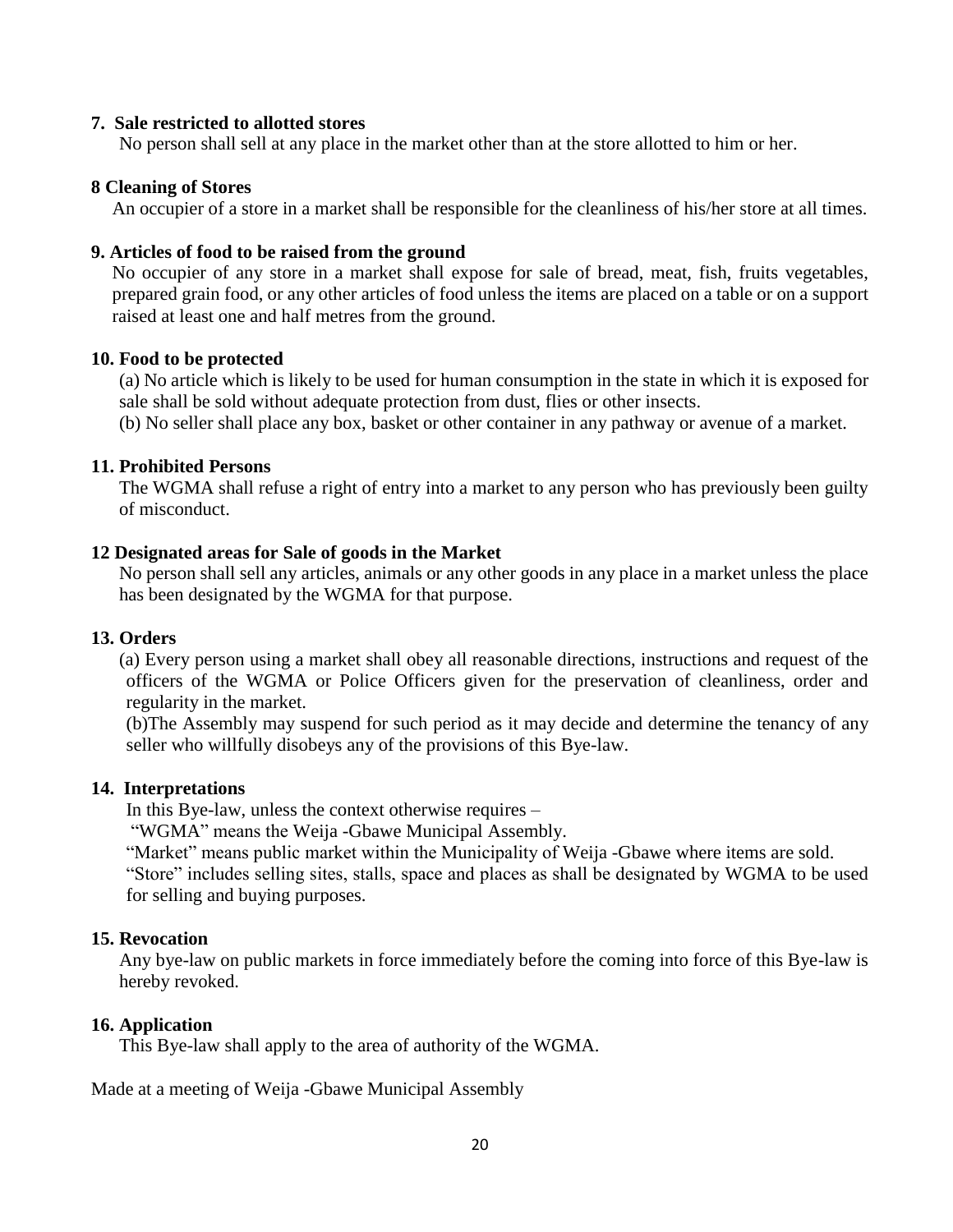#### **7. Sale restricted to allotted stores**

No person shall sell at any place in the market other than at the store allotted to him or her.

#### **8 Cleaning of Stores**

An occupier of a store in a market shall be responsible for the cleanliness of his/her store at all times.

#### **9. Articles of food to be raised from the ground**

No occupier of any store in a market shall expose for sale of bread, meat, fish, fruits vegetables, prepared grain food, or any other articles of food unless the items are placed on a table or on a support raised at least one and half metres from the ground.

#### **10. Food to be protected**

(a) No article which is likely to be used for human consumption in the state in which it is exposed for sale shall be sold without adequate protection from dust, flies or other insects.

(b) No seller shall place any box, basket or other container in any pathway or avenue of a market.

#### **11. Prohibited Persons**

The WGMA shall refuse a right of entry into a market to any person who has previously been guilty of misconduct.

#### **12 Designated areas for Sale of goods in the Market**

No person shall sell any articles, animals or any other goods in any place in a market unless the place has been designated by the WGMA for that purpose.

#### **13. Orders**

(a) Every person using a market shall obey all reasonable directions, instructions and request of the officers of the WGMA or Police Officers given for the preservation of cleanliness, order and regularity in the market.

(b)The Assembly may suspend for such period as it may decide and determine the tenancy of any seller who willfully disobeys any of the provisions of this Bye-law.

#### **14. Interpretations**

In this Bye-law, unless the context otherwise requires –

"WGMA" means the Weija -Gbawe Municipal Assembly.

"Market" means public market within the Municipality of Weija -Gbawe where items are sold. "Store" includes selling sites, stalls, space and places as shall be designated by WGMA to be used for selling and buying purposes.

#### **15. Revocation**

Any bye-law on public markets in force immediately before the coming into force of this Bye-law is hereby revoked.

#### **16. Application**

This Bye-law shall apply to the area of authority of the WGMA.

Made at a meeting of Weija -Gbawe Municipal Assembly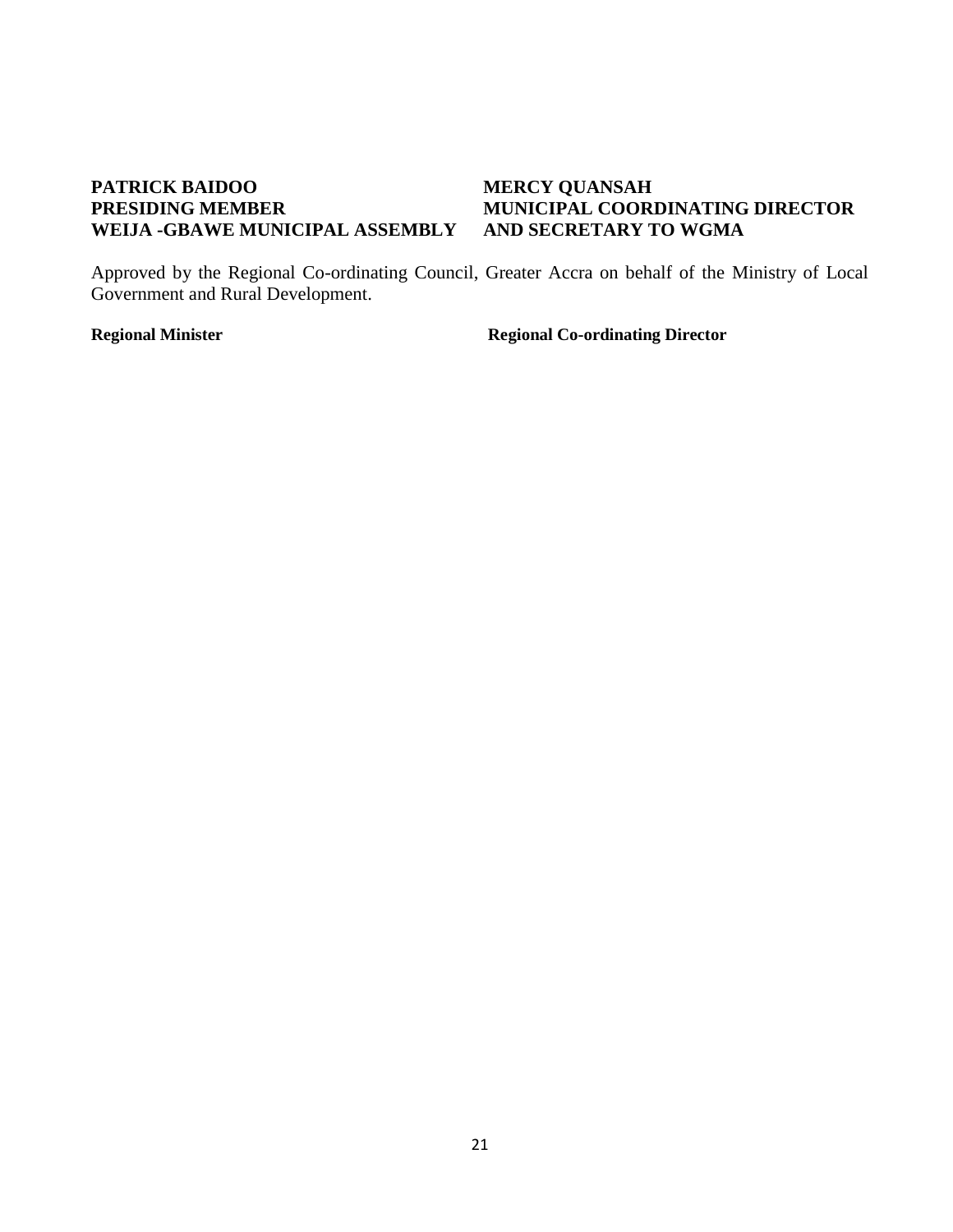# <span id="page-23-0"></span>**PATRICK BAIDOO MERCY QUANSAH<br>
PRESIDING MEMBER MUNICIPAL COOR WEIJA -GBAWE MUNICIPAL ASSEMBLY**

# **MUNICIPAL COORDINATING DIRECTOR<br>AND SECRETARY TO WGMA**

Approved by the Regional Co-ordinating Council, Greater Accra on behalf of the Ministry of Local Government and Rural Development.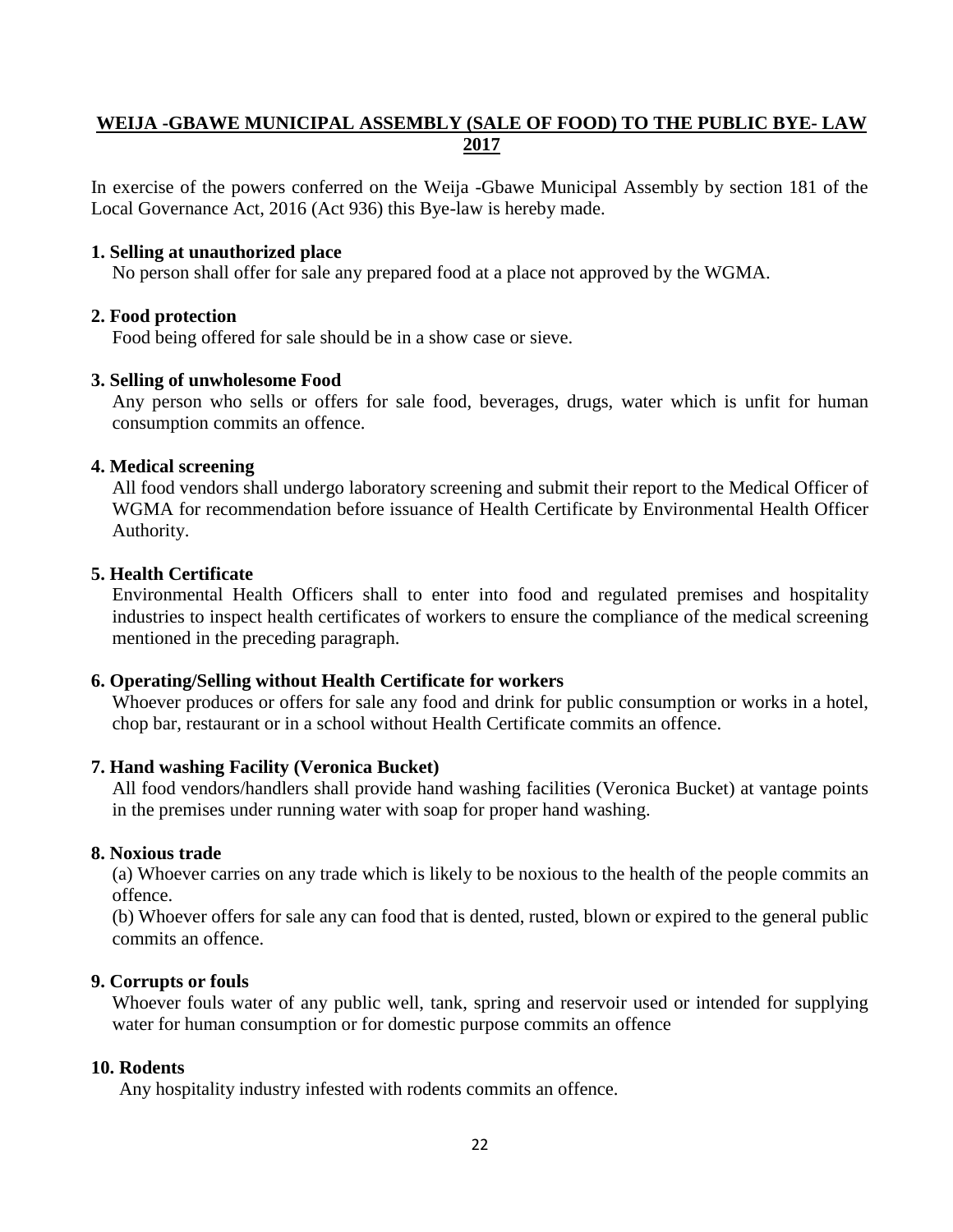### **WEIJA -GBAWE MUNICIPAL ASSEMBLY (SALE OF FOOD) TO THE PUBLIC BYE- LAW 2017**

In exercise of the powers conferred on the Weija -Gbawe Municipal Assembly by section 181 of the Local Governance Act, 2016 (Act 936) this Bye-law is hereby made.

#### **1. Selling at unauthorized place**

No person shall offer for sale any prepared food at a place not approved by the WGMA.

#### **2. Food protection**

Food being offered for sale should be in a show case or sieve.

#### **3. Selling of unwholesome Food**

Any person who sells or offers for sale food, beverages, drugs, water which is unfit for human consumption commits an offence.

#### **4. Medical screening**

All food vendors shall undergo laboratory screening and submit their report to the Medical Officer of WGMA for recommendation before issuance of Health Certificate by Environmental Health Officer Authority.

#### **5. Health Certificate**

Environmental Health Officers shall to enter into food and regulated premises and hospitality industries to inspect health certificates of workers to ensure the compliance of the medical screening mentioned in the preceding paragraph.

#### **6. Operating/Selling without Health Certificate for workers**

Whoever produces or offers for sale any food and drink for public consumption or works in a hotel, chop bar, restaurant or in a school without Health Certificate commits an offence.

#### **7. Hand washing Facility (Veronica Bucket)**

All food vendors/handlers shall provide hand washing facilities (Veronica Bucket) at vantage points in the premises under running water with soap for proper hand washing.

#### **8. Noxious trade**

(a) Whoever carries on any trade which is likely to be noxious to the health of the people commits an offence.

(b) Whoever offers for sale any can food that is dented, rusted, blown or expired to the general public commits an offence.

#### **9. Corrupts or fouls**

Whoever fouls water of any public well, tank, spring and reservoir used or intended for supplying water for human consumption or for domestic purpose commits an offence

#### **10. Rodents**

Any hospitality industry infested with rodents commits an offence.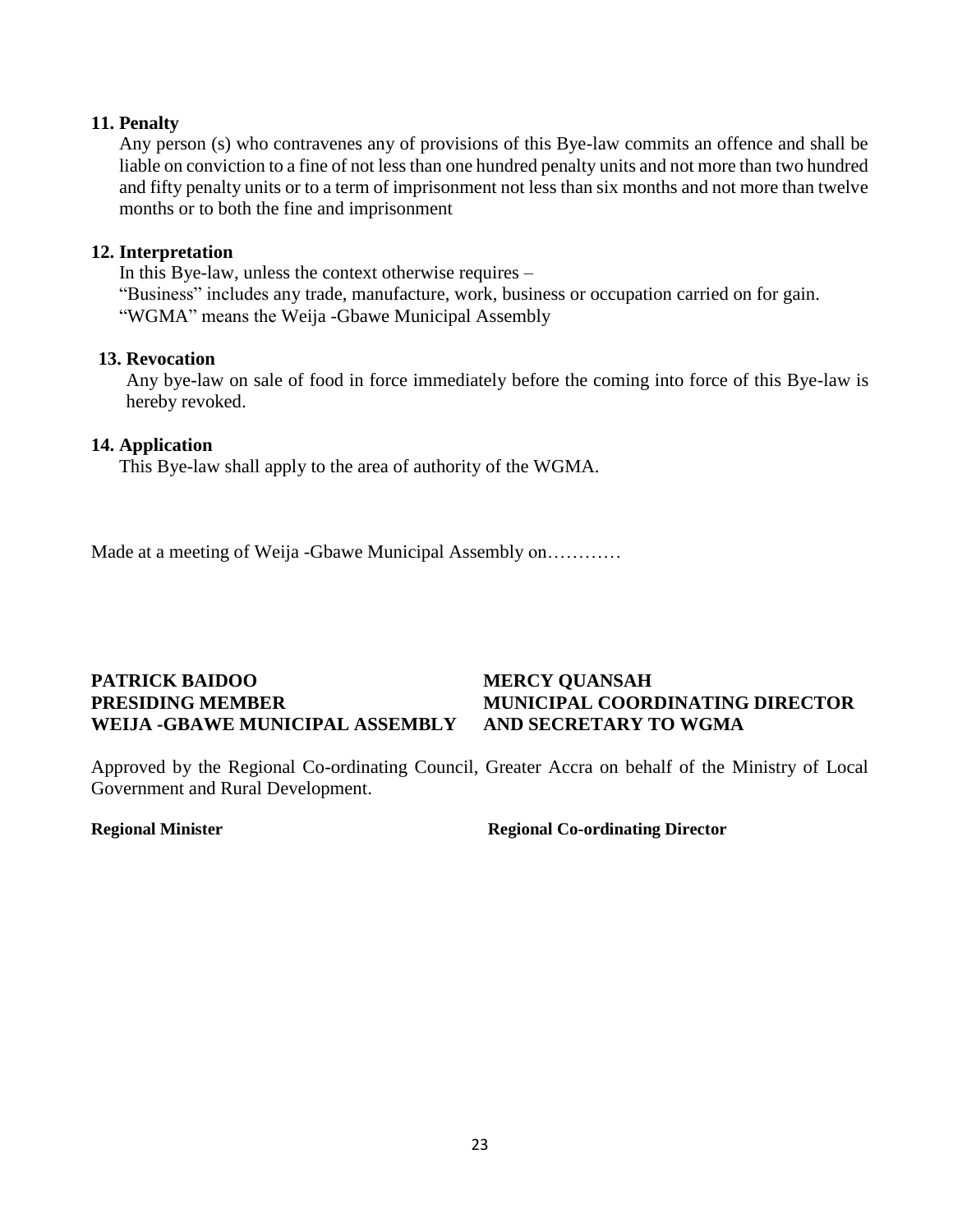#### **11. Penalty**

Any person (s) who contravenes any of provisions of this Bye-law commits an offence and shall be liable on conviction to a fine of not less than one hundred penalty units and not more than two hundred and fifty penalty units or to a term of imprisonment not less than six months and not more than twelve months or to both the fine and imprisonment

#### **12. Interpretation**

In this Bye-law, unless the context otherwise requires – "Business" includes any trade, manufacture, work, business or occupation carried on for gain. "WGMA" means the Weija -Gbawe Municipal Assembly

#### **13. Revocation**

Any bye-law on sale of food in force immediately before the coming into force of this Bye-law is hereby revoked.

#### **14. Application**

This Bye-law shall apply to the area of authority of the WGMA.

Made at a meeting of Weija -Gbawe Municipal Assembly on…………

## **PATRICK BAIDOO MERCY QUANSAH WEIJA -GBAWE MUNICIPAL ASSEMBLY AND SECRETARY TO WGMA**

# <span id="page-25-0"></span>**PRESIDING MEMBER MUNICIPAL COORDINATING DIRECTOR**

Approved by the Regional Co-ordinating Council, Greater Accra on behalf of the Ministry of Local Government and Rural Development.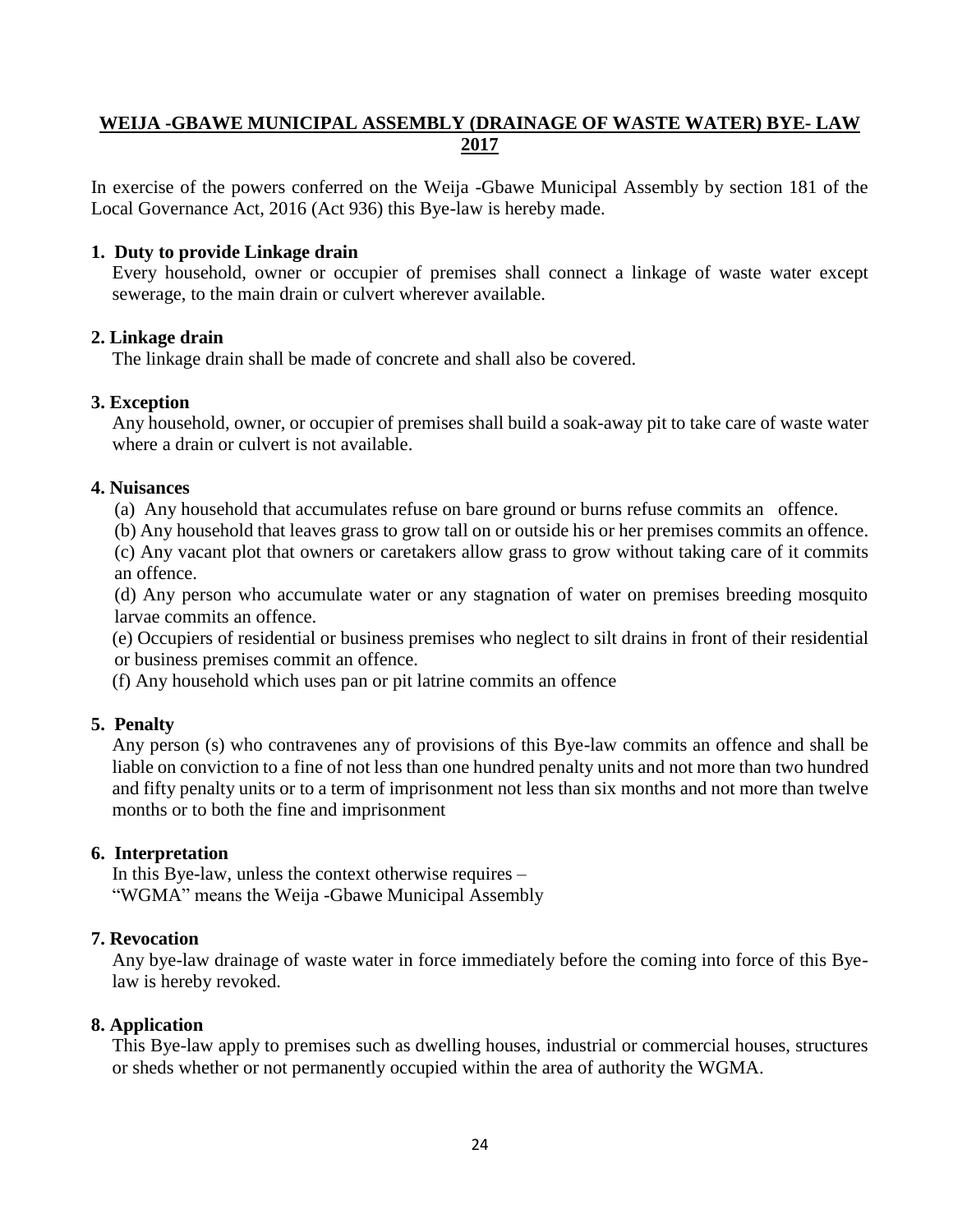### **WEIJA -GBAWE MUNICIPAL ASSEMBLY (DRAINAGE OF WASTE WATER) BYE- LAW 2017**

In exercise of the powers conferred on the Weija -Gbawe Municipal Assembly by section 181 of the Local Governance Act, 2016 (Act 936) this Bye-law is hereby made.

#### **1. Duty to provide Linkage drain**

Every household, owner or occupier of premises shall connect a linkage of waste water except sewerage, to the main drain or culvert wherever available.

#### **2. Linkage drain**

The linkage drain shall be made of concrete and shall also be covered.

#### **3. Exception**

Any household, owner, or occupier of premises shall build a soak-away pit to take care of waste water where a drain or culvert is not available.

#### **4. Nuisances**

(a) Any household that accumulates refuse on bare ground or burns refuse commits an offence.

(b) Any household that leaves grass to grow tall on or outside his or her premises commits an offence.

(c) Any vacant plot that owners or caretakers allow grass to grow without taking care of it commits an offence.

(d) Any person who accumulate water or any stagnation of water on premises breeding mosquito larvae commits an offence.

(e) Occupiers of residential or business premises who neglect to silt drains in front of their residential or business premises commit an offence.

(f) Any household which uses pan or pit latrine commits an offence

### **5. Penalty**

Any person (s) who contravenes any of provisions of this Bye-law commits an offence and shall be liable on conviction to a fine of not less than one hundred penalty units and not more than two hundred and fifty penalty units or to a term of imprisonment not less than six months and not more than twelve months or to both the fine and imprisonment

### **6. Interpretation**

In this Bye-law, unless the context otherwise requires – "WGMA" means the Weija -Gbawe Municipal Assembly

### **7. Revocation**

Any bye-law drainage of waste water in force immediately before the coming into force of this Byelaw is hereby revoked.

### **8. Application**

This Bye-law apply to premises such as dwelling houses, industrial or commercial houses, structures or sheds whether or not permanently occupied within the area of authority the WGMA.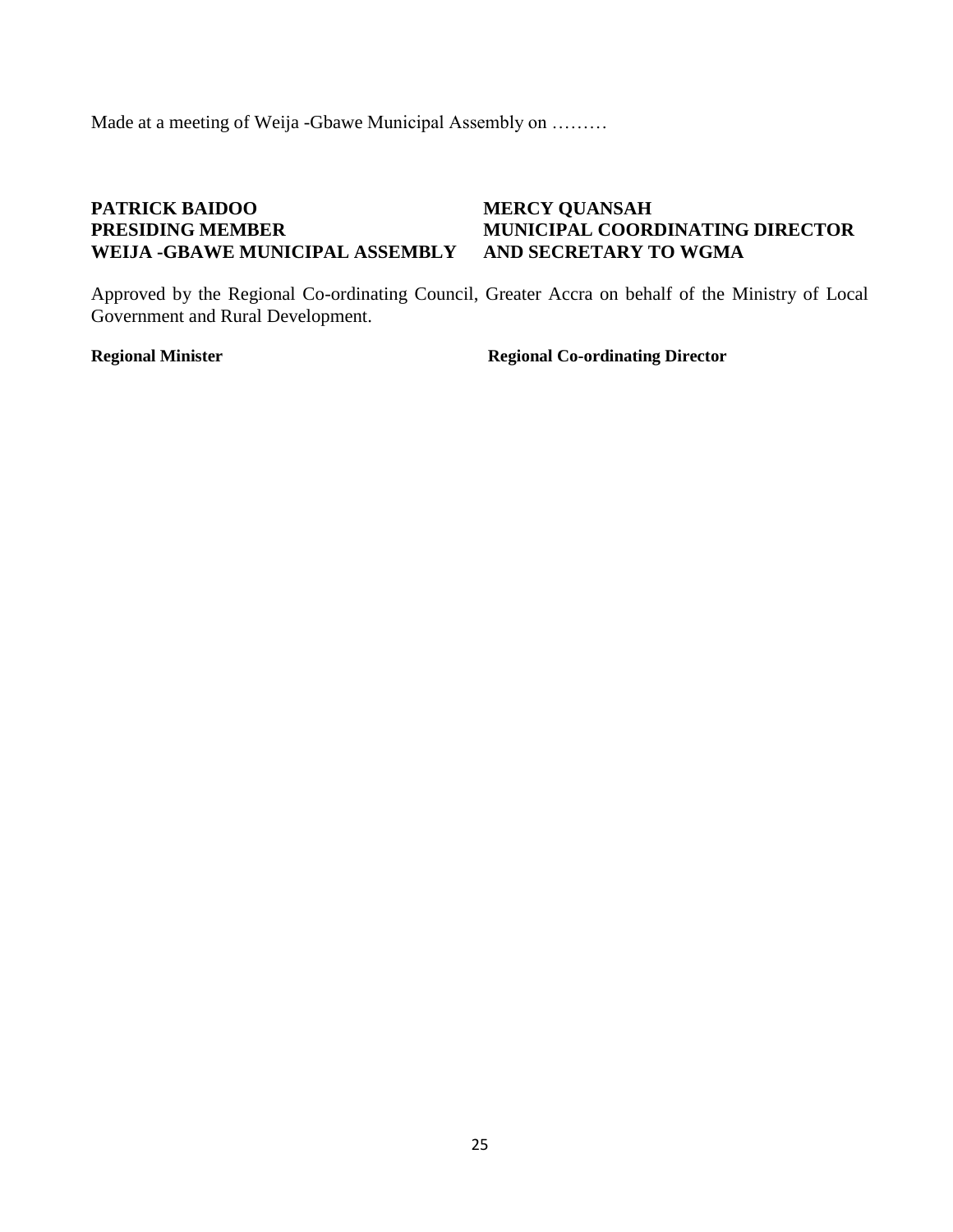Made at a meeting of Weija -Gbawe Municipal Assembly on ………

## <span id="page-27-0"></span>**PATRICK BAIDOO MERCY QUANSAH WEIJA -GBAWE MUNICIPAL ASSEMBLY AND SECRETARY TO WGMA**

# **PRESIDING MEMBER MUNICIPAL COORDINATING DIRECTOR**

Approved by the Regional Co-ordinating Council, Greater Accra on behalf of the Ministry of Local Government and Rural Development.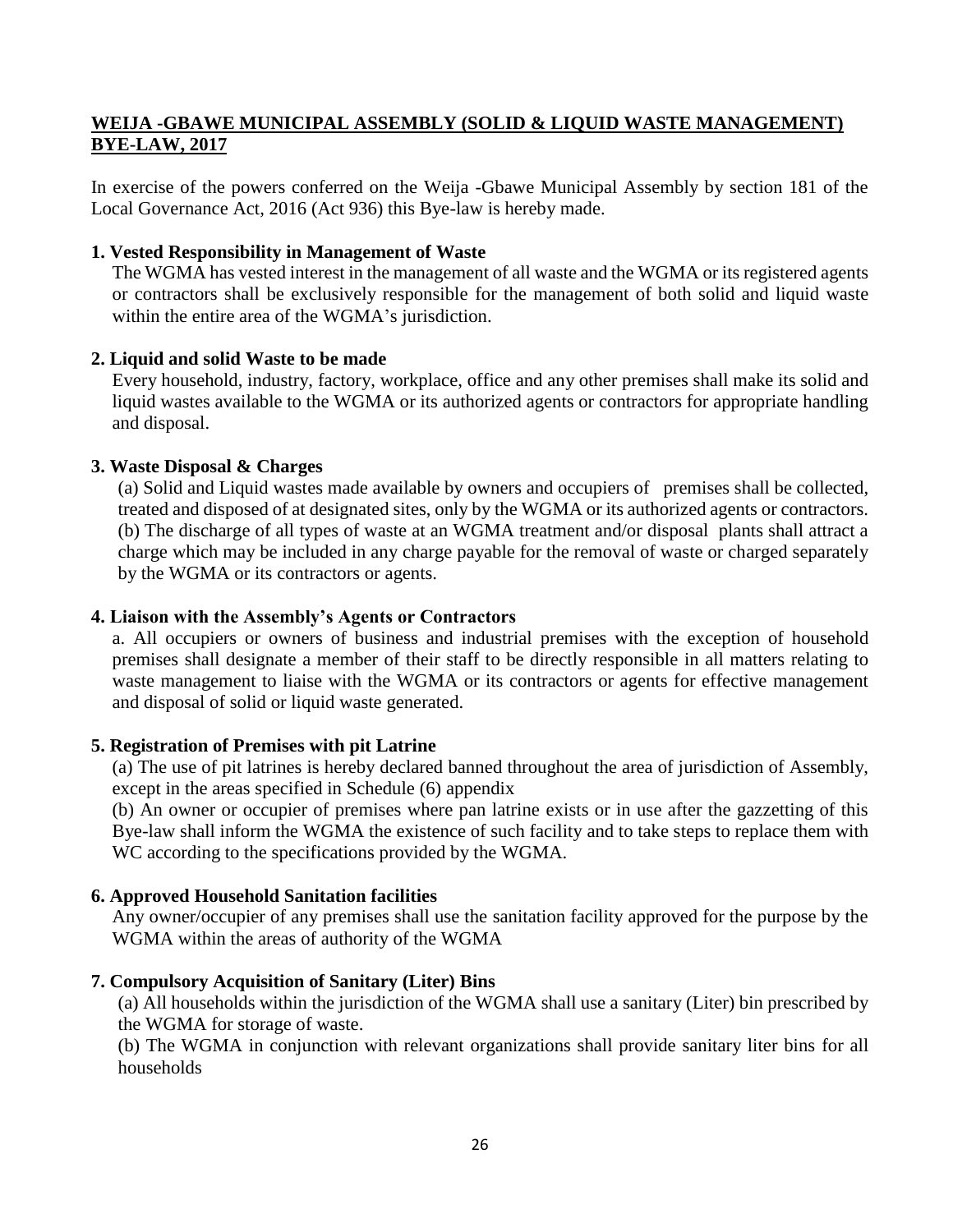### <span id="page-28-0"></span>**WEIJA -GBAWE MUNICIPAL ASSEMBLY (SOLID & LIQUID WASTE MANAGEMENT) BYE-LAW, 2017**

In exercise of the powers conferred on the Weija -Gbawe Municipal Assembly by section 181 of the Local Governance Act, 2016 (Act 936) this Bye-law is hereby made.

#### **1. Vested Responsibility in Management of Waste**

The WGMA has vested interest in the management of all waste and the WGMA or its registered agents or contractors shall be exclusively responsible for the management of both solid and liquid waste within the entire area of the WGMA's jurisdiction.

#### **2. Liquid and solid Waste to be made**

Every household, industry, factory, workplace, office and any other premises shall make its solid and liquid wastes available to the WGMA or its authorized agents or contractors for appropriate handling and disposal.

#### **3. Waste Disposal & Charges**

(a) Solid and Liquid wastes made available by owners and occupiers of premises shall be collected, treated and disposed of at designated sites, only by the WGMA or its authorized agents or contractors. (b) The discharge of all types of waste at an WGMA treatment and/or disposal plants shall attract a charge which may be included in any charge payable for the removal of waste or charged separately by the WGMA or its contractors or agents.

#### **4. Liaison with the Assembly's Agents or Contractors**

a. All occupiers or owners of business and industrial premises with the exception of household premises shall designate a member of their staff to be directly responsible in all matters relating to waste management to liaise with the WGMA or its contractors or agents for effective management and disposal of solid or liquid waste generated.

#### **5. Registration of Premises with pit Latrine**

(a) The use of pit latrines is hereby declared banned throughout the area of jurisdiction of Assembly, except in the areas specified in Schedule (6) appendix

(b) An owner or occupier of premises where pan latrine exists or in use after the gazzetting of this Bye-law shall inform the WGMA the existence of such facility and to take steps to replace them with WC according to the specifications provided by the WGMA.

#### **6. Approved Household Sanitation facilities**

Any owner/occupier of any premises shall use the sanitation facility approved for the purpose by the WGMA within the areas of authority of the WGMA

#### **7. Compulsory Acquisition of Sanitary (Liter) Bins**

(a) All households within the jurisdiction of the WGMA shall use a sanitary (Liter) bin prescribed by the WGMA for storage of waste.

(b) The WGMA in conjunction with relevant organizations shall provide sanitary liter bins for all households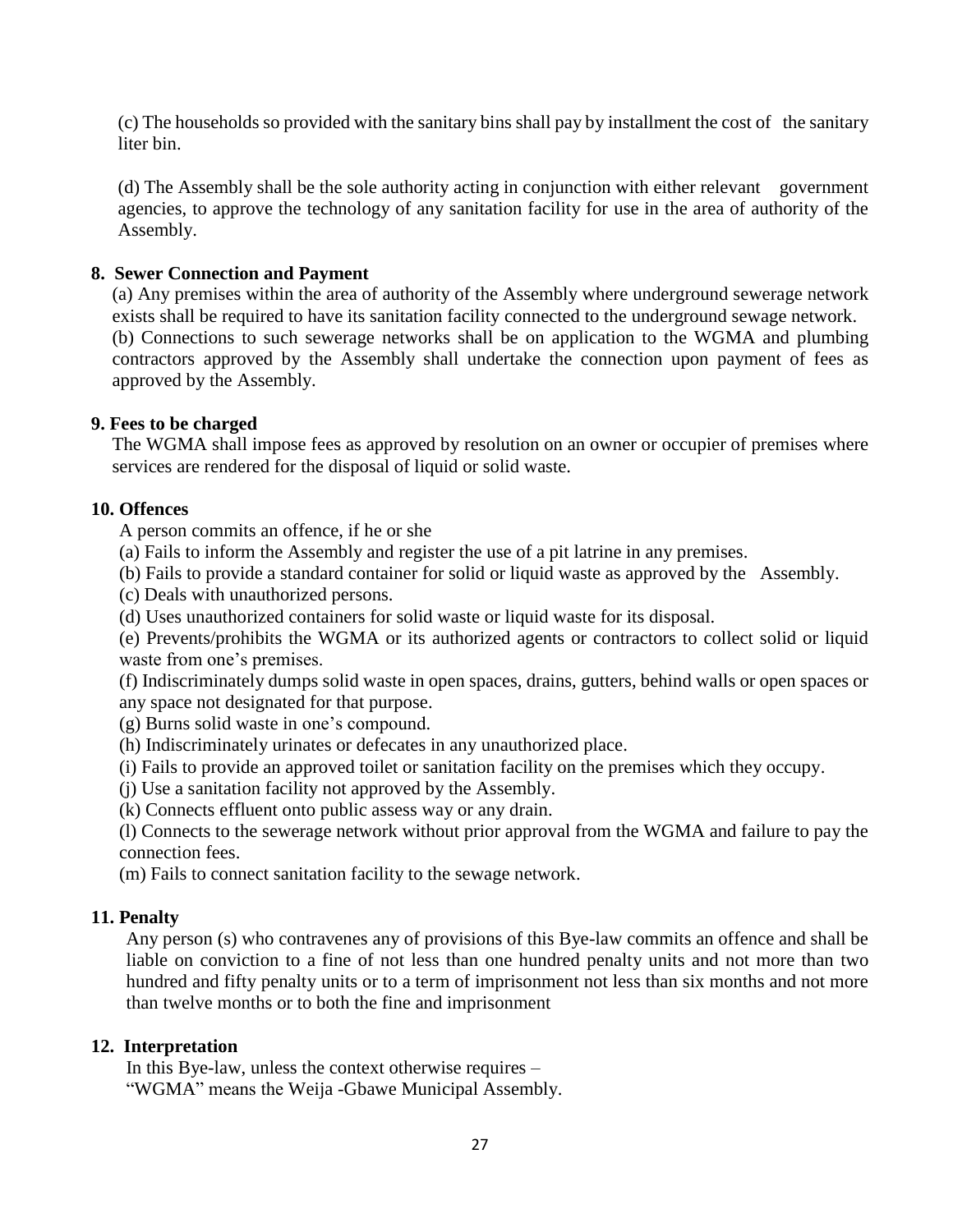(c) The households so provided with the sanitary bins shall pay by installment the cost of the sanitary liter bin.

(d) The Assembly shall be the sole authority acting in conjunction with either relevant government agencies, to approve the technology of any sanitation facility for use in the area of authority of the Assembly.

### **8. Sewer Connection and Payment**

(a) Any premises within the area of authority of the Assembly where underground sewerage network exists shall be required to have its sanitation facility connected to the underground sewage network. (b) Connections to such sewerage networks shall be on application to the WGMA and plumbing contractors approved by the Assembly shall undertake the connection upon payment of fees as approved by the Assembly.

#### **9. Fees to be charged**

The WGMA shall impose fees as approved by resolution on an owner or occupier of premises where services are rendered for the disposal of liquid or solid waste.

#### **10. Offences**

A person commits an offence, if he or she

- (a) Fails to inform the Assembly and register the use of a pit latrine in any premises.
- (b) Fails to provide a standard container for solid or liquid waste as approved by the Assembly.
- (c) Deals with unauthorized persons.
- (d) Uses unauthorized containers for solid waste or liquid waste for its disposal.

(e) Prevents/prohibits the WGMA or its authorized agents or contractors to collect solid or liquid waste from one's premises.

(f) Indiscriminately dumps solid waste in open spaces, drains, gutters, behind walls or open spaces or any space not designated for that purpose.

- (g) Burns solid waste in one's compound.
- (h) Indiscriminately urinates or defecates in any unauthorized place.
- (i) Fails to provide an approved toilet or sanitation facility on the premises which they occupy.
- (j) Use a sanitation facility not approved by the Assembly.
- (k) Connects effluent onto public assess way or any drain.

(l) Connects to the sewerage network without prior approval from the WGMA and failure to pay the connection fees.

(m) Fails to connect sanitation facility to the sewage network.

#### **11. Penalty**

Any person (s) who contravenes any of provisions of this Bye-law commits an offence and shall be liable on conviction to a fine of not less than one hundred penalty units and not more than two hundred and fifty penalty units or to a term of imprisonment not less than six months and not more than twelve months or to both the fine and imprisonment

#### **12. Interpretation**

In this Bye-law, unless the context otherwise requires – "WGMA" means the Weija -Gbawe Municipal Assembly.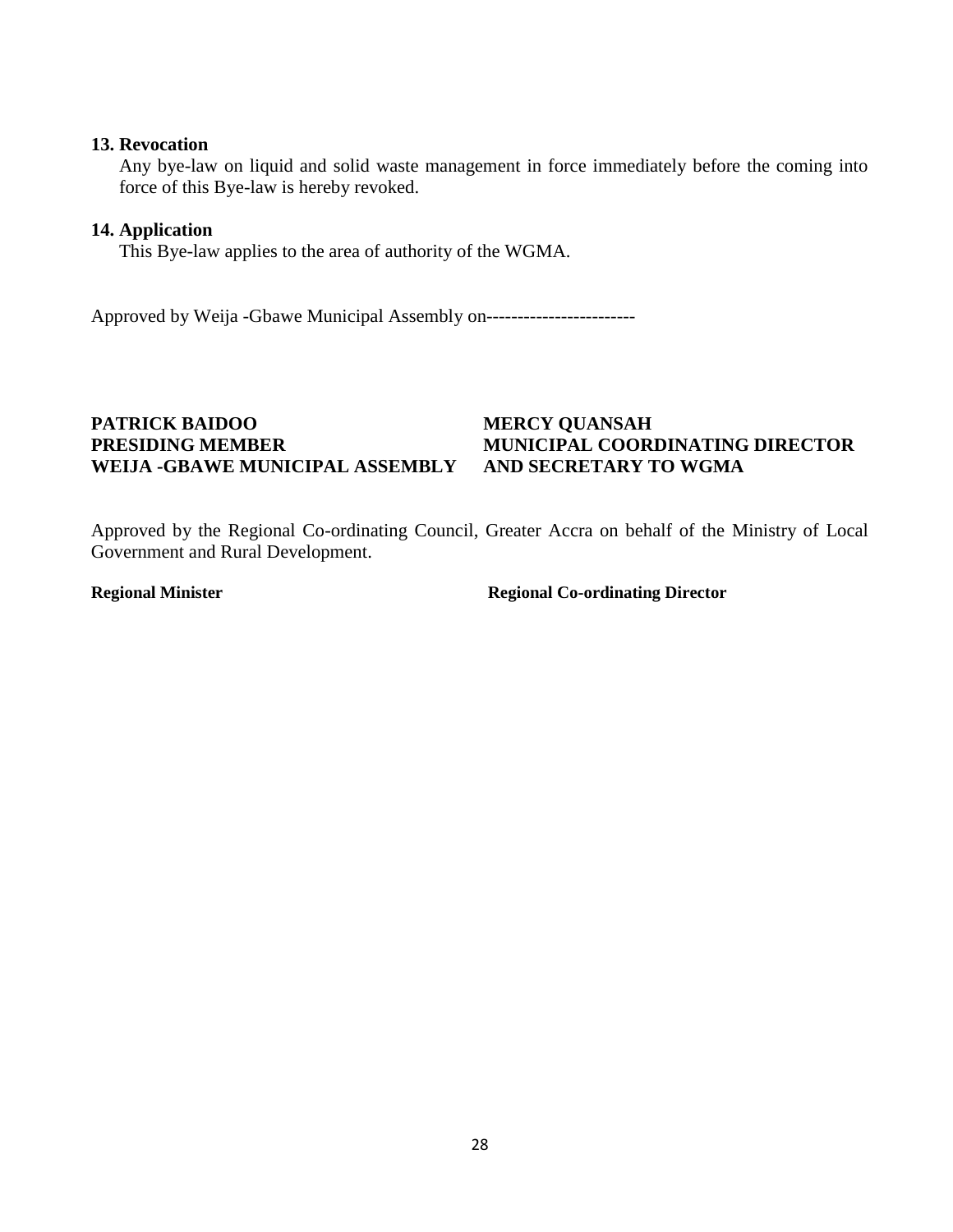#### **13. Revocation**

Any bye-law on liquid and solid waste management in force immediately before the coming into force of this Bye-law is hereby revoked.

#### **14. Application**

This Bye-law applies to the area of authority of the WGMA.

Approved by Weija -Gbawe Municipal Assembly on------------------------

#### **PATRICK BAIDOO MERCY QUANSAH PRESIDING MEMBER MUNICIPAL COORDINATING DIRECTOR WEIJA -GBAWE MUNICIPAL ASSEMBLY AND SECRETARY TO WGMA**

Approved by the Regional Co-ordinating Council, Greater Accra on behalf of the Ministry of Local Government and Rural Development.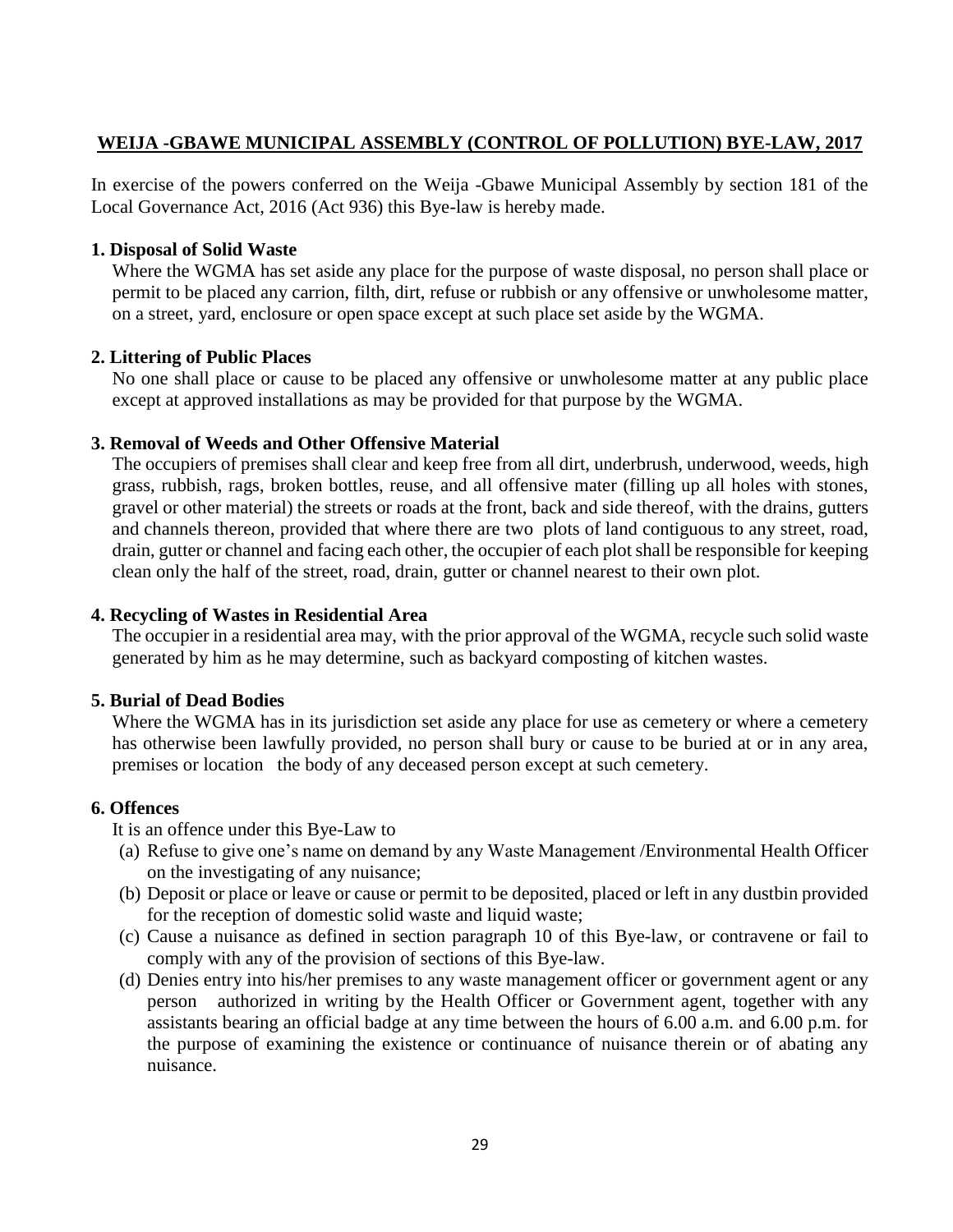## <span id="page-31-0"></span>**WEIJA -GBAWE MUNICIPAL ASSEMBLY (CONTROL OF POLLUTION) BYE-LAW, 2017**

In exercise of the powers conferred on the Weija -Gbawe Municipal Assembly by section 181 of the Local Governance Act, 2016 (Act 936) this Bye-law is hereby made.

#### **1. Disposal of Solid Waste**

Where the WGMA has set aside any place for the purpose of waste disposal, no person shall place or permit to be placed any carrion, filth, dirt, refuse or rubbish or any offensive or unwholesome matter, on a street, yard, enclosure or open space except at such place set aside by the WGMA.

#### **2. Littering of Public Places**

No one shall place or cause to be placed any offensive or unwholesome matter at any public place except at approved installations as may be provided for that purpose by the WGMA.

#### **3. Removal of Weeds and Other Offensive Material**

The occupiers of premises shall clear and keep free from all dirt, underbrush, underwood, weeds, high grass, rubbish, rags, broken bottles, reuse, and all offensive mater (filling up all holes with stones, gravel or other material) the streets or roads at the front, back and side thereof, with the drains, gutters and channels thereon, provided that where there are two plots of land contiguous to any street, road, drain, gutter or channel and facing each other, the occupier of each plot shall be responsible for keeping clean only the half of the street, road, drain, gutter or channel nearest to their own plot.

#### **4. Recycling of Wastes in Residential Area**

The occupier in a residential area may, with the prior approval of the WGMA, recycle such solid waste generated by him as he may determine, such as backyard composting of kitchen wastes.

#### **5. Burial of Dead Bodies**

Where the WGMA has in its jurisdiction set aside any place for use as cemetery or where a cemetery has otherwise been lawfully provided, no person shall bury or cause to be buried at or in any area, premises or location the body of any deceased person except at such cemetery.

#### **6. Offences**

It is an offence under this Bye-Law to

- (a) Refuse to give one's name on demand by any Waste Management /Environmental Health Officer on the investigating of any nuisance;
- (b) Deposit or place or leave or cause or permit to be deposited, placed or left in any dustbin provided for the reception of domestic solid waste and liquid waste;
- (c) Cause a nuisance as defined in section paragraph 10 of this Bye-law, or contravene or fail to comply with any of the provision of sections of this Bye-law.
- (d) Denies entry into his/her premises to any waste management officer or government agent or any person authorized in writing by the Health Officer or Government agent, together with any assistants bearing an official badge at any time between the hours of 6.00 a.m. and 6.00 p.m. for the purpose of examining the existence or continuance of nuisance therein or of abating any nuisance.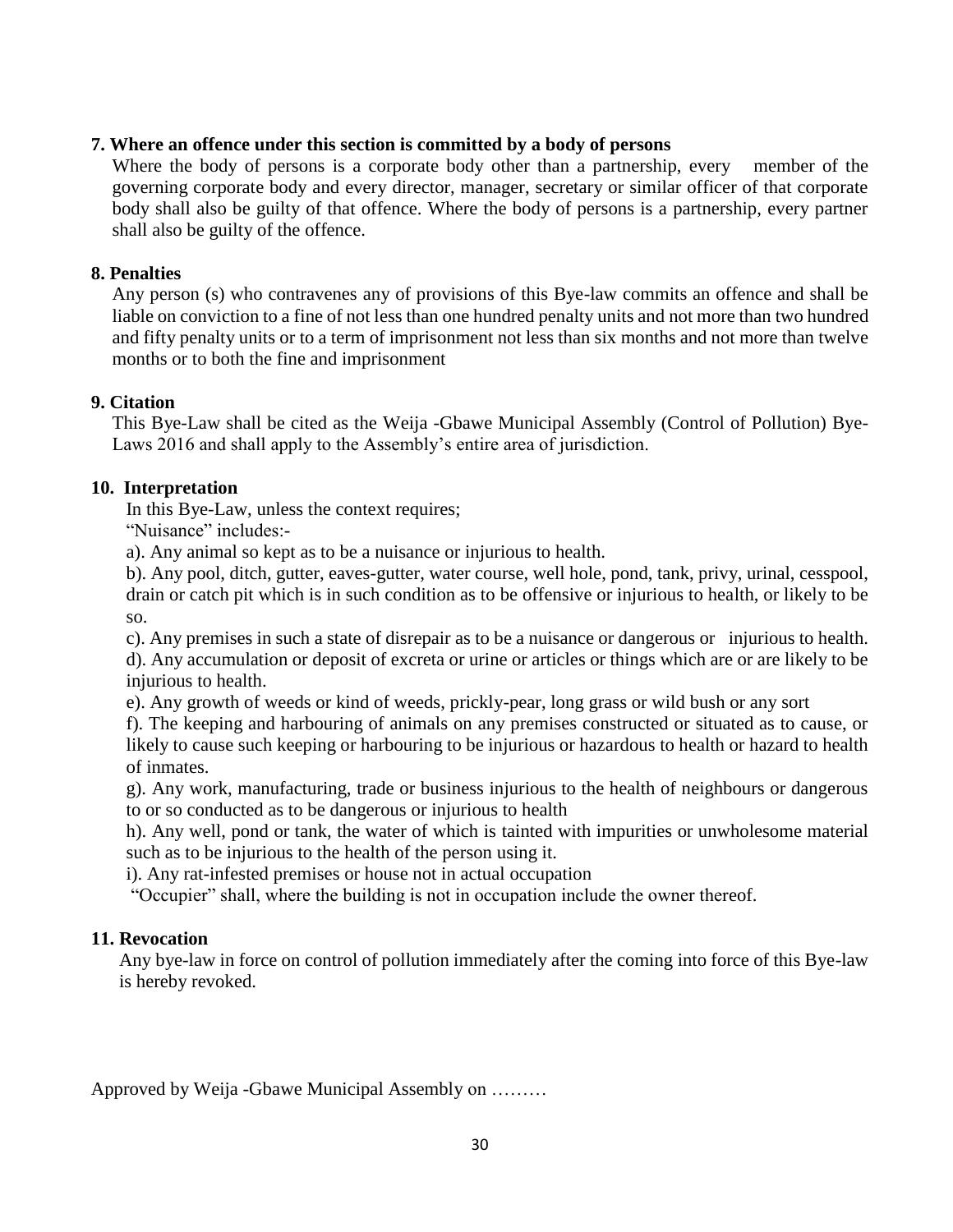#### **7. Where an offence under this section is committed by a body of persons**

Where the body of persons is a corporate body other than a partnership, every member of the governing corporate body and every director, manager, secretary or similar officer of that corporate body shall also be guilty of that offence. Where the body of persons is a partnership, every partner shall also be guilty of the offence.

#### **8. Penalties**

Any person (s) who contravenes any of provisions of this Bye-law commits an offence and shall be liable on conviction to a fine of not less than one hundred penalty units and not more than two hundred and fifty penalty units or to a term of imprisonment not less than six months and not more than twelve months or to both the fine and imprisonment

#### **9. Citation**

This Bye-Law shall be cited as the Weija -Gbawe Municipal Assembly (Control of Pollution) Bye-Laws 2016 and shall apply to the Assembly's entire area of jurisdiction.

#### **10. Interpretation**

In this Bye-Law, unless the context requires;

"Nuisance" includes:-

a). Any animal so kept as to be a nuisance or injurious to health.

b). Any pool, ditch, gutter, eaves-gutter, water course, well hole, pond, tank, privy, urinal, cesspool, drain or catch pit which is in such condition as to be offensive or injurious to health, or likely to be so.

c). Any premises in such a state of disrepair as to be a nuisance or dangerous or injurious to health. d). Any accumulation or deposit of excreta or urine or articles or things which are or are likely to be injurious to health.

e). Any growth of weeds or kind of weeds, prickly-pear, long grass or wild bush or any sort

f). The keeping and harbouring of animals on any premises constructed or situated as to cause, or likely to cause such keeping or harbouring to be injurious or hazardous to health or hazard to health of inmates.

g). Any work, manufacturing, trade or business injurious to the health of neighbours or dangerous to or so conducted as to be dangerous or injurious to health

h). Any well, pond or tank, the water of which is tainted with impurities or unwholesome material such as to be injurious to the health of the person using it.

i). Any rat-infested premises or house not in actual occupation

"Occupier" shall, where the building is not in occupation include the owner thereof.

### **11. Revocation**

Any bye-law in force on control of pollution immediately after the coming into force of this Bye-law is hereby revoked.

Approved by Weija -Gbawe Municipal Assembly on ………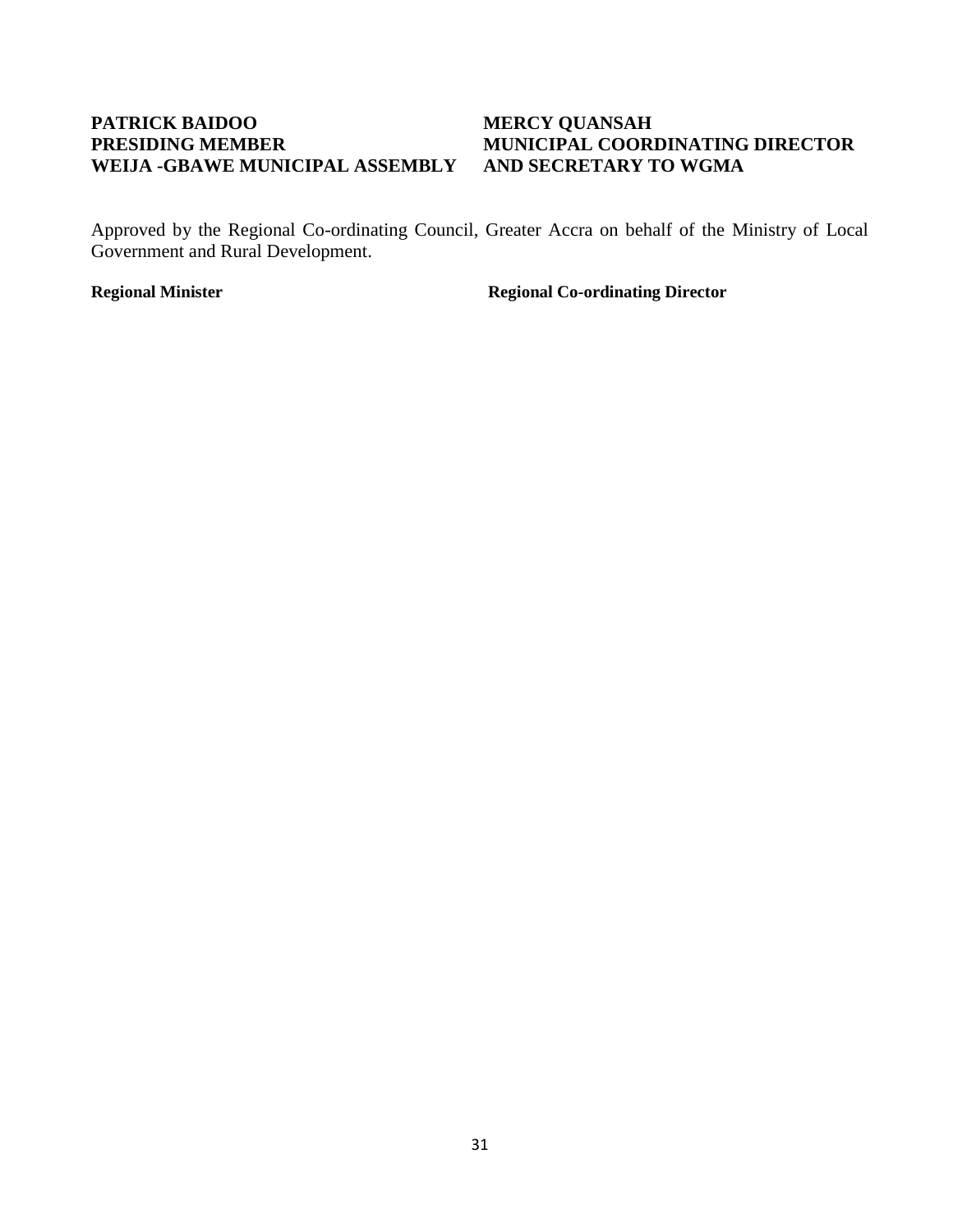## <span id="page-33-0"></span>**PATRICK BAIDOO MERCY QUANSAH WEIJA -GBAWE MUNICIPAL ASSEMBLY AND SECRETARY TO WGMA**

# **PRESIDING MEMBER MUNICIPAL COORDINATING DIRECTOR**

Approved by the Regional Co-ordinating Council, Greater Accra on behalf of the Ministry of Local Government and Rural Development.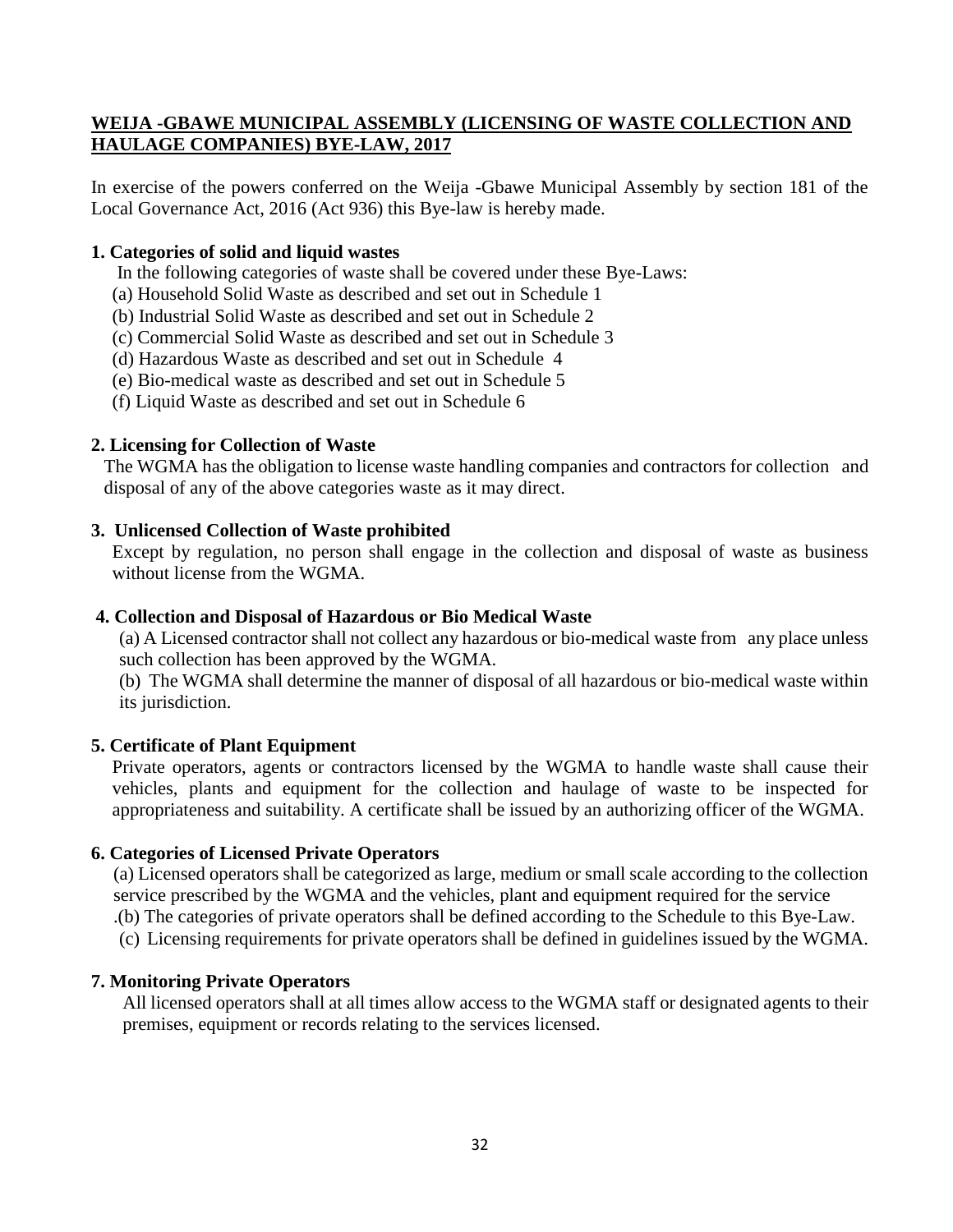### **WEIJA -GBAWE MUNICIPAL ASSEMBLY (LICENSING OF WASTE COLLECTION AND HAULAGE COMPANIES) BYE-LAW, 2017**

In exercise of the powers conferred on the Weija -Gbawe Municipal Assembly by section 181 of the Local Governance Act, 2016 (Act 936) this Bye-law is hereby made.

#### **1. Categories of solid and liquid wastes**

- In the following categories of waste shall be covered under these Bye-Laws:
- (a) Household Solid Waste as described and set out in Schedule 1
- (b) Industrial Solid Waste as described and set out in Schedule 2
- (c) Commercial Solid Waste as described and set out in Schedule 3
- (d) Hazardous Waste as described and set out in Schedule 4
- (e) Bio-medical waste as described and set out in Schedule 5
- (f) Liquid Waste as described and set out in Schedule 6

#### **2. Licensing for Collection of Waste**

The WGMA has the obligation to license waste handling companies and contractors for collection and disposal of any of the above categories waste as it may direct.

#### **3. Unlicensed Collection of Waste prohibited**

Except by regulation, no person shall engage in the collection and disposal of waste as business without license from the WGMA.

#### **4. Collection and Disposal of Hazardous or Bio Medical Waste**

(a) A Licensed contractor shall not collect any hazardous or bio-medical waste from any place unless such collection has been approved by the WGMA.

(b) The WGMA shall determine the manner of disposal of all hazardous or bio-medical waste within its jurisdiction.

#### **5. Certificate of Plant Equipment**

Private operators, agents or contractors licensed by the WGMA to handle waste shall cause their vehicles, plants and equipment for the collection and haulage of waste to be inspected for appropriateness and suitability. A certificate shall be issued by an authorizing officer of the WGMA.

#### **6. Categories of Licensed Private Operators**

(a) Licensed operators shall be categorized as large, medium or small scale according to the collection service prescribed by the WGMA and the vehicles, plant and equipment required for the service

.(b) The categories of private operators shall be defined according to the Schedule to this Bye-Law.

(c) Licensing requirements for private operators shall be defined in guidelines issued by the WGMA.

### **7. Monitoring Private Operators**

All licensed operators shall at all times allow access to the WGMA staff or designated agents to their premises, equipment or records relating to the services licensed.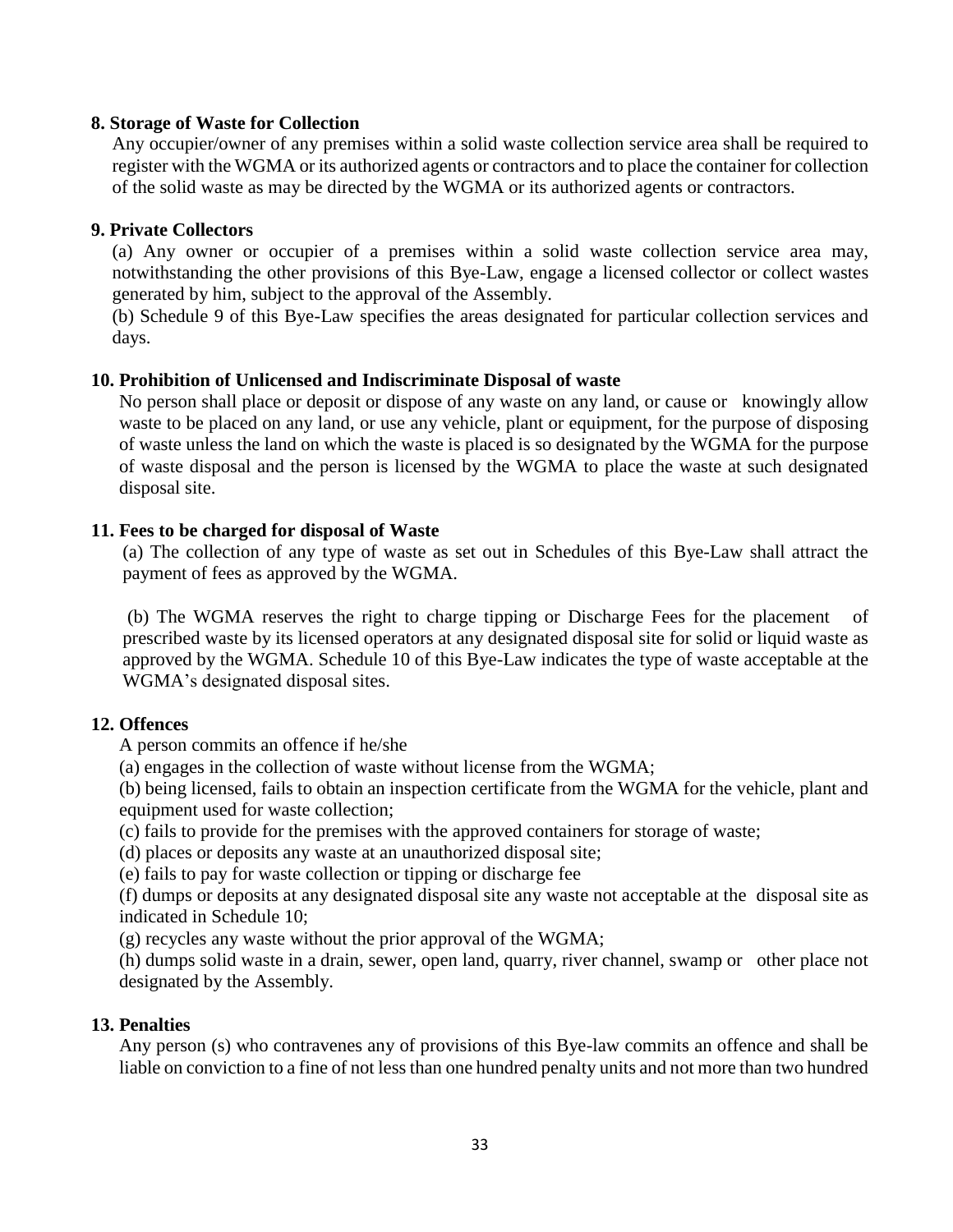#### **8. Storage of Waste for Collection**

Any occupier/owner of any premises within a solid waste collection service area shall be required to register with the WGMA or its authorized agents or contractors and to place the container for collection of the solid waste as may be directed by the WGMA or its authorized agents or contractors.

#### **9. Private Collectors**

(a) Any owner or occupier of a premises within a solid waste collection service area may, notwithstanding the other provisions of this Bye-Law, engage a licensed collector or collect wastes generated by him, subject to the approval of the Assembly.

(b) Schedule 9 of this Bye-Law specifies the areas designated for particular collection services and days.

#### **10. Prohibition of Unlicensed and Indiscriminate Disposal of waste**

No person shall place or deposit or dispose of any waste on any land, or cause or knowingly allow waste to be placed on any land, or use any vehicle, plant or equipment, for the purpose of disposing of waste unless the land on which the waste is placed is so designated by the WGMA for the purpose of waste disposal and the person is licensed by the WGMA to place the waste at such designated disposal site.

#### **11. Fees to be charged for disposal of Waste**

(a) The collection of any type of waste as set out in Schedules of this Bye-Law shall attract the payment of fees as approved by the WGMA.

(b) The WGMA reserves the right to charge tipping or Discharge Fees for the placement of prescribed waste by its licensed operators at any designated disposal site for solid or liquid waste as approved by the WGMA. Schedule 10 of this Bye-Law indicates the type of waste acceptable at the WGMA's designated disposal sites.

#### **12. Offences**

A person commits an offence if he/she

(a) engages in the collection of waste without license from the WGMA;

(b) being licensed, fails to obtain an inspection certificate from the WGMA for the vehicle, plant and equipment used for waste collection;

(c) fails to provide for the premises with the approved containers for storage of waste;

(d) places or deposits any waste at an unauthorized disposal site;

(e) fails to pay for waste collection or tipping or discharge fee

(f) dumps or deposits at any designated disposal site any waste not acceptable at the disposal site as indicated in Schedule 10;

(g) recycles any waste without the prior approval of the WGMA;

(h) dumps solid waste in a drain, sewer, open land, quarry, river channel, swamp or other place not designated by the Assembly.

#### **13. Penalties**

Any person (s) who contravenes any of provisions of this Bye-law commits an offence and shall be liable on conviction to a fine of not less than one hundred penalty units and not more than two hundred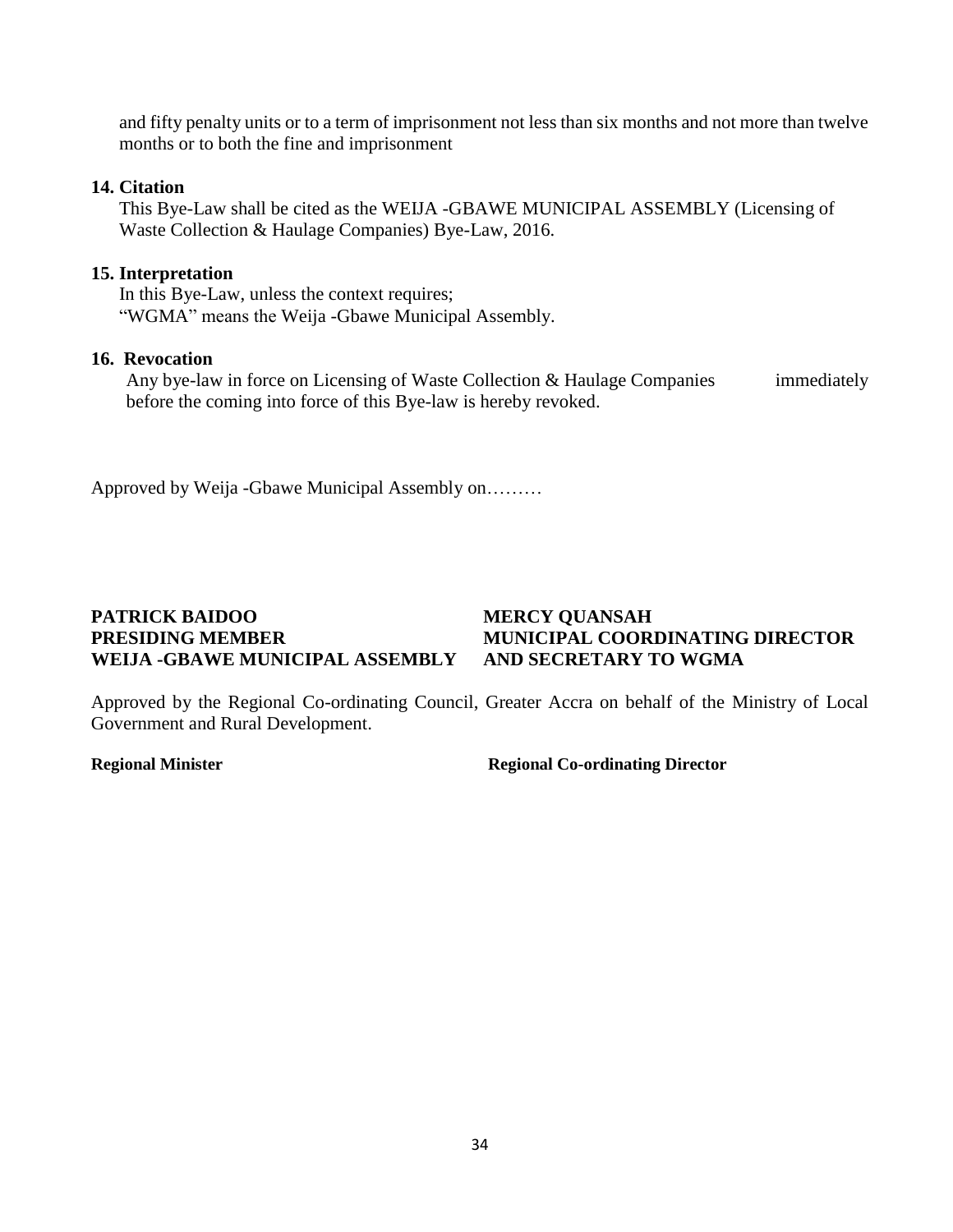and fifty penalty units or to a term of imprisonment not less than six months and not more than twelve months or to both the fine and imprisonment

### **14. Citation**

This Bye-Law shall be cited as the WEIJA -GBAWE MUNICIPAL ASSEMBLY (Licensing of Waste Collection & Haulage Companies) Bye-Law, 2016.

### **15. Interpretation**

In this Bye-Law, unless the context requires; "WGMA" means the Weija -Gbawe Municipal Assembly.

### **16. Revocation**

Any bye-law in force on Licensing of Waste Collection & Haulage Companies immediately before the coming into force of this Bye-law is hereby revoked.

Approved by Weija -Gbawe Municipal Assembly on………

### **PATRICK BAIDOO MERCY QUANSAH PRESIDING MEMBER MUNICIPAL COORDINATING DIRECTOR WEIJA -GBAWE MUNICIPAL ASSEMBLY AND SECRETARY TO WGMA**

Approved by the Regional Co-ordinating Council, Greater Accra on behalf of the Ministry of Local Government and Rural Development.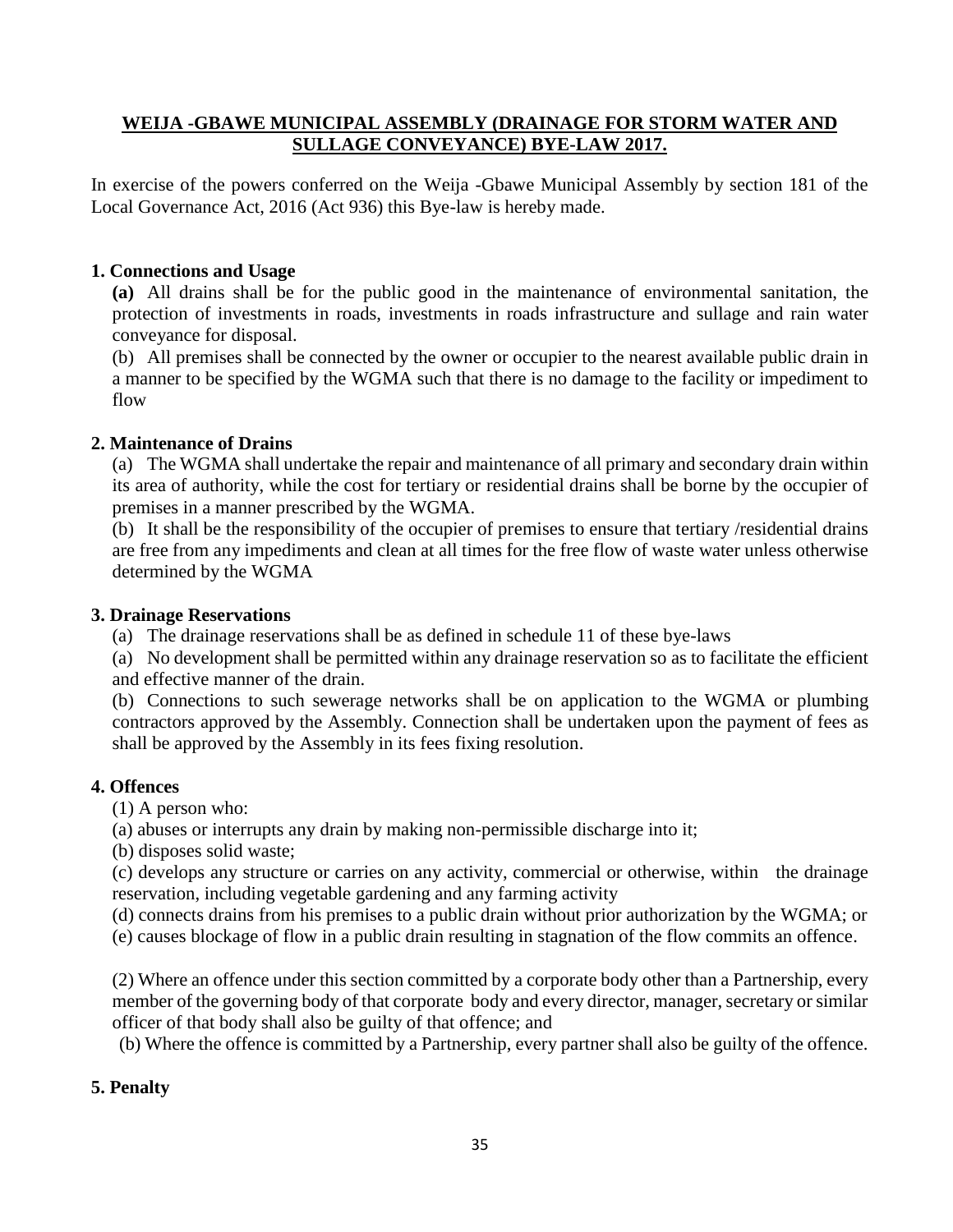### **WEIJA -GBAWE MUNICIPAL ASSEMBLY (DRAINAGE FOR STORM WATER AND SULLAGE CONVEYANCE) BYE-LAW 2017.**

In exercise of the powers conferred on the Weija -Gbawe Municipal Assembly by section 181 of the Local Governance Act, 2016 (Act 936) this Bye-law is hereby made.

### **1. Connections and Usage**

**(a)** All drains shall be for the public good in the maintenance of environmental sanitation, the protection of investments in roads, investments in roads infrastructure and sullage and rain water conveyance for disposal.

(b) All premises shall be connected by the owner or occupier to the nearest available public drain in a manner to be specified by the WGMA such that there is no damage to the facility or impediment to flow

### **2. Maintenance of Drains**

(a) The WGMA shall undertake the repair and maintenance of all primary and secondary drain within its area of authority, while the cost for tertiary or residential drains shall be borne by the occupier of premises in a manner prescribed by the WGMA.

(b) It shall be the responsibility of the occupier of premises to ensure that tertiary /residential drains are free from any impediments and clean at all times for the free flow of waste water unless otherwise determined by the WGMA

### **3. Drainage Reservations**

(a) The drainage reservations shall be as defined in schedule 11 of these bye-laws

(a) No development shall be permitted within any drainage reservation so as to facilitate the efficient and effective manner of the drain.

(b) Connections to such sewerage networks shall be on application to the WGMA or plumbing contractors approved by the Assembly. Connection shall be undertaken upon the payment of fees as shall be approved by the Assembly in its fees fixing resolution.

### **4. Offences**

(1) A person who:

(a) abuses or interrupts any drain by making non-permissible discharge into it;

(b) disposes solid waste;

(c) develops any structure or carries on any activity, commercial or otherwise, within the drainage reservation, including vegetable gardening and any farming activity

(d) connects drains from his premises to a public drain without prior authorization by the WGMA; or

(e) causes blockage of flow in a public drain resulting in stagnation of the flow commits an offence.

(2) Where an offence under this section committed by a corporate body other than a Partnership, every member of the governing body of that corporate body and every director, manager, secretary or similar officer of that body shall also be guilty of that offence; and

(b) Where the offence is committed by a Partnership, every partner shall also be guilty of the offence.

### **5. Penalty**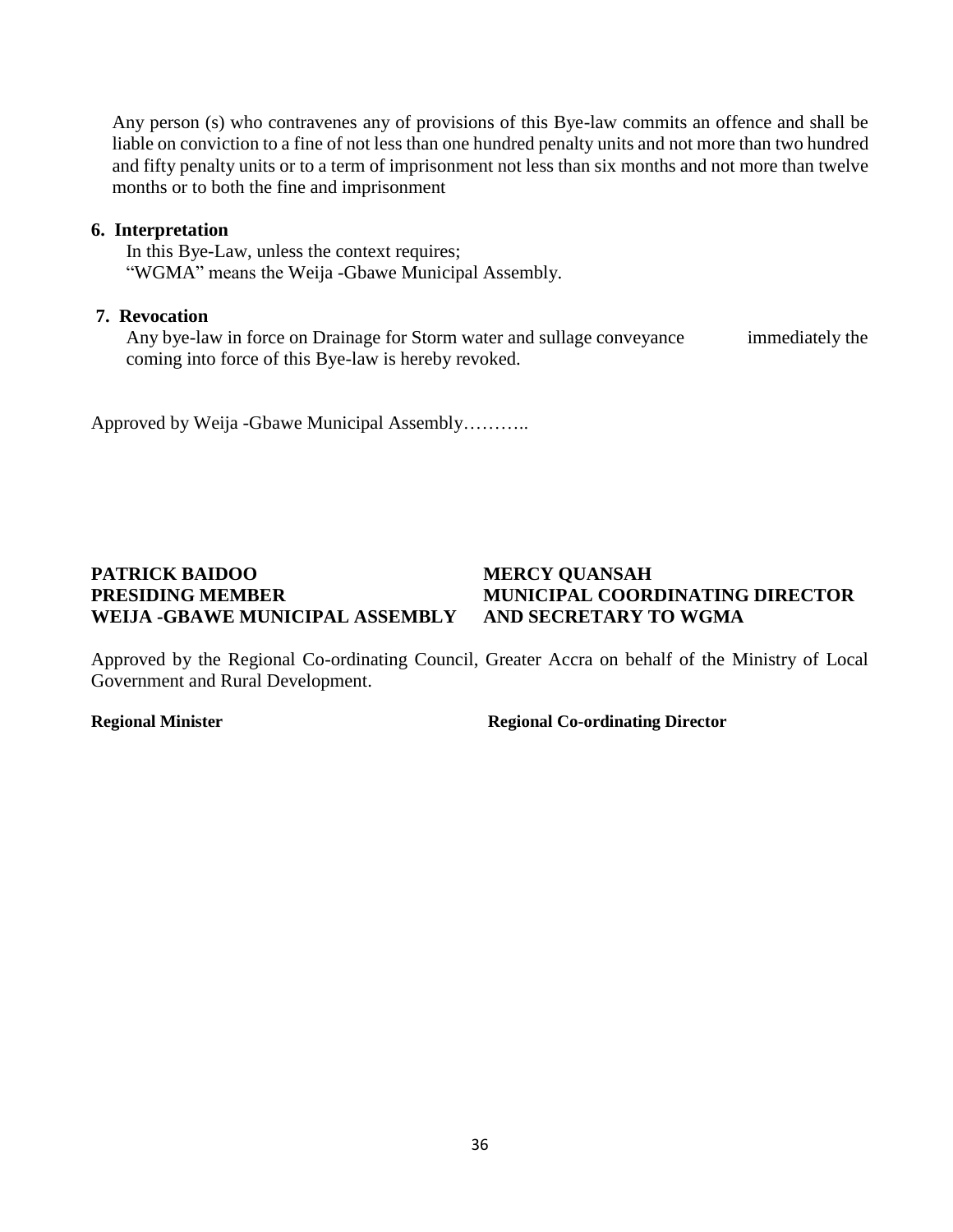Any person (s) who contravenes any of provisions of this Bye-law commits an offence and shall be liable on conviction to a fine of not less than one hundred penalty units and not more than two hundred and fifty penalty units or to a term of imprisonment not less than six months and not more than twelve months or to both the fine and imprisonment

### **6. Interpretation**

In this Bye-Law, unless the context requires; "WGMA" means the Weija -Gbawe Municipal Assembly.

### **7. Revocation**

Any bye-law in force on Drainage for Storm water and sullage conveyance immediately the coming into force of this Bye-law is hereby revoked.

Approved by Weija -Gbawe Municipal Assembly………..

## **PATRICK BAIDOO MERCY QUANSAH PRESIDING MEMBER MUNICIPAL COORDINATING DIRECTOR WEIJA -GBAWE MUNICIPAL ASSEMBLY AND SECRETARY TO WGMA**

Approved by the Regional Co-ordinating Council, Greater Accra on behalf of the Ministry of Local Government and Rural Development.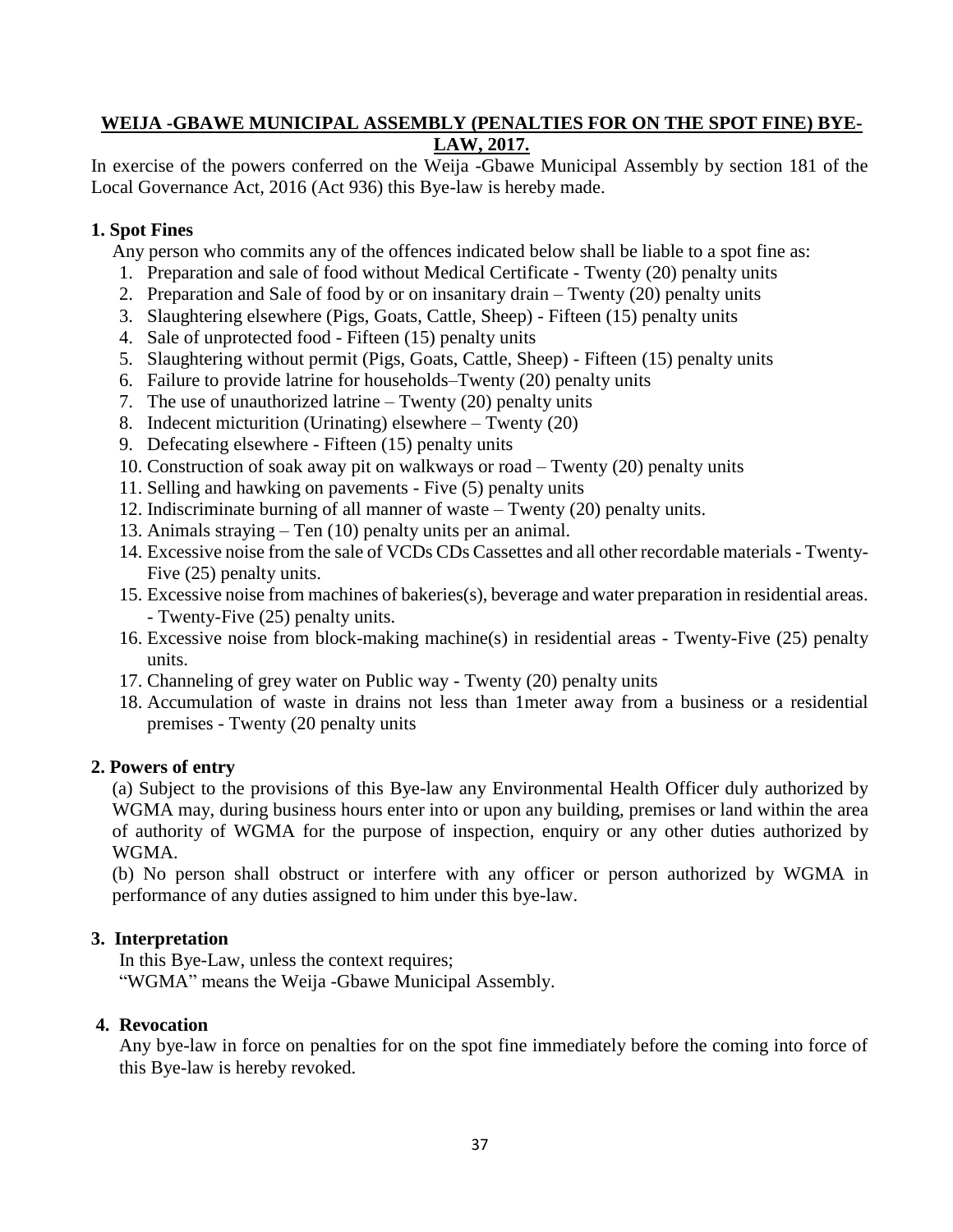### **WEIJA -GBAWE MUNICIPAL ASSEMBLY (PENALTIES FOR ON THE SPOT FINE) BYE-LAW, 2017.**

In exercise of the powers conferred on the Weija -Gbawe Municipal Assembly by section 181 of the Local Governance Act, 2016 (Act 936) this Bye-law is hereby made.

### **1. Spot Fines**

Any person who commits any of the offences indicated below shall be liable to a spot fine as:

- 1. Preparation and sale of food without Medical Certificate Twenty (20) penalty units
- 2. Preparation and Sale of food by or on insanitary drain Twenty (20) penalty units
- 3. Slaughtering elsewhere (Pigs, Goats, Cattle, Sheep) Fifteen (15) penalty units
- 4. Sale of unprotected food Fifteen (15) penalty units
- 5. Slaughtering without permit (Pigs, Goats, Cattle, Sheep) Fifteen (15) penalty units
- 6. Failure to provide latrine for households–Twenty (20) penalty units
- 7. The use of unauthorized latrine Twenty (20) penalty units
- 8. Indecent micturition (Urinating) elsewhere Twenty (20)
- 9. Defecating elsewhere Fifteen (15) penalty units
- 10. Construction of soak away pit on walkways or road Twenty (20) penalty units
- 11. Selling and hawking on pavements Five (5) penalty units
- 12. Indiscriminate burning of all manner of waste Twenty (20) penalty units.
- 13. Animals straying Ten (10) penalty units per an animal.
- 14. Excessive noise from the sale of VCDs CDs Cassettes and all other recordable materials Twenty-Five (25) penalty units.
- 15. Excessive noise from machines of bakeries(s), beverage and water preparation in residential areas. - Twenty-Five (25) penalty units.
- 16. Excessive noise from block-making machine(s) in residential areas Twenty-Five (25) penalty units.
- 17. Channeling of grey water on Public way Twenty (20) penalty units
- 18. Accumulation of waste in drains not less than 1meter away from a business or a residential premises - Twenty (20 penalty units

### **2. Powers of entry**

(a) Subject to the provisions of this Bye-law any Environmental Health Officer duly authorized by WGMA may, during business hours enter into or upon any building, premises or land within the area of authority of WGMA for the purpose of inspection, enquiry or any other duties authorized by WGMA.

(b) No person shall obstruct or interfere with any officer or person authorized by WGMA in performance of any duties assigned to him under this bye-law.

## **3. Interpretation**

In this Bye-Law, unless the context requires; "WGMA" means the Weija -Gbawe Municipal Assembly.

### **4. Revocation**

Any bye-law in force on penalties for on the spot fine immediately before the coming into force of this Bye-law is hereby revoked.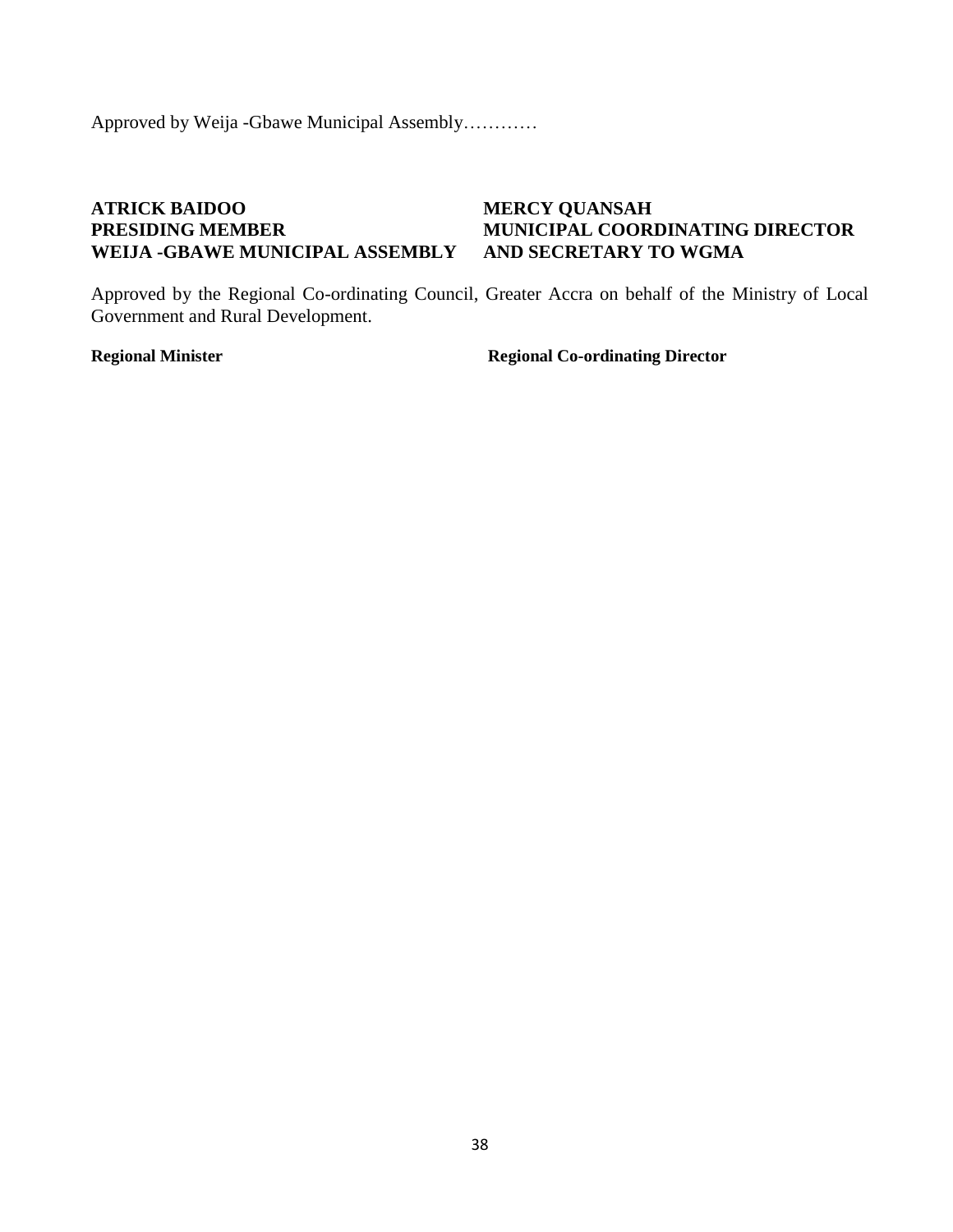Approved by Weija -Gbawe Municipal Assembly…………

## **ATRICK BAIDOO MERCY QUANSAH WEIJA -GBAWE MUNICIPAL ASSEMBLY AND SECRETARY TO WGMA**

# **PRESIDING MEMBER MUNICIPAL COORDINATING DIRECTOR**

Approved by the Regional Co-ordinating Council, Greater Accra on behalf of the Ministry of Local Government and Rural Development.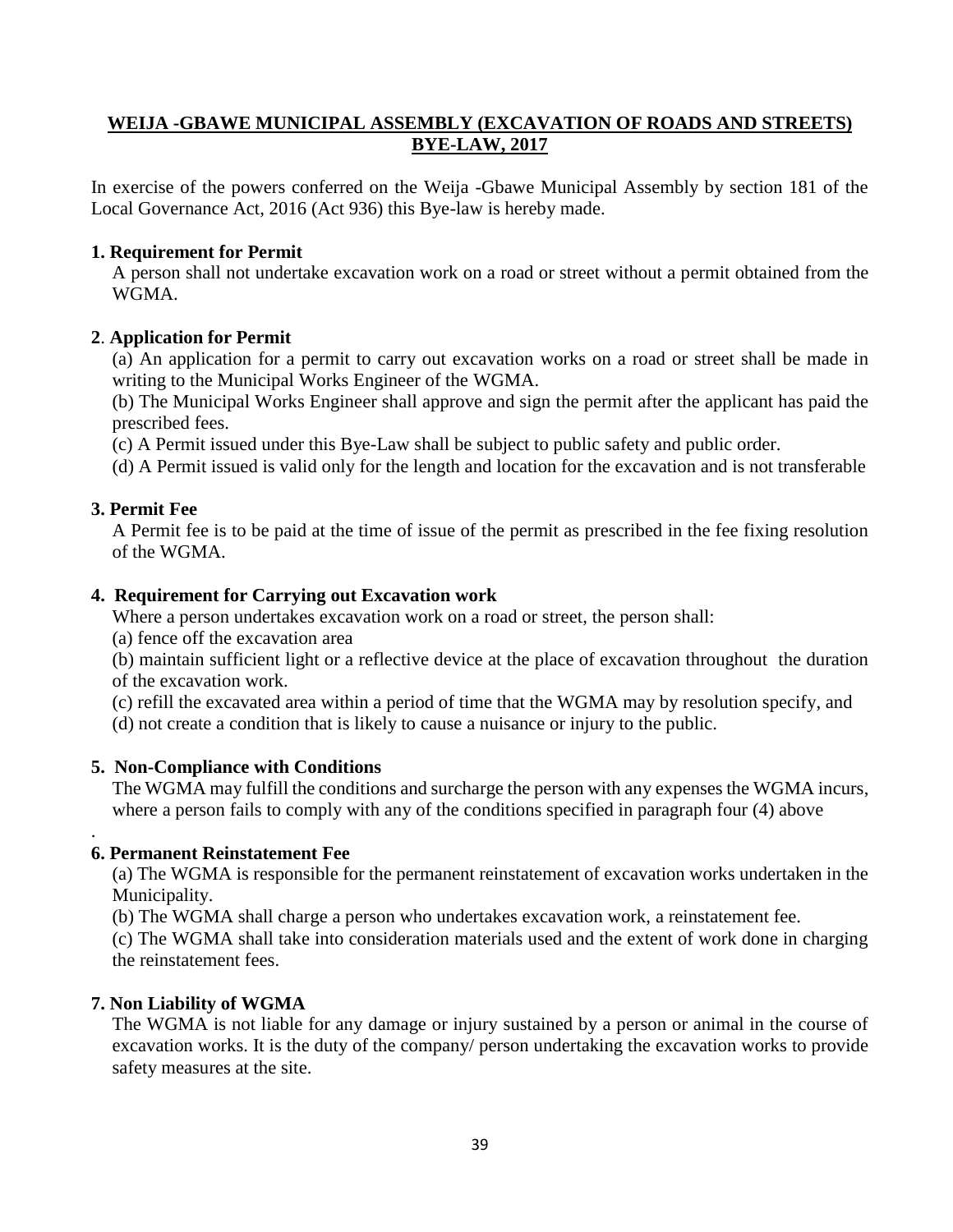### **WEIJA -GBAWE MUNICIPAL ASSEMBLY (EXCAVATION OF ROADS AND STREETS) BYE-LAW, 2017**

In exercise of the powers conferred on the Weija -Gbawe Municipal Assembly by section 181 of the Local Governance Act, 2016 (Act 936) this Bye-law is hereby made.

### **1. Requirement for Permit**

A person shall not undertake excavation work on a road or street without a permit obtained from the WGMA.

### **2**. **Application for Permit**

(a) An application for a permit to carry out excavation works on a road or street shall be made in writing to the Municipal Works Engineer of the WGMA.

(b) The Municipal Works Engineer shall approve and sign the permit after the applicant has paid the prescribed fees.

(c) A Permit issued under this Bye-Law shall be subject to public safety and public order.

(d) A Permit issued is valid only for the length and location for the excavation and is not transferable

### **3. Permit Fee**

.

A Permit fee is to be paid at the time of issue of the permit as prescribed in the fee fixing resolution of the WGMA.

### **4. Requirement for Carrying out Excavation work**

Where a person undertakes excavation work on a road or street, the person shall:

(a) fence off the excavation area

(b) maintain sufficient light or a reflective device at the place of excavation throughout the duration of the excavation work.

- (c) refill the excavated area within a period of time that the WGMA may by resolution specify, and
- (d) not create a condition that is likely to cause a nuisance or injury to the public.

### **5. Non-Compliance with Conditions**

The WGMA may fulfill the conditions and surcharge the person with any expenses the WGMA incurs, where a person fails to comply with any of the conditions specified in paragraph four (4) above

### **6. Permanent Reinstatement Fee**

(a) The WGMA is responsible for the permanent reinstatement of excavation works undertaken in the Municipality.

(b) The WGMA shall charge a person who undertakes excavation work, a reinstatement fee.

(c) The WGMA shall take into consideration materials used and the extent of work done in charging the reinstatement fees.

### **7. Non Liability of WGMA**

The WGMA is not liable for any damage or injury sustained by a person or animal in the course of excavation works. It is the duty of the company/ person undertaking the excavation works to provide safety measures at the site.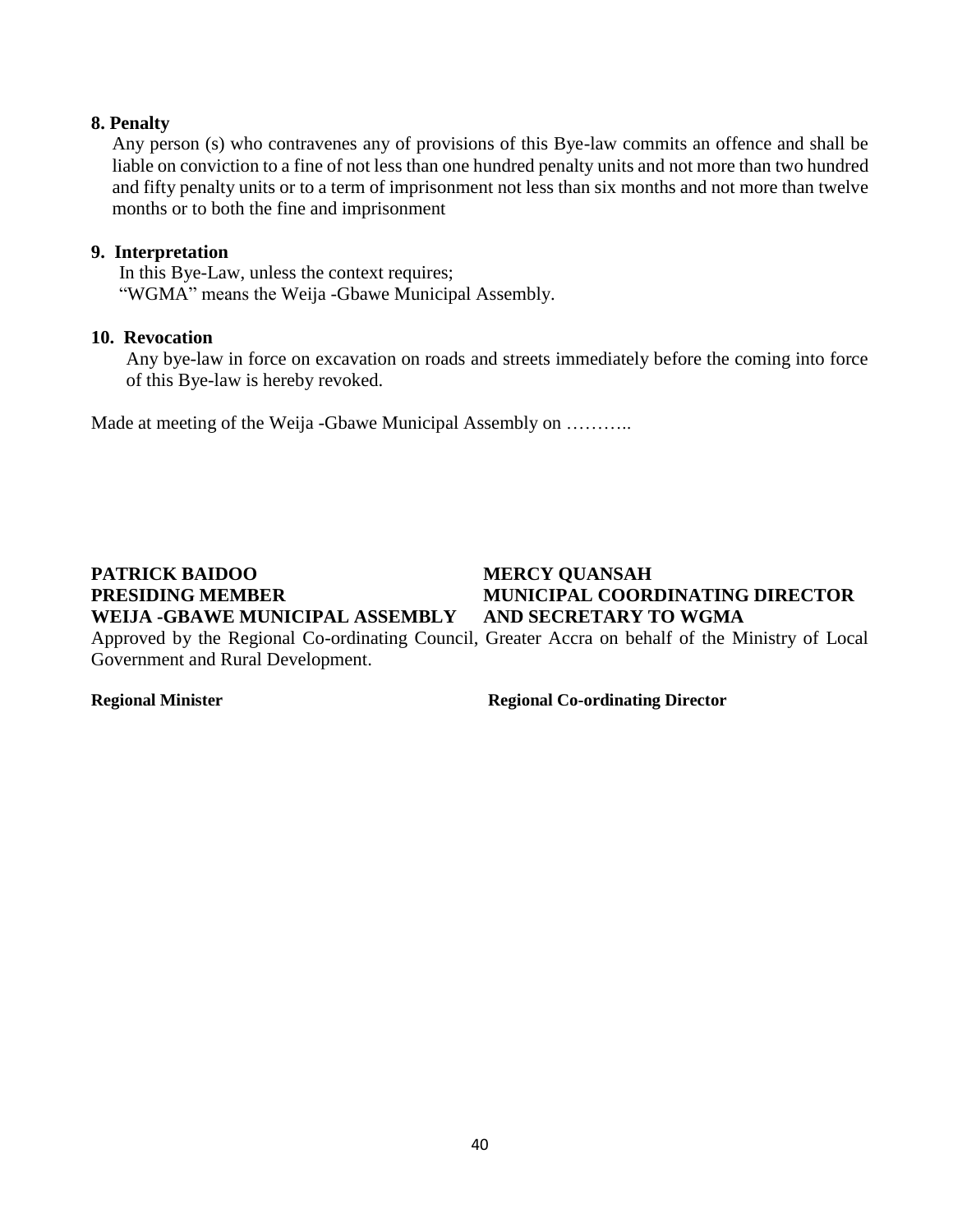### **8. Penalty**

Any person (s) who contravenes any of provisions of this Bye-law commits an offence and shall be liable on conviction to a fine of not less than one hundred penalty units and not more than two hundred and fifty penalty units or to a term of imprisonment not less than six months and not more than twelve months or to both the fine and imprisonment

### **9. Interpretation**

In this Bye-Law, unless the context requires; "WGMA" means the Weija -Gbawe Municipal Assembly.

### **10. Revocation**

Any bye-law in force on excavation on roads and streets immediately before the coming into force of this Bye-law is hereby revoked.

Made at meeting of the Weija -Gbawe Municipal Assembly on ………..

# **PATRICK BAIDOO MERCY QUANSAH**

## **PRESIDING MEMBER MUNICIPAL COORDINATING DIRECTOR WEIJA -GBAWE MUNICIPAL ASSEMBLY AND SECRETARY TO WGMA**

Approved by the Regional Co-ordinating Council, Greater Accra on behalf of the Ministry of Local Government and Rural Development.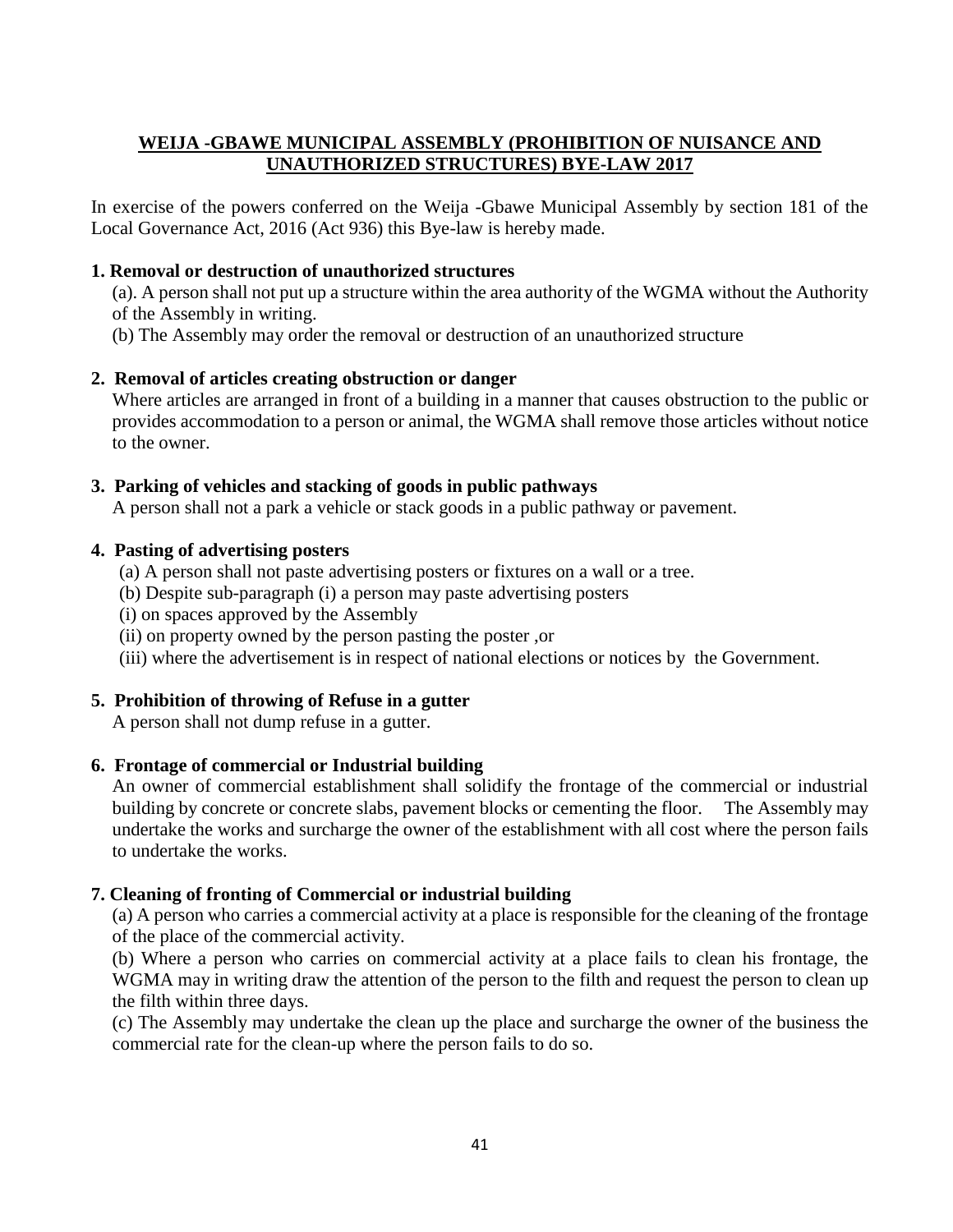### **WEIJA -GBAWE MUNICIPAL ASSEMBLY (PROHIBITION OF NUISANCE AND UNAUTHORIZED STRUCTURES) BYE-LAW 2017**

In exercise of the powers conferred on the Weija -Gbawe Municipal Assembly by section 181 of the Local Governance Act, 2016 (Act 936) this Bye-law is hereby made.

### **1. Removal or destruction of unauthorized structures**

- (a). A person shall not put up a structure within the area authority of the WGMA without the Authority of the Assembly in writing.
- (b) The Assembly may order the removal or destruction of an unauthorized structure

### **2. Removal of articles creating obstruction or danger**

Where articles are arranged in front of a building in a manner that causes obstruction to the public or provides accommodation to a person or animal, the WGMA shall remove those articles without notice to the owner.

### **3. Parking of vehicles and stacking of goods in public pathways**

A person shall not a park a vehicle or stack goods in a public pathway or pavement.

### **4. Pasting of advertising posters**

- (a) A person shall not paste advertising posters or fixtures on a wall or a tree.
- (b) Despite sub-paragraph (i) a person may paste advertising posters
- (i) on spaces approved by the Assembly
- (ii) on property owned by the person pasting the poster ,or
- (iii) where the advertisement is in respect of national elections or notices by the Government.

### **5. Prohibition of throwing of Refuse in a gutter**

A person shall not dump refuse in a gutter.

### **6. Frontage of commercial or Industrial building**

An owner of commercial establishment shall solidify the frontage of the commercial or industrial building by concrete or concrete slabs, pavement blocks or cementing the floor. The Assembly may undertake the works and surcharge the owner of the establishment with all cost where the person fails to undertake the works.

### **7. Cleaning of fronting of Commercial or industrial building**

(a) A person who carries a commercial activity at a place is responsible for the cleaning of the frontage of the place of the commercial activity.

(b) Where a person who carries on commercial activity at a place fails to clean his frontage, the WGMA may in writing draw the attention of the person to the filth and request the person to clean up the filth within three days.

(c) The Assembly may undertake the clean up the place and surcharge the owner of the business the commercial rate for the clean-up where the person fails to do so.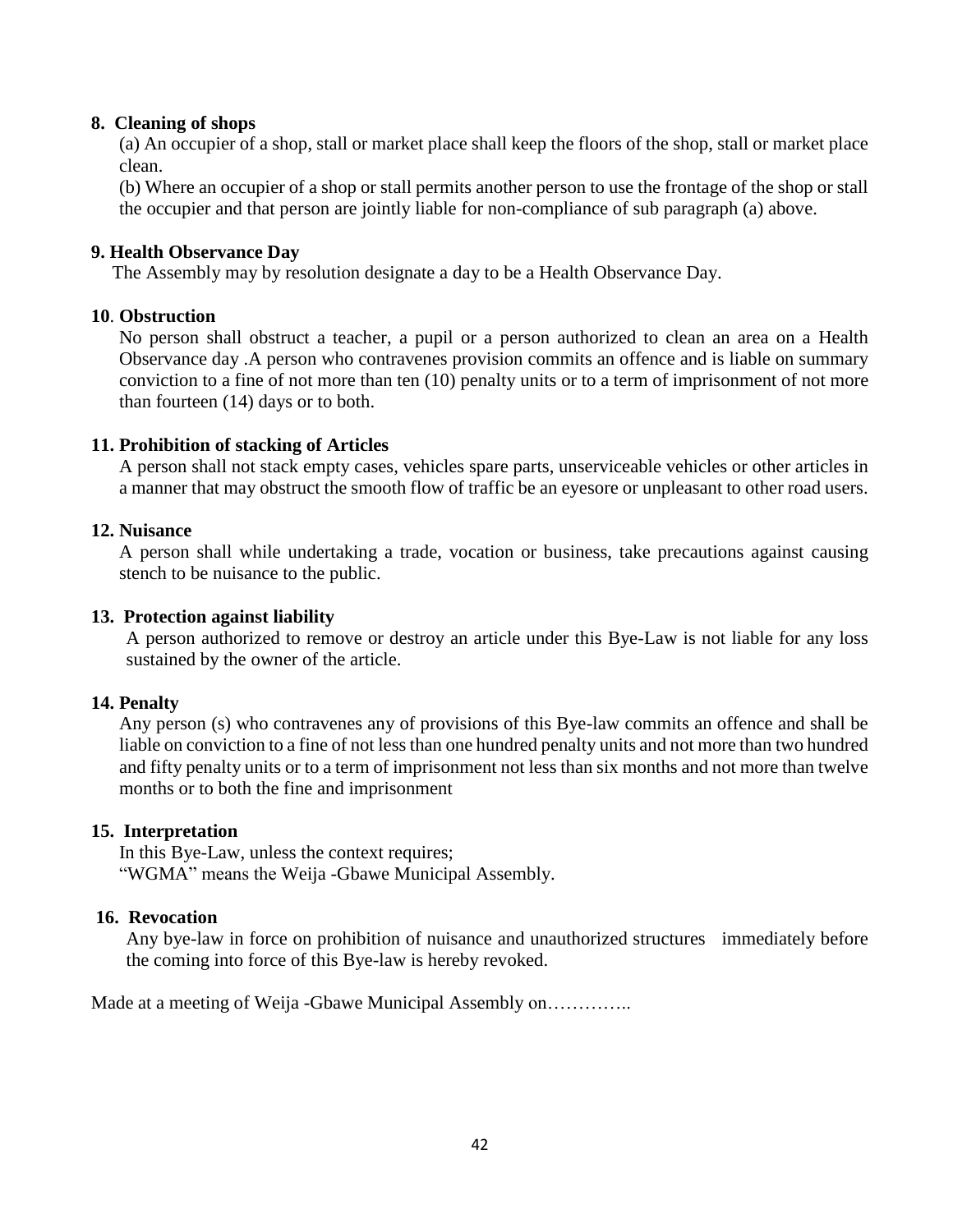### **8. Cleaning of shops**

(a) An occupier of a shop, stall or market place shall keep the floors of the shop, stall or market place clean.

(b) Where an occupier of a shop or stall permits another person to use the frontage of the shop or stall the occupier and that person are jointly liable for non-compliance of sub paragraph (a) above.

### **9. Health Observance Day**

The Assembly may by resolution designate a day to be a Health Observance Day.

### **10**. **Obstruction**

No person shall obstruct a teacher, a pupil or a person authorized to clean an area on a Health Observance day .A person who contravenes provision commits an offence and is liable on summary conviction to a fine of not more than ten (10) penalty units or to a term of imprisonment of not more than fourteen (14) days or to both.

### **11. Prohibition of stacking of Articles**

A person shall not stack empty cases, vehicles spare parts, unserviceable vehicles or other articles in a manner that may obstruct the smooth flow of traffic be an eyesore or unpleasant to other road users.

### **12. Nuisance**

A person shall while undertaking a trade, vocation or business, take precautions against causing stench to be nuisance to the public.

### **13. Protection against liability**

A person authorized to remove or destroy an article under this Bye-Law is not liable for any loss sustained by the owner of the article.

### **14. Penalty**

Any person (s) who contravenes any of provisions of this Bye-law commits an offence and shall be liable on conviction to a fine of not less than one hundred penalty units and not more than two hundred and fifty penalty units or to a term of imprisonment not less than six months and not more than twelve months or to both the fine and imprisonment

### **15. Interpretation**

In this Bye-Law, unless the context requires; "WGMA" means the Weija -Gbawe Municipal Assembly.

### **16. Revocation**

Any bye-law in force on prohibition of nuisance and unauthorized structures immediately before the coming into force of this Bye-law is hereby revoked.

Made at a meeting of Weija -Gbawe Municipal Assembly on…………..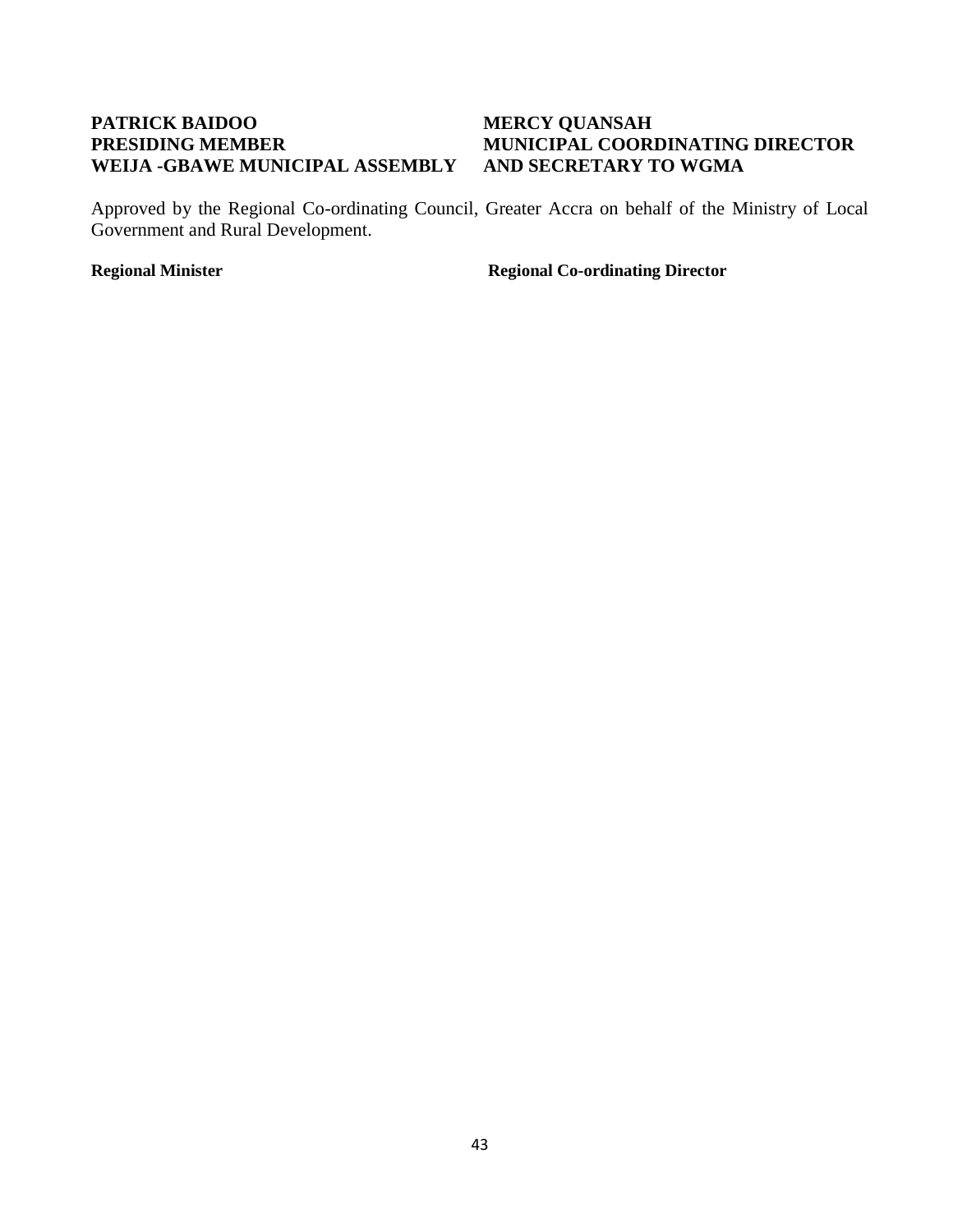## **PATRICK BAIDOO MERCY QUANSAH WEIJA -GBAWE MUNICIPAL ASSEMBLY AND SECRETARY TO WGMA**

# **PRESIDING MEMBER MUNICIPAL COORDINATING DIRECTOR**

Approved by the Regional Co-ordinating Council, Greater Accra on behalf of the Ministry of Local Government and Rural Development.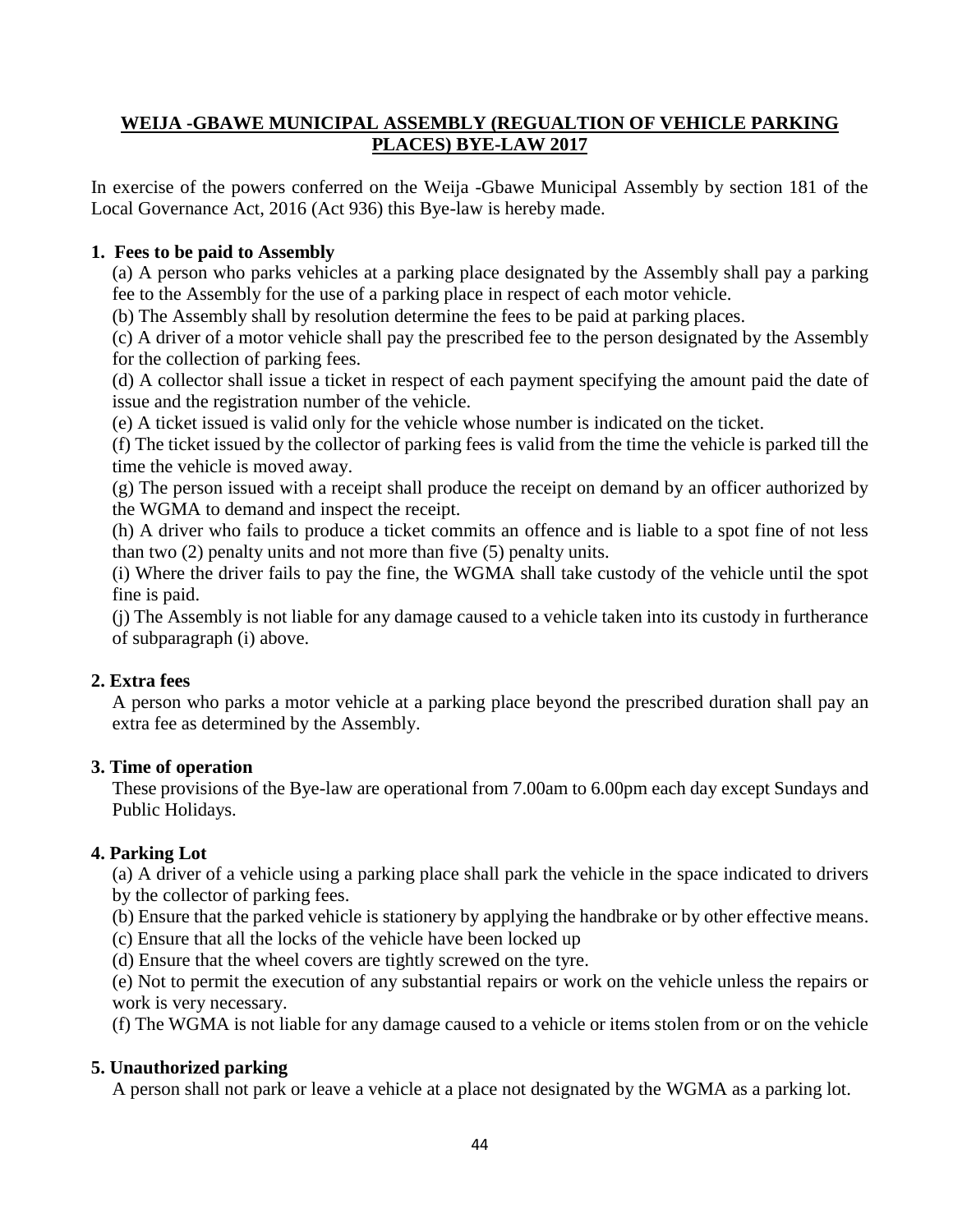### **WEIJA -GBAWE MUNICIPAL ASSEMBLY (REGUALTION OF VEHICLE PARKING PLACES) BYE-LAW 2017**

In exercise of the powers conferred on the Weija -Gbawe Municipal Assembly by section 181 of the Local Governance Act, 2016 (Act 936) this Bye-law is hereby made.

### **1. Fees to be paid to Assembly**

(a) A person who parks vehicles at a parking place designated by the Assembly shall pay a parking fee to the Assembly for the use of a parking place in respect of each motor vehicle.

(b) The Assembly shall by resolution determine the fees to be paid at parking places.

(c) A driver of a motor vehicle shall pay the prescribed fee to the person designated by the Assembly for the collection of parking fees.

(d) A collector shall issue a ticket in respect of each payment specifying the amount paid the date of issue and the registration number of the vehicle.

(e) A ticket issued is valid only for the vehicle whose number is indicated on the ticket.

(f) The ticket issued by the collector of parking fees is valid from the time the vehicle is parked till the time the vehicle is moved away.

(g) The person issued with a receipt shall produce the receipt on demand by an officer authorized by the WGMA to demand and inspect the receipt.

(h) A driver who fails to produce a ticket commits an offence and is liable to a spot fine of not less than two (2) penalty units and not more than five (5) penalty units.

(i) Where the driver fails to pay the fine, the WGMA shall take custody of the vehicle until the spot fine is paid.

(j) The Assembly is not liable for any damage caused to a vehicle taken into its custody in furtherance of subparagraph (i) above.

## **2. Extra fees**

A person who parks a motor vehicle at a parking place beyond the prescribed duration shall pay an extra fee as determined by the Assembly.

### **3. Time of operation**

These provisions of the Bye-law are operational from 7.00am to 6.00pm each day except Sundays and Public Holidays.

### **4. Parking Lot**

(a) A driver of a vehicle using a parking place shall park the vehicle in the space indicated to drivers by the collector of parking fees.

(b) Ensure that the parked vehicle is stationery by applying the handbrake or by other effective means.

- (c) Ensure that all the locks of the vehicle have been locked up
- (d) Ensure that the wheel covers are tightly screwed on the tyre.

(e) Not to permit the execution of any substantial repairs or work on the vehicle unless the repairs or work is very necessary.

(f) The WGMA is not liable for any damage caused to a vehicle or items stolen from or on the vehicle

## **5. Unauthorized parking**

A person shall not park or leave a vehicle at a place not designated by the WGMA as a parking lot.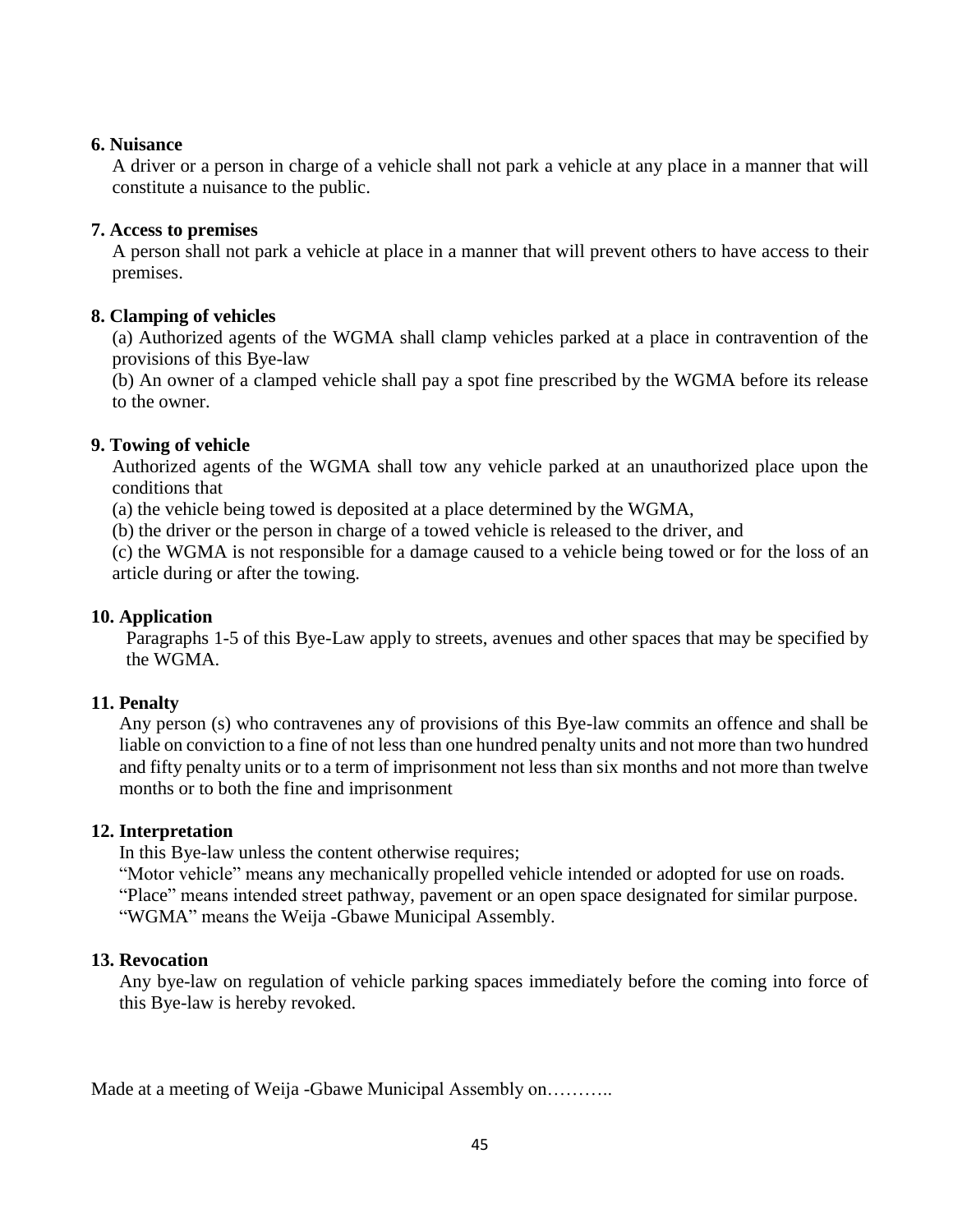### **6. Nuisance**

A driver or a person in charge of a vehicle shall not park a vehicle at any place in a manner that will constitute a nuisance to the public.

### **7. Access to premises**

A person shall not park a vehicle at place in a manner that will prevent others to have access to their premises.

### **8. Clamping of vehicles**

(a) Authorized agents of the WGMA shall clamp vehicles parked at a place in contravention of the provisions of this Bye-law

(b) An owner of a clamped vehicle shall pay a spot fine prescribed by the WGMA before its release to the owner.

### **9. Towing of vehicle**

Authorized agents of the WGMA shall tow any vehicle parked at an unauthorized place upon the conditions that

(a) the vehicle being towed is deposited at a place determined by the WGMA,

(b) the driver or the person in charge of a towed vehicle is released to the driver, and

(c) the WGMA is not responsible for a damage caused to a vehicle being towed or for the loss of an article during or after the towing.

### **10. Application**

Paragraphs 1-5 of this Bye-Law apply to streets, avenues and other spaces that may be specified by the WGMA.

### **11. Penalty**

Any person (s) who contravenes any of provisions of this Bye-law commits an offence and shall be liable on conviction to a fine of not less than one hundred penalty units and not more than two hundred and fifty penalty units or to a term of imprisonment not less than six months and not more than twelve months or to both the fine and imprisonment

### **12. Interpretation**

In this Bye-law unless the content otherwise requires;

"Motor vehicle" means any mechanically propelled vehicle intended or adopted for use on roads.

"Place" means intended street pathway, pavement or an open space designated for similar purpose. "WGMA" means the Weija -Gbawe Municipal Assembly.

### **13. Revocation**

Any bye-law on regulation of vehicle parking spaces immediately before the coming into force of this Bye-law is hereby revoked.

Made at a meeting of Weija -Gbawe Municipal Assembly on………..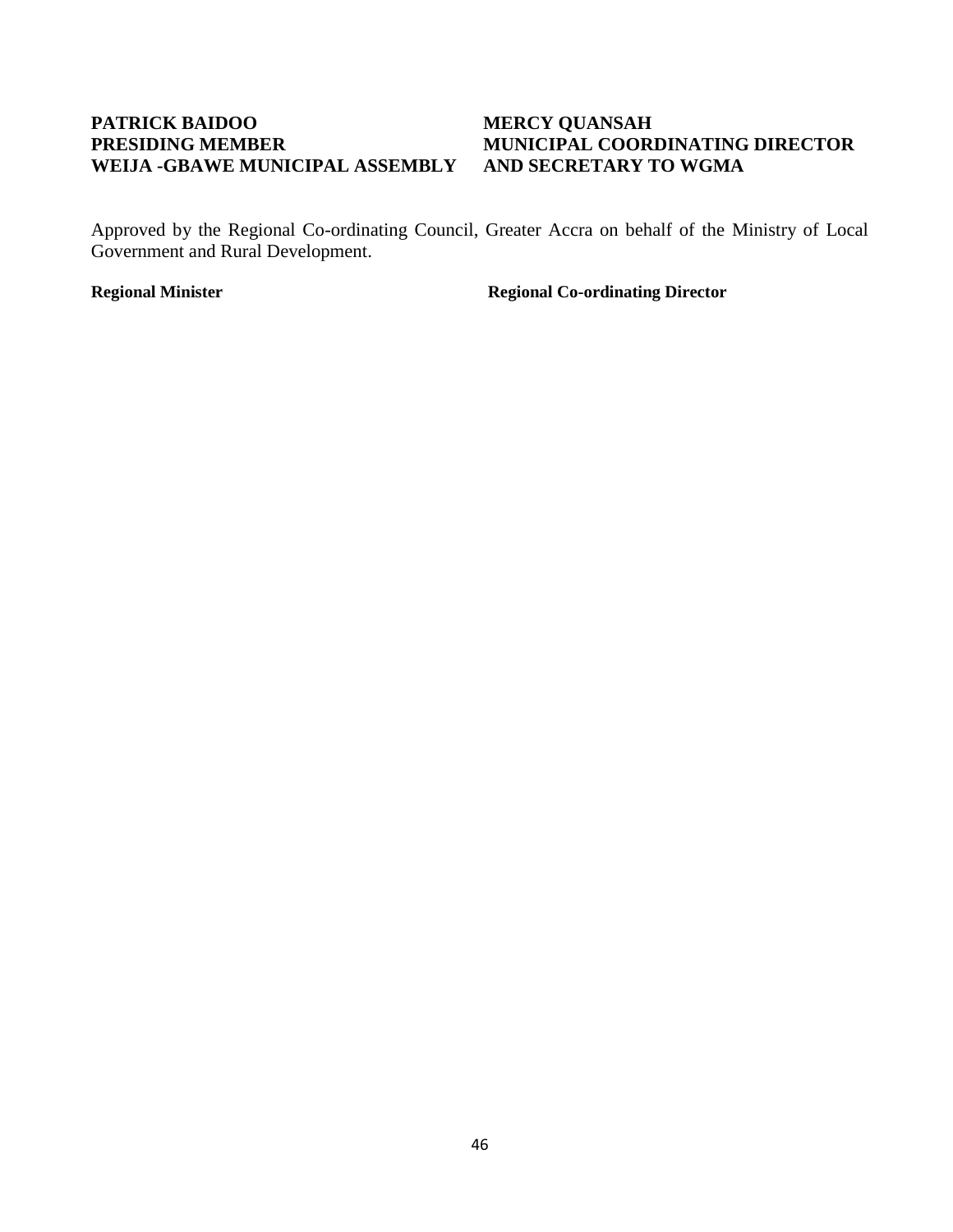## **PATRICK BAIDOO MERCY QUANSAH WEIJA -GBAWE MUNICIPAL ASSEMBLY AND SECRETARY TO WGMA**

# **PRESIDING MEMBER MUNICIPAL COORDINATING DIRECTOR**

Approved by the Regional Co-ordinating Council, Greater Accra on behalf of the Ministry of Local Government and Rural Development.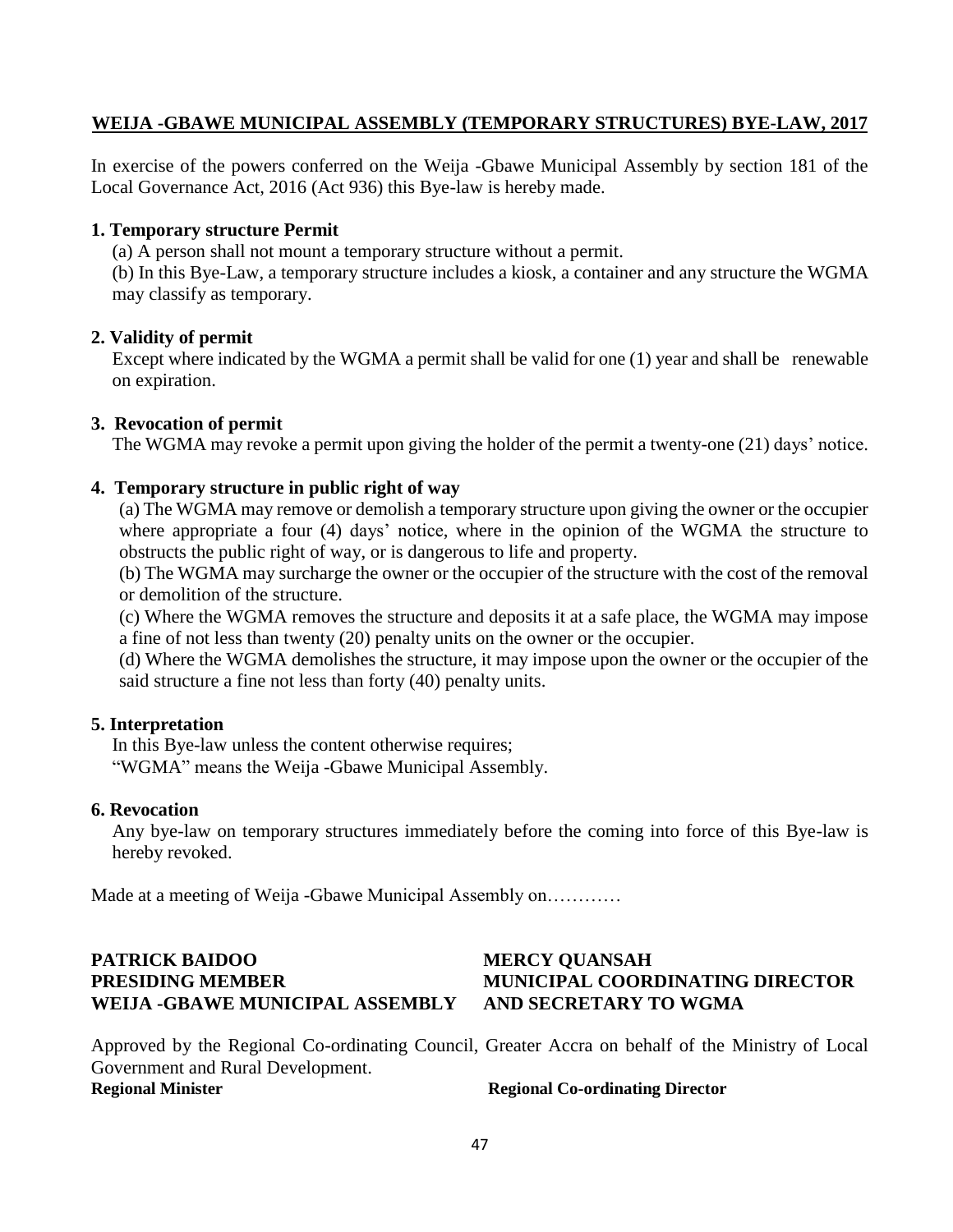### **WEIJA -GBAWE MUNICIPAL ASSEMBLY (TEMPORARY STRUCTURES) BYE-LAW, 2017**

In exercise of the powers conferred on the Weija -Gbawe Municipal Assembly by section 181 of the Local Governance Act, 2016 (Act 936) this Bye-law is hereby made.

### **1. Temporary structure Permit**

(a) A person shall not mount a temporary structure without a permit.

(b) In this Bye-Law, a temporary structure includes a kiosk, a container and any structure the WGMA may classify as temporary.

### **2. Validity of permit**

Except where indicated by the WGMA a permit shall be valid for one (1) year and shall be renewable on expiration.

### **3. Revocation of permit**

The WGMA may revoke a permit upon giving the holder of the permit a twenty-one (21) days' notice.

### **4. Temporary structure in public right of way**

(a) The WGMA may remove or demolish a temporary structure upon giving the owner or the occupier where appropriate a four (4) days' notice, where in the opinion of the WGMA the structure to obstructs the public right of way, or is dangerous to life and property.

(b) The WGMA may surcharge the owner or the occupier of the structure with the cost of the removal or demolition of the structure.

(c) Where the WGMA removes the structure and deposits it at a safe place, the WGMA may impose a fine of not less than twenty (20) penalty units on the owner or the occupier.

(d) Where the WGMA demolishes the structure, it may impose upon the owner or the occupier of the said structure a fine not less than forty (40) penalty units.

### **5. Interpretation**

In this Bye-law unless the content otherwise requires; "WGMA" means the Weija -Gbawe Municipal Assembly.

### **6. Revocation**

Any bye-law on temporary structures immediately before the coming into force of this Bye-law is hereby revoked.

Made at a meeting of Weija -Gbawe Municipal Assembly on…………

## **PATRICK BAIDOO MERCY QUANSAH PRESIDING MEMBER MUNICIPAL COORDINATING DIRECTOR WEIJA -GBAWE MUNICIPAL ASSEMBLY AND SECRETARY TO WGMA**

Approved by the Regional Co-ordinating Council, Greater Accra on behalf of the Ministry of Local Government and Rural Development.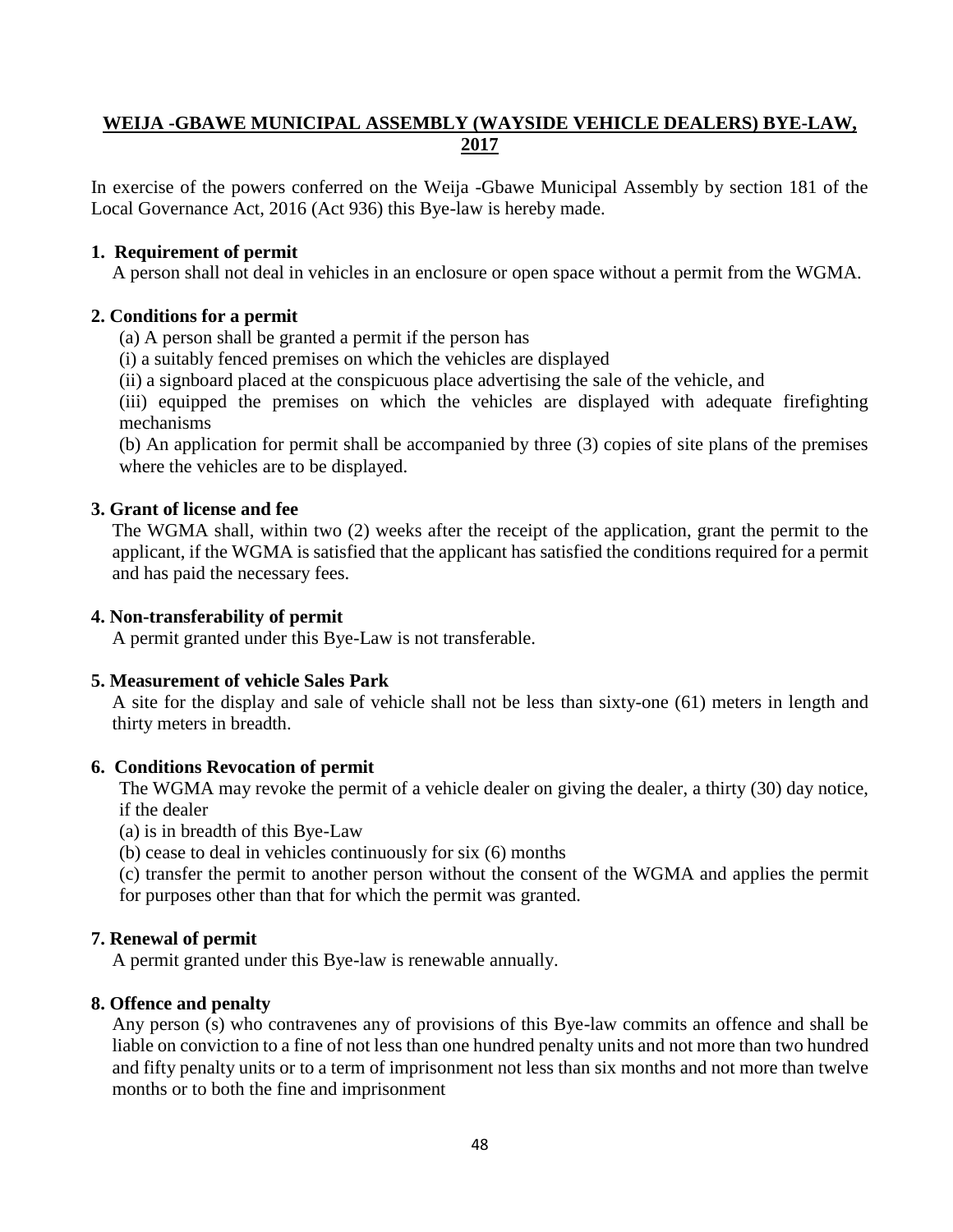## **WEIJA -GBAWE MUNICIPAL ASSEMBLY (WAYSIDE VEHICLE DEALERS) BYE-LAW, 2017**

In exercise of the powers conferred on the Weija -Gbawe Municipal Assembly by section 181 of the Local Governance Act, 2016 (Act 936) this Bye-law is hereby made.

### **1. Requirement of permit**

A person shall not deal in vehicles in an enclosure or open space without a permit from the WGMA.

### **2. Conditions for a permit**

(a) A person shall be granted a permit if the person has

(i) a suitably fenced premises on which the vehicles are displayed

(ii) a signboard placed at the conspicuous place advertising the sale of the vehicle, and

(iii) equipped the premises on which the vehicles are displayed with adequate firefighting mechanisms

(b) An application for permit shall be accompanied by three (3) copies of site plans of the premises where the vehicles are to be displayed.

### **3. Grant of license and fee**

The WGMA shall, within two (2) weeks after the receipt of the application, grant the permit to the applicant, if the WGMA is satisfied that the applicant has satisfied the conditions required for a permit and has paid the necessary fees.

### **4. Non-transferability of permit**

A permit granted under this Bye-Law is not transferable.

### **5. Measurement of vehicle Sales Park**

A site for the display and sale of vehicle shall not be less than sixty-one (61) meters in length and thirty meters in breadth.

### **6. Conditions Revocation of permit**

The WGMA may revoke the permit of a vehicle dealer on giving the dealer, a thirty (30) day notice, if the dealer

(a) is in breadth of this Bye-Law

(b) cease to deal in vehicles continuously for six (6) months

(c) transfer the permit to another person without the consent of the WGMA and applies the permit for purposes other than that for which the permit was granted.

### **7. Renewal of permit**

A permit granted under this Bye-law is renewable annually.

### **8. Offence and penalty**

Any person (s) who contravenes any of provisions of this Bye-law commits an offence and shall be liable on conviction to a fine of not less than one hundred penalty units and not more than two hundred and fifty penalty units or to a term of imprisonment not less than six months and not more than twelve months or to both the fine and imprisonment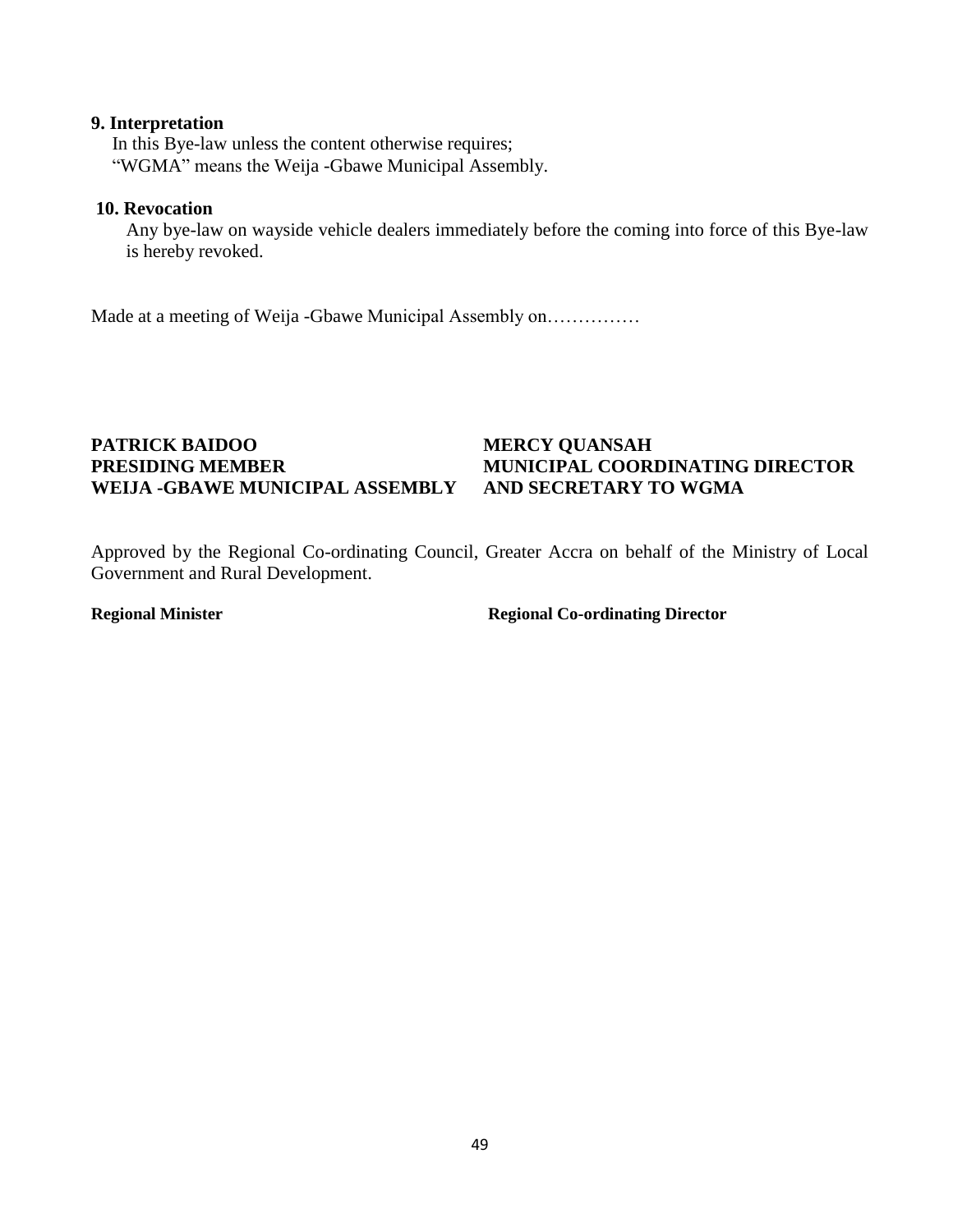### **9. Interpretation**

In this Bye-law unless the content otherwise requires; "WGMA" means the Weija -Gbawe Municipal Assembly.

### **10. Revocation**

Any bye-law on wayside vehicle dealers immediately before the coming into force of this Bye-law is hereby revoked.

Made at a meeting of Weija -Gbawe Municipal Assembly on……………

## **PATRICK BAIDOO MERCY QUANSAH WEIJA -GBAWE MUNICIPAL ASSEMBLY AND SECRETARY TO WGMA**

# **PRESIDING MEMBER MUNICIPAL COORDINATING DIRECTOR**

Approved by the Regional Co-ordinating Council, Greater Accra on behalf of the Ministry of Local Government and Rural Development.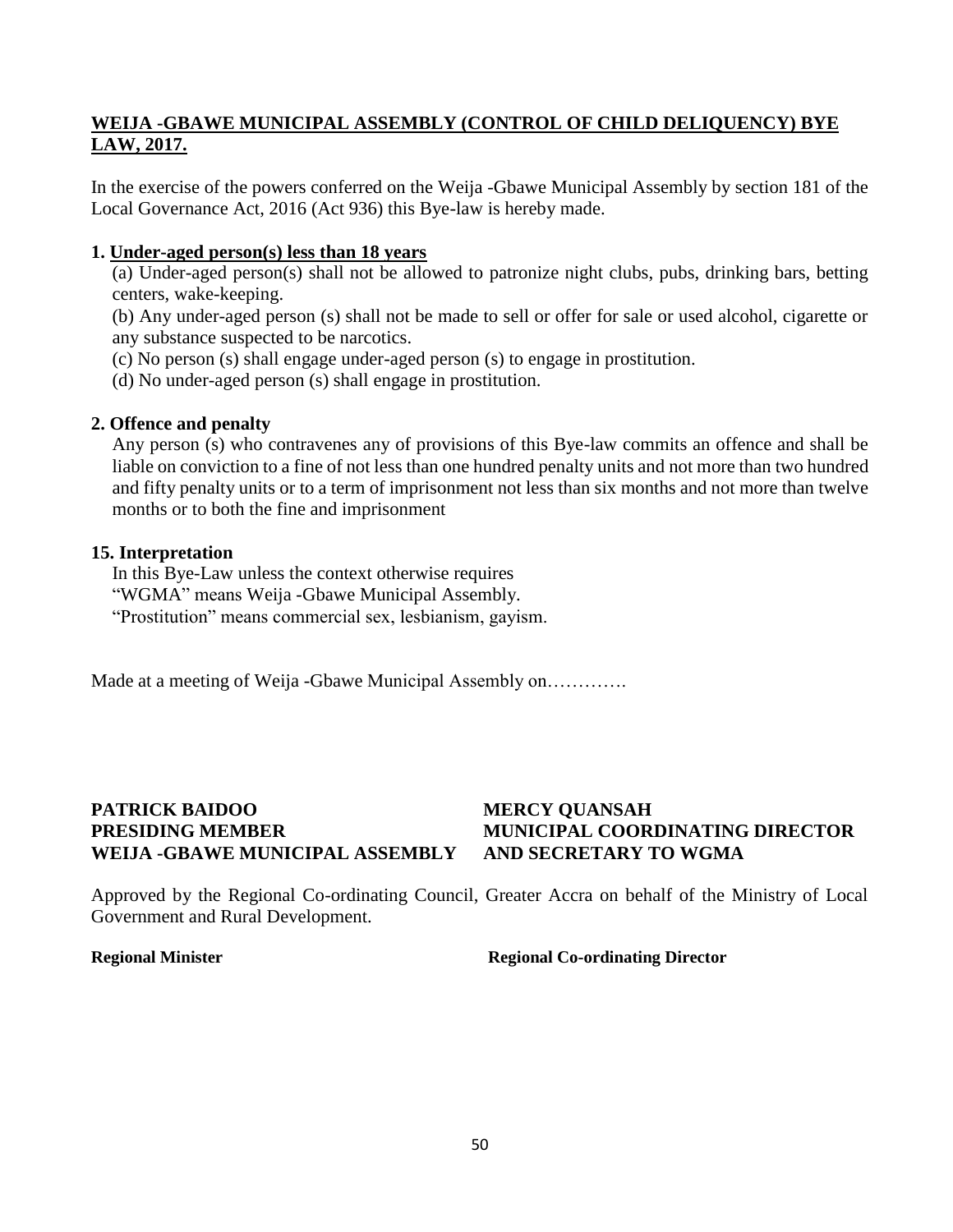### **WEIJA -GBAWE MUNICIPAL ASSEMBLY (CONTROL OF CHILD DELIQUENCY) BYE LAW, 2017.**

In the exercise of the powers conferred on the Weija -Gbawe Municipal Assembly by section 181 of the Local Governance Act, 2016 (Act 936) this Bye-law is hereby made.

### **1. Under-aged person(s) less than 18 years**

(a) Under-aged person(s) shall not be allowed to patronize night clubs, pubs, drinking bars, betting centers, wake-keeping.

(b) Any under-aged person (s) shall not be made to sell or offer for sale or used alcohol, cigarette or any substance suspected to be narcotics.

- (c) No person (s) shall engage under-aged person (s) to engage in prostitution.
- (d) No under-aged person (s) shall engage in prostitution.

### **2. Offence and penalty**

Any person (s) who contravenes any of provisions of this Bye-law commits an offence and shall be liable on conviction to a fine of not less than one hundred penalty units and not more than two hundred and fifty penalty units or to a term of imprisonment not less than six months and not more than twelve months or to both the fine and imprisonment

### **15. Interpretation**

In this Bye-Law unless the context otherwise requires "WGMA" means Weija -Gbawe Municipal Assembly. "Prostitution" means commercial sex, lesbianism, gayism.

Made at a meeting of Weija -Gbawe Municipal Assembly on………….

## **PATRICK BAIDOO MERCY QUANSAH PRESIDING MEMBER MUNICIPAL COORDINATING DIRECTOR WEIJA -GBAWE MUNICIPAL ASSEMBLY AND SECRETARY TO WGMA**

Approved by the Regional Co-ordinating Council, Greater Accra on behalf of the Ministry of Local Government and Rural Development.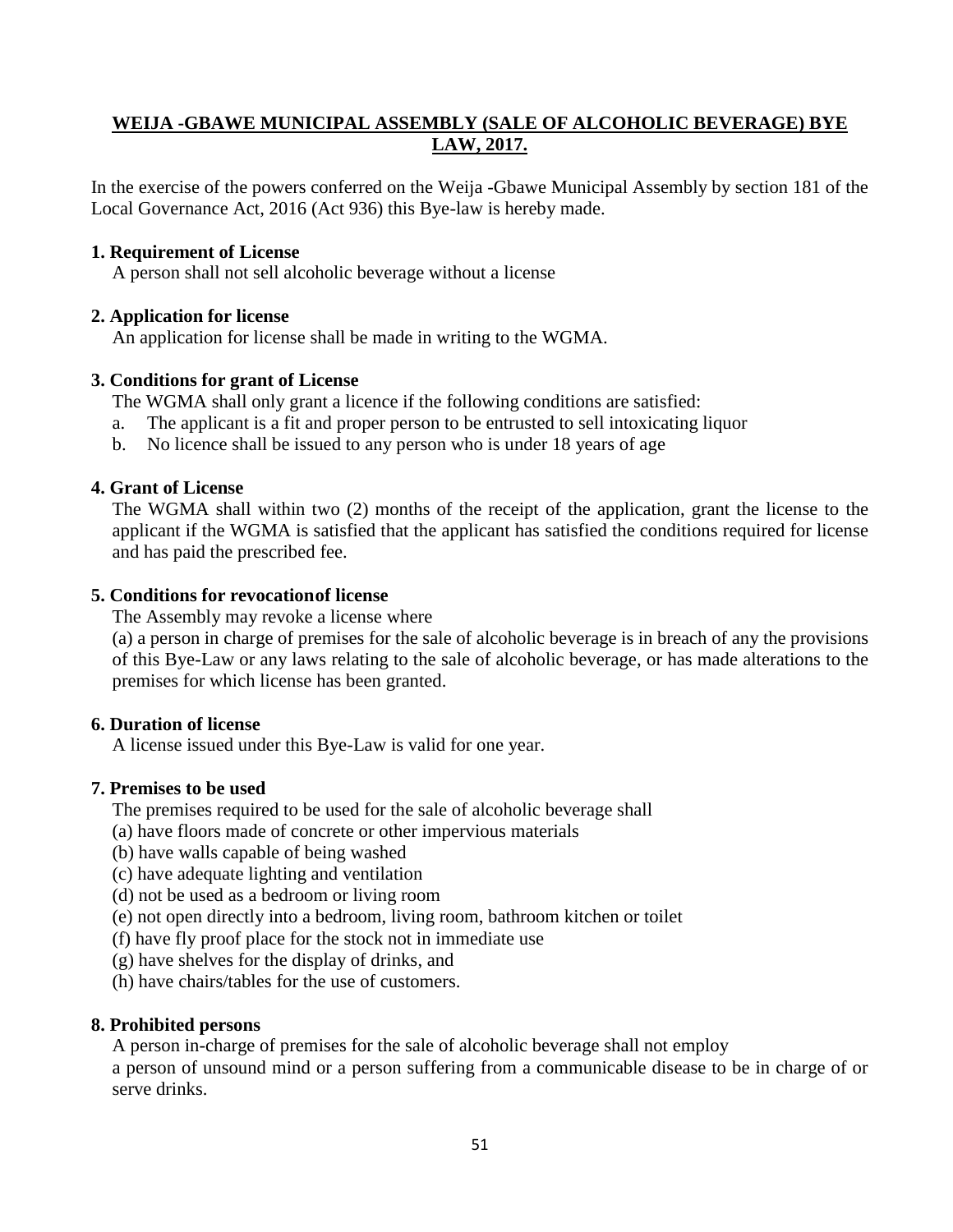## **WEIJA -GBAWE MUNICIPAL ASSEMBLY (SALE OF ALCOHOLIC BEVERAGE) BYE LAW, 2017.**

In the exercise of the powers conferred on the Weija -Gbawe Municipal Assembly by section 181 of the Local Governance Act, 2016 (Act 936) this Bye-law is hereby made.

### **1. Requirement of License**

A person shall not sell alcoholic beverage without a license

### **2. Application for license**

An application for license shall be made in writing to the WGMA.

### **3. Conditions for grant of License**

The WGMA shall only grant a licence if the following conditions are satisfied:

- a. The applicant is a fit and proper person to be entrusted to sell intoxicating liquor
- b. No licence shall be issued to any person who is under 18 years of age

### **4. Grant of License**

The WGMA shall within two (2) months of the receipt of the application, grant the license to the applicant if the WGMA is satisfied that the applicant has satisfied the conditions required for license and has paid the prescribed fee.

### **5. Conditions for revocationof license**

The Assembly may revoke a license where

(a) a person in charge of premises for the sale of alcoholic beverage is in breach of any the provisions of this Bye-Law or any laws relating to the sale of alcoholic beverage, or has made alterations to the premises for which license has been granted.

### **6. Duration of license**

A license issued under this Bye-Law is valid for one year.

### **7. Premises to be used**

The premises required to be used for the sale of alcoholic beverage shall

- (a) have floors made of concrete or other impervious materials
- (b) have walls capable of being washed
- (c) have adequate lighting and ventilation
- (d) not be used as a bedroom or living room
- (e) not open directly into a bedroom, living room, bathroom kitchen or toilet
- (f) have fly proof place for the stock not in immediate use
- (g) have shelves for the display of drinks, and
- (h) have chairs/tables for the use of customers.

### **8. Prohibited persons**

A person in-charge of premises for the sale of alcoholic beverage shall not employ

a person of unsound mind or a person suffering from a communicable disease to be in charge of or serve drinks.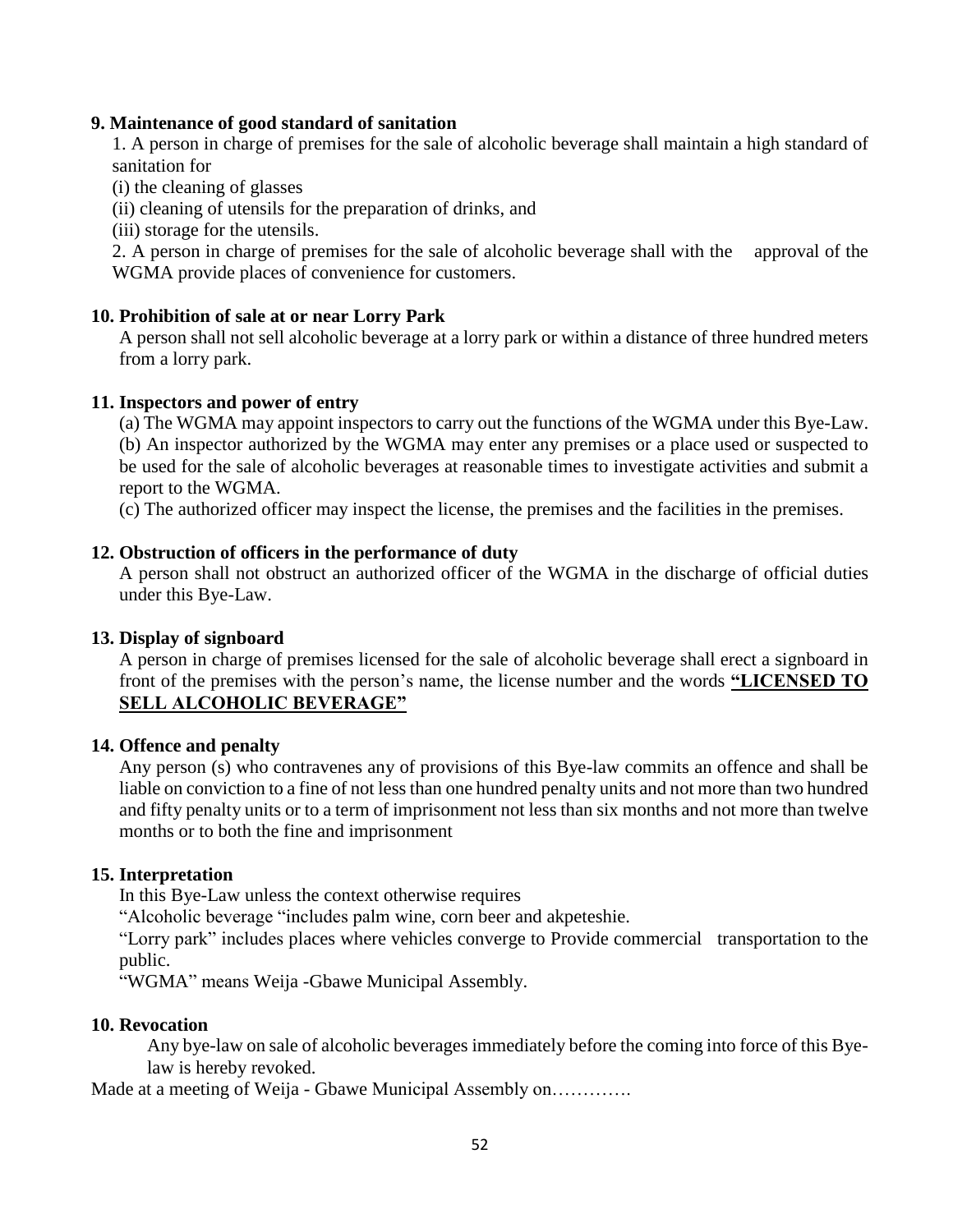### **9. Maintenance of good standard of sanitation**

1. A person in charge of premises for the sale of alcoholic beverage shall maintain a high standard of sanitation for

(i) the cleaning of glasses

(ii) cleaning of utensils for the preparation of drinks, and

(iii) storage for the utensils.

2. A person in charge of premises for the sale of alcoholic beverage shall with the approval of the WGMA provide places of convenience for customers.

### **10. Prohibition of sale at or near Lorry Park**

A person shall not sell alcoholic beverage at a lorry park or within a distance of three hundred meters from a lorry park.

### **11. Inspectors and power of entry**

(a) The WGMA may appoint inspectors to carry out the functions of the WGMA under this Bye-Law. (b) An inspector authorized by the WGMA may enter any premises or a place used or suspected to be used for the sale of alcoholic beverages at reasonable times to investigate activities and submit a report to the WGMA.

(c) The authorized officer may inspect the license, the premises and the facilities in the premises.

### **12. Obstruction of officers in the performance of duty**

A person shall not obstruct an authorized officer of the WGMA in the discharge of official duties under this Bye-Law.

### **13. Display of signboard**

A person in charge of premises licensed for the sale of alcoholic beverage shall erect a signboard in front of the premises with the person's name, the license number and the words **"LICENSED TO SELL ALCOHOLIC BEVERAGE"**

### **14. Offence and penalty**

Any person (s) who contravenes any of provisions of this Bye-law commits an offence and shall be liable on conviction to a fine of not less than one hundred penalty units and not more than two hundred and fifty penalty units or to a term of imprisonment not less than six months and not more than twelve months or to both the fine and imprisonment

### **15. Interpretation**

In this Bye-Law unless the context otherwise requires

"Alcoholic beverage "includes palm wine, corn beer and akpeteshie.

"Lorry park" includes places where vehicles converge to Provide commercial transportation to the public.

"WGMA" means Weija -Gbawe Municipal Assembly.

### **10. Revocation**

Any bye-law on sale of alcoholic beverages immediately before the coming into force of this Byelaw is hereby revoked.

Made at a meeting of Weija - Gbawe Municipal Assembly on………….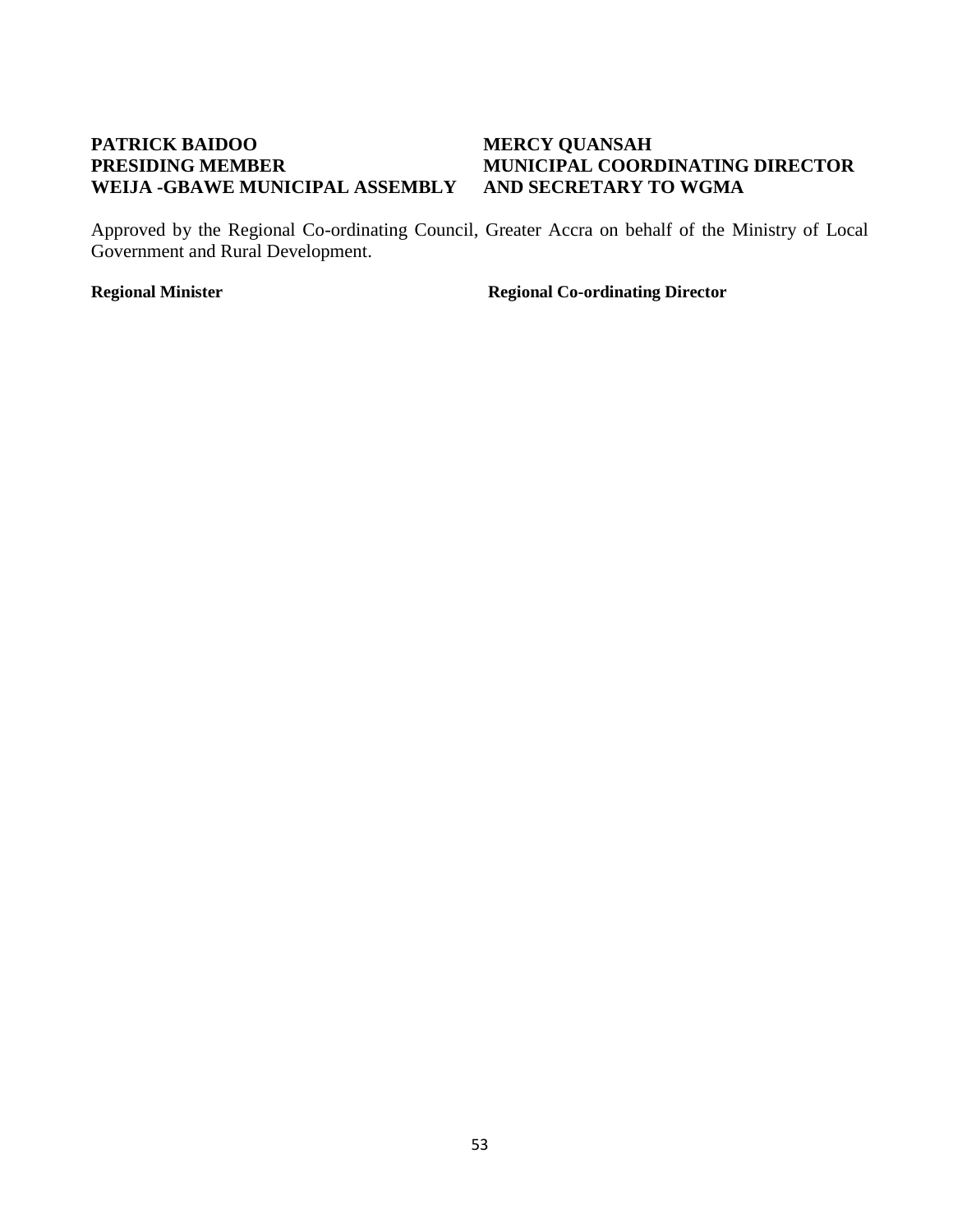## **PATRICK BAIDOO MERCY QUANSAH WEIJA -GBAWE MUNICIPAL ASSEMBLY AND SECRETARY TO WGMA**

# **PRESIDING MEMBER MUNICIPAL COORDINATING DIRECTOR**

Approved by the Regional Co-ordinating Council, Greater Accra on behalf of the Ministry of Local Government and Rural Development.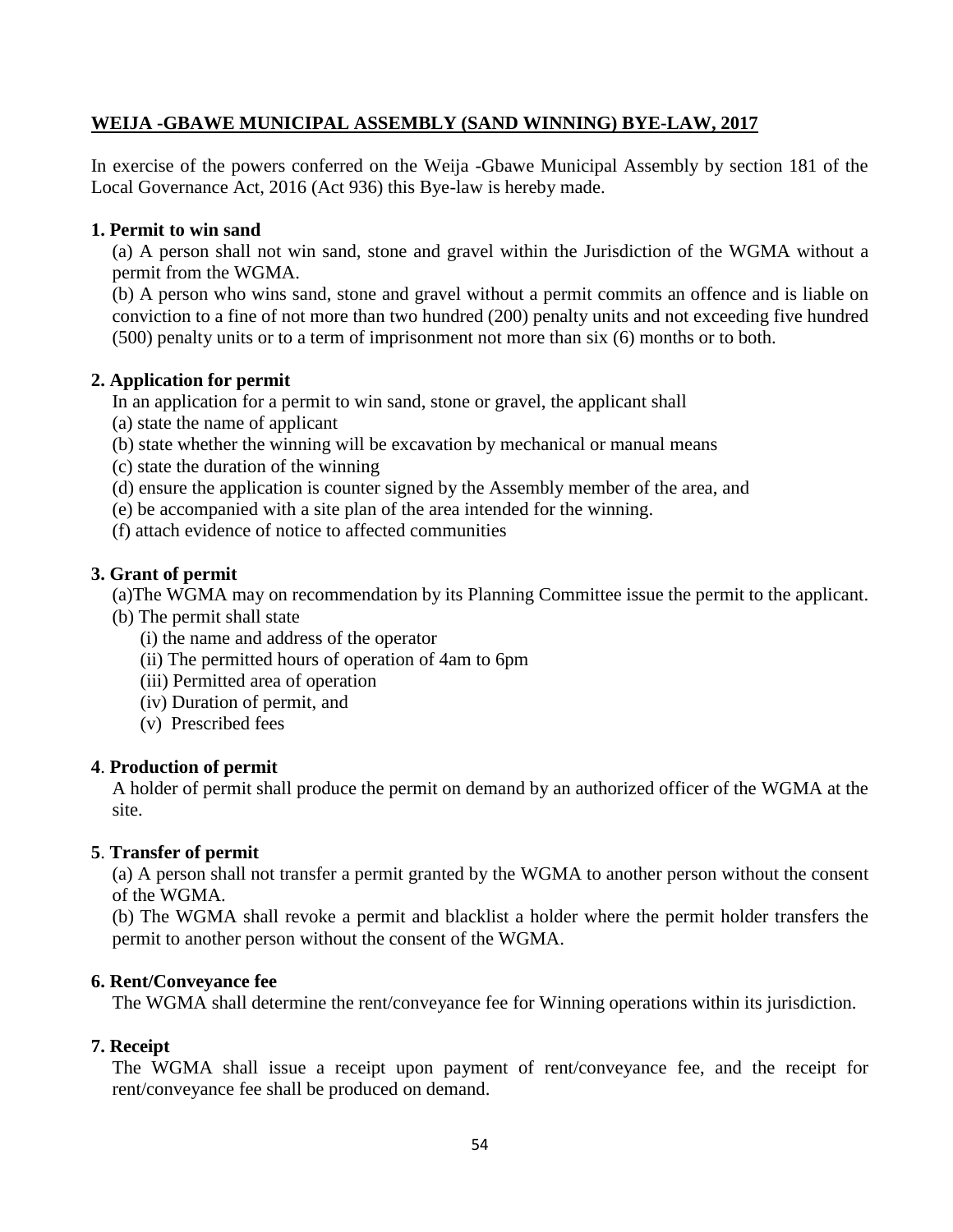### **WEIJA -GBAWE MUNICIPAL ASSEMBLY (SAND WINNING) BYE-LAW, 2017**

In exercise of the powers conferred on the Weija -Gbawe Municipal Assembly by section 181 of the Local Governance Act, 2016 (Act 936) this Bye-law is hereby made.

### **1. Permit to win sand**

(a) A person shall not win sand, stone and gravel within the Jurisdiction of the WGMA without a permit from the WGMA.

(b) A person who wins sand, stone and gravel without a permit commits an offence and is liable on conviction to a fine of not more than two hundred (200) penalty units and not exceeding five hundred (500) penalty units or to a term of imprisonment not more than six (6) months or to both.

## **2. Application for permit**

In an application for a permit to win sand, stone or gravel, the applicant shall

- (a) state the name of applicant
- (b) state whether the winning will be excavation by mechanical or manual means
- (c) state the duration of the winning
- (d) ensure the application is counter signed by the Assembly member of the area, and
- (e) be accompanied with a site plan of the area intended for the winning.
- (f) attach evidence of notice to affected communities

## **3. Grant of permit**

(a)The WGMA may on recommendation by its Planning Committee issue the permit to the applicant.

- (b) The permit shall state
	- (i) the name and address of the operator
	- (ii) The permitted hours of operation of 4am to 6pm
	- (iii) Permitted area of operation
	- (iv) Duration of permit, and
	- (v) Prescribed fees

### **4**. **Production of permit**

A holder of permit shall produce the permit on demand by an authorized officer of the WGMA at the site.

## **5**. **Transfer of permit**

(a) A person shall not transfer a permit granted by the WGMA to another person without the consent of the WGMA.

(b) The WGMA shall revoke a permit and blacklist a holder where the permit holder transfers the permit to another person without the consent of the WGMA.

## **6. Rent/Conveyance fee**

The WGMA shall determine the rent/conveyance fee for Winning operations within its jurisdiction.

## **7. Receipt**

The WGMA shall issue a receipt upon payment of rent/conveyance fee, and the receipt for rent/conveyance fee shall be produced on demand.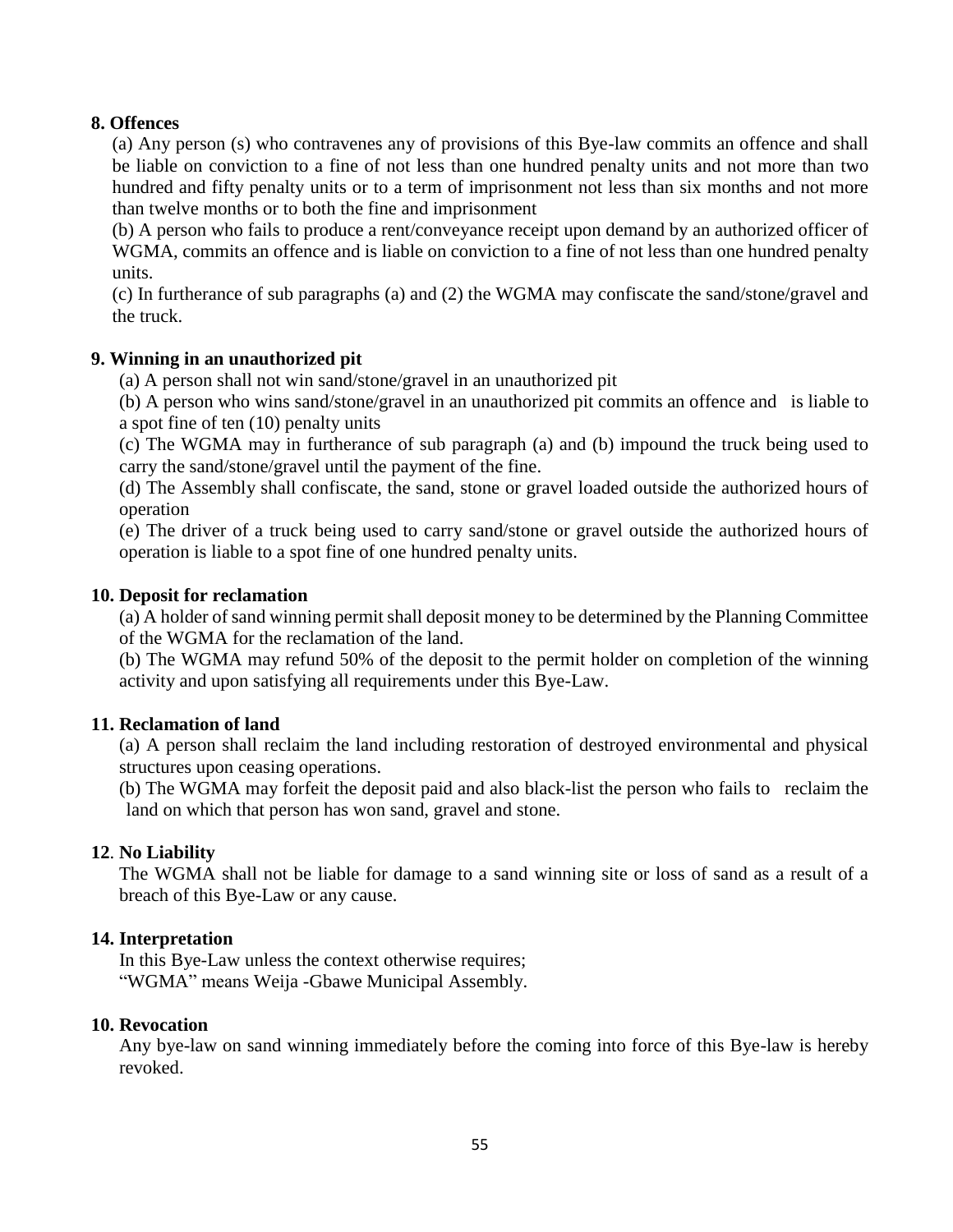### **8. Offences**

(a) Any person (s) who contravenes any of provisions of this Bye-law commits an offence and shall be liable on conviction to a fine of not less than one hundred penalty units and not more than two hundred and fifty penalty units or to a term of imprisonment not less than six months and not more than twelve months or to both the fine and imprisonment

(b) A person who fails to produce a rent/conveyance receipt upon demand by an authorized officer of WGMA, commits an offence and is liable on conviction to a fine of not less than one hundred penalty units.

(c) In furtherance of sub paragraphs (a) and (2) the WGMA may confiscate the sand/stone/gravel and the truck.

### **9. Winning in an unauthorized pit**

(a) A person shall not win sand/stone/gravel in an unauthorized pit

(b) A person who wins sand/stone/gravel in an unauthorized pit commits an offence and is liable to a spot fine of ten (10) penalty units

(c) The WGMA may in furtherance of sub paragraph (a) and (b) impound the truck being used to carry the sand/stone/gravel until the payment of the fine.

(d) The Assembly shall confiscate, the sand, stone or gravel loaded outside the authorized hours of operation

(e) The driver of a truck being used to carry sand/stone or gravel outside the authorized hours of operation is liable to a spot fine of one hundred penalty units.

### **10. Deposit for reclamation**

(a) A holder of sand winning permit shall deposit money to be determined by the Planning Committee of the WGMA for the reclamation of the land.

(b) The WGMA may refund 50% of the deposit to the permit holder on completion of the winning activity and upon satisfying all requirements under this Bye-Law.

### **11. Reclamation of land**

(a) A person shall reclaim the land including restoration of destroyed environmental and physical structures upon ceasing operations.

(b) The WGMA may forfeit the deposit paid and also black-list the person who fails to reclaim the land on which that person has won sand, gravel and stone.

### **12**. **No Liability**

The WGMA shall not be liable for damage to a sand winning site or loss of sand as a result of a breach of this Bye-Law or any cause.

### **14. Interpretation**

In this Bye-Law unless the context otherwise requires; "WGMA" means Weija -Gbawe Municipal Assembly.

### **10. Revocation**

Any bye-law on sand winning immediately before the coming into force of this Bye-law is hereby revoked.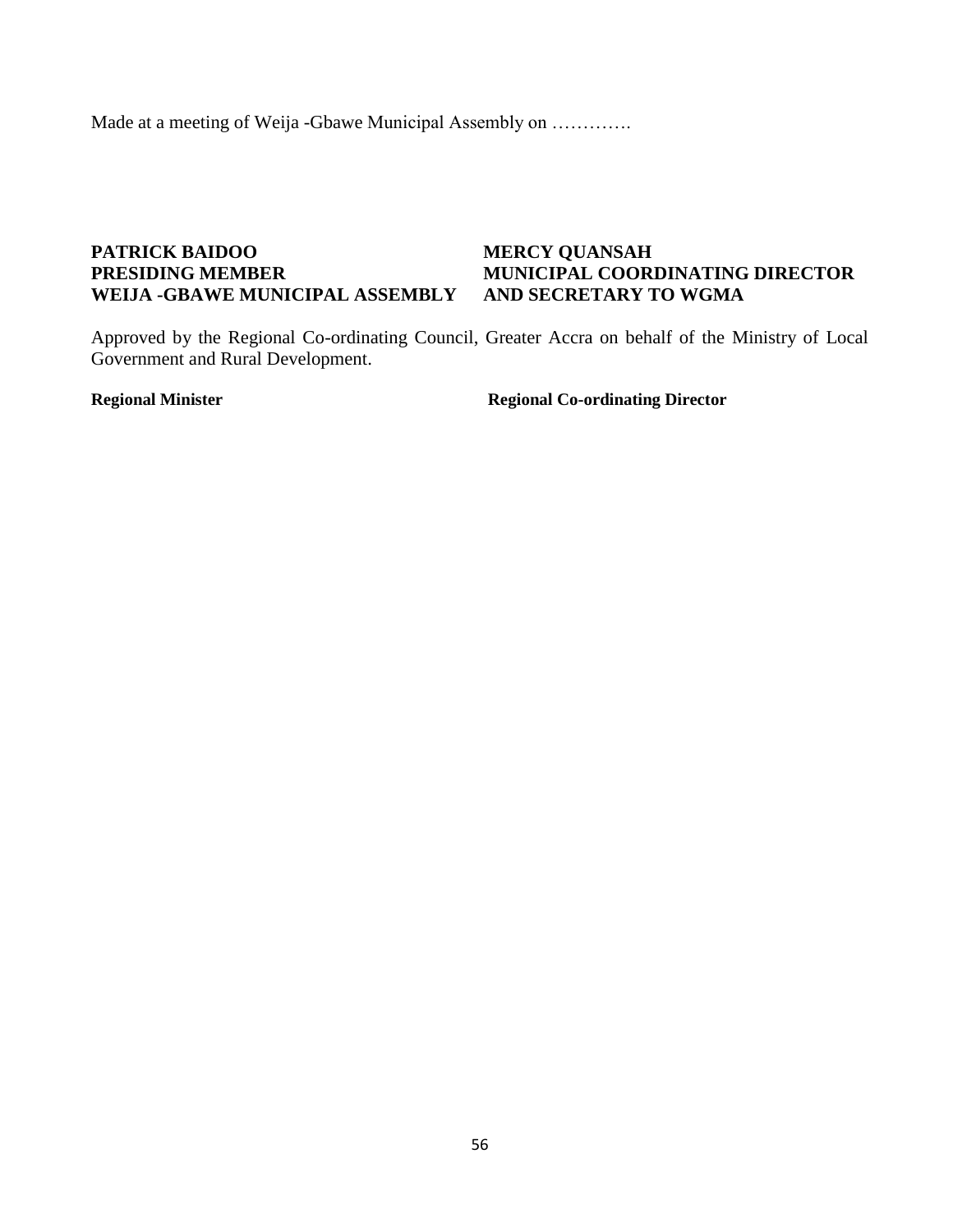Made at a meeting of Weija -Gbawe Municipal Assembly on ………….

### **PATRICK BAIDOO MERCY QUANSAH PRESIDING MEMBER MUNICIPAL COORDINATING DIRECTOR WEIJA -GBAWE MUNICIPAL ASSEMBLY AND SECRETARY TO WGMA**

Approved by the Regional Co-ordinating Council, Greater Accra on behalf of the Ministry of Local Government and Rural Development.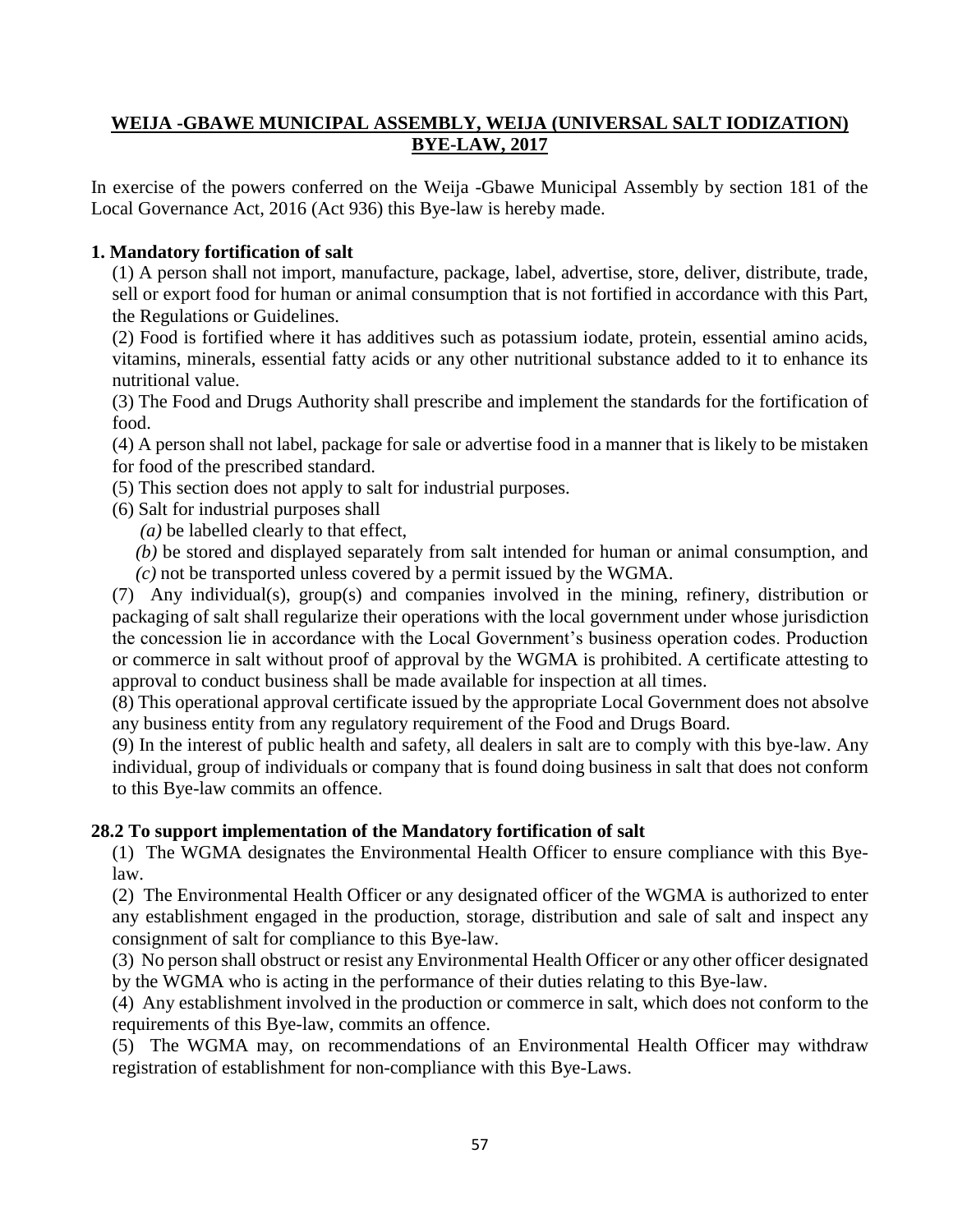## **WEIJA -GBAWE MUNICIPAL ASSEMBLY, WEIJA (UNIVERSAL SALT IODIZATION) BYE-LAW, 2017**

In exercise of the powers conferred on the Weija -Gbawe Municipal Assembly by section 181 of the Local Governance Act, 2016 (Act 936) this Bye-law is hereby made.

### **1. Mandatory fortification of salt**

(1) A person shall not import, manufacture, package, label, advertise, store, deliver, distribute, trade, sell or export food for human or animal consumption that is not fortified in accordance with this Part, the Regulations or Guidelines.

(2) Food is fortified where it has additives such as potassium iodate, protein, essential amino acids, vitamins, minerals, essential fatty acids or any other nutritional substance added to it to enhance its nutritional value.

(3) The Food and Drugs Authority shall prescribe and implement the standards for the fortification of food.

(4) A person shall not label, package for sale or advertise food in a manner that is likely to be mistaken for food of the prescribed standard.

(5) This section does not apply to salt for industrial purposes.

- (6) Salt for industrial purposes shall
	- *(a)* be labelled clearly to that effect,
	- *(b)* be stored and displayed separately from salt intended for human or animal consumption, and
	- *(c)* not be transported unless covered by a permit issued by the WGMA.

(7) Any individual(s), group(s) and companies involved in the mining, refinery, distribution or packaging of salt shall regularize their operations with the local government under whose jurisdiction the concession lie in accordance with the Local Government's business operation codes. Production or commerce in salt without proof of approval by the WGMA is prohibited. A certificate attesting to approval to conduct business shall be made available for inspection at all times.

(8) This operational approval certificate issued by the appropriate Local Government does not absolve any business entity from any regulatory requirement of the Food and Drugs Board.

(9) In the interest of public health and safety, all dealers in salt are to comply with this bye-law. Any individual, group of individuals or company that is found doing business in salt that does not conform to this Bye-law commits an offence.

### **28.2 To support implementation of the Mandatory fortification of salt**

(1) The WGMA designates the Environmental Health Officer to ensure compliance with this Byelaw.

(2) The Environmental Health Officer or any designated officer of the WGMA is authorized to enter any establishment engaged in the production, storage, distribution and sale of salt and inspect any consignment of salt for compliance to this Bye-law.

(3) No person shall obstruct or resist any Environmental Health Officer or any other officer designated by the WGMA who is acting in the performance of their duties relating to this Bye-law.

(4) Any establishment involved in the production or commerce in salt, which does not conform to the requirements of this Bye-law, commits an offence.

(5) The WGMA may, on recommendations of an Environmental Health Officer may withdraw registration of establishment for non-compliance with this Bye-Laws.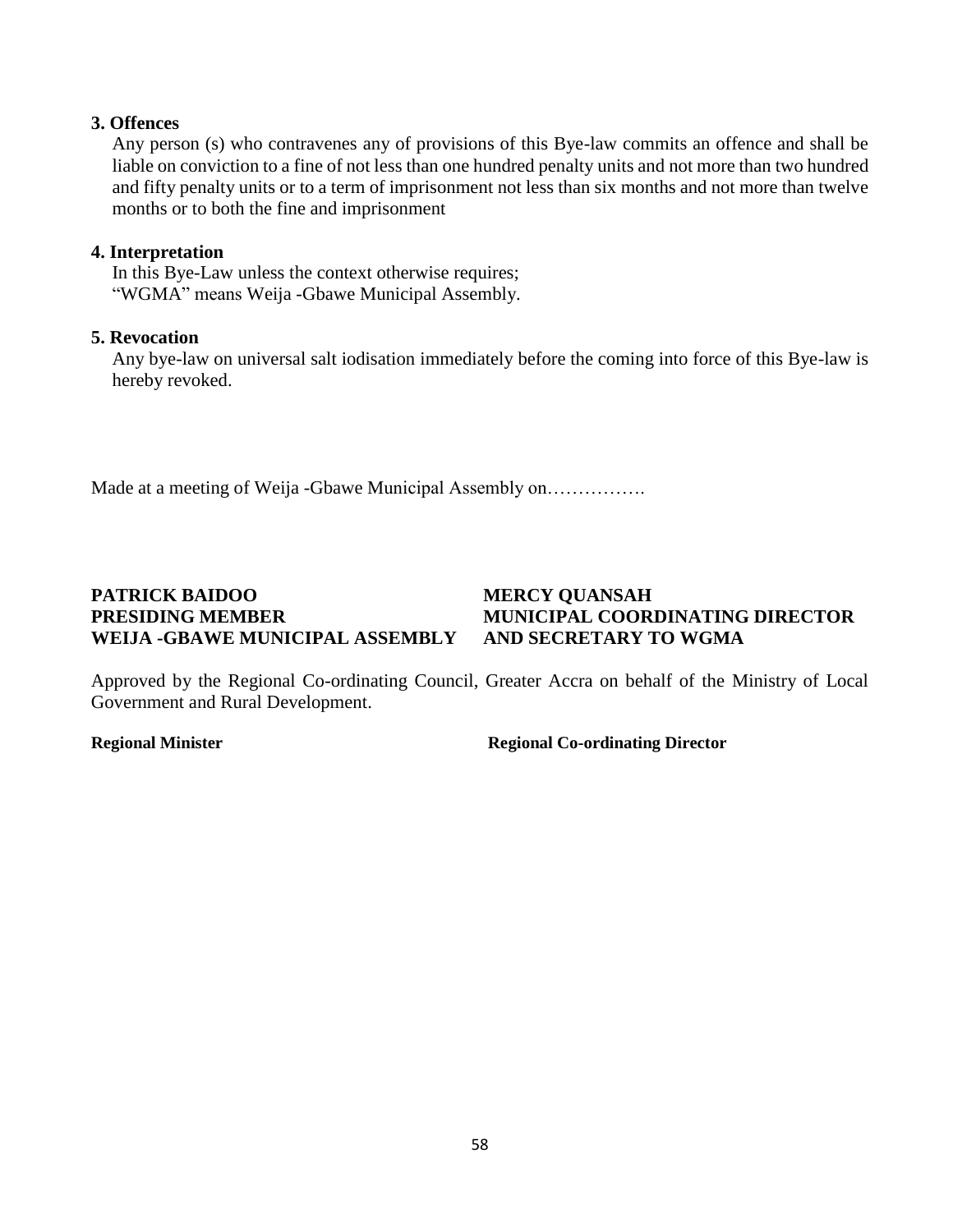### **3. Offences**

Any person (s) who contravenes any of provisions of this Bye-law commits an offence and shall be liable on conviction to a fine of not less than one hundred penalty units and not more than two hundred and fifty penalty units or to a term of imprisonment not less than six months and not more than twelve months or to both the fine and imprisonment

### **4. Interpretation**

In this Bye-Law unless the context otherwise requires; "WGMA" means Weija -Gbawe Municipal Assembly.

### **5. Revocation**

Any bye-law on universal salt iodisation immediately before the coming into force of this Bye-law is hereby revoked.

Made at a meeting of Weija -Gbawe Municipal Assembly on…………….

## **PATRICK BAIDOO MERCY QUANSAH PRESIDING MEMBER MUNICIPAL COORDINATING DIRECTOR WEIJA -GBAWE MUNICIPAL ASSEMBLY AND SECRETARY TO WGMA**

Approved by the Regional Co-ordinating Council, Greater Accra on behalf of the Ministry of Local Government and Rural Development.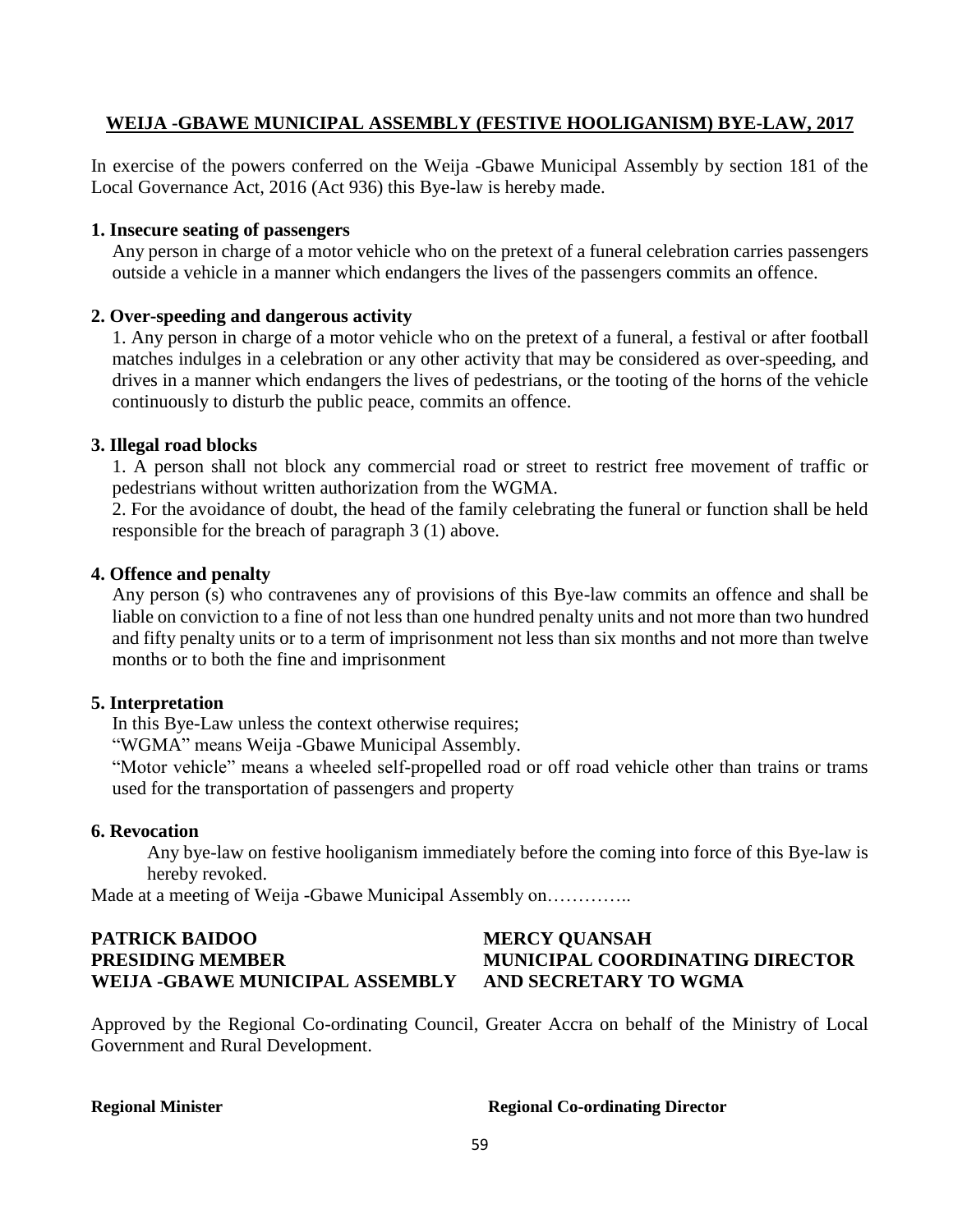### **WEIJA -GBAWE MUNICIPAL ASSEMBLY (FESTIVE HOOLIGANISM) BYE-LAW, 2017**

In exercise of the powers conferred on the Weija -Gbawe Municipal Assembly by section 181 of the Local Governance Act, 2016 (Act 936) this Bye-law is hereby made.

### **1. Insecure seating of passengers**

Any person in charge of a motor vehicle who on the pretext of a funeral celebration carries passengers outside a vehicle in a manner which endangers the lives of the passengers commits an offence.

### **2. Over-speeding and dangerous activity**

1. Any person in charge of a motor vehicle who on the pretext of a funeral, a festival or after football matches indulges in a celebration or any other activity that may be considered as over-speeding, and drives in a manner which endangers the lives of pedestrians, or the tooting of the horns of the vehicle continuously to disturb the public peace, commits an offence.

### **3. Illegal road blocks**

1. A person shall not block any commercial road or street to restrict free movement of traffic or pedestrians without written authorization from the WGMA.

2. For the avoidance of doubt, the head of the family celebrating the funeral or function shall be held responsible for the breach of paragraph 3 (1) above.

### **4. Offence and penalty**

Any person (s) who contravenes any of provisions of this Bye-law commits an offence and shall be liable on conviction to a fine of not less than one hundred penalty units and not more than two hundred and fifty penalty units or to a term of imprisonment not less than six months and not more than twelve months or to both the fine and imprisonment

### **5. Interpretation**

In this Bye-Law unless the context otherwise requires;

"WGMA" means Weija -Gbawe Municipal Assembly.

"Motor vehicle" means a wheeled self-propelled road or off road vehicle other than trains or trams used for the transportation of passengers and property

### **6. Revocation**

Any bye-law on festive hooliganism immediately before the coming into force of this Bye-law is hereby revoked.

Made at a meeting of Weija -Gbawe Municipal Assembly on…………..

## **PATRICK BAIDOO MERCY QUANSAH PRESIDING MEMBER MUNICIPAL COORDINATING DIRECTOR WEIJA -GBAWE MUNICIPAL ASSEMBLY AND SECRETARY TO WGMA**

Approved by the Regional Co-ordinating Council, Greater Accra on behalf of the Ministry of Local Government and Rural Development.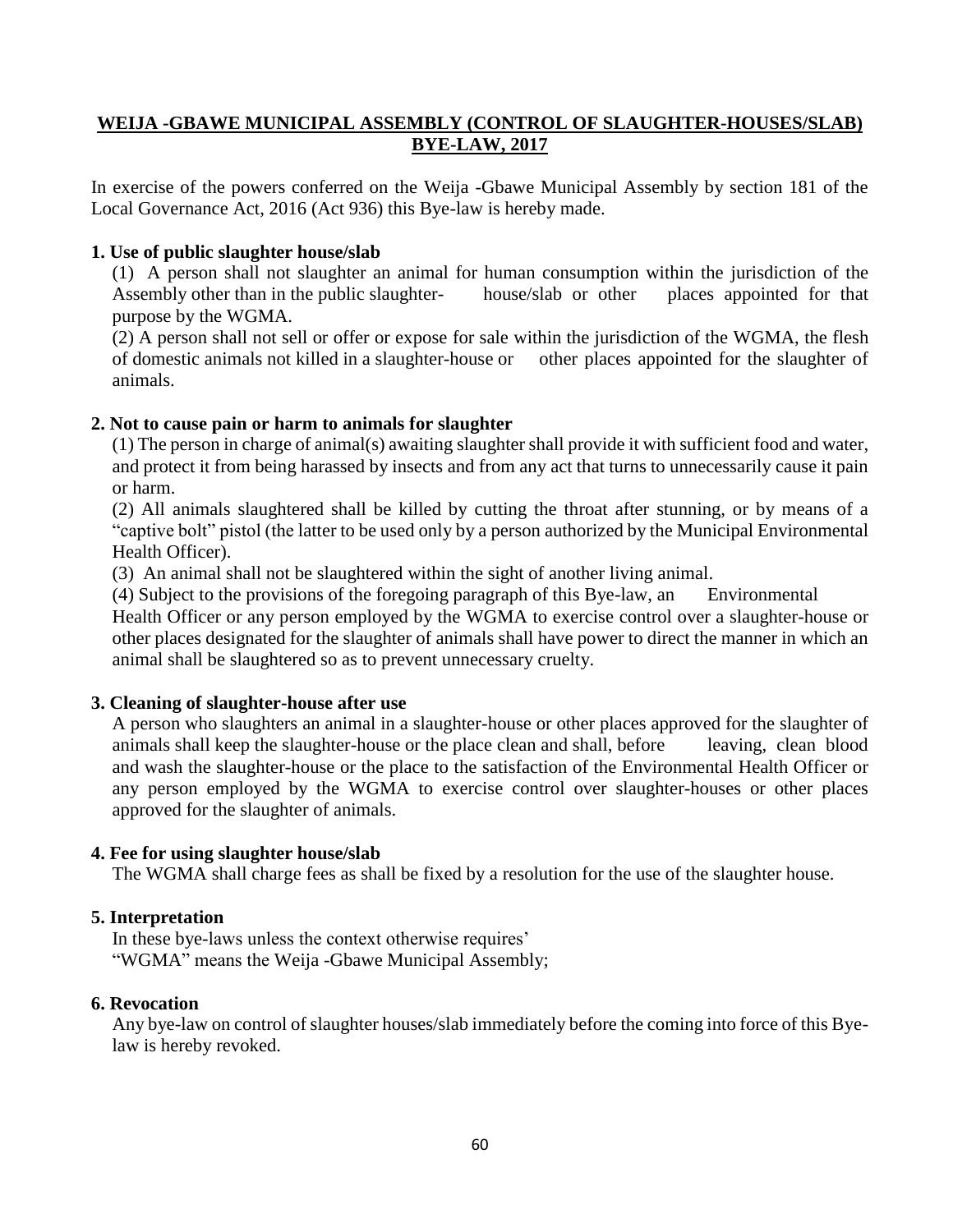### **WEIJA -GBAWE MUNICIPAL ASSEMBLY (CONTROL OF SLAUGHTER-HOUSES/SLAB) BYE-LAW, 2017**

In exercise of the powers conferred on the Weija -Gbawe Municipal Assembly by section 181 of the Local Governance Act, 2016 (Act 936) this Bye-law is hereby made.

### **1. Use of public slaughter house/slab**

(1) A person shall not slaughter an animal for human consumption within the jurisdiction of the Assembly other than in the public slaughter- house/slab or other places appointed for that purpose by the WGMA.

(2) A person shall not sell or offer or expose for sale within the jurisdiction of the WGMA, the flesh of domestic animals not killed in a slaughter-house or other places appointed for the slaughter of animals.

### **2. Not to cause pain or harm to animals for slaughter**

(1) The person in charge of animal(s) awaiting slaughter shall provide it with sufficient food and water, and protect it from being harassed by insects and from any act that turns to unnecessarily cause it pain or harm.

(2) All animals slaughtered shall be killed by cutting the throat after stunning, or by means of a "captive bolt" pistol (the latter to be used only by a person authorized by the Municipal Environmental Health Officer).

(3) An animal shall not be slaughtered within the sight of another living animal.

(4) Subject to the provisions of the foregoing paragraph of this Bye-law, an Environmental Health Officer or any person employed by the WGMA to exercise control over a slaughter-house or other places designated for the slaughter of animals shall have power to direct the manner in which an animal shall be slaughtered so as to prevent unnecessary cruelty.

### **3. Cleaning of slaughter-house after use**

A person who slaughters an animal in a slaughter-house or other places approved for the slaughter of animals shall keep the slaughter-house or the place clean and shall, before leaving, clean blood and wash the slaughter-house or the place to the satisfaction of the Environmental Health Officer or any person employed by the WGMA to exercise control over slaughter-houses or other places approved for the slaughter of animals.

### **4. Fee for using slaughter house/slab**

The WGMA shall charge fees as shall be fixed by a resolution for the use of the slaughter house.

### **5. Interpretation**

In these bye-laws unless the context otherwise requires' "WGMA" means the Weija -Gbawe Municipal Assembly;

### **6. Revocation**

Any bye-law on control of slaughter houses/slab immediately before the coming into force of this Byelaw is hereby revoked.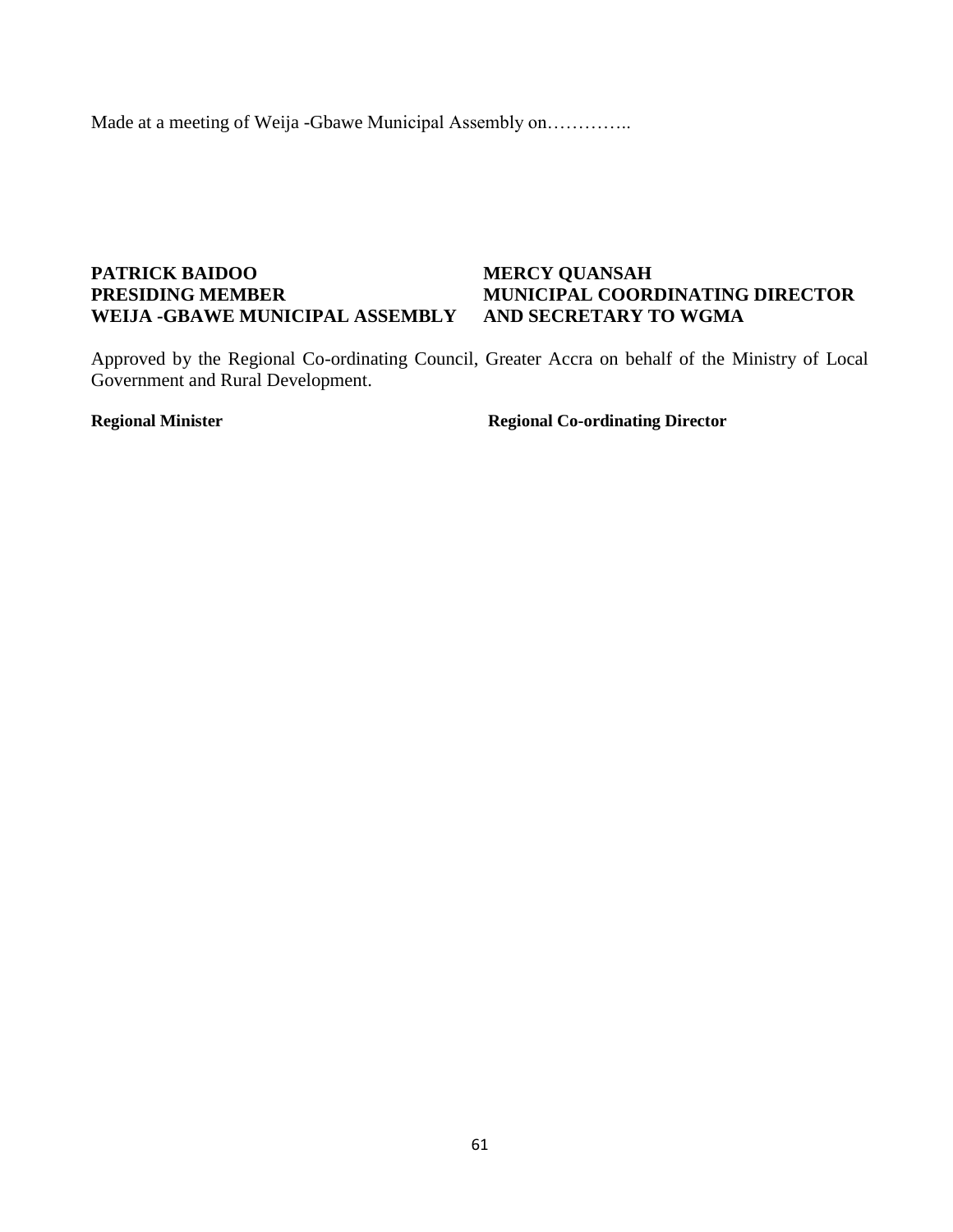Made at a meeting of Weija -Gbawe Municipal Assembly on…………..

### **PATRICK BAIDOO MERCY QUANSAH PRESIDING MEMBER MUNICIPAL COORDINATING DIRECTOR WEIJA -GBAWE MUNICIPAL ASSEMBLY AND SECRETARY TO WGMA**

Approved by the Regional Co-ordinating Council, Greater Accra on behalf of the Ministry of Local Government and Rural Development.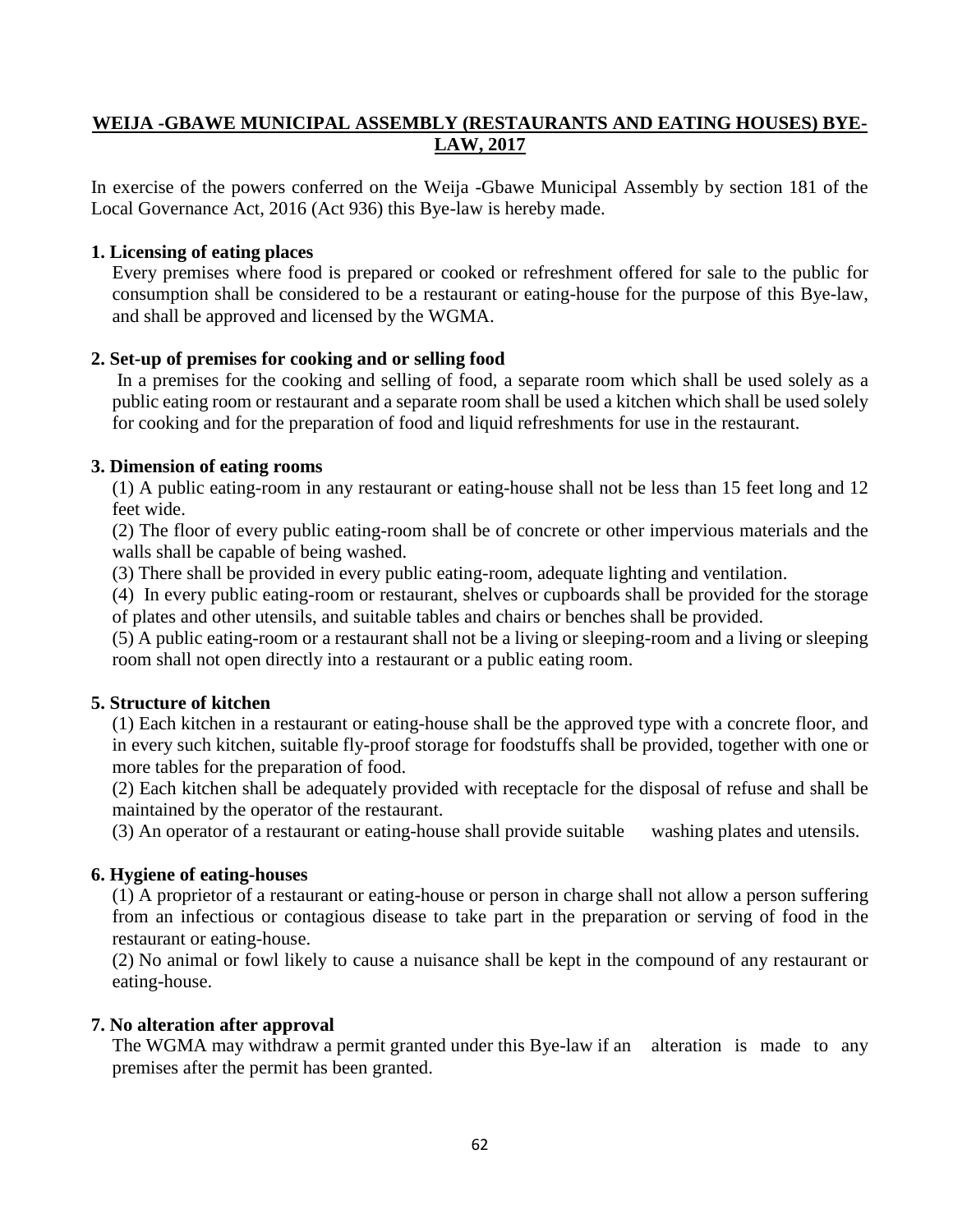### **WEIJA -GBAWE MUNICIPAL ASSEMBLY (RESTAURANTS AND EATING HOUSES) BYE-LAW, 2017**

In exercise of the powers conferred on the Weija -Gbawe Municipal Assembly by section 181 of the Local Governance Act, 2016 (Act 936) this Bye-law is hereby made.

### **1. Licensing of eating places**

Every premises where food is prepared or cooked or refreshment offered for sale to the public for consumption shall be considered to be a restaurant or eating-house for the purpose of this Bye-law, and shall be approved and licensed by the WGMA.

### **2. Set-up of premises for cooking and or selling food**

In a premises for the cooking and selling of food, a separate room which shall be used solely as a public eating room or restaurant and a separate room shall be used a kitchen which shall be used solely for cooking and for the preparation of food and liquid refreshments for use in the restaurant.

### **3. Dimension of eating rooms**

(1) A public eating-room in any restaurant or eating-house shall not be less than 15 feet long and 12 feet wide.

(2) The floor of every public eating-room shall be of concrete or other impervious materials and the walls shall be capable of being washed.

(3) There shall be provided in every public eating-room, adequate lighting and ventilation.

(4) In every public eating-room or restaurant, shelves or cupboards shall be provided for the storage of plates and other utensils, and suitable tables and chairs or benches shall be provided.

(5) A public eating-room or a restaurant shall not be a living or sleeping-room and a living or sleeping room shall not open directly into a restaurant or a public eating room.

### **5. Structure of kitchen**

(1) Each kitchen in a restaurant or eating-house shall be the approved type with a concrete floor, and in every such kitchen, suitable fly-proof storage for foodstuffs shall be provided, together with one or more tables for the preparation of food.

(2) Each kitchen shall be adequately provided with receptacle for the disposal of refuse and shall be maintained by the operator of the restaurant.

(3) An operator of a restaurant or eating-house shall provide suitable washing plates and utensils.

### **6. Hygiene of eating-houses**

(1) A proprietor of a restaurant or eating-house or person in charge shall not allow a person suffering from an infectious or contagious disease to take part in the preparation or serving of food in the restaurant or eating-house.

(2) No animal or fowl likely to cause a nuisance shall be kept in the compound of any restaurant or eating-house.

### **7. No alteration after approval**

The WGMA may withdraw a permit granted under this Bye-law if an alteration is made to any premises after the permit has been granted.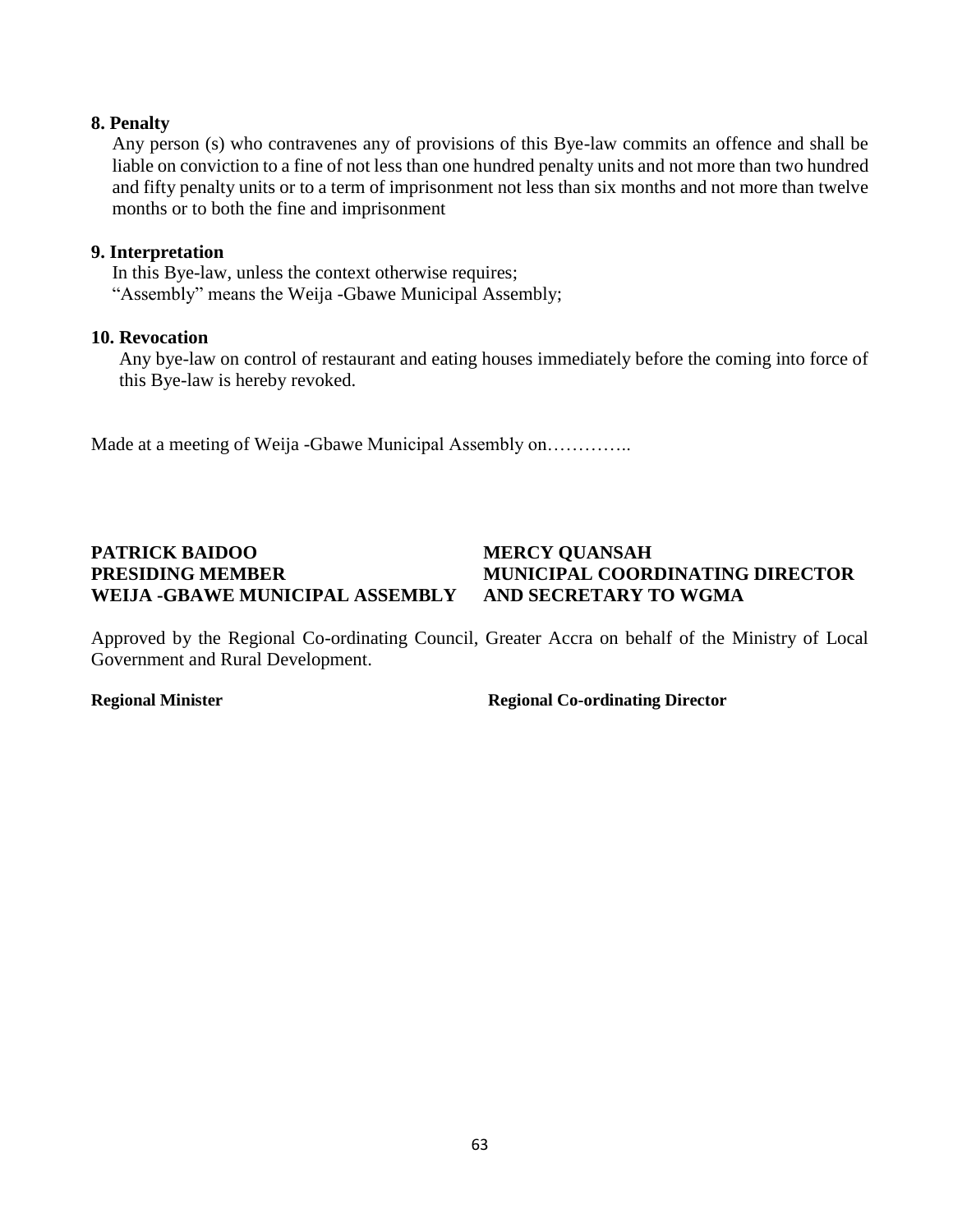### **8. Penalty**

Any person (s) who contravenes any of provisions of this Bye-law commits an offence and shall be liable on conviction to a fine of not less than one hundred penalty units and not more than two hundred and fifty penalty units or to a term of imprisonment not less than six months and not more than twelve months or to both the fine and imprisonment

### **9. Interpretation**

In this Bye-law, unless the context otherwise requires; "Assembly" means the Weija -Gbawe Municipal Assembly;

### **10. Revocation**

Any bye-law on control of restaurant and eating houses immediately before the coming into force of this Bye-law is hereby revoked.

Made at a meeting of Weija -Gbawe Municipal Assembly on…………..

## **PATRICK BAIDOO MERCY QUANSAH PRESIDING MEMBER MUNICIPAL COORDINATING DIRECTOR WEIJA -GBAWE MUNICIPAL ASSEMBLY AND SECRETARY TO WGMA**

Approved by the Regional Co-ordinating Council, Greater Accra on behalf of the Ministry of Local Government and Rural Development.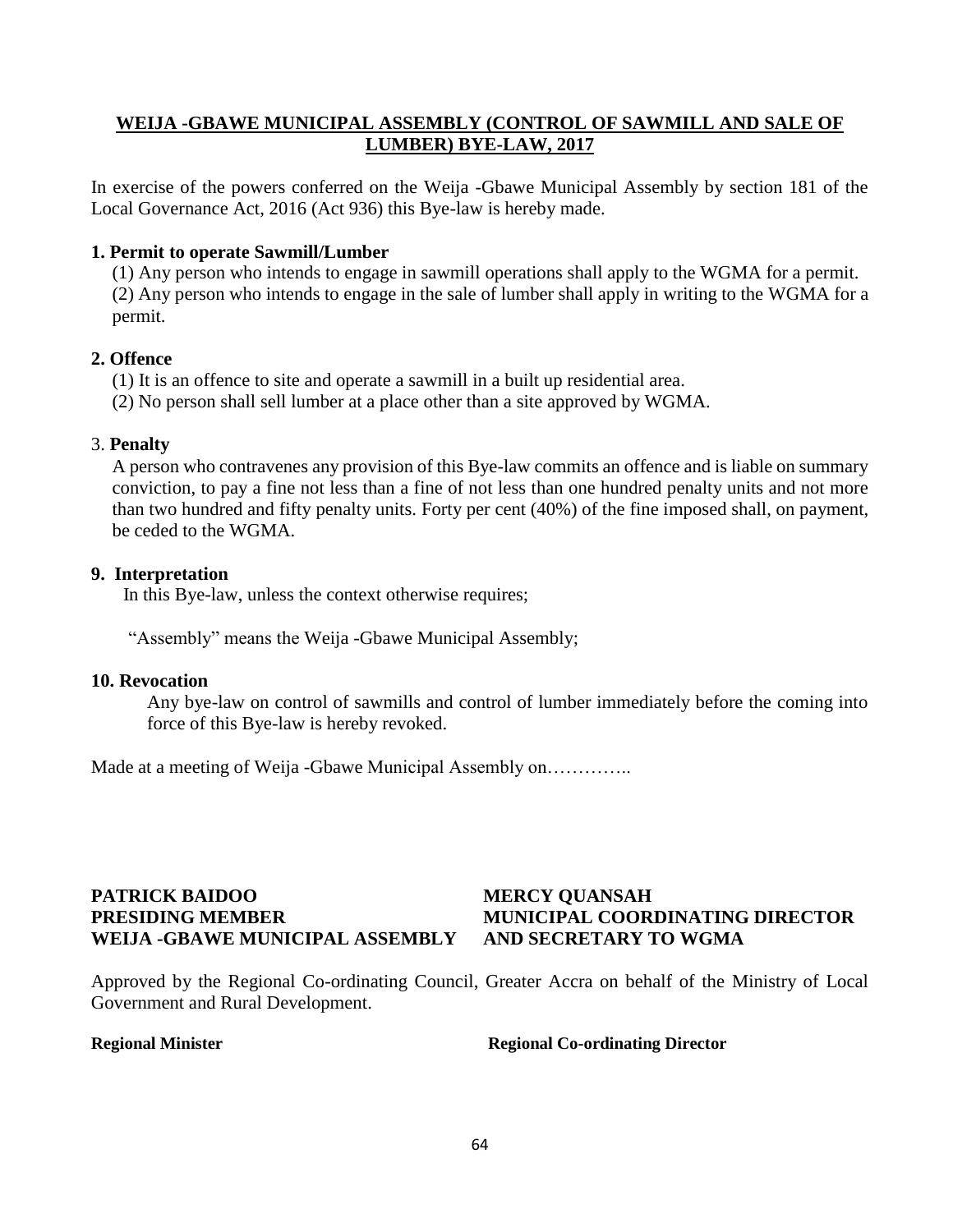### **WEIJA -GBAWE MUNICIPAL ASSEMBLY (CONTROL OF SAWMILL AND SALE OF LUMBER) BYE-LAW, 2017**

In exercise of the powers conferred on the Weija -Gbawe Municipal Assembly by section 181 of the Local Governance Act, 2016 (Act 936) this Bye-law is hereby made.

### **1. Permit to operate Sawmill/Lumber**

(1) Any person who intends to engage in sawmill operations shall apply to the WGMA for a permit. (2) Any person who intends to engage in the sale of lumber shall apply in writing to the WGMA for a permit.

### **2. Offence**

(1) It is an offence to site and operate a sawmill in a built up residential area.

(2) No person shall sell lumber at a place other than a site approved by WGMA.

### 3. **Penalty**

A person who contravenes any provision of this Bye-law commits an offence and is liable on summary conviction, to pay a fine not less than a fine of not less than one hundred penalty units and not more than two hundred and fifty penalty units. Forty per cent (40%) of the fine imposed shall, on payment, be ceded to the WGMA.

### **9. Interpretation**

In this Bye-law, unless the context otherwise requires;

"Assembly" means the Weija -Gbawe Municipal Assembly;

### **10. Revocation**

Any bye-law on control of sawmills and control of lumber immediately before the coming into force of this Bye-law is hereby revoked.

Made at a meeting of Weija -Gbawe Municipal Assembly on...............

### **PATRICK BAIDOO MERCY QUANSAH PRESIDING MEMBER MUNICIPAL COORDINATING DIRECTOR WEIJA -GBAWE MUNICIPAL ASSEMBLY AND SECRETARY TO WGMA**

Approved by the Regional Co-ordinating Council, Greater Accra on behalf of the Ministry of Local Government and Rural Development.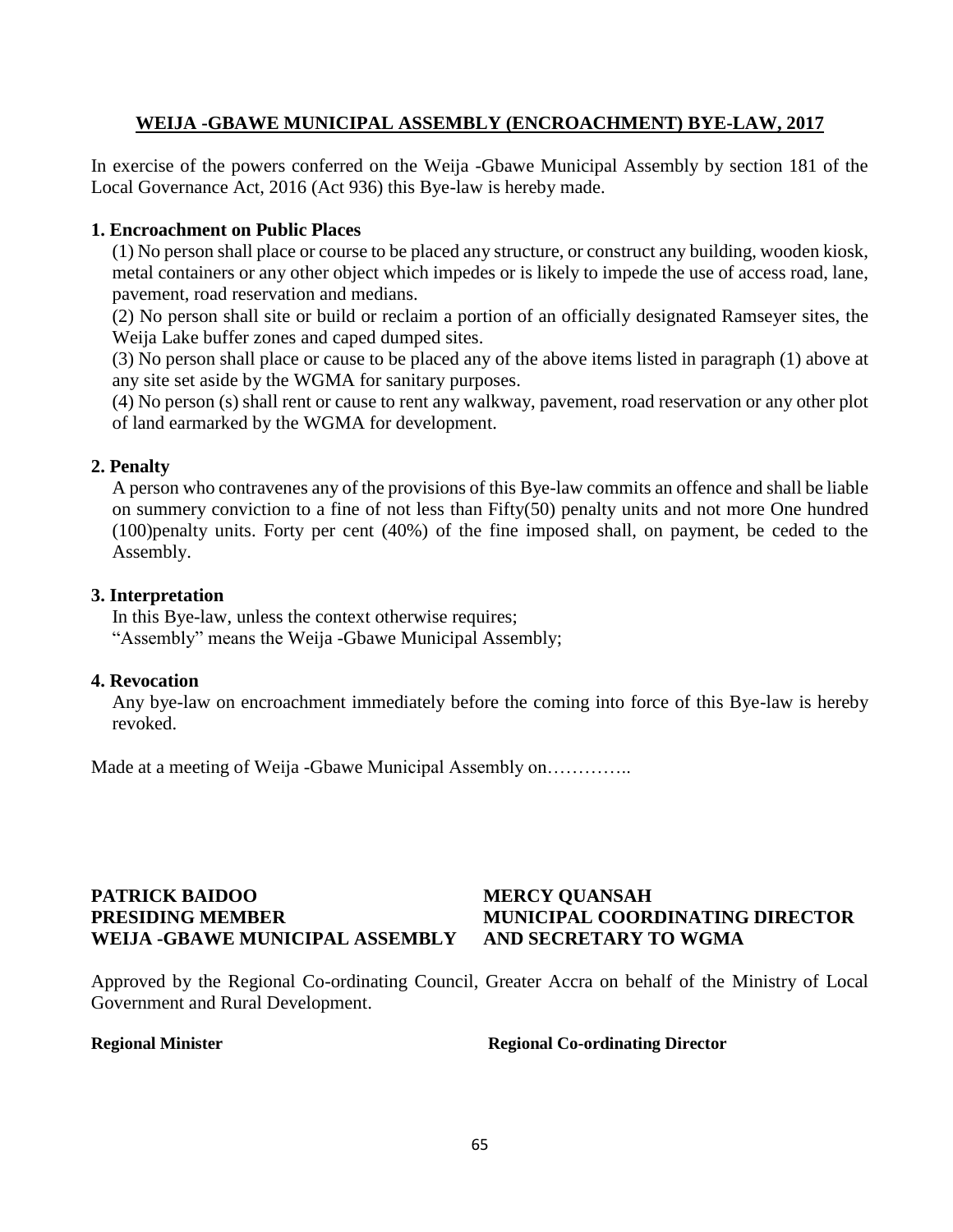### **WEIJA -GBAWE MUNICIPAL ASSEMBLY (ENCROACHMENT) BYE-LAW, 2017**

In exercise of the powers conferred on the Weija -Gbawe Municipal Assembly by section 181 of the Local Governance Act, 2016 (Act 936) this Bye-law is hereby made.

### **1. Encroachment on Public Places**

(1) No person shall place or course to be placed any structure, or construct any building, wooden kiosk, metal containers or any other object which impedes or is likely to impede the use of access road, lane, pavement, road reservation and medians.

(2) No person shall site or build or reclaim a portion of an officially designated Ramseyer sites, the Weija Lake buffer zones and caped dumped sites.

(3) No person shall place or cause to be placed any of the above items listed in paragraph (1) above at any site set aside by the WGMA for sanitary purposes.

(4) No person (s) shall rent or cause to rent any walkway, pavement, road reservation or any other plot of land earmarked by the WGMA for development.

### **2. Penalty**

A person who contravenes any of the provisions of this Bye-law commits an offence and shall be liable on summery conviction to a fine of not less than Fifty(50) penalty units and not more One hundred (100)penalty units. Forty per cent (40%) of the fine imposed shall, on payment, be ceded to the Assembly.

### **3. Interpretation**

In this Bye-law, unless the context otherwise requires; "Assembly" means the Weija -Gbawe Municipal Assembly;

### **4. Revocation**

Any bye-law on encroachment immediately before the coming into force of this Bye-law is hereby revoked.

Made at a meeting of Weija -Gbawe Municipal Assembly on…………..

### **PATRICK BAIDOO MERCY QUANSAH PRESIDING MEMBER MUNICIPAL COORDINATING DIRECTOR WEIJA -GBAWE MUNICIPAL ASSEMBLY AND SECRETARY TO WGMA**

Approved by the Regional Co-ordinating Council, Greater Accra on behalf of the Ministry of Local Government and Rural Development.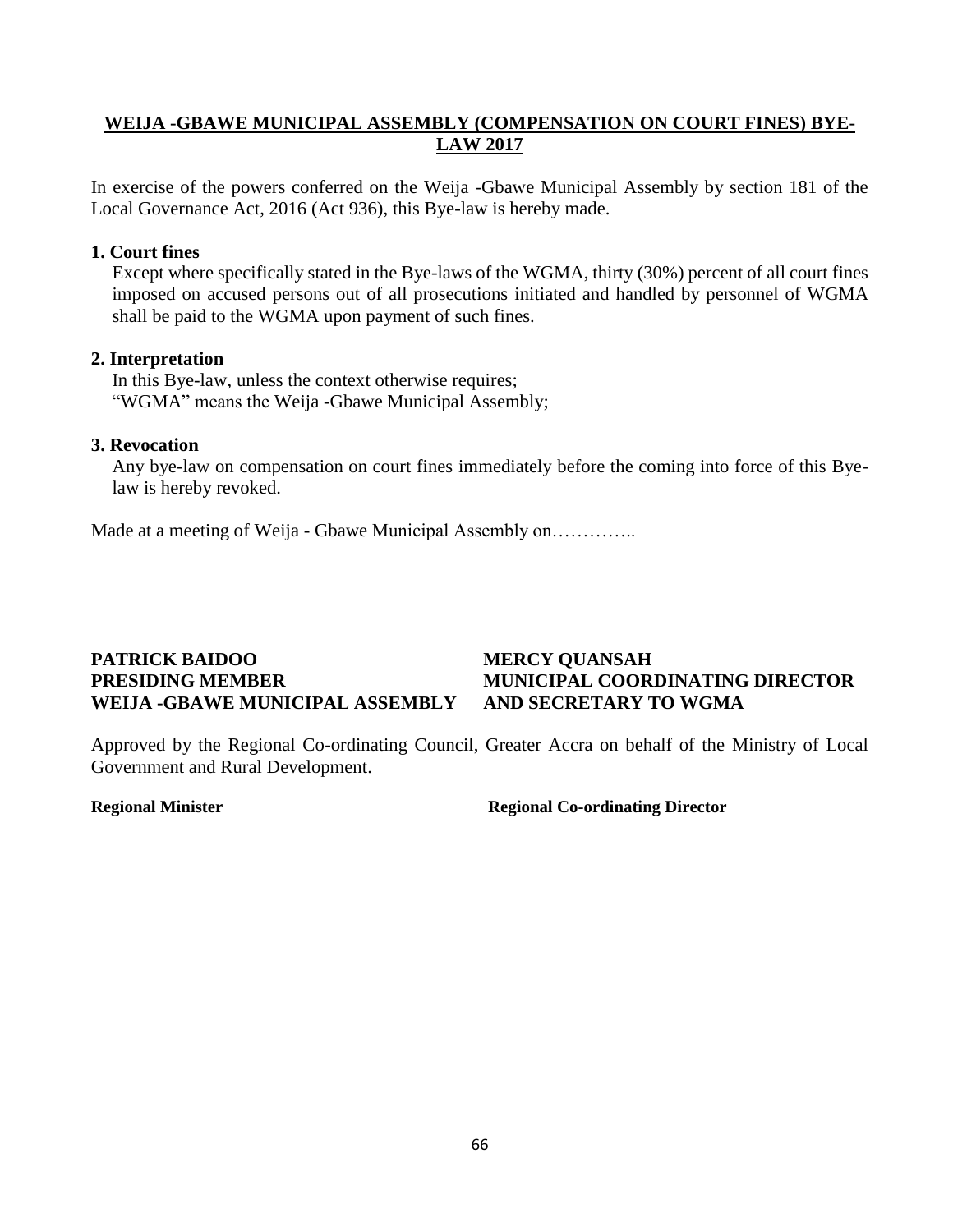### **WEIJA -GBAWE MUNICIPAL ASSEMBLY (COMPENSATION ON COURT FINES) BYE-LAW 2017**

In exercise of the powers conferred on the Weija -Gbawe Municipal Assembly by section 181 of the Local Governance Act, 2016 (Act 936), this Bye-law is hereby made.

### **1. Court fines**

Except where specifically stated in the Bye-laws of the WGMA, thirty (30%) percent of all court fines imposed on accused persons out of all prosecutions initiated and handled by personnel of WGMA shall be paid to the WGMA upon payment of such fines.

### **2. Interpretation**

In this Bye-law, unless the context otherwise requires; "WGMA" means the Weija -Gbawe Municipal Assembly;

### **3. Revocation**

Any bye-law on compensation on court fines immediately before the coming into force of this Byelaw is hereby revoked.

Made at a meeting of Weija - Gbawe Municipal Assembly on…………..

### **PATRICK BAIDOO MERCY QUANSAH PRESIDING MEMBER MUNICIPAL COORDINATING DIRECTOR WEIJA -GBAWE MUNICIPAL ASSEMBLY AND SECRETARY TO WGMA**

Approved by the Regional Co-ordinating Council, Greater Accra on behalf of the Ministry of Local Government and Rural Development.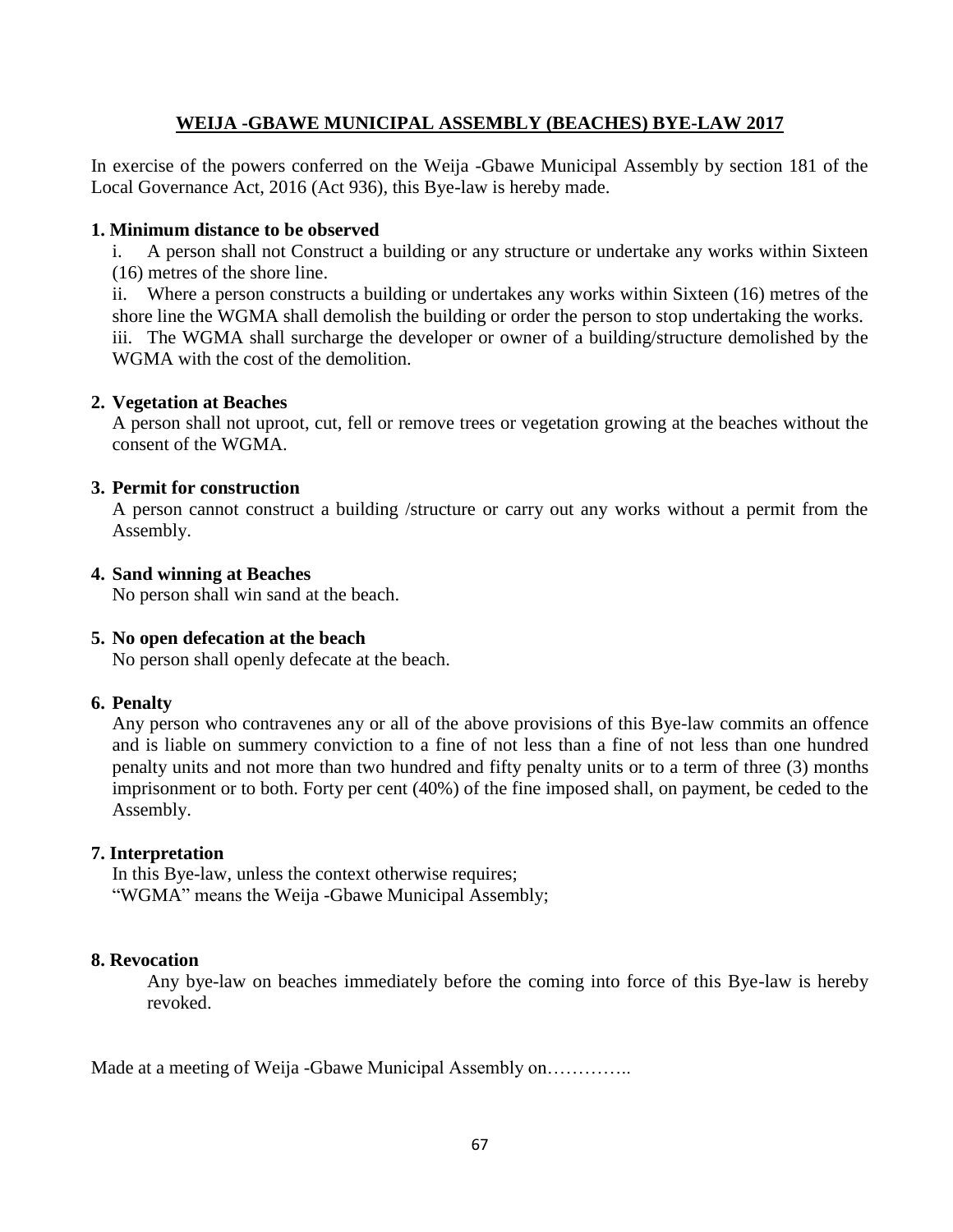### **WEIJA -GBAWE MUNICIPAL ASSEMBLY (BEACHES) BYE-LAW 2017**

In exercise of the powers conferred on the Weija -Gbawe Municipal Assembly by section 181 of the Local Governance Act, 2016 (Act 936), this Bye-law is hereby made.

### **1. Minimum distance to be observed**

i. A person shall not Construct a building or any structure or undertake any works within Sixteen (16) metres of the shore line.

ii. Where a person constructs a building or undertakes any works within Sixteen (16) metres of the shore line the WGMA shall demolish the building or order the person to stop undertaking the works. iii. The WGMA shall surcharge the developer or owner of a building/structure demolished by the WGMA with the cost of the demolition.

### **2. Vegetation at Beaches**

A person shall not uproot, cut, fell or remove trees or vegetation growing at the beaches without the consent of the WGMA.

### **3. Permit for construction**

A person cannot construct a building /structure or carry out any works without a permit from the Assembly.

### **4. Sand winning at Beaches**

No person shall win sand at the beach.

### **5. No open defecation at the beach**

No person shall openly defecate at the beach.

### **6. Penalty**

Any person who contravenes any or all of the above provisions of this Bye-law commits an offence and is liable on summery conviction to a fine of not less than a fine of not less than one hundred penalty units and not more than two hundred and fifty penalty units or to a term of three (3) months imprisonment or to both. Forty per cent (40%) of the fine imposed shall, on payment, be ceded to the Assembly.

### **7. Interpretation**

In this Bye-law, unless the context otherwise requires; "WGMA" means the Weija -Gbawe Municipal Assembly;

### **8. Revocation**

Any bye-law on beaches immediately before the coming into force of this Bye-law is hereby revoked.

Made at a meeting of Weija -Gbawe Municipal Assembly on…………..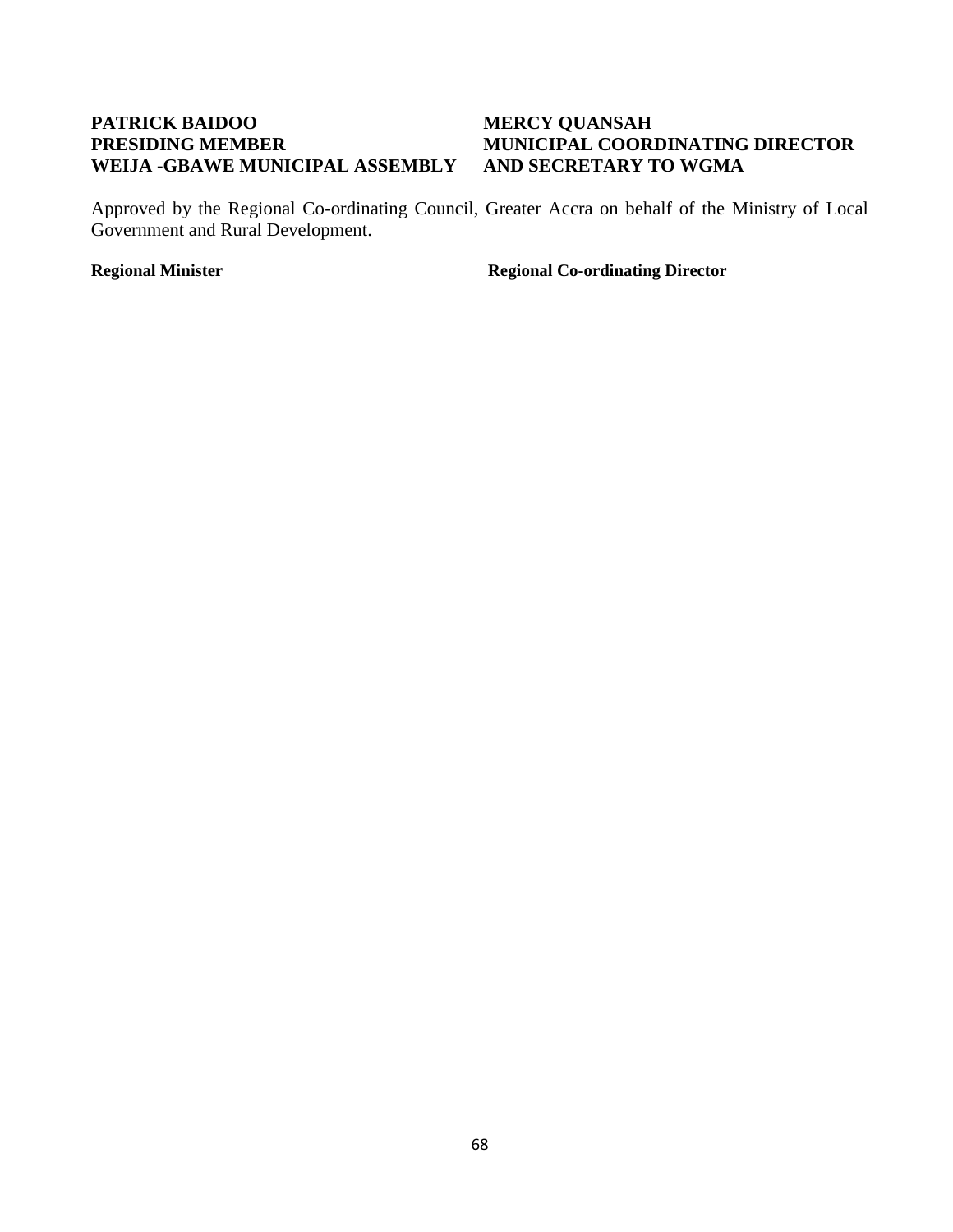## **PATRICK BAIDOO MERCY QUANSAH WEIJA -GBAWE MUNICIPAL ASSEMBLY AND SECRETARY TO WGMA**

# **PRESIDING MEMBER MUNICIPAL COORDINATING DIRECTOR**

Approved by the Regional Co-ordinating Council, Greater Accra on behalf of the Ministry of Local Government and Rural Development.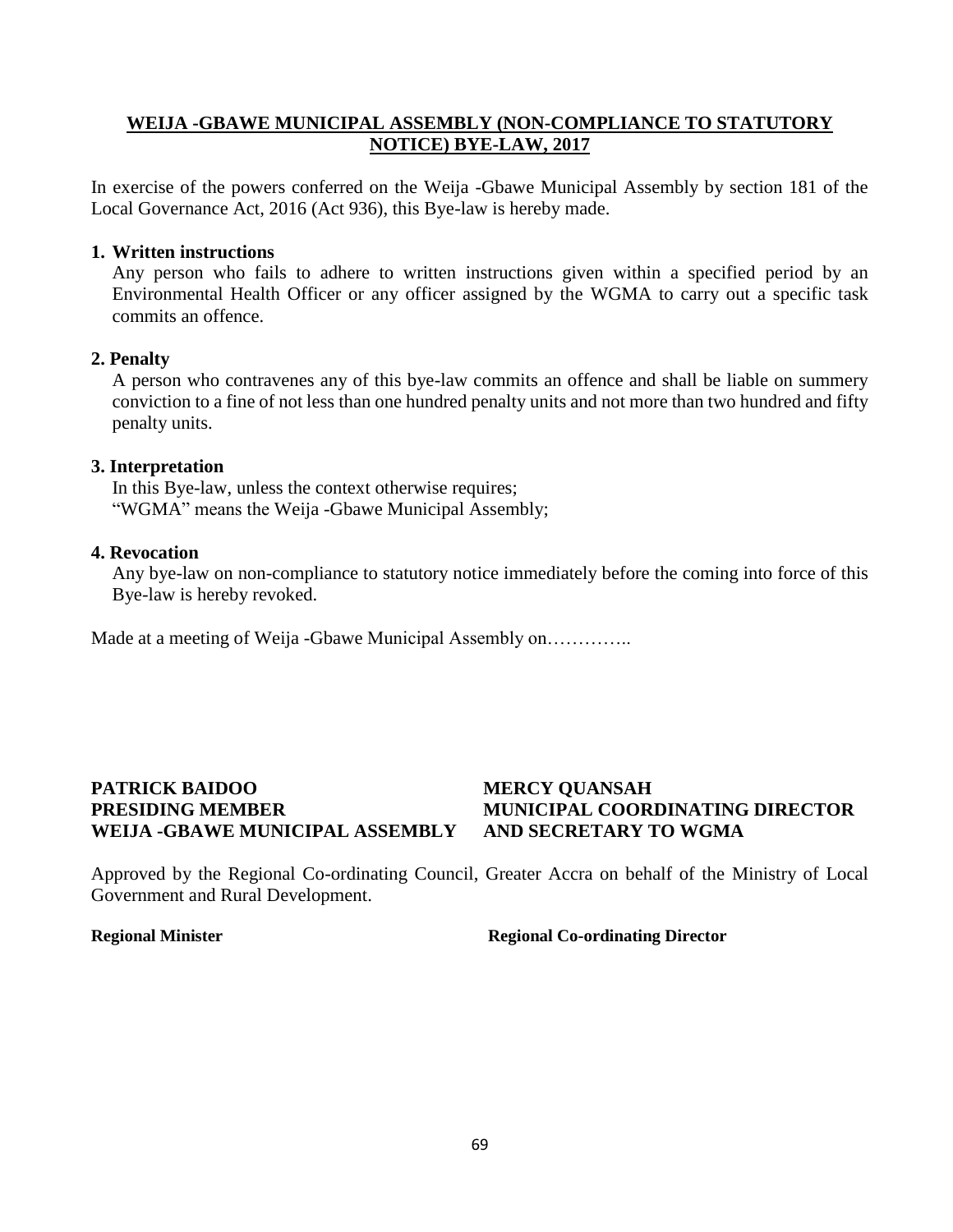### **WEIJA -GBAWE MUNICIPAL ASSEMBLY (NON-COMPLIANCE TO STATUTORY NOTICE) BYE-LAW, 2017**

In exercise of the powers conferred on the Weija -Gbawe Municipal Assembly by section 181 of the Local Governance Act, 2016 (Act 936), this Bye-law is hereby made.

### **1. Written instructions**

Any person who fails to adhere to written instructions given within a specified period by an Environmental Health Officer or any officer assigned by the WGMA to carry out a specific task commits an offence.

### **2. Penalty**

A person who contravenes any of this bye-law commits an offence and shall be liable on summery conviction to a fine of not less than one hundred penalty units and not more than two hundred and fifty penalty units.

### **3. Interpretation**

In this Bye-law, unless the context otherwise requires; "WGMA" means the Weija -Gbawe Municipal Assembly;

### **4. Revocation**

Any bye-law on non-compliance to statutory notice immediately before the coming into force of this Bye-law is hereby revoked.

Made at a meeting of Weija -Gbawe Municipal Assembly on…………..

## **PATRICK BAIDOO MERCY QUANSAH PRESIDING MEMBER MUNICIPAL COORDINATING DIRECTOR WEIJA -GBAWE MUNICIPAL ASSEMBLY AND SECRETARY TO WGMA**

Approved by the Regional Co-ordinating Council, Greater Accra on behalf of the Ministry of Local Government and Rural Development.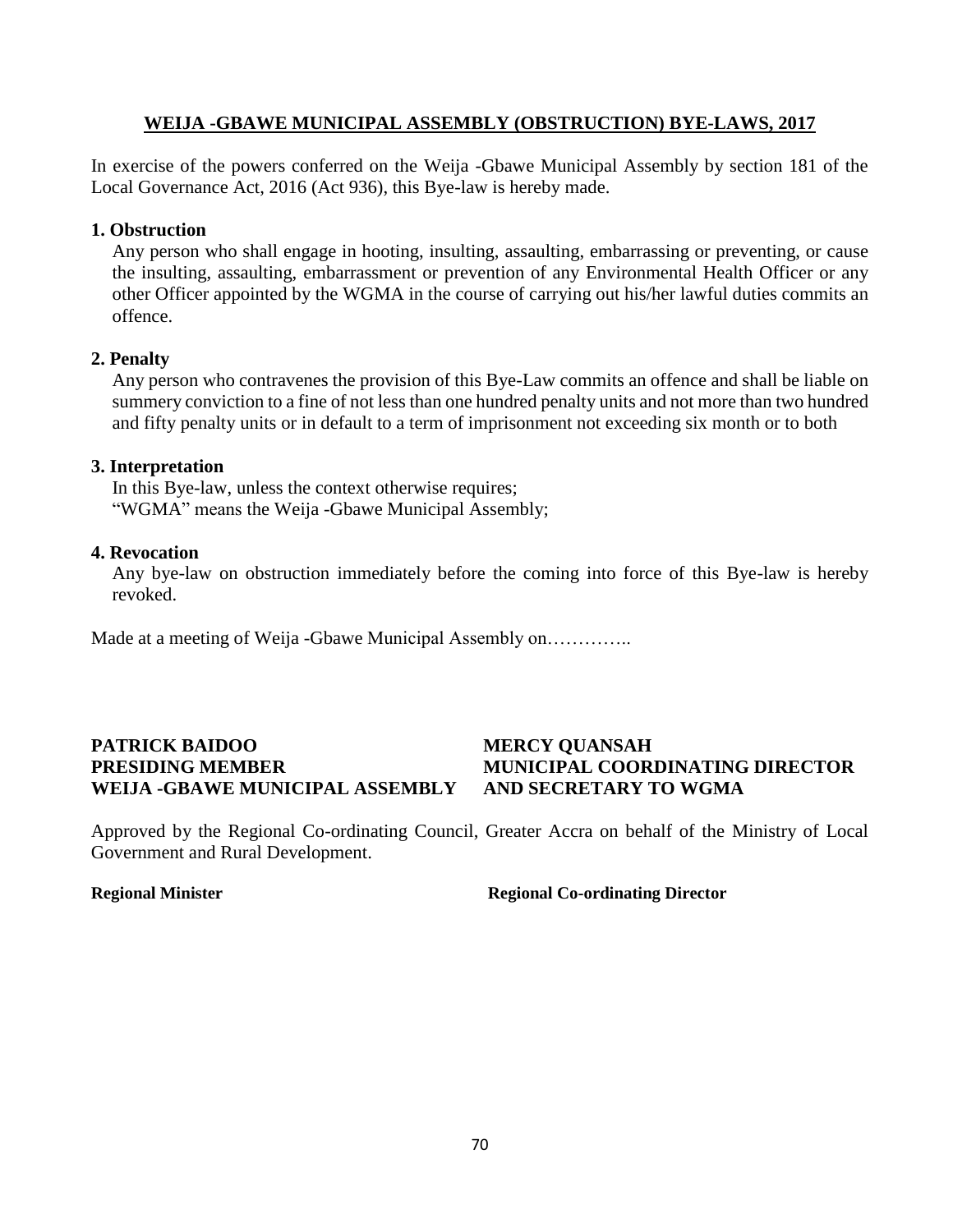#### **WEIJA -GBAWE MUNICIPAL ASSEMBLY (OBSTRUCTION) BYE-LAWS, 2017**

In exercise of the powers conferred on the Weija -Gbawe Municipal Assembly by section 181 of the Local Governance Act, 2016 (Act 936), this Bye-law is hereby made.

#### **1. Obstruction**

Any person who shall engage in hooting, insulting, assaulting, embarrassing or preventing, or cause the insulting, assaulting, embarrassment or prevention of any Environmental Health Officer or any other Officer appointed by the WGMA in the course of carrying out his/her lawful duties commits an offence.

#### **2. Penalty**

Any person who contravenes the provision of this Bye-Law commits an offence and shall be liable on summery conviction to a fine of not less than one hundred penalty units and not more than two hundred and fifty penalty units or in default to a term of imprisonment not exceeding six month or to both

#### **3. Interpretation**

In this Bye-law, unless the context otherwise requires; "WGMA" means the Weija -Gbawe Municipal Assembly;

#### **4. Revocation**

Any bye-law on obstruction immediately before the coming into force of this Bye-law is hereby revoked.

Made at a meeting of Weija -Gbawe Municipal Assembly on…………..

## **PATRICK BAIDOO MERCY QUANSAH PRESIDING MEMBER MUNICIPAL COORDINATING DIRECTOR WEIJA -GBAWE MUNICIPAL ASSEMBLY AND SECRETARY TO WGMA**

Approved by the Regional Co-ordinating Council, Greater Accra on behalf of the Ministry of Local Government and Rural Development.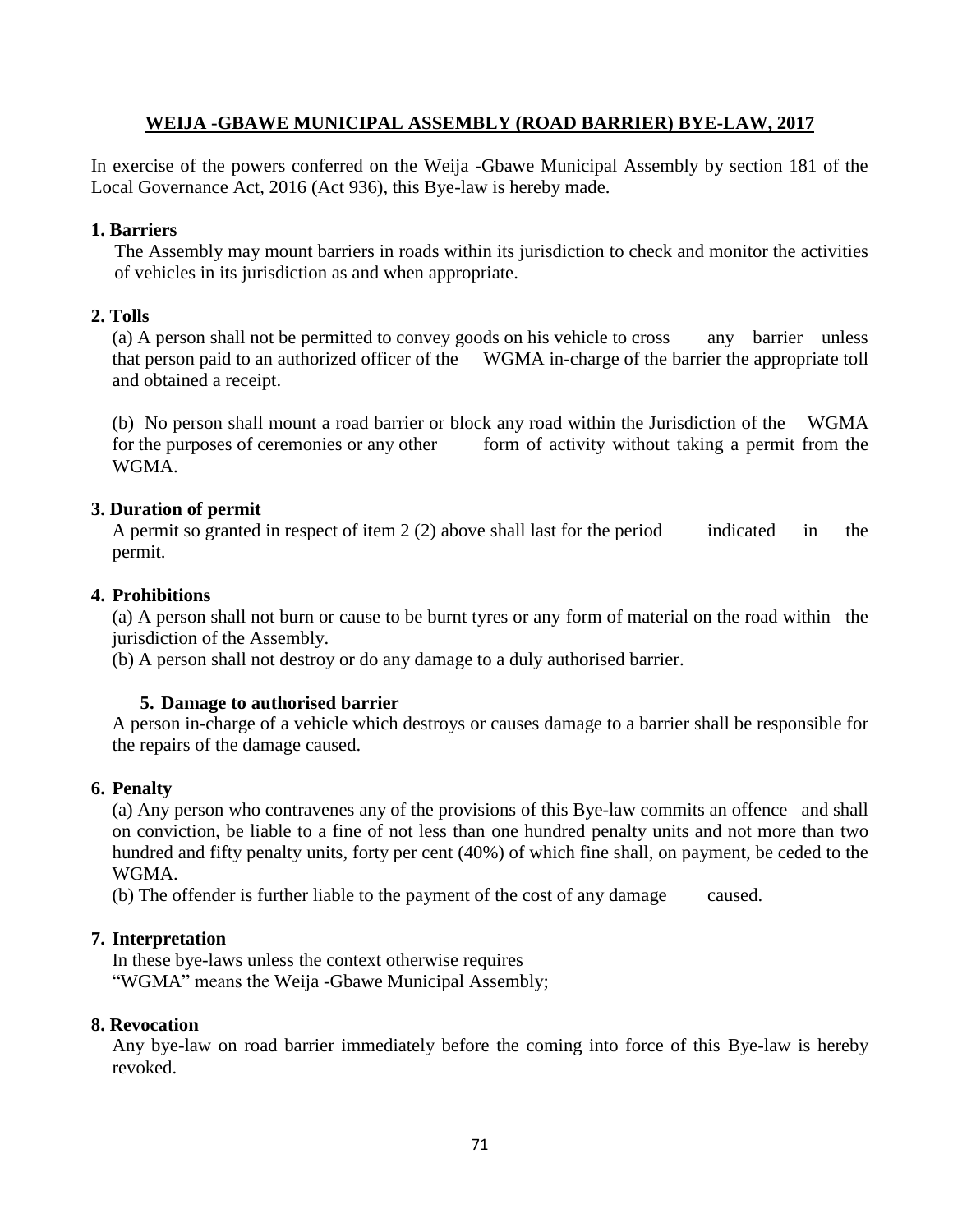#### **WEIJA -GBAWE MUNICIPAL ASSEMBLY (ROAD BARRIER) BYE-LAW, 2017**

In exercise of the powers conferred on the Weija -Gbawe Municipal Assembly by section 181 of the Local Governance Act, 2016 (Act 936), this Bye-law is hereby made.

#### **1. Barriers**

The Assembly may mount barriers in roads within its jurisdiction to check and monitor the activities of vehicles in its jurisdiction as and when appropriate.

#### **2. Tolls**

(a) A person shall not be permitted to convey goods on his vehicle to cross any barrier unless that person paid to an authorized officer of the WGMA in-charge of the barrier the appropriate toll and obtained a receipt.

(b) No person shall mount a road barrier or block any road within the Jurisdiction of the WGMA for the purposes of ceremonies or any other form of activity without taking a permit from the WGMA.

#### **3. Duration of permit**

A permit so granted in respect of item  $2(2)$  above shall last for the period indicated in the permit.

#### **4. Prohibitions**

(a) A person shall not burn or cause to be burnt tyres or any form of material on the road within the jurisdiction of the Assembly.

(b) A person shall not destroy or do any damage to a duly authorised barrier.

#### **5. Damage to authorised barrier**

A person in-charge of a vehicle which destroys or causes damage to a barrier shall be responsible for the repairs of the damage caused.

#### **6. Penalty**

(a) Any person who contravenes any of the provisions of this Bye-law commits an offence and shall on conviction, be liable to a fine of not less than one hundred penalty units and not more than two hundred and fifty penalty units, forty per cent (40%) of which fine shall, on payment, be ceded to the WGMA.

(b) The offender is further liable to the payment of the cost of any damage caused.

#### **7. Interpretation**

In these bye-laws unless the context otherwise requires "WGMA" means the Weija -Gbawe Municipal Assembly;

#### **8. Revocation**

Any bye-law on road barrier immediately before the coming into force of this Bye-law is hereby revoked.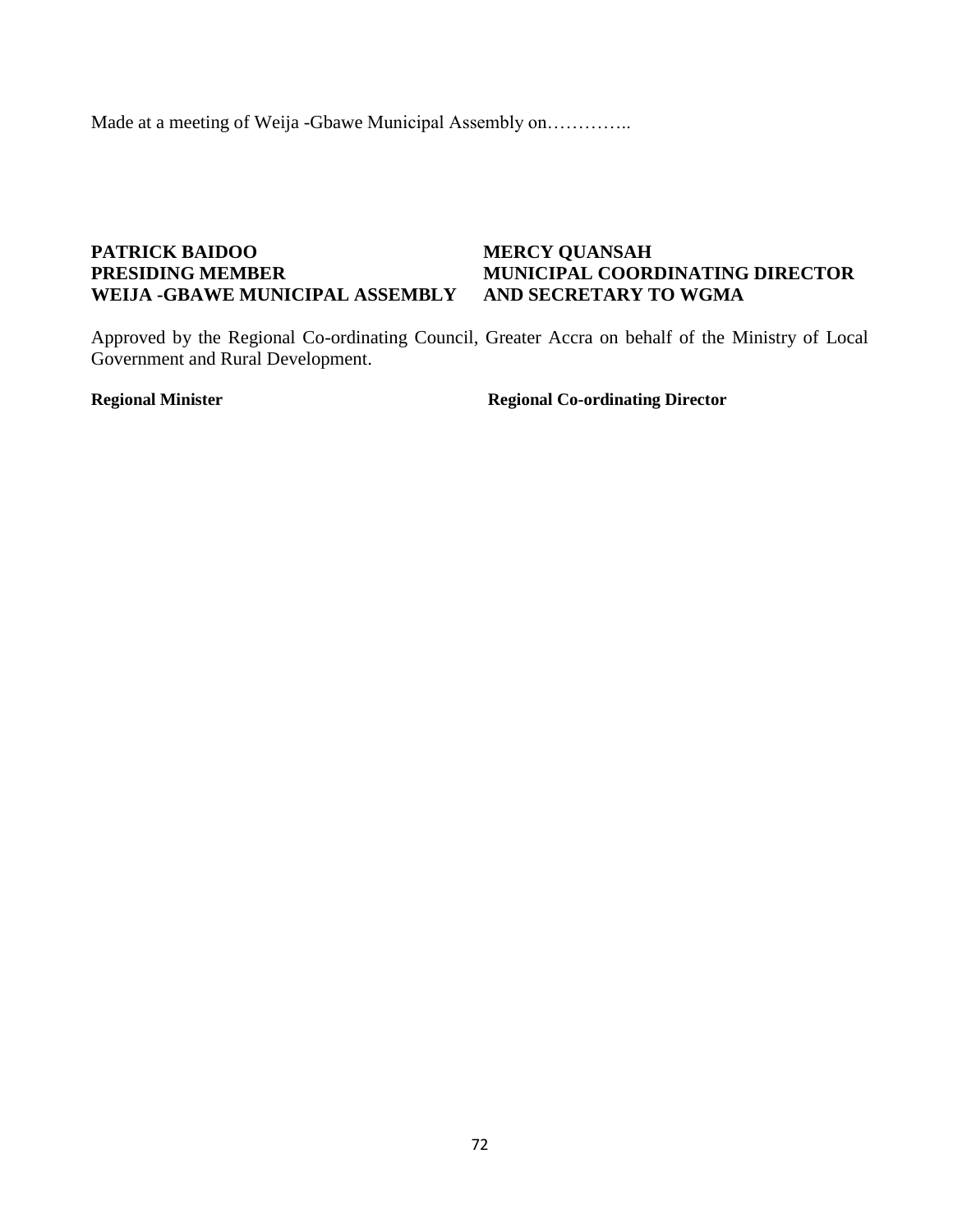Made at a meeting of Weija -Gbawe Municipal Assembly on…………..

#### **PATRICK BAIDOO MERCY QUANSAH PRESIDING MEMBER MUNICIPAL COORDINATING DIRECTOR WEIJA -GBAWE MUNICIPAL ASSEMBLY AND SECRETARY TO WGMA**

Approved by the Regional Co-ordinating Council, Greater Accra on behalf of the Ministry of Local Government and Rural Development.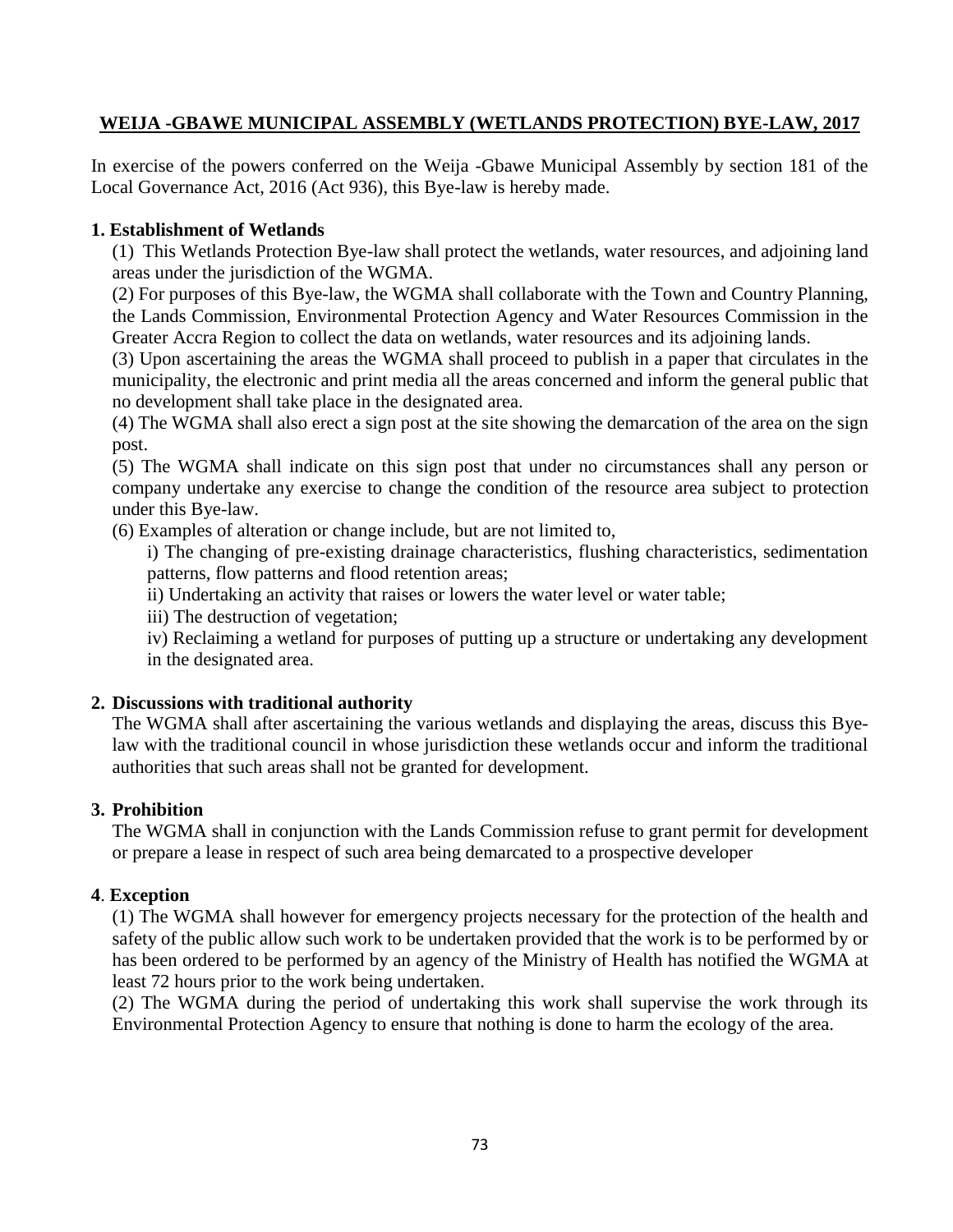#### **WEIJA -GBAWE MUNICIPAL ASSEMBLY (WETLANDS PROTECTION) BYE-LAW, 2017**

In exercise of the powers conferred on the Weija -Gbawe Municipal Assembly by section 181 of the Local Governance Act, 2016 (Act 936), this Bye-law is hereby made.

#### **1. Establishment of Wetlands**

(1) This Wetlands Protection Bye-law shall protect the wetlands, water resources, and adjoining land areas under the jurisdiction of the WGMA.

(2) For purposes of this Bye-law, the WGMA shall collaborate with the Town and Country Planning, the Lands Commission, Environmental Protection Agency and Water Resources Commission in the Greater Accra Region to collect the data on wetlands, water resources and its adjoining lands.

(3) Upon ascertaining the areas the WGMA shall proceed to publish in a paper that circulates in the municipality, the electronic and print media all the areas concerned and inform the general public that no development shall take place in the designated area.

(4) The WGMA shall also erect a sign post at the site showing the demarcation of the area on the sign post.

(5) The WGMA shall indicate on this sign post that under no circumstances shall any person or company undertake any exercise to change the condition of the resource area subject to protection under this Bye-law.

(6) Examples of alteration or change include, but are not limited to,

i) The changing of pre-existing drainage characteristics, flushing characteristics, sedimentation patterns, flow patterns and flood retention areas;

ii) Undertaking an activity that raises or lowers the water level or water table;

iii) The destruction of vegetation;

iv) Reclaiming a wetland for purposes of putting up a structure or undertaking any development in the designated area.

### **2. Discussions with traditional authority**

The WGMA shall after ascertaining the various wetlands and displaying the areas, discuss this Byelaw with the traditional council in whose jurisdiction these wetlands occur and inform the traditional authorities that such areas shall not be granted for development.

#### **3. Prohibition**

The WGMA shall in conjunction with the Lands Commission refuse to grant permit for development or prepare a lease in respect of such area being demarcated to a prospective developer

#### **4**. **Exception**

(1) The WGMA shall however for emergency projects necessary for the protection of the health and safety of the public allow such work to be undertaken provided that the work is to be performed by or has been ordered to be performed by an agency of the Ministry of Health has notified the WGMA at least 72 hours prior to the work being undertaken.

(2) The WGMA during the period of undertaking this work shall supervise the work through its Environmental Protection Agency to ensure that nothing is done to harm the ecology of the area.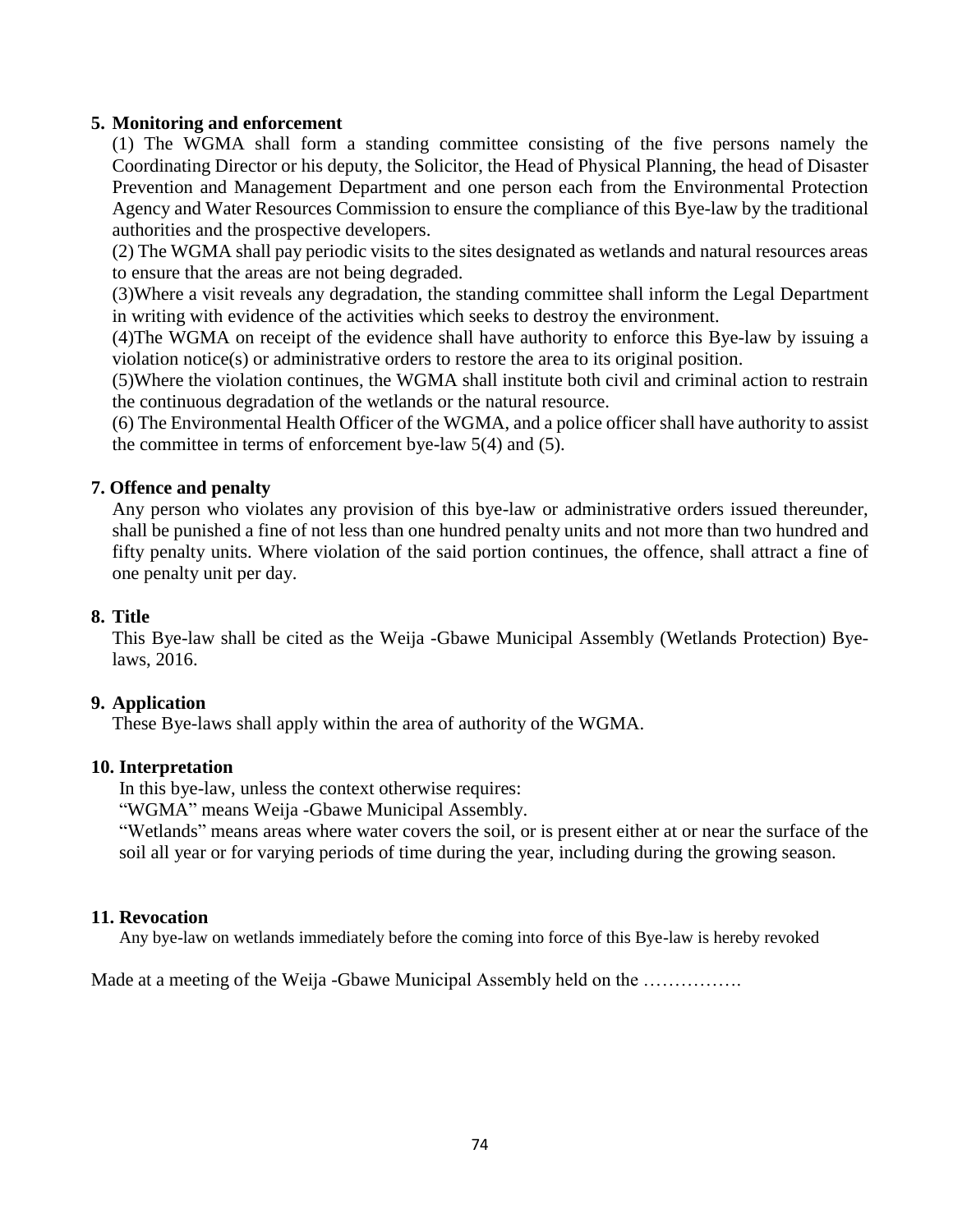#### **5. Monitoring and enforcement**

(1) The WGMA shall form a standing committee consisting of the five persons namely the Coordinating Director or his deputy, the Solicitor, the Head of Physical Planning, the head of Disaster Prevention and Management Department and one person each from the Environmental Protection Agency and Water Resources Commission to ensure the compliance of this Bye-law by the traditional authorities and the prospective developers.

(2) The WGMA shall pay periodic visits to the sites designated as wetlands and natural resources areas to ensure that the areas are not being degraded.

(3)Where a visit reveals any degradation, the standing committee shall inform the Legal Department in writing with evidence of the activities which seeks to destroy the environment.

(4)The WGMA on receipt of the evidence shall have authority to enforce this Bye-law by issuing a violation notice(s) or administrative orders to restore the area to its original position.

(5)Where the violation continues, the WGMA shall institute both civil and criminal action to restrain the continuous degradation of the wetlands or the natural resource.

(6) The Environmental Health Officer of the WGMA, and a police officer shall have authority to assist the committee in terms of enforcement bye-law 5(4) and (5).

### **7. Offence and penalty**

Any person who violates any provision of this bye-law or administrative orders issued thereunder, shall be punished a fine of not less than one hundred penalty units and not more than two hundred and fifty penalty units. Where violation of the said portion continues, the offence, shall attract a fine of one penalty unit per day.

#### **8. Title**

This Bye-law shall be cited as the Weija -Gbawe Municipal Assembly (Wetlands Protection) Byelaws, 2016.

#### **9. Application**

These Bye-laws shall apply within the area of authority of the WGMA.

#### **10. Interpretation**

In this bye-law, unless the context otherwise requires:

"WGMA" means Weija -Gbawe Municipal Assembly.

"Wetlands" means areas where water covers the soil, or is present either at or near the surface of the soil all year or for varying periods of time during the year, including during the growing season.

#### **11. Revocation**

Any bye-law on wetlands immediately before the coming into force of this Bye-law is hereby revoked

Made at a meeting of the Weija -Gbawe Municipal Assembly held on the ................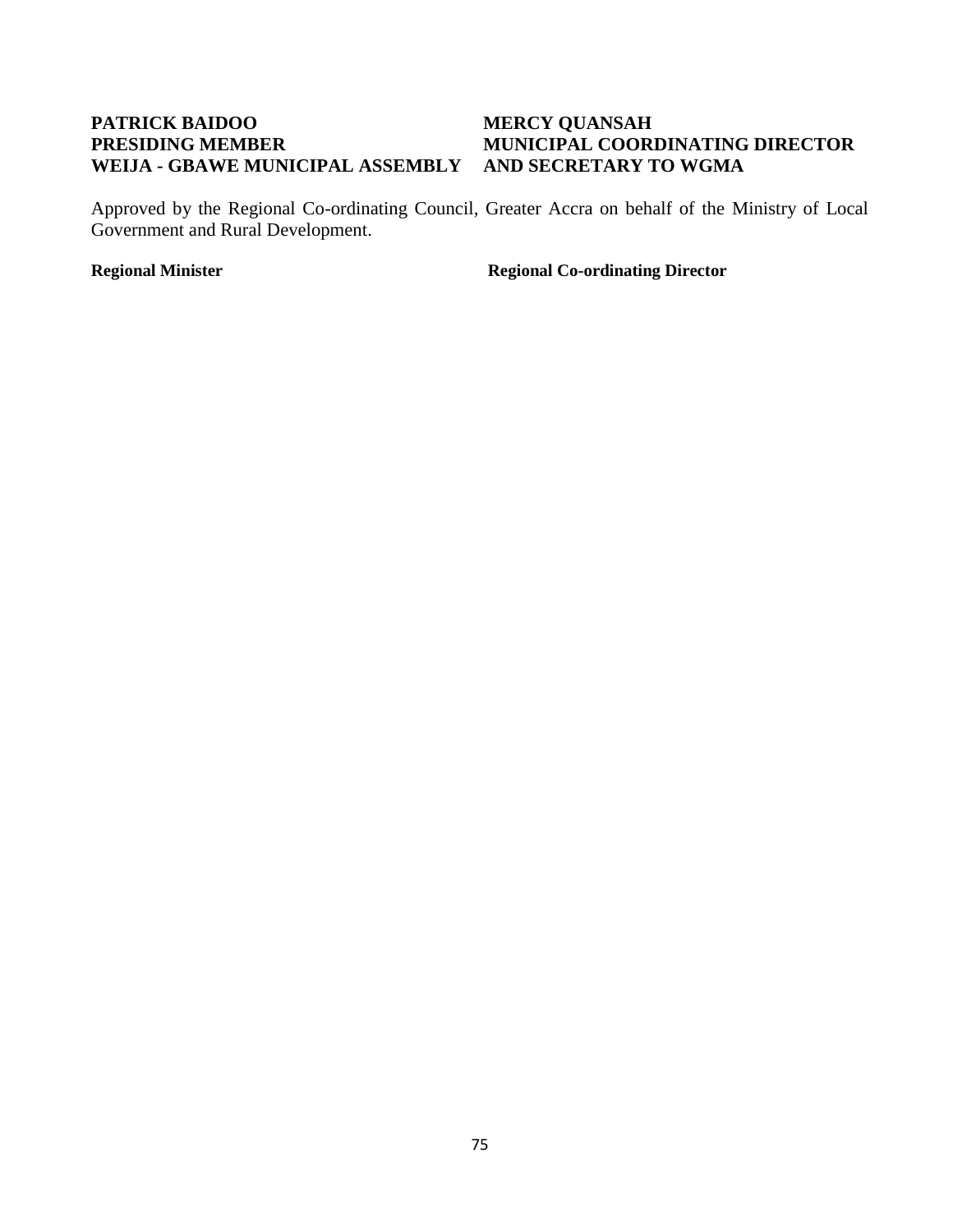#### **PATRICK BAIDOO MERCY QUANSAH PRESIDING MEMBER MUNICIPAL COORDINATING DIRECTOR WEIJA - GBAWE MUNICIPAL ASSEMBLY AND SECRETARY TO WGMA**

Approved by the Regional Co-ordinating Council, Greater Accra on behalf of the Ministry of Local Government and Rural Development.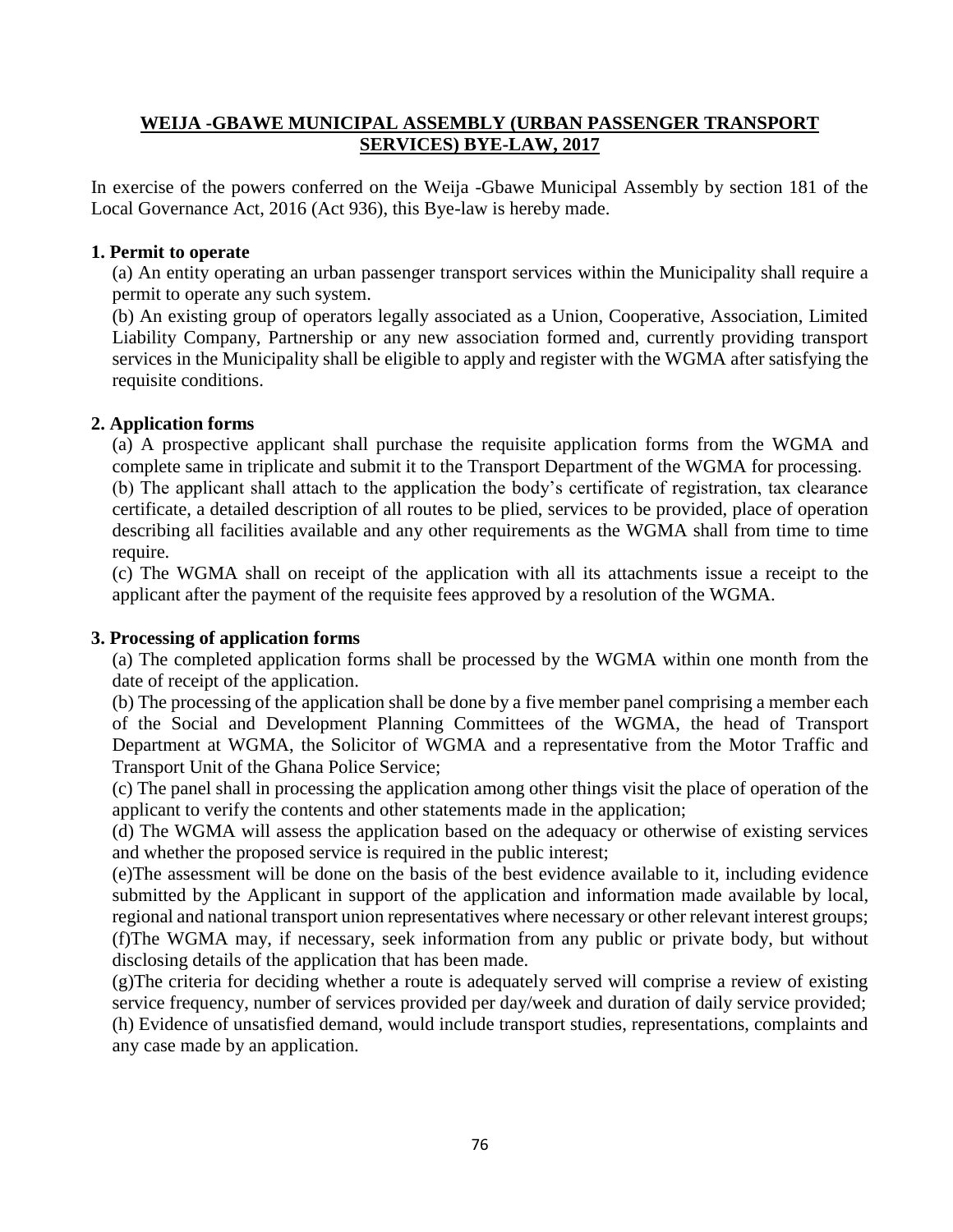#### **WEIJA -GBAWE MUNICIPAL ASSEMBLY (URBAN PASSENGER TRANSPORT SERVICES) BYE-LAW, 2017**

In exercise of the powers conferred on the Weija -Gbawe Municipal Assembly by section 181 of the Local Governance Act, 2016 (Act 936), this Bye-law is hereby made.

#### **1. Permit to operate**

(a) An entity operating an urban passenger transport services within the Municipality shall require a permit to operate any such system.

(b) An existing group of operators legally associated as a Union, Cooperative, Association, Limited Liability Company, Partnership or any new association formed and, currently providing transport services in the Municipality shall be eligible to apply and register with the WGMA after satisfying the requisite conditions.

#### **2. Application forms**

(a) A prospective applicant shall purchase the requisite application forms from the WGMA and complete same in triplicate and submit it to the Transport Department of the WGMA for processing.

(b) The applicant shall attach to the application the body's certificate of registration, tax clearance certificate, a detailed description of all routes to be plied, services to be provided, place of operation describing all facilities available and any other requirements as the WGMA shall from time to time require.

(c) The WGMA shall on receipt of the application with all its attachments issue a receipt to the applicant after the payment of the requisite fees approved by a resolution of the WGMA.

### **3. Processing of application forms**

(a) The completed application forms shall be processed by the WGMA within one month from the date of receipt of the application.

(b) The processing of the application shall be done by a five member panel comprising a member each of the Social and Development Planning Committees of the WGMA, the head of Transport Department at WGMA, the Solicitor of WGMA and a representative from the Motor Traffic and Transport Unit of the Ghana Police Service;

(c) The panel shall in processing the application among other things visit the place of operation of the applicant to verify the contents and other statements made in the application;

(d) The WGMA will assess the application based on the adequacy or otherwise of existing services and whether the proposed service is required in the public interest;

(e)The assessment will be done on the basis of the best evidence available to it, including evidence submitted by the Applicant in support of the application and information made available by local, regional and national transport union representatives where necessary or other relevant interest groups; (f)The WGMA may, if necessary, seek information from any public or private body, but without disclosing details of the application that has been made.

(g)The criteria for deciding whether a route is adequately served will comprise a review of existing service frequency, number of services provided per day/week and duration of daily service provided; (h) Evidence of unsatisfied demand, would include transport studies, representations, complaints and any case made by an application.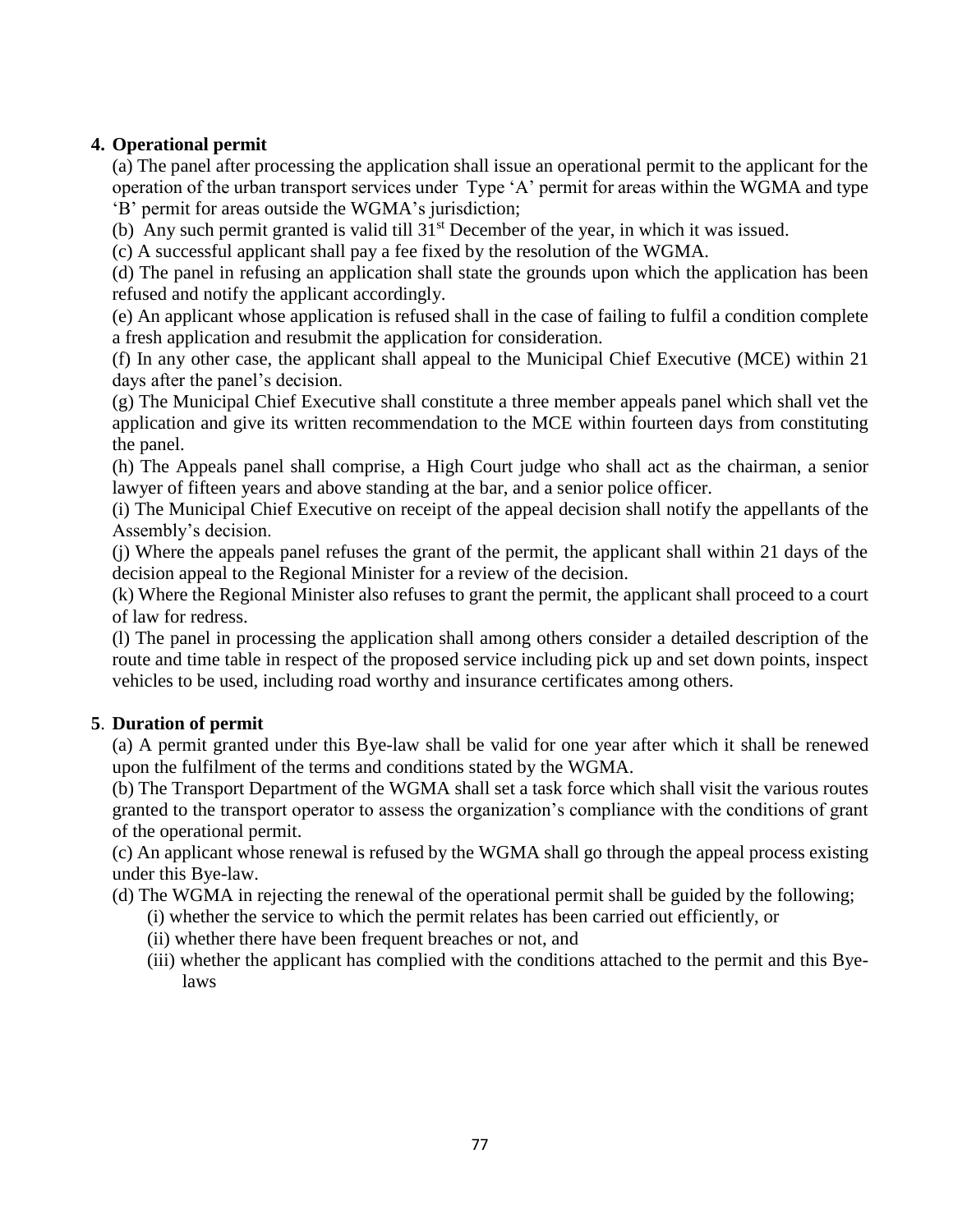### **4. Operational permit**

(a) The panel after processing the application shall issue an operational permit to the applicant for the operation of the urban transport services under Type 'A' permit for areas within the WGMA and type 'B' permit for areas outside the WGMA's jurisdiction;

(b) Any such permit granted is valid till 31st December of the year, in which it was issued.

(c) A successful applicant shall pay a fee fixed by the resolution of the WGMA.

(d) The panel in refusing an application shall state the grounds upon which the application has been refused and notify the applicant accordingly.

(e) An applicant whose application is refused shall in the case of failing to fulfil a condition complete a fresh application and resubmit the application for consideration.

(f) In any other case, the applicant shall appeal to the Municipal Chief Executive (MCE) within 21 days after the panel's decision.

(g) The Municipal Chief Executive shall constitute a three member appeals panel which shall vet the application and give its written recommendation to the MCE within fourteen days from constituting the panel.

(h) The Appeals panel shall comprise, a High Court judge who shall act as the chairman, a senior lawyer of fifteen years and above standing at the bar, and a senior police officer.

(i) The Municipal Chief Executive on receipt of the appeal decision shall notify the appellants of the Assembly's decision.

(j) Where the appeals panel refuses the grant of the permit, the applicant shall within 21 days of the decision appeal to the Regional Minister for a review of the decision.

(k) Where the Regional Minister also refuses to grant the permit, the applicant shall proceed to a court of law for redress.

(l) The panel in processing the application shall among others consider a detailed description of the route and time table in respect of the proposed service including pick up and set down points, inspect vehicles to be used, including road worthy and insurance certificates among others.

### **5**. **Duration of permit**

(a) A permit granted under this Bye-law shall be valid for one year after which it shall be renewed upon the fulfilment of the terms and conditions stated by the WGMA.

(b) The Transport Department of the WGMA shall set a task force which shall visit the various routes granted to the transport operator to assess the organization's compliance with the conditions of grant of the operational permit.

(c) An applicant whose renewal is refused by the WGMA shall go through the appeal process existing under this Bye-law.

- (d) The WGMA in rejecting the renewal of the operational permit shall be guided by the following;
	- (i) whether the service to which the permit relates has been carried out efficiently, or
	- (ii) whether there have been frequent breaches or not, and
	- (iii) whether the applicant has complied with the conditions attached to the permit and this Byelaws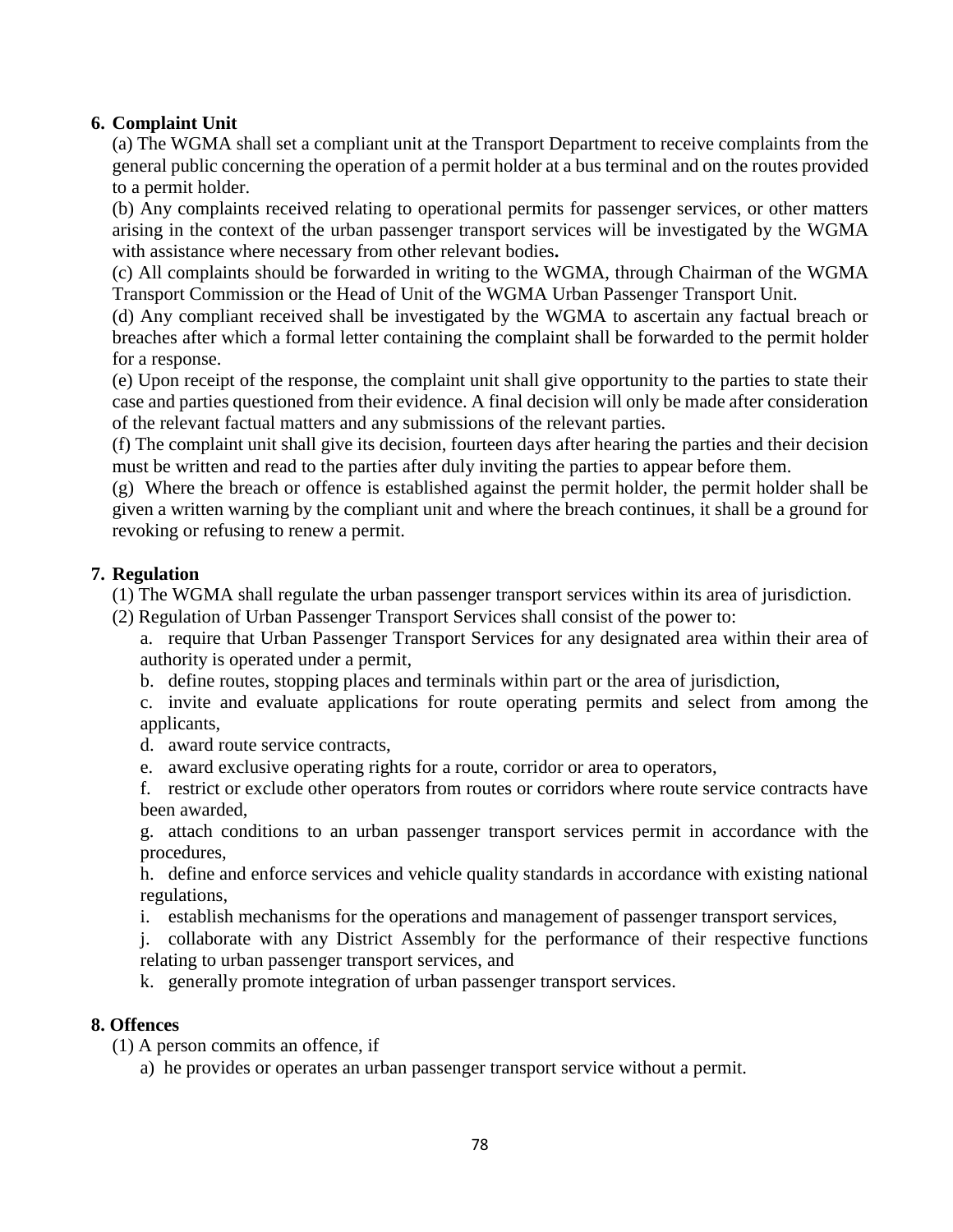#### **6. Complaint Unit**

(a) The WGMA shall set a compliant unit at the Transport Department to receive complaints from the general public concerning the operation of a permit holder at a bus terminal and on the routes provided to a permit holder.

(b) Any complaints received relating to operational permits for passenger services, or other matters arising in the context of the urban passenger transport services will be investigated by the WGMA with assistance where necessary from other relevant bodies**.**

(c) All complaints should be forwarded in writing to the WGMA, through Chairman of the WGMA Transport Commission or the Head of Unit of the WGMA Urban Passenger Transport Unit.

(d) Any compliant received shall be investigated by the WGMA to ascertain any factual breach or breaches after which a formal letter containing the complaint shall be forwarded to the permit holder for a response.

(e) Upon receipt of the response, the complaint unit shall give opportunity to the parties to state their case and parties questioned from their evidence. A final decision will only be made after consideration of the relevant factual matters and any submissions of the relevant parties.

(f) The complaint unit shall give its decision, fourteen days after hearing the parties and their decision must be written and read to the parties after duly inviting the parties to appear before them.

(g) Where the breach or offence is established against the permit holder, the permit holder shall be given a written warning by the compliant unit and where the breach continues, it shall be a ground for revoking or refusing to renew a permit.

#### **7. Regulation**

(1) The WGMA shall regulate the urban passenger transport services within its area of jurisdiction.

(2) Regulation of Urban Passenger Transport Services shall consist of the power to:

a. require that Urban Passenger Transport Services for any designated area within their area of authority is operated under a permit,

b. define routes, stopping places and terminals within part or the area of jurisdiction,

c. invite and evaluate applications for route operating permits and select from among the applicants,

d. award route service contracts,

e. award exclusive operating rights for a route, corridor or area to operators,

f. restrict or exclude other operators from routes or corridors where route service contracts have been awarded,

g. attach conditions to an urban passenger transport services permit in accordance with the procedures,

h. define and enforce services and vehicle quality standards in accordance with existing national regulations,

i. establish mechanisms for the operations and management of passenger transport services,

j. collaborate with any District Assembly for the performance of their respective functions relating to urban passenger transport services, and

k. generally promote integration of urban passenger transport services.

#### **8. Offences**

(1) A person commits an offence, if

a) he provides or operates an urban passenger transport service without a permit.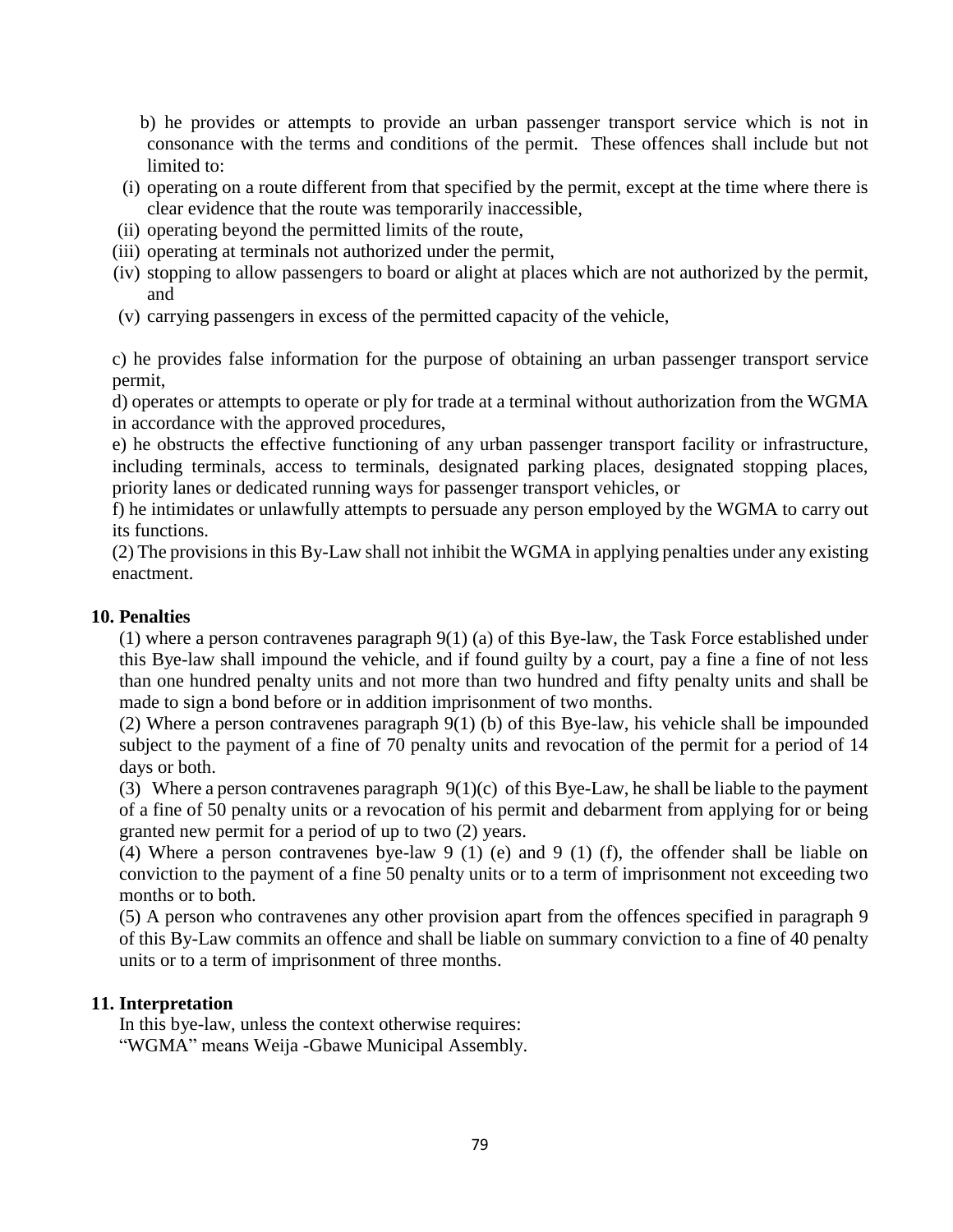b) he provides or attempts to provide an urban passenger transport service which is not in consonance with the terms and conditions of the permit. These offences shall include but not limited to:

- (i) operating on a route different from that specified by the permit, except at the time where there is clear evidence that the route was temporarily inaccessible,
- (ii) operating beyond the permitted limits of the route,
- (iii) operating at terminals not authorized under the permit,
- (iv) stopping to allow passengers to board or alight at places which are not authorized by the permit, and
- (v) carrying passengers in excess of the permitted capacity of the vehicle,

c) he provides false information for the purpose of obtaining an urban passenger transport service permit,

d) operates or attempts to operate or ply for trade at a terminal without authorization from the WGMA in accordance with the approved procedures,

e) he obstructs the effective functioning of any urban passenger transport facility or infrastructure, including terminals, access to terminals, designated parking places, designated stopping places, priority lanes or dedicated running ways for passenger transport vehicles, or

f) he intimidates or unlawfully attempts to persuade any person employed by the WGMA to carry out its functions.

(2) The provisions in this By-Law shall not inhibit the WGMA in applying penalties under any existing enactment.

#### **10. Penalties**

(1) where a person contravenes paragraph 9(1) (a) of this Bye-law, the Task Force established under this Bye-law shall impound the vehicle, and if found guilty by a court, pay a fine a fine of not less than one hundred penalty units and not more than two hundred and fifty penalty units and shall be made to sign a bond before or in addition imprisonment of two months.

(2) Where a person contravenes paragraph 9(1) (b) of this Bye-law, his vehicle shall be impounded subject to the payment of a fine of 70 penalty units and revocation of the permit for a period of 14 days or both.

(3) Where a person contravenes paragraph  $9(1)(c)$  of this Bye-Law, he shall be liable to the payment of a fine of 50 penalty units or a revocation of his permit and debarment from applying for or being granted new permit for a period of up to two (2) years.

(4) Where a person contravenes bye-law 9 (1) (e) and 9 (1) (f), the offender shall be liable on conviction to the payment of a fine 50 penalty units or to a term of imprisonment not exceeding two months or to both.

(5) A person who contravenes any other provision apart from the offences specified in paragraph 9 of this By-Law commits an offence and shall be liable on summary conviction to a fine of 40 penalty units or to a term of imprisonment of three months.

#### **11. Interpretation**

In this bye-law, unless the context otherwise requires: "WGMA" means Weija -Gbawe Municipal Assembly.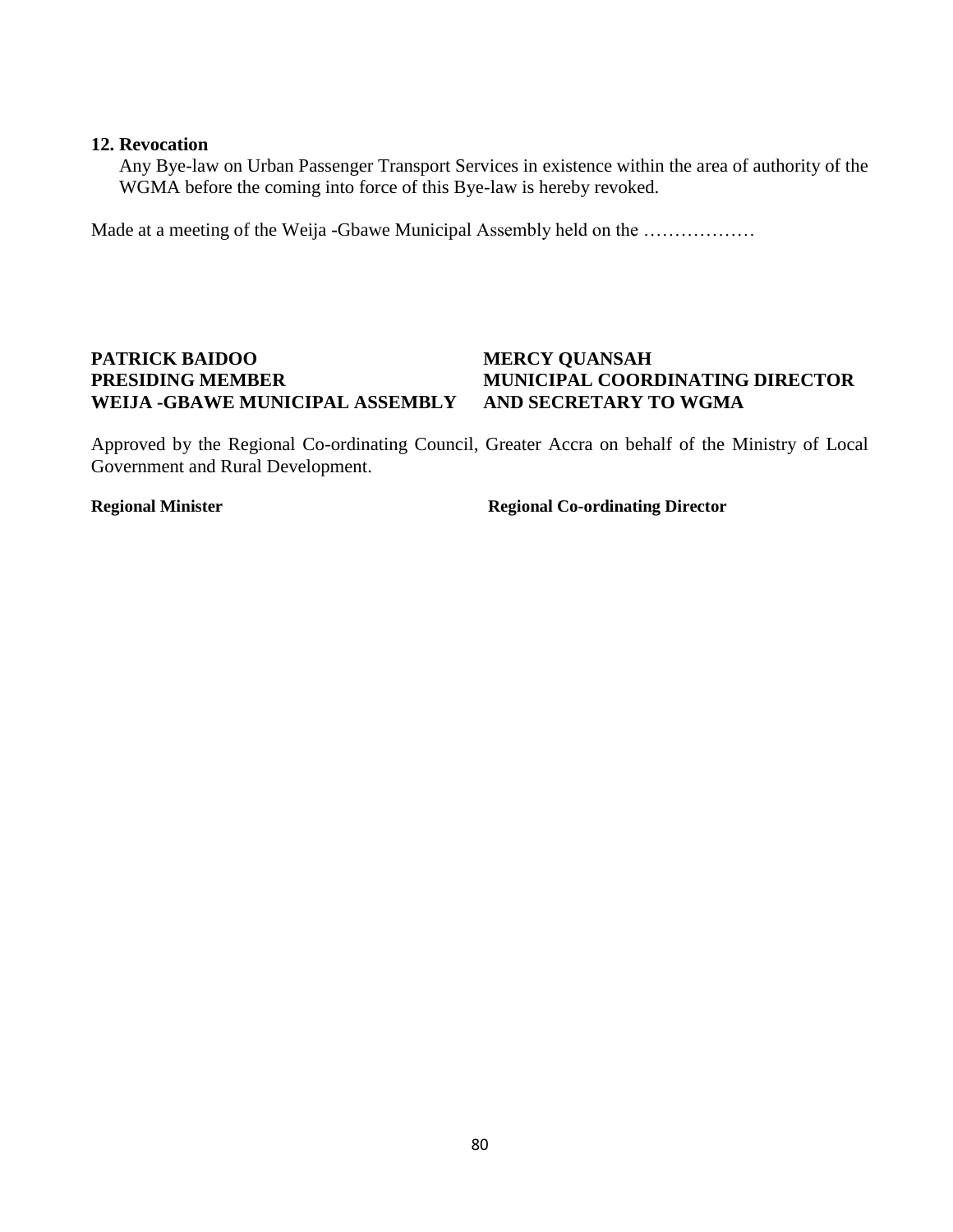#### **12. Revocation**

Any Bye-law on Urban Passenger Transport Services in existence within the area of authority of the WGMA before the coming into force of this Bye-law is hereby revoked.

Made at a meeting of the Weija -Gbawe Municipal Assembly held on the ………………

## **PATRICK BAIDOO MERCY QUANSAH WEIJA -GBAWE MUNICIPAL ASSEMBLY AND SECRETARY TO WGMA**

# **PRESIDING MEMBER MUNICIPAL COORDINATING DIRECTOR**

Approved by the Regional Co-ordinating Council, Greater Accra on behalf of the Ministry of Local Government and Rural Development.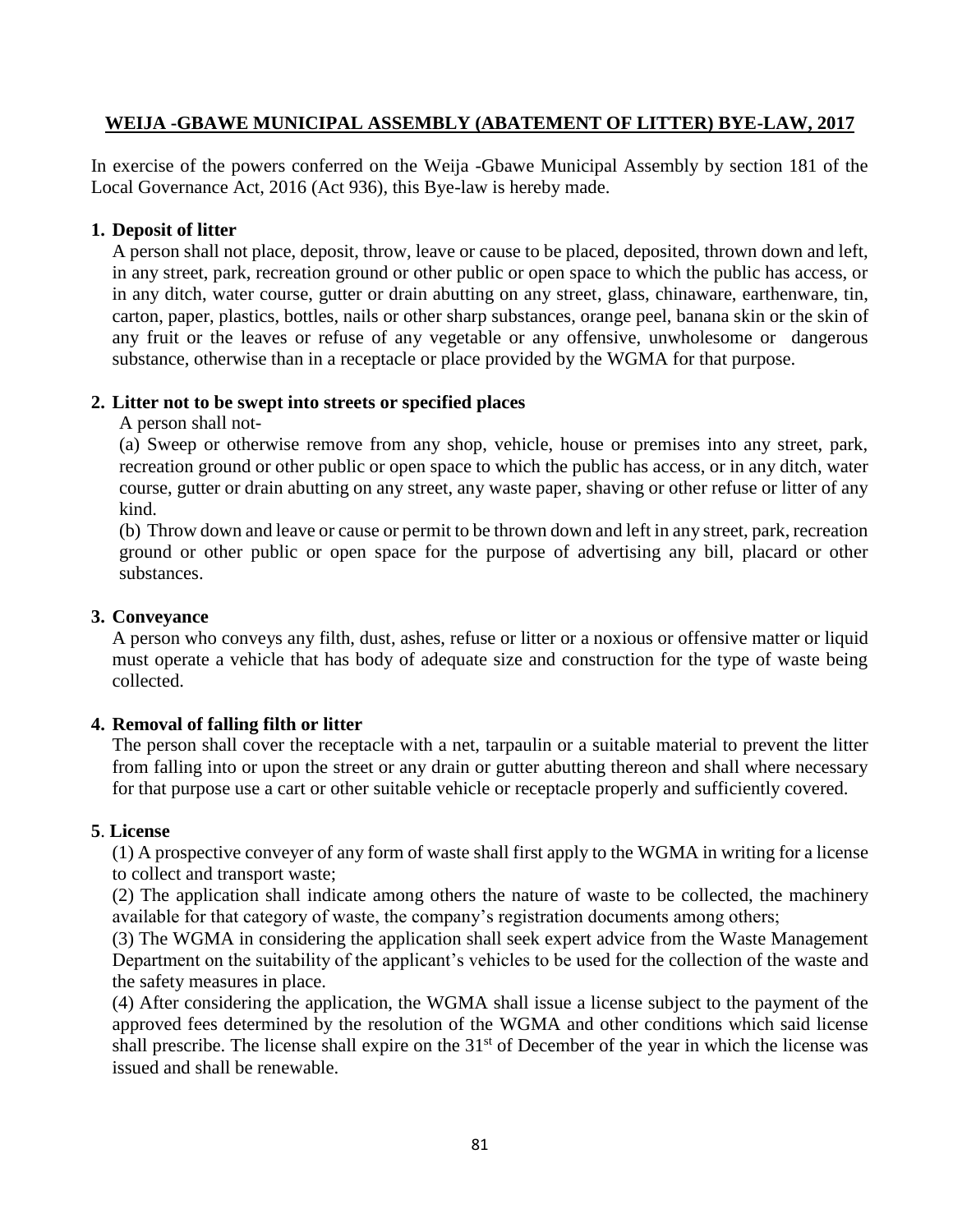#### **WEIJA -GBAWE MUNICIPAL ASSEMBLY (ABATEMENT OF LITTER) BYE-LAW, 2017**

In exercise of the powers conferred on the Weija -Gbawe Municipal Assembly by section 181 of the Local Governance Act, 2016 (Act 936), this Bye-law is hereby made.

#### **1. Deposit of litter**

A person shall not place, deposit, throw, leave or cause to be placed, deposited, thrown down and left, in any street, park, recreation ground or other public or open space to which the public has access, or in any ditch, water course, gutter or drain abutting on any street, glass, chinaware, earthenware, tin, carton, paper, plastics, bottles, nails or other sharp substances, orange peel, banana skin or the skin of any fruit or the leaves or refuse of any vegetable or any offensive, unwholesome or dangerous substance, otherwise than in a receptacle or place provided by the WGMA for that purpose.

#### **2. Litter not to be swept into streets or specified places**

A person shall not-

(a) Sweep or otherwise remove from any shop, vehicle, house or premises into any street, park, recreation ground or other public or open space to which the public has access, or in any ditch, water course, gutter or drain abutting on any street, any waste paper, shaving or other refuse or litter of any kind.

(b) Throw down and leave or cause or permit to be thrown down and left in any street, park, recreation ground or other public or open space for the purpose of advertising any bill, placard or other substances.

#### **3. Conveyance**

A person who conveys any filth, dust, ashes, refuse or litter or a noxious or offensive matter or liquid must operate a vehicle that has body of adequate size and construction for the type of waste being collected.

#### **4. Removal of falling filth or litter**

The person shall cover the receptacle with a net, tarpaulin or a suitable material to prevent the litter from falling into or upon the street or any drain or gutter abutting thereon and shall where necessary for that purpose use a cart or other suitable vehicle or receptacle properly and sufficiently covered.

#### **5**. **License**

(1) A prospective conveyer of any form of waste shall first apply to the WGMA in writing for a license to collect and transport waste;

(2) The application shall indicate among others the nature of waste to be collected, the machinery available for that category of waste, the company's registration documents among others;

(3) The WGMA in considering the application shall seek expert advice from the Waste Management Department on the suitability of the applicant's vehicles to be used for the collection of the waste and the safety measures in place.

(4) After considering the application, the WGMA shall issue a license subject to the payment of the approved fees determined by the resolution of the WGMA and other conditions which said license shall prescribe. The license shall expire on the 31<sup>st</sup> of December of the year in which the license was issued and shall be renewable.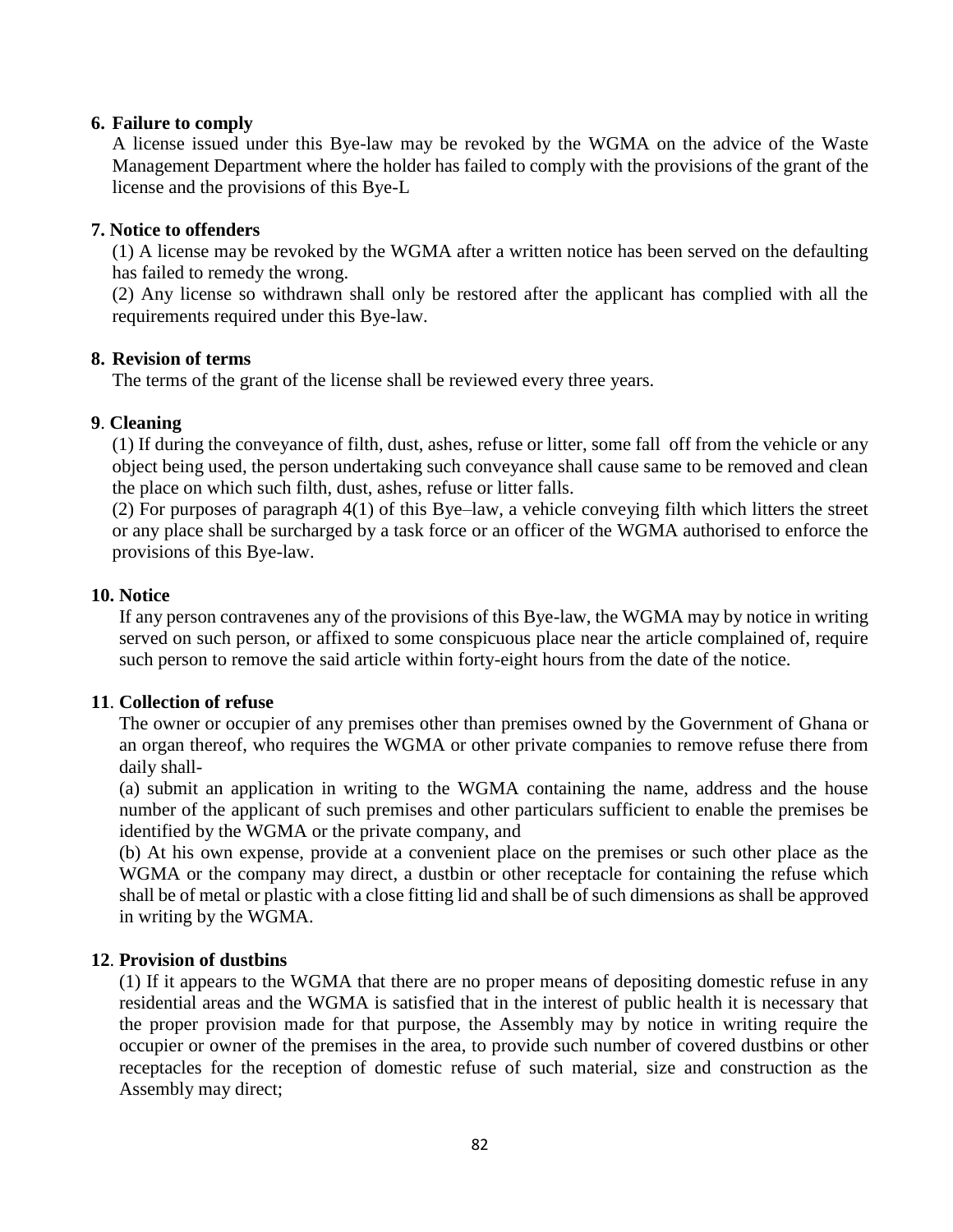#### **6. Failure to comply**

A license issued under this Bye-law may be revoked by the WGMA on the advice of the Waste Management Department where the holder has failed to comply with the provisions of the grant of the license and the provisions of this Bye-L

#### **7. Notice to offenders**

(1) A license may be revoked by the WGMA after a written notice has been served on the defaulting has failed to remedy the wrong.

(2) Any license so withdrawn shall only be restored after the applicant has complied with all the requirements required under this Bye-law.

#### **8. Revision of terms**

The terms of the grant of the license shall be reviewed every three years.

#### **9**. **Cleaning**

(1) If during the conveyance of filth, dust, ashes, refuse or litter, some fall off from the vehicle or any object being used, the person undertaking such conveyance shall cause same to be removed and clean the place on which such filth, dust, ashes, refuse or litter falls.

(2) For purposes of paragraph 4(1) of this Bye–law, a vehicle conveying filth which litters the street or any place shall be surcharged by a task force or an officer of the WGMA authorised to enforce the provisions of this Bye-law.

#### **10. Notice**

If any person contravenes any of the provisions of this Bye-law, the WGMA may by notice in writing served on such person, or affixed to some conspicuous place near the article complained of, require such person to remove the said article within forty-eight hours from the date of the notice.

### **11**. **Collection of refuse**

The owner or occupier of any premises other than premises owned by the Government of Ghana or an organ thereof, who requires the WGMA or other private companies to remove refuse there from daily shall-

(a) submit an application in writing to the WGMA containing the name, address and the house number of the applicant of such premises and other particulars sufficient to enable the premises be identified by the WGMA or the private company, and

(b) At his own expense, provide at a convenient place on the premises or such other place as the WGMA or the company may direct, a dustbin or other receptacle for containing the refuse which shall be of metal or plastic with a close fitting lid and shall be of such dimensions as shall be approved in writing by the WGMA.

#### **12**. **Provision of dustbins**

(1) If it appears to the WGMA that there are no proper means of depositing domestic refuse in any residential areas and the WGMA is satisfied that in the interest of public health it is necessary that the proper provision made for that purpose, the Assembly may by notice in writing require the occupier or owner of the premises in the area, to provide such number of covered dustbins or other receptacles for the reception of domestic refuse of such material, size and construction as the Assembly may direct;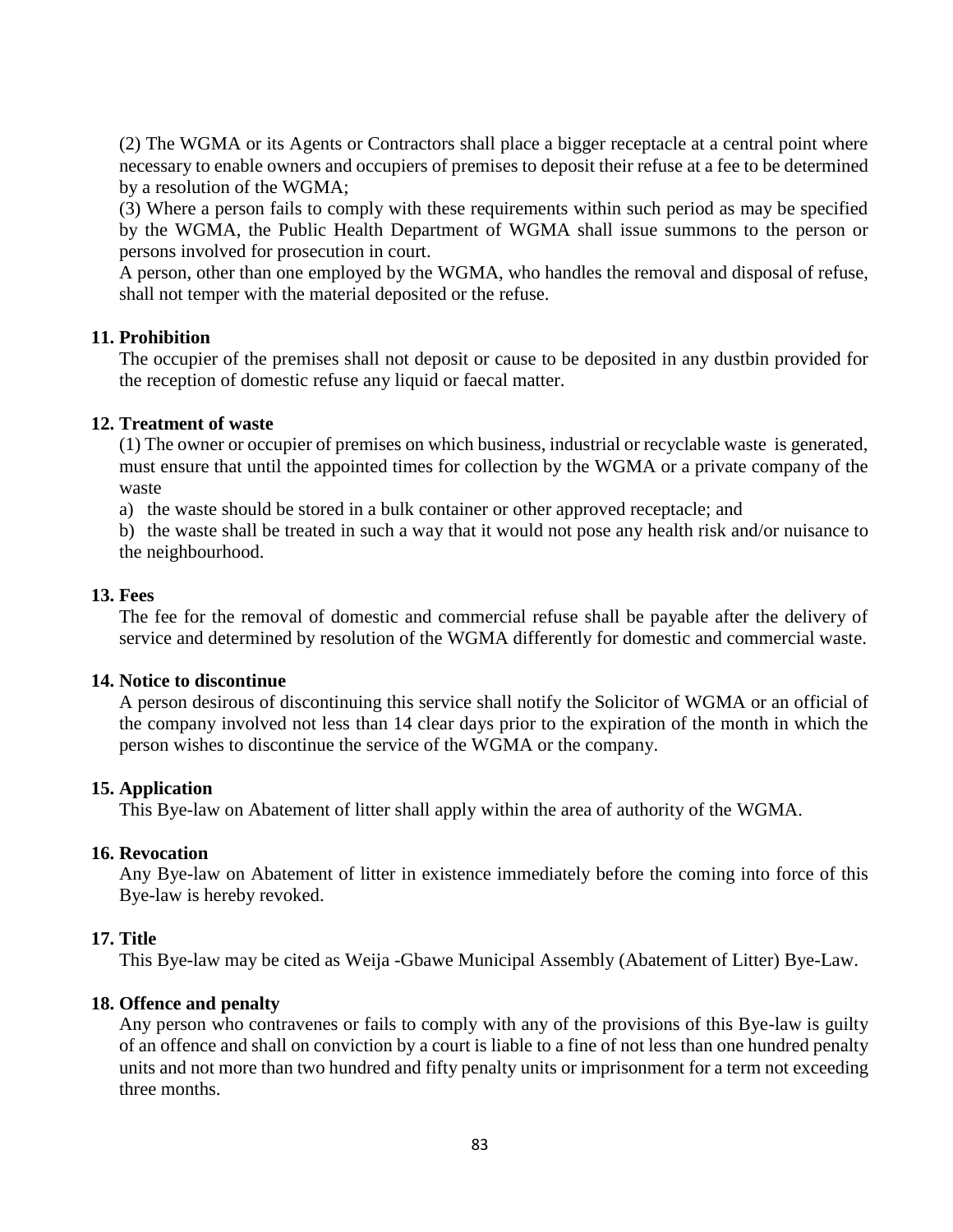(2) The WGMA or its Agents or Contractors shall place a bigger receptacle at a central point where necessary to enable owners and occupiers of premises to deposit their refuse at a fee to be determined by a resolution of the WGMA;

(3) Where a person fails to comply with these requirements within such period as may be specified by the WGMA, the Public Health Department of WGMA shall issue summons to the person or persons involved for prosecution in court.

A person, other than one employed by the WGMA, who handles the removal and disposal of refuse, shall not temper with the material deposited or the refuse.

#### **11. Prohibition**

The occupier of the premises shall not deposit or cause to be deposited in any dustbin provided for the reception of domestic refuse any liquid or faecal matter.

#### **12. Treatment of waste**

(1) The owner or occupier of premises on which business, industrial or recyclable waste is generated, must ensure that until the appointed times for collection by the WGMA or a private company of the waste

a) the waste should be stored in a bulk container or other approved receptacle; and

b) the waste shall be treated in such a way that it would not pose any health risk and/or nuisance to the neighbourhood.

#### **13. Fees**

The fee for the removal of domestic and commercial refuse shall be payable after the delivery of service and determined by resolution of the WGMA differently for domestic and commercial waste.

#### **14. Notice to discontinue**

A person desirous of discontinuing this service shall notify the Solicitor of WGMA or an official of the company involved not less than 14 clear days prior to the expiration of the month in which the person wishes to discontinue the service of the WGMA or the company.

#### **15. Application**

This Bye-law on Abatement of litter shall apply within the area of authority of the WGMA.

#### **16. Revocation**

Any Bye-law on Abatement of litter in existence immediately before the coming into force of this Bye-law is hereby revoked.

#### **17. Title**

This Bye-law may be cited as Weija -Gbawe Municipal Assembly (Abatement of Litter) Bye-Law.

#### **18. Offence and penalty**

Any person who contravenes or fails to comply with any of the provisions of this Bye-law is guilty of an offence and shall on conviction by a court is liable to a fine of not less than one hundred penalty units and not more than two hundred and fifty penalty units or imprisonment for a term not exceeding three months.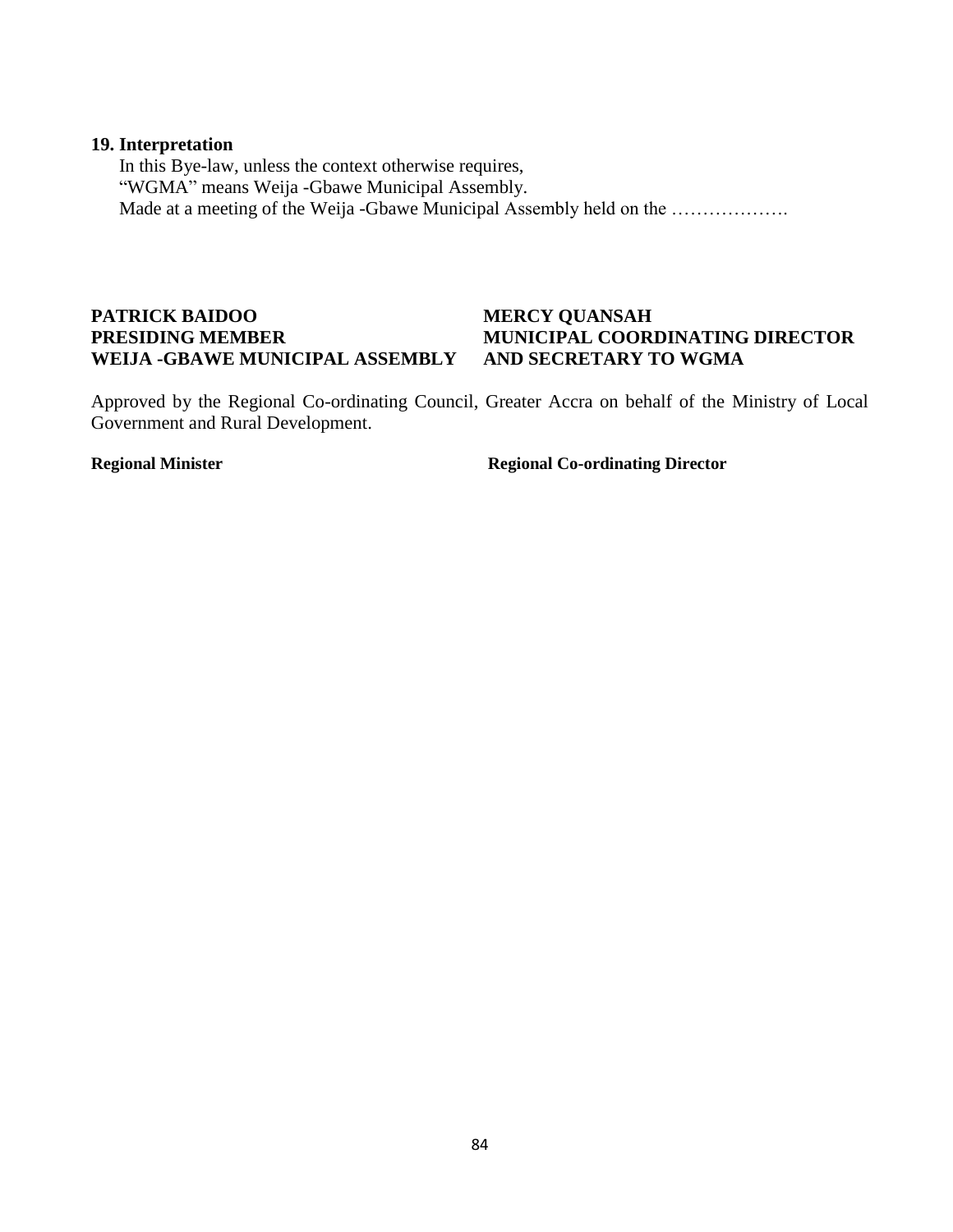#### **19. Interpretation**

In this Bye-law, unless the context otherwise requires, "WGMA" means Weija -Gbawe Municipal Assembly. Made at a meeting of the Weija -Gbawe Municipal Assembly held on the ...................

## **PATRICK BAIDOO MERCY QUANSAH WEIJA -GBAWE MUNICIPAL ASSEMBLY AND SECRETARY TO WGMA**

# **PRESIDING MEMBER MUNICIPAL COORDINATING DIRECTOR**

Approved by the Regional Co-ordinating Council, Greater Accra on behalf of the Ministry of Local Government and Rural Development.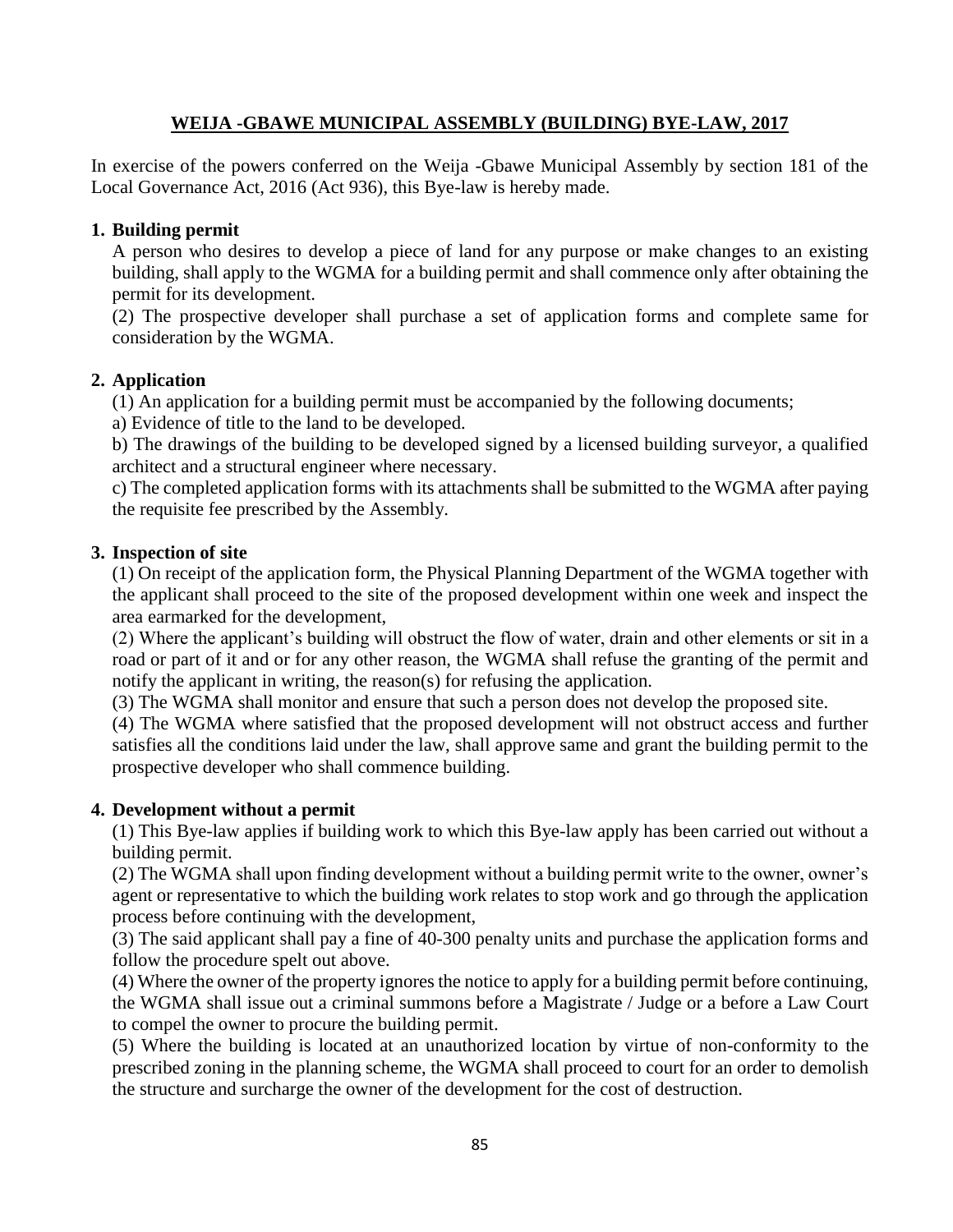## **WEIJA -GBAWE MUNICIPAL ASSEMBLY (BUILDING) BYE-LAW, 2017**

In exercise of the powers conferred on the Weija -Gbawe Municipal Assembly by section 181 of the Local Governance Act, 2016 (Act 936), this Bye-law is hereby made.

## **1. Building permit**

A person who desires to develop a piece of land for any purpose or make changes to an existing building, shall apply to the WGMA for a building permit and shall commence only after obtaining the permit for its development.

(2) The prospective developer shall purchase a set of application forms and complete same for consideration by the WGMA.

## **2. Application**

(1) An application for a building permit must be accompanied by the following documents;

a) Evidence of title to the land to be developed.

b) The drawings of the building to be developed signed by a licensed building surveyor, a qualified architect and a structural engineer where necessary.

c) The completed application forms with its attachments shall be submitted to the WGMA after paying the requisite fee prescribed by the Assembly.

### **3. Inspection of site**

(1) On receipt of the application form, the Physical Planning Department of the WGMA together with the applicant shall proceed to the site of the proposed development within one week and inspect the area earmarked for the development,

(2) Where the applicant's building will obstruct the flow of water, drain and other elements or sit in a road or part of it and or for any other reason, the WGMA shall refuse the granting of the permit and notify the applicant in writing, the reason(s) for refusing the application.

(3) The WGMA shall monitor and ensure that such a person does not develop the proposed site.

(4) The WGMA where satisfied that the proposed development will not obstruct access and further satisfies all the conditions laid under the law, shall approve same and grant the building permit to the prospective developer who shall commence building.

### **4. Development without a permit**

(1) This Bye-law applies if building work to which this Bye-law apply has been carried out without a building permit.

(2) The WGMA shall upon finding development without a building permit write to the owner, owner's agent or representative to which the building work relates to stop work and go through the application process before continuing with the development,

(3) The said applicant shall pay a fine of 40-300 penalty units and purchase the application forms and follow the procedure spelt out above.

(4) Where the owner of the property ignores the notice to apply for a building permit before continuing, the WGMA shall issue out a criminal summons before a Magistrate / Judge or a before a Law Court to compel the owner to procure the building permit.

(5) Where the building is located at an unauthorized location by virtue of non-conformity to the prescribed zoning in the planning scheme, the WGMA shall proceed to court for an order to demolish the structure and surcharge the owner of the development for the cost of destruction.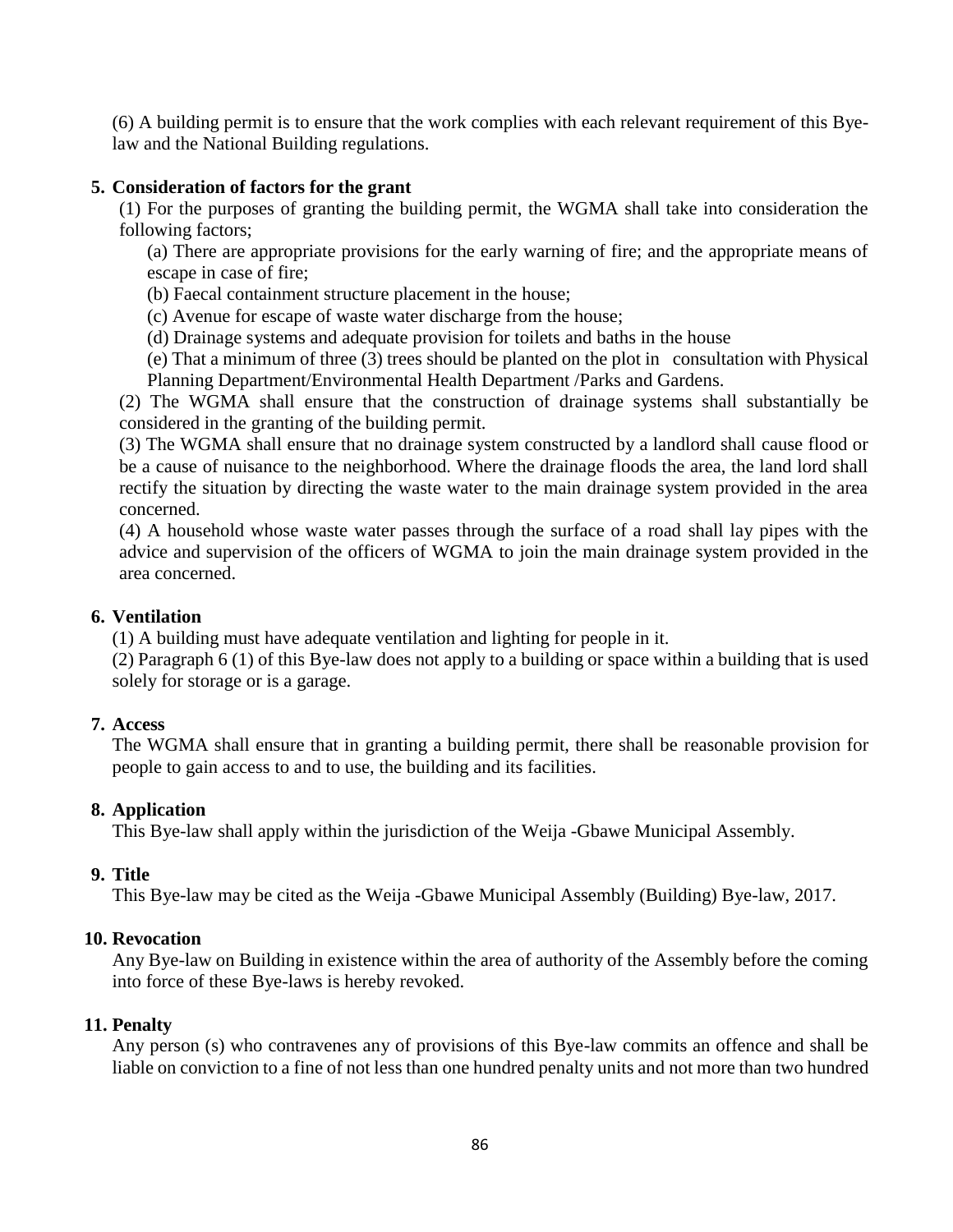(6) A building permit is to ensure that the work complies with each relevant requirement of this Byelaw and the National Building regulations.

#### **5. Consideration of factors for the grant**

(1) For the purposes of granting the building permit, the WGMA shall take into consideration the following factors;

(a) There are appropriate provisions for the early warning of fire; and the appropriate means of escape in case of fire;

(b) Faecal containment structure placement in the house;

(c) Avenue for escape of waste water discharge from the house;

(d) Drainage systems and adequate provision for toilets and baths in the house

(e) That a minimum of three (3) trees should be planted on the plot in consultation with Physical Planning Department/Environmental Health Department /Parks and Gardens.

(2) The WGMA shall ensure that the construction of drainage systems shall substantially be considered in the granting of the building permit.

(3) The WGMA shall ensure that no drainage system constructed by a landlord shall cause flood or be a cause of nuisance to the neighborhood. Where the drainage floods the area, the land lord shall rectify the situation by directing the waste water to the main drainage system provided in the area concerned.

(4) A household whose waste water passes through the surface of a road shall lay pipes with the advice and supervision of the officers of WGMA to join the main drainage system provided in the area concerned.

#### **6. Ventilation**

(1) A building must have adequate ventilation and lighting for people in it.

(2) Paragraph 6 (1) of this Bye-law does not apply to a building or space within a building that is used solely for storage or is a garage.

### **7. Access**

The WGMA shall ensure that in granting a building permit, there shall be reasonable provision for people to gain access to and to use, the building and its facilities.

### **8. Application**

This Bye-law shall apply within the jurisdiction of the Weija -Gbawe Municipal Assembly.

#### **9. Title**

This Bye-law may be cited as the Weija -Gbawe Municipal Assembly (Building) Bye-law, 2017.

#### **10. Revocation**

Any Bye-law on Building in existence within the area of authority of the Assembly before the coming into force of these Bye-laws is hereby revoked.

#### **11. Penalty**

Any person (s) who contravenes any of provisions of this Bye-law commits an offence and shall be liable on conviction to a fine of not less than one hundred penalty units and not more than two hundred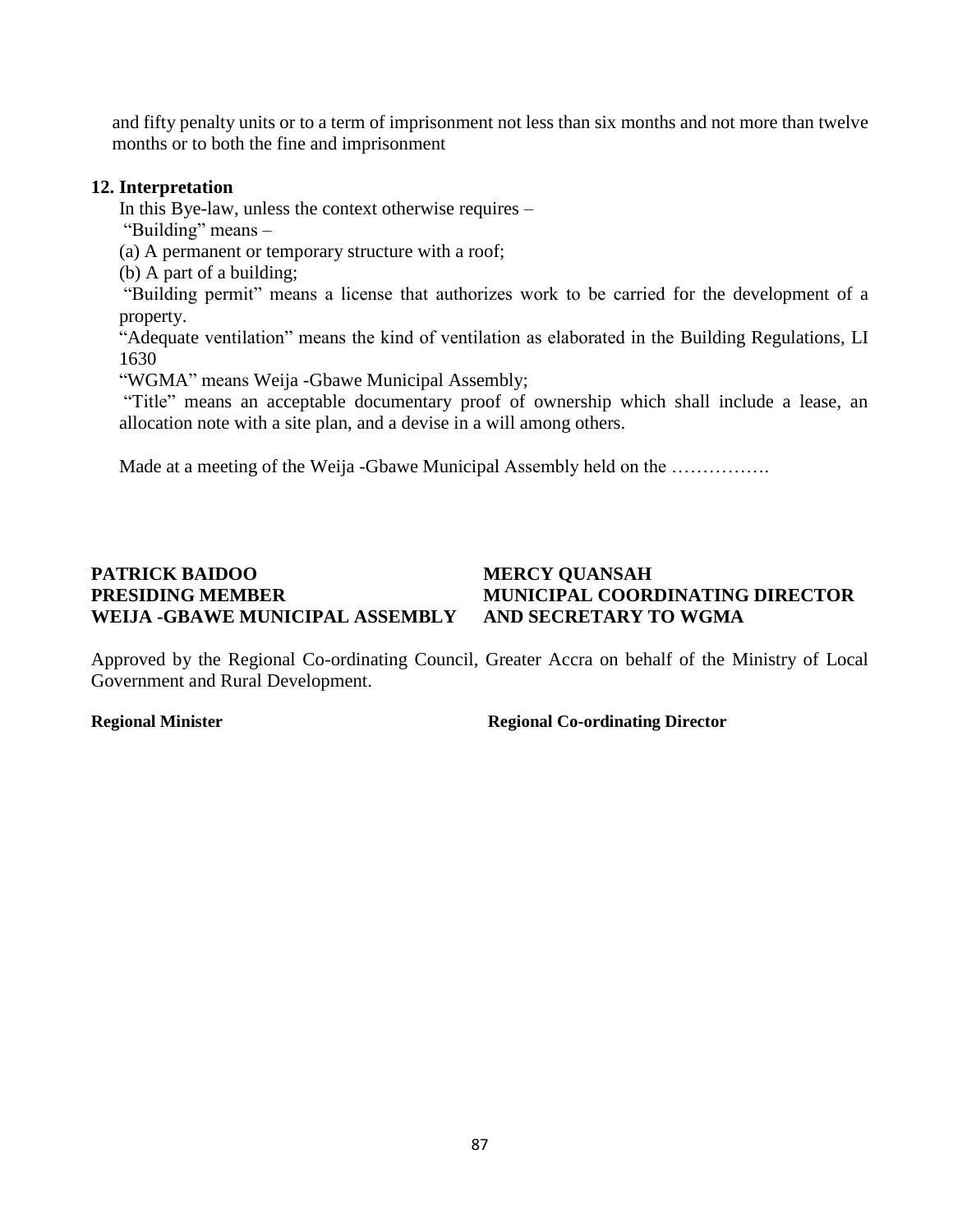and fifty penalty units or to a term of imprisonment not less than six months and not more than twelve months or to both the fine and imprisonment

#### **12. Interpretation**

In this Bye-law, unless the context otherwise requires –

"Building" means –

(a) A permanent or temporary structure with a roof;

(b) A part of a building;

"Building permit" means a license that authorizes work to be carried for the development of a property.

"Adequate ventilation" means the kind of ventilation as elaborated in the Building Regulations, LI 1630

"WGMA" means Weija -Gbawe Municipal Assembly;

"Title" means an acceptable documentary proof of ownership which shall include a lease, an allocation note with a site plan, and a devise in a will among others.

Made at a meeting of the Weija -Gbawe Municipal Assembly held on the .................

#### **PATRICK BAIDOO MERCY QUANSAH PRESIDING MEMBER MUNICIPAL COORDINATING DIRECTOR WEIJA -GBAWE MUNICIPAL ASSEMBLY AND SECRETARY TO WGMA**

Approved by the Regional Co-ordinating Council, Greater Accra on behalf of the Ministry of Local Government and Rural Development.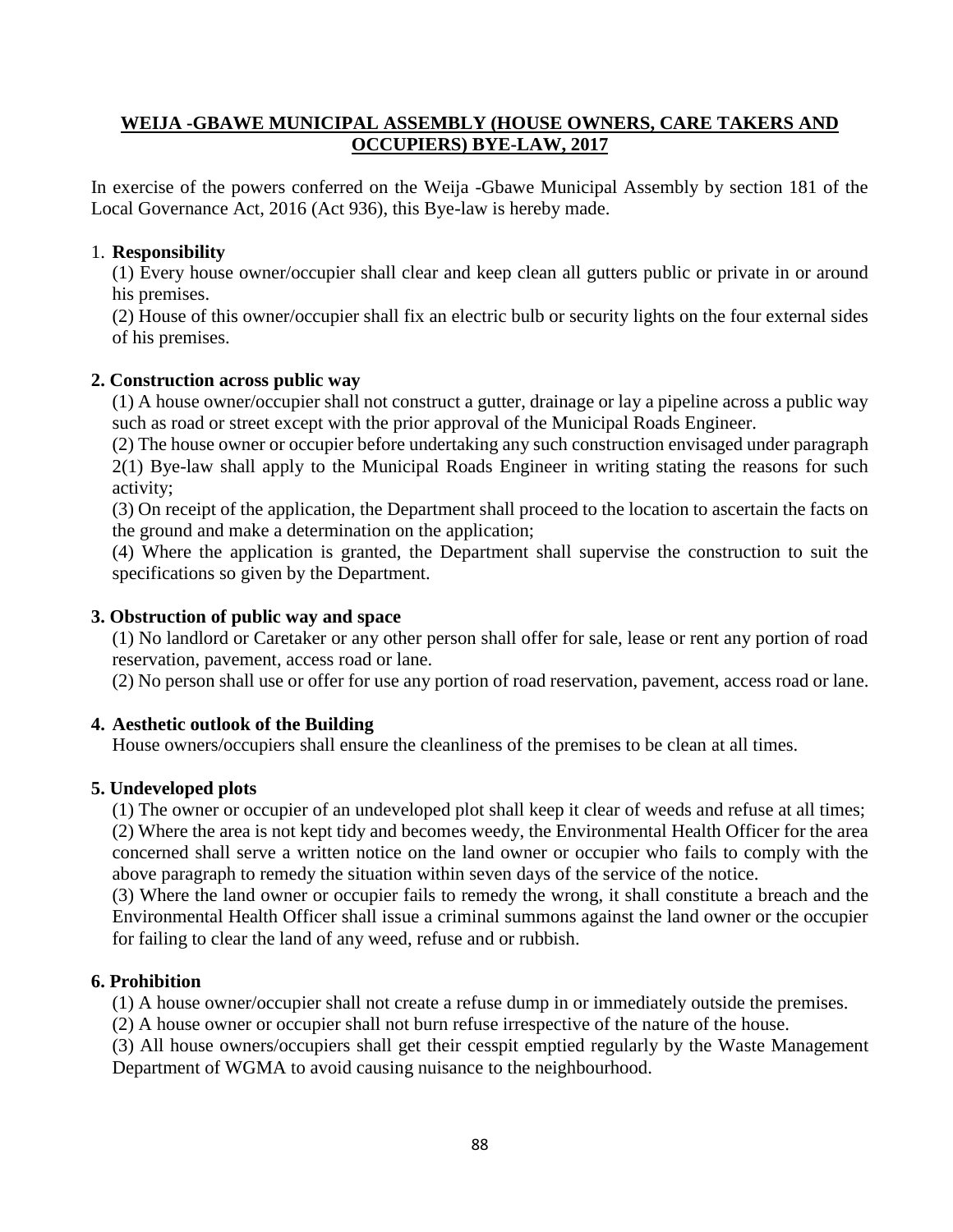## **WEIJA -GBAWE MUNICIPAL ASSEMBLY (HOUSE OWNERS, CARE TAKERS AND OCCUPIERS) BYE-LAW, 2017**

In exercise of the powers conferred on the Weija -Gbawe Municipal Assembly by section 181 of the Local Governance Act, 2016 (Act 936), this Bye-law is hereby made.

### 1. **Responsibility**

(1) Every house owner/occupier shall clear and keep clean all gutters public or private in or around his premises.

(2) House of this owner/occupier shall fix an electric bulb or security lights on the four external sides of his premises.

## **2. Construction across public way**

(1) A house owner/occupier shall not construct a gutter, drainage or lay a pipeline across a public way such as road or street except with the prior approval of the Municipal Roads Engineer.

(2) The house owner or occupier before undertaking any such construction envisaged under paragraph 2(1) Bye-law shall apply to the Municipal Roads Engineer in writing stating the reasons for such activity;

(3) On receipt of the application, the Department shall proceed to the location to ascertain the facts on the ground and make a determination on the application;

(4) Where the application is granted, the Department shall supervise the construction to suit the specifications so given by the Department.

## **3. Obstruction of public way and space**

(1) No landlord or Caretaker or any other person shall offer for sale, lease or rent any portion of road reservation, pavement, access road or lane.

(2) No person shall use or offer for use any portion of road reservation, pavement, access road or lane.

## **4. Aesthetic outlook of the Building**

House owners/occupiers shall ensure the cleanliness of the premises to be clean at all times.

## **5. Undeveloped plots**

(1) The owner or occupier of an undeveloped plot shall keep it clear of weeds and refuse at all times; (2) Where the area is not kept tidy and becomes weedy, the Environmental Health Officer for the area concerned shall serve a written notice on the land owner or occupier who fails to comply with the above paragraph to remedy the situation within seven days of the service of the notice.

(3) Where the land owner or occupier fails to remedy the wrong, it shall constitute a breach and the Environmental Health Officer shall issue a criminal summons against the land owner or the occupier for failing to clear the land of any weed, refuse and or rubbish.

### **6. Prohibition**

(1) A house owner/occupier shall not create a refuse dump in or immediately outside the premises.

(2) A house owner or occupier shall not burn refuse irrespective of the nature of the house.

(3) All house owners/occupiers shall get their cesspit emptied regularly by the Waste Management Department of WGMA to avoid causing nuisance to the neighbourhood.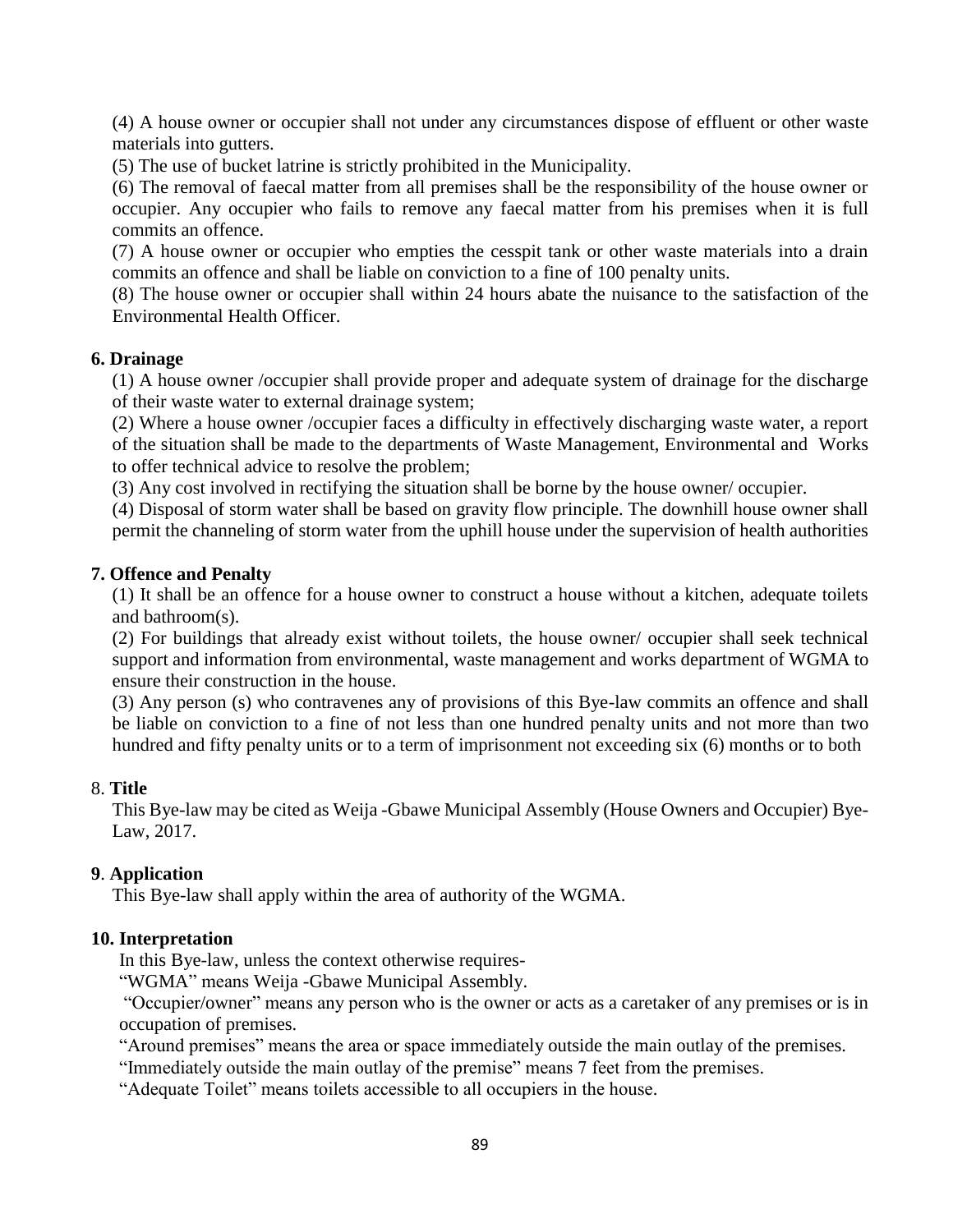(4) A house owner or occupier shall not under any circumstances dispose of effluent or other waste materials into gutters.

(5) The use of bucket latrine is strictly prohibited in the Municipality.

(6) The removal of faecal matter from all premises shall be the responsibility of the house owner or occupier. Any occupier who fails to remove any faecal matter from his premises when it is full commits an offence.

(7) A house owner or occupier who empties the cesspit tank or other waste materials into a drain commits an offence and shall be liable on conviction to a fine of 100 penalty units.

(8) The house owner or occupier shall within 24 hours abate the nuisance to the satisfaction of the Environmental Health Officer.

#### **6. Drainage**

(1) A house owner /occupier shall provide proper and adequate system of drainage for the discharge of their waste water to external drainage system;

(2) Where a house owner /occupier faces a difficulty in effectively discharging waste water, a report of the situation shall be made to the departments of Waste Management, Environmental and Works to offer technical advice to resolve the problem;

(3) Any cost involved in rectifying the situation shall be borne by the house owner/ occupier.

(4) Disposal of storm water shall be based on gravity flow principle. The downhill house owner shall permit the channeling of storm water from the uphill house under the supervision of health authorities

#### **7. Offence and Penalty**

(1) It shall be an offence for a house owner to construct a house without a kitchen, adequate toilets and bathroom(s).

(2) For buildings that already exist without toilets, the house owner/ occupier shall seek technical support and information from environmental, waste management and works department of WGMA to ensure their construction in the house.

(3) Any person (s) who contravenes any of provisions of this Bye-law commits an offence and shall be liable on conviction to a fine of not less than one hundred penalty units and not more than two hundred and fifty penalty units or to a term of imprisonment not exceeding six (6) months or to both

#### 8. **Title**

This Bye-law may be cited as Weija -Gbawe Municipal Assembly (House Owners and Occupier) Bye-Law, 2017.

### **9**. **Application**

This Bye-law shall apply within the area of authority of the WGMA.

#### **10. Interpretation**

In this Bye-law, unless the context otherwise requires-

"WGMA" means Weija -Gbawe Municipal Assembly.

"Occupier/owner" means any person who is the owner or acts as a caretaker of any premises or is in occupation of premises.

"Around premises" means the area or space immediately outside the main outlay of the premises.

"Immediately outside the main outlay of the premise" means 7 feet from the premises.

"Adequate Toilet" means toilets accessible to all occupiers in the house.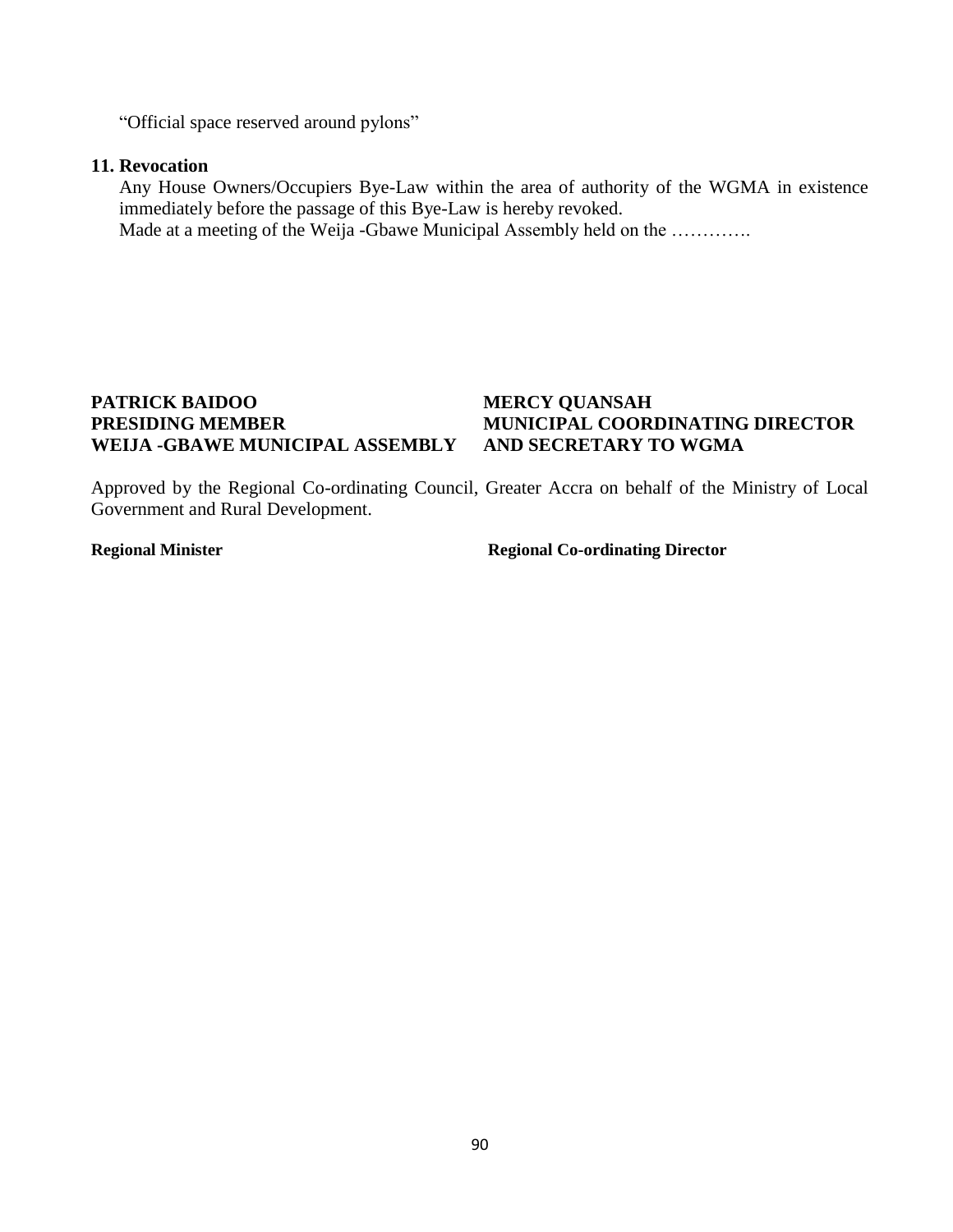"Official space reserved around pylons"

#### **11. Revocation**

Any House Owners/Occupiers Bye-Law within the area of authority of the WGMA in existence immediately before the passage of this Bye-Law is hereby revoked. Made at a meeting of the Weija -Gbawe Municipal Assembly held on the .............

### **PATRICK BAIDOO MERCY QUANSAH PRESIDING MEMBER MUNICIPAL COORDINATING DIRECTOR WEIJA -GBAWE MUNICIPAL ASSEMBLY AND SECRETARY TO WGMA**

Approved by the Regional Co-ordinating Council, Greater Accra on behalf of the Ministry of Local Government and Rural Development.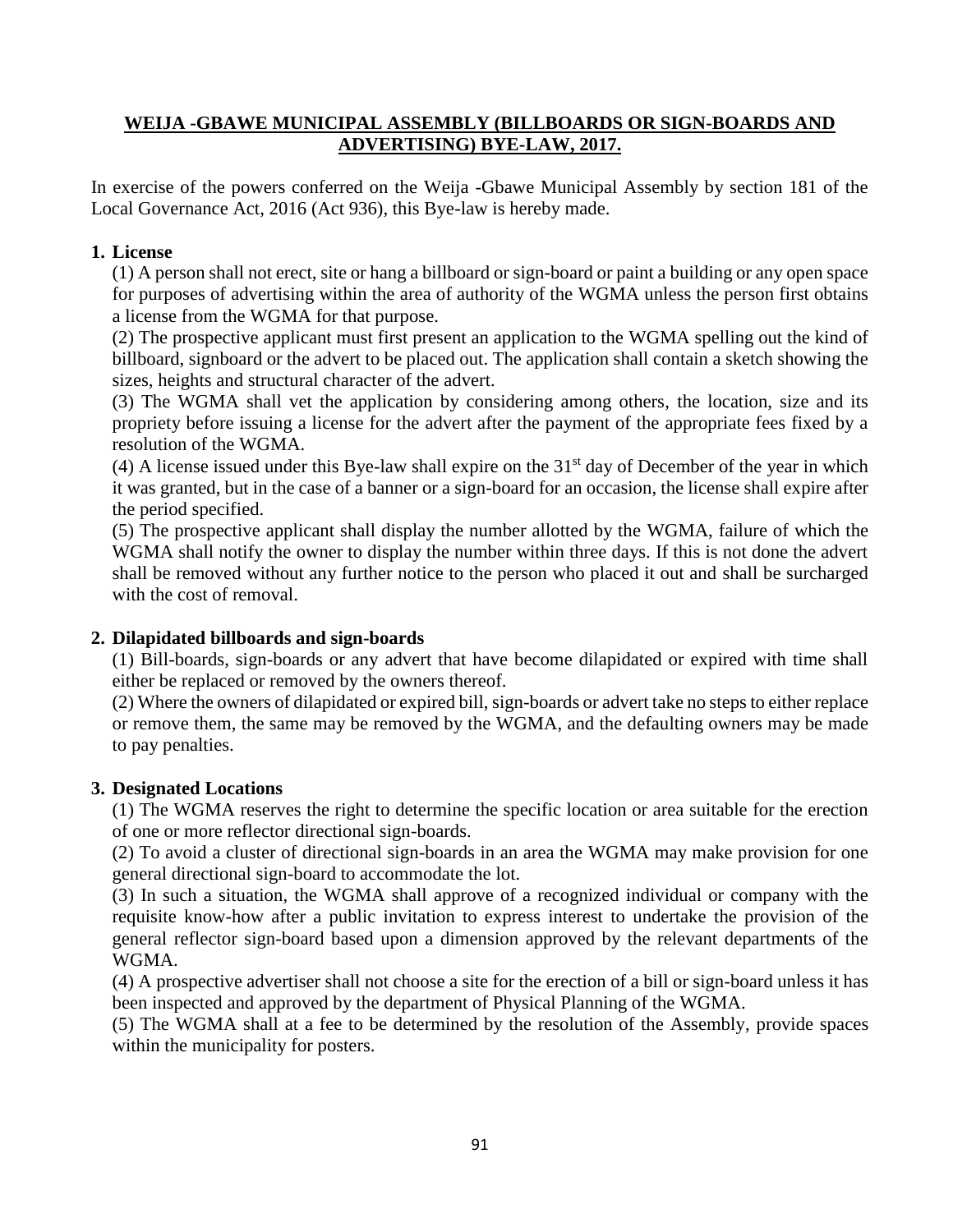## **WEIJA -GBAWE MUNICIPAL ASSEMBLY (BILLBOARDS OR SIGN-BOARDS AND ADVERTISING) BYE-LAW, 2017.**

In exercise of the powers conferred on the Weija -Gbawe Municipal Assembly by section 181 of the Local Governance Act, 2016 (Act 936), this Bye-law is hereby made.

#### **1. License**

(1) A person shall not erect, site or hang a billboard or sign-board or paint a building or any open space for purposes of advertising within the area of authority of the WGMA unless the person first obtains a license from the WGMA for that purpose.

(2) The prospective applicant must first present an application to the WGMA spelling out the kind of billboard, signboard or the advert to be placed out. The application shall contain a sketch showing the sizes, heights and structural character of the advert.

(3) The WGMA shall vet the application by considering among others, the location, size and its propriety before issuing a license for the advert after the payment of the appropriate fees fixed by a resolution of the WGMA.

(4) A license issued under this Bye-law shall expire on the  $31<sup>st</sup>$  day of December of the year in which it was granted, but in the case of a banner or a sign-board for an occasion, the license shall expire after the period specified.

(5) The prospective applicant shall display the number allotted by the WGMA, failure of which the WGMA shall notify the owner to display the number within three days. If this is not done the advert shall be removed without any further notice to the person who placed it out and shall be surcharged with the cost of removal.

### **2. Dilapidated billboards and sign-boards**

(1) Bill-boards, sign-boards or any advert that have become dilapidated or expired with time shall either be replaced or removed by the owners thereof.

(2) Where the owners of dilapidated or expired bill, sign-boards or advert take no steps to either replace or remove them, the same may be removed by the WGMA, and the defaulting owners may be made to pay penalties.

#### **3. Designated Locations**

(1) The WGMA reserves the right to determine the specific location or area suitable for the erection of one or more reflector directional sign-boards.

(2) To avoid a cluster of directional sign-boards in an area the WGMA may make provision for one general directional sign-board to accommodate the lot.

(3) In such a situation, the WGMA shall approve of a recognized individual or company with the requisite know-how after a public invitation to express interest to undertake the provision of the general reflector sign-board based upon a dimension approved by the relevant departments of the WGMA.

(4) A prospective advertiser shall not choose a site for the erection of a bill or sign-board unless it has been inspected and approved by the department of Physical Planning of the WGMA.

(5) The WGMA shall at a fee to be determined by the resolution of the Assembly, provide spaces within the municipality for posters.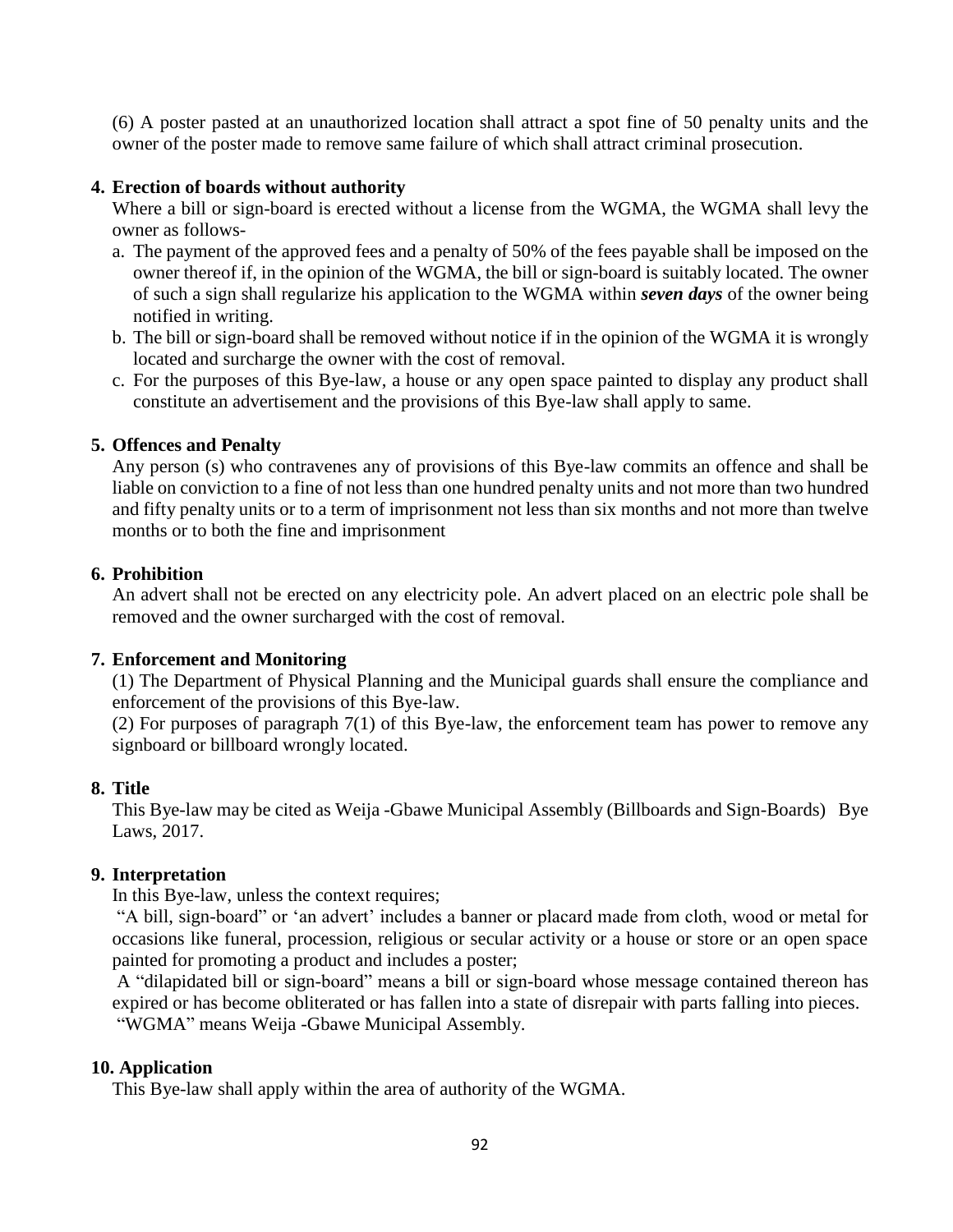(6) A poster pasted at an unauthorized location shall attract a spot fine of 50 penalty units and the owner of the poster made to remove same failure of which shall attract criminal prosecution.

#### **4. Erection of boards without authority**

Where a bill or sign-board is erected without a license from the WGMA, the WGMA shall levy the owner as follows-

- a. The payment of the approved fees and a penalty of 50% of the fees payable shall be imposed on the owner thereof if, in the opinion of the WGMA, the bill or sign-board is suitably located. The owner of such a sign shall regularize his application to the WGMA within *seven days* of the owner being notified in writing.
- b. The bill or sign-board shall be removed without notice if in the opinion of the WGMA it is wrongly located and surcharge the owner with the cost of removal.
- c. For the purposes of this Bye-law, a house or any open space painted to display any product shall constitute an advertisement and the provisions of this Bye-law shall apply to same.

#### **5. Offences and Penalty**

Any person (s) who contravenes any of provisions of this Bye-law commits an offence and shall be liable on conviction to a fine of not less than one hundred penalty units and not more than two hundred and fifty penalty units or to a term of imprisonment not less than six months and not more than twelve months or to both the fine and imprisonment

#### **6. Prohibition**

An advert shall not be erected on any electricity pole. An advert placed on an electric pole shall be removed and the owner surcharged with the cost of removal.

#### **7. Enforcement and Monitoring**

(1) The Department of Physical Planning and the Municipal guards shall ensure the compliance and enforcement of the provisions of this Bye-law.

(2) For purposes of paragraph 7(1) of this Bye-law, the enforcement team has power to remove any signboard or billboard wrongly located.

#### **8. Title**

This Bye-law may be cited as Weija -Gbawe Municipal Assembly (Billboards and Sign-Boards) Bye Laws, 2017.

#### **9. Interpretation**

In this Bye-law, unless the context requires;

"A bill, sign-board" or 'an advert' includes a banner or placard made from cloth, wood or metal for occasions like funeral, procession, religious or secular activity or a house or store or an open space painted for promoting a product and includes a poster;

A "dilapidated bill or sign-board" means a bill or sign-board whose message contained thereon has expired or has become obliterated or has fallen into a state of disrepair with parts falling into pieces. "WGMA" means Weija -Gbawe Municipal Assembly.

#### **10. Application**

This Bye-law shall apply within the area of authority of the WGMA.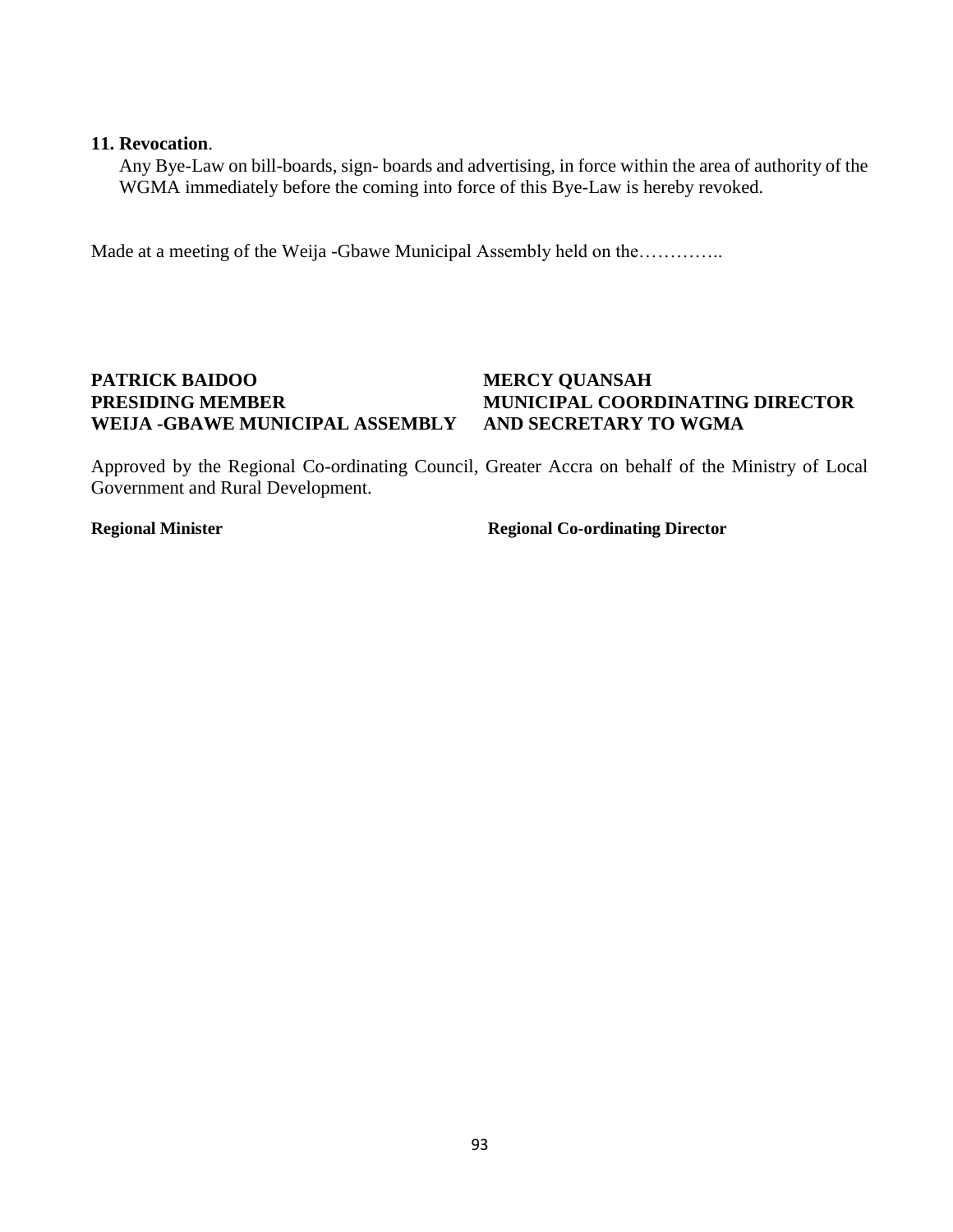#### **11. Revocation**.

Any Bye-Law on bill-boards, sign- boards and advertising, in force within the area of authority of the WGMA immediately before the coming into force of this Bye-Law is hereby revoked.

Made at a meeting of the Weija -Gbawe Municipal Assembly held on the…………..

#### **PATRICK BAIDOO MERCY QUANSAH PRESIDING MEMBER MUNICIPAL COORDINATING DIRECTOR WEIJA -GBAWE MUNICIPAL ASSEMBLY**

Approved by the Regional Co-ordinating Council, Greater Accra on behalf of the Ministry of Local Government and Rural Development.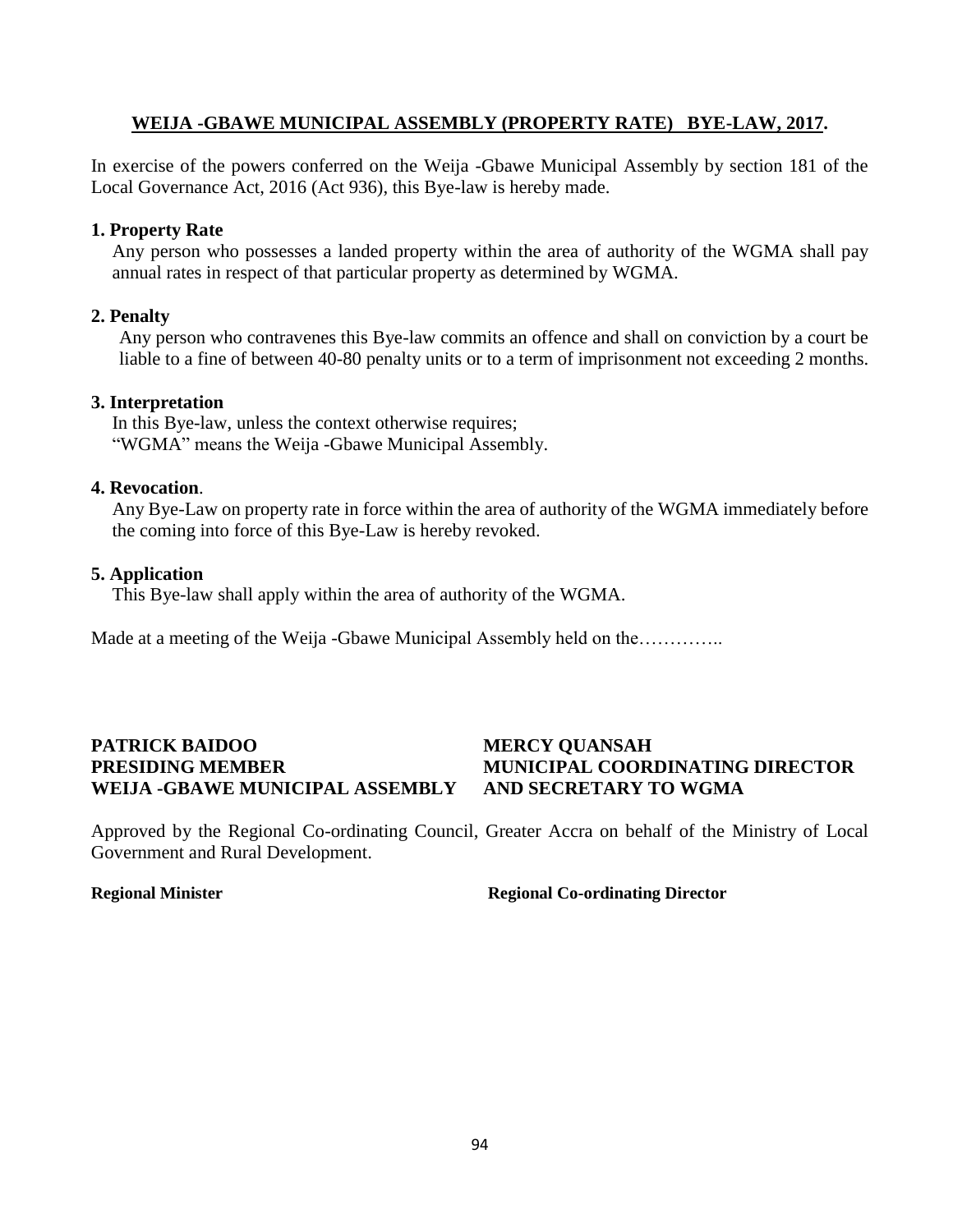#### **WEIJA -GBAWE MUNICIPAL ASSEMBLY (PROPERTY RATE) BYE-LAW, 2017.**

In exercise of the powers conferred on the Weija -Gbawe Municipal Assembly by section 181 of the Local Governance Act, 2016 (Act 936), this Bye-law is hereby made.

#### **1. Property Rate**

Any person who possesses a landed property within the area of authority of the WGMA shall pay annual rates in respect of that particular property as determined by WGMA.

#### **2. Penalty**

Any person who contravenes this Bye-law commits an offence and shall on conviction by a court be liable to a fine of between 40-80 penalty units or to a term of imprisonment not exceeding 2 months.

#### **3. Interpretation**

In this Bye-law, unless the context otherwise requires; "WGMA" means the Weija -Gbawe Municipal Assembly.

#### **4. Revocation**.

Any Bye-Law on property rate in force within the area of authority of the WGMA immediately before the coming into force of this Bye-Law is hereby revoked.

#### **5. Application**

This Bye-law shall apply within the area of authority of the WGMA.

Made at a meeting of the Weija -Gbawe Municipal Assembly held on the…………..

## **PATRICK BAIDOO MERCY QUANSAH WEIJA -GBAWE MUNICIPAL ASSEMBLY AND SECRETARY TO WGMA**

# **PRESIDING MEMBER MUNICIPAL COORDINATING DIRECTOR**

Approved by the Regional Co-ordinating Council, Greater Accra on behalf of the Ministry of Local Government and Rural Development.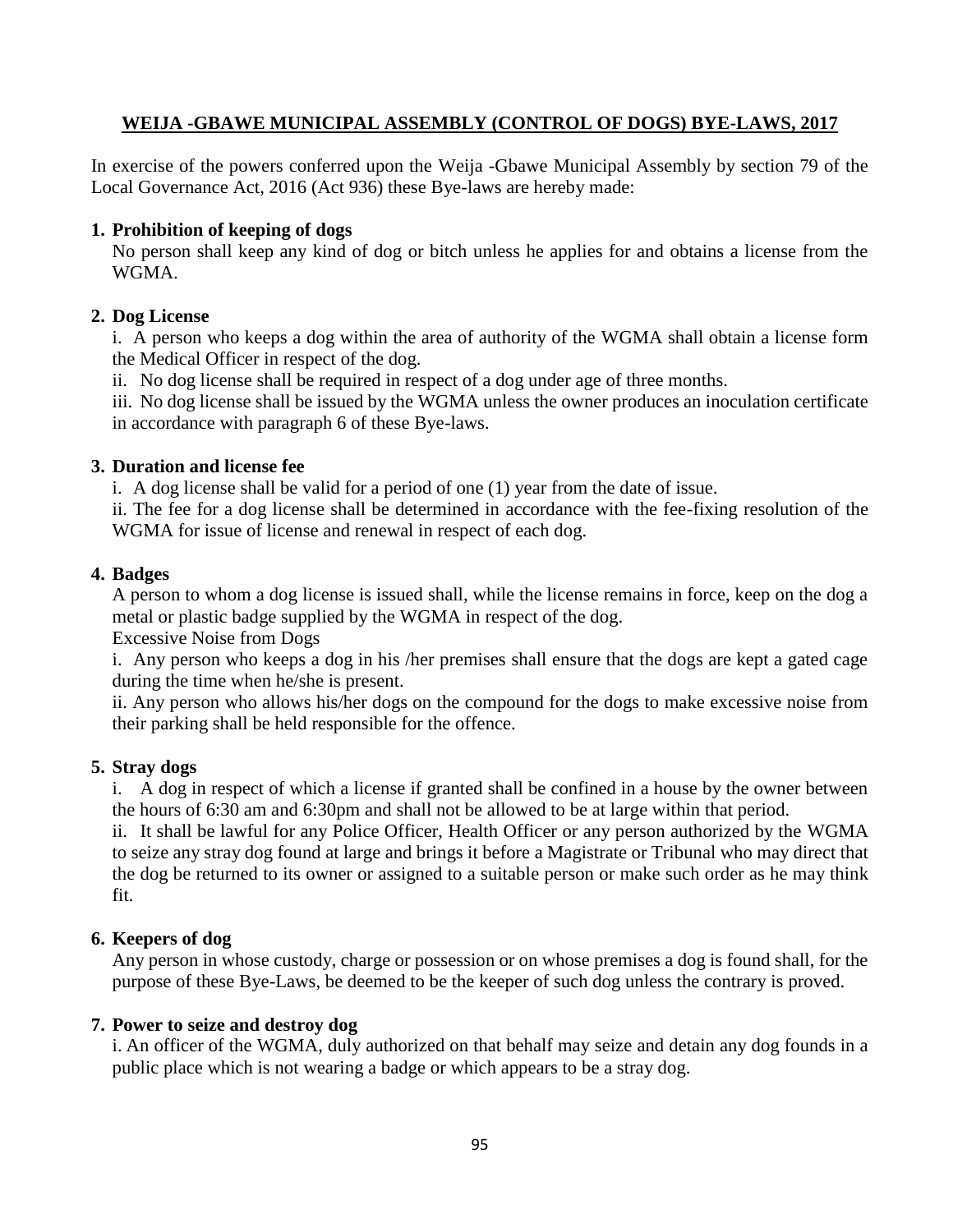## **WEIJA -GBAWE MUNICIPAL ASSEMBLY (CONTROL OF DOGS) BYE-LAWS, 2017**

In exercise of the powers conferred upon the Weija -Gbawe Municipal Assembly by section 79 of the Local Governance Act, 2016 (Act 936) these Bye-laws are hereby made:

## **1. Prohibition of keeping of dogs**

No person shall keep any kind of dog or bitch unless he applies for and obtains a license from the WGMA.

### **2. Dog License**

i. A person who keeps a dog within the area of authority of the WGMA shall obtain a license form the Medical Officer in respect of the dog.

ii. No dog license shall be required in respect of a dog under age of three months.

iii. No dog license shall be issued by the WGMA unless the owner produces an inoculation certificate in accordance with paragraph 6 of these Bye-laws.

### **3. Duration and license fee**

i. A dog license shall be valid for a period of one (1) year from the date of issue.

ii. The fee for a dog license shall be determined in accordance with the fee-fixing resolution of the WGMA for issue of license and renewal in respect of each dog.

## **4. Badges**

A person to whom a dog license is issued shall, while the license remains in force, keep on the dog a metal or plastic badge supplied by the WGMA in respect of the dog.

Excessive Noise from Dogs

i. Any person who keeps a dog in his /her premises shall ensure that the dogs are kept a gated cage during the time when he/she is present.

ii. Any person who allows his/her dogs on the compound for the dogs to make excessive noise from their parking shall be held responsible for the offence.

### **5. Stray dogs**

i. A dog in respect of which a license if granted shall be confined in a house by the owner between the hours of 6:30 am and 6:30pm and shall not be allowed to be at large within that period.

ii. It shall be lawful for any Police Officer, Health Officer or any person authorized by the WGMA to seize any stray dog found at large and brings it before a Magistrate or Tribunal who may direct that the dog be returned to its owner or assigned to a suitable person or make such order as he may think fit.

## **6. Keepers of dog**

Any person in whose custody, charge or possession or on whose premises a dog is found shall, for the purpose of these Bye-Laws, be deemed to be the keeper of such dog unless the contrary is proved.

### **7. Power to seize and destroy dog**

i. An officer of the WGMA, duly authorized on that behalf may seize and detain any dog founds in a public place which is not wearing a badge or which appears to be a stray dog.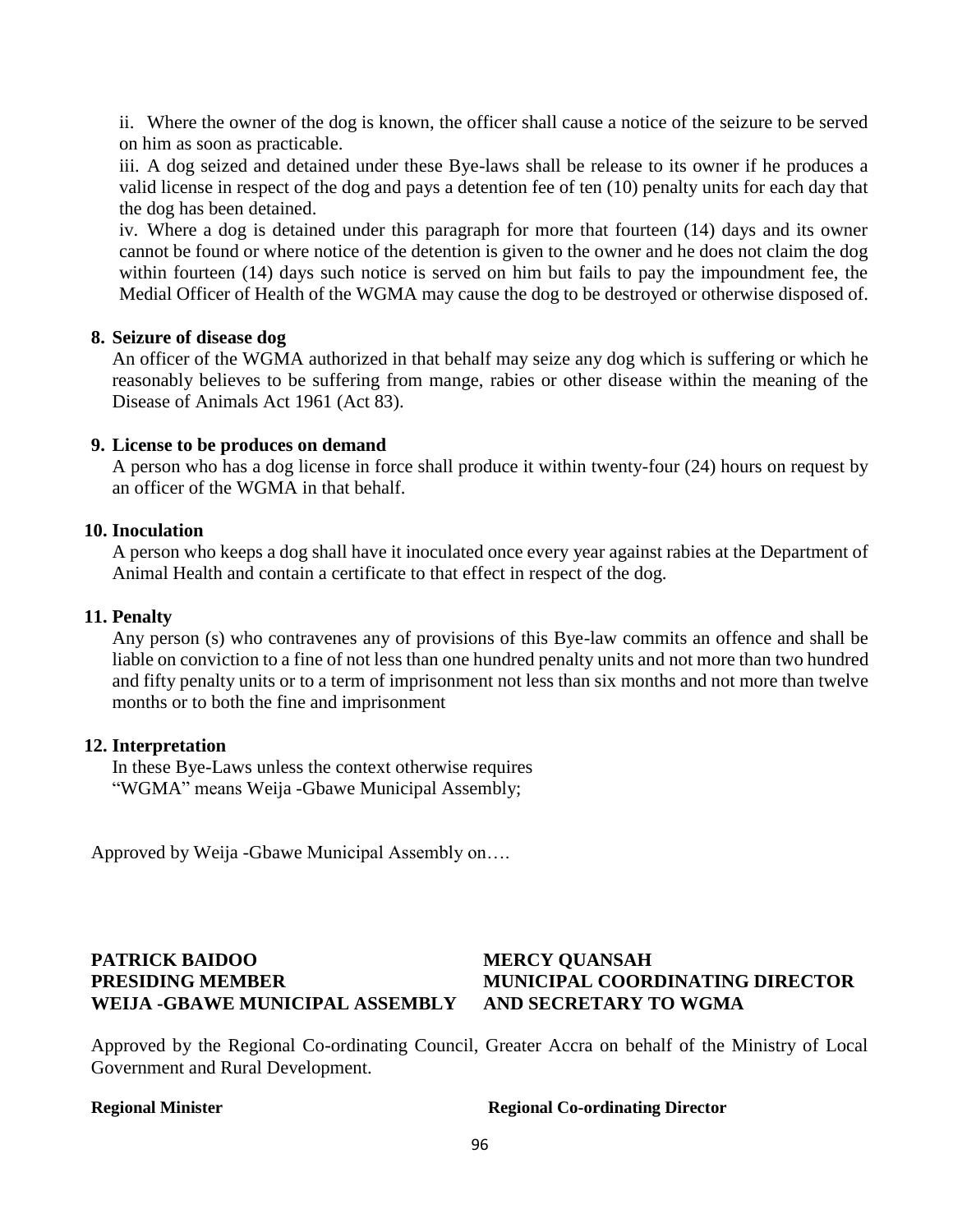ii. Where the owner of the dog is known, the officer shall cause a notice of the seizure to be served on him as soon as practicable.

iii. A dog seized and detained under these Bye-laws shall be release to its owner if he produces a valid license in respect of the dog and pays a detention fee of ten (10) penalty units for each day that the dog has been detained.

iv. Where a dog is detained under this paragraph for more that fourteen (14) days and its owner cannot be found or where notice of the detention is given to the owner and he does not claim the dog within fourteen (14) days such notice is served on him but fails to pay the impoundment fee, the Medial Officer of Health of the WGMA may cause the dog to be destroyed or otherwise disposed of.

#### **8. Seizure of disease dog**

An officer of the WGMA authorized in that behalf may seize any dog which is suffering or which he reasonably believes to be suffering from mange, rabies or other disease within the meaning of the Disease of Animals Act 1961 (Act 83).

#### **9. License to be produces on demand**

A person who has a dog license in force shall produce it within twenty-four (24) hours on request by an officer of the WGMA in that behalf.

#### **10. Inoculation**

A person who keeps a dog shall have it inoculated once every year against rabies at the Department of Animal Health and contain a certificate to that effect in respect of the dog.

#### **11. Penalty**

Any person (s) who contravenes any of provisions of this Bye-law commits an offence and shall be liable on conviction to a fine of not less than one hundred penalty units and not more than two hundred and fifty penalty units or to a term of imprisonment not less than six months and not more than twelve months or to both the fine and imprisonment

#### **12. Interpretation**

In these Bye-Laws unless the context otherwise requires "WGMA" means Weija -Gbawe Municipal Assembly;

Approved by Weija -Gbawe Municipal Assembly on….

## **PATRICK BAIDOO MERCY QUANSAH PRESIDING MEMBER MUNICIPAL COORDINATING DIRECTOR WEIJA -GBAWE MUNICIPAL ASSEMBLY AND SECRETARY TO WGMA**

Approved by the Regional Co-ordinating Council, Greater Accra on behalf of the Ministry of Local Government and Rural Development.

#### **Regional Minister Separation Co-ordinating Director** Regional Co-ordinating Director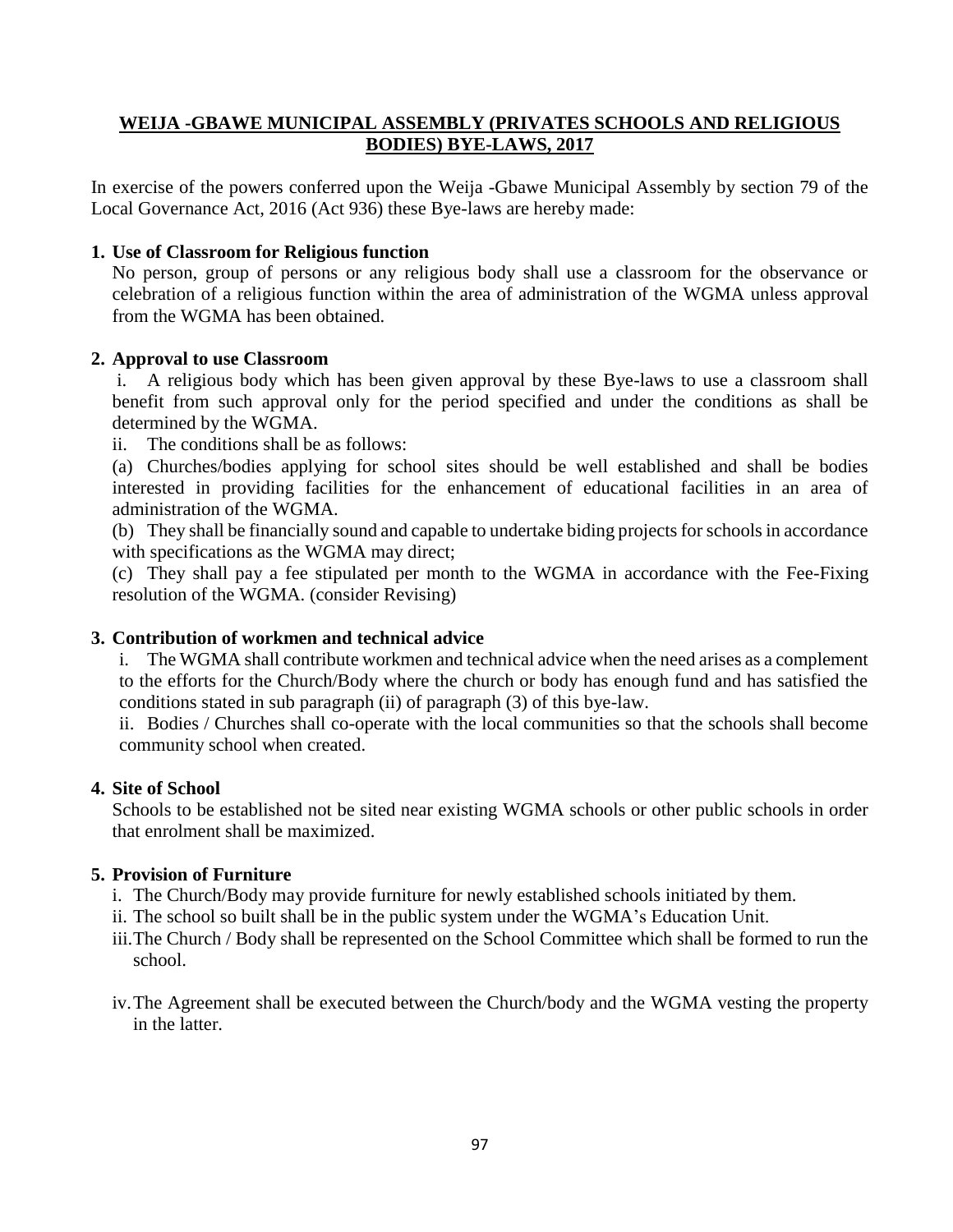#### **WEIJA -GBAWE MUNICIPAL ASSEMBLY (PRIVATES SCHOOLS AND RELIGIOUS BODIES) BYE-LAWS, 2017**

In exercise of the powers conferred upon the Weija -Gbawe Municipal Assembly by section 79 of the Local Governance Act, 2016 (Act 936) these Bye-laws are hereby made:

#### **1. Use of Classroom for Religious function**

No person, group of persons or any religious body shall use a classroom for the observance or celebration of a religious function within the area of administration of the WGMA unless approval from the WGMA has been obtained.

#### **2. Approval to use Classroom**

i. A religious body which has been given approval by these Bye-laws to use a classroom shall benefit from such approval only for the period specified and under the conditions as shall be determined by the WGMA.

ii. The conditions shall be as follows:

(a) Churches/bodies applying for school sites should be well established and shall be bodies interested in providing facilities for the enhancement of educational facilities in an area of administration of the WGMA.

(b) They shall be financially sound and capable to undertake biding projects for schools in accordance with specifications as the WGMA may direct;

(c) They shall pay a fee stipulated per month to the WGMA in accordance with the Fee-Fixing resolution of the WGMA. (consider Revising)

#### **3. Contribution of workmen and technical advice**

i. The WGMA shall contribute workmen and technical advice when the need arises as a complement to the efforts for the Church/Body where the church or body has enough fund and has satisfied the conditions stated in sub paragraph (ii) of paragraph (3) of this bye-law.

ii. Bodies / Churches shall co-operate with the local communities so that the schools shall become community school when created.

#### **4. Site of School**

Schools to be established not be sited near existing WGMA schools or other public schools in order that enrolment shall be maximized.

#### **5. Provision of Furniture**

- i. The Church/Body may provide furniture for newly established schools initiated by them.
- ii. The school so built shall be in the public system under the WGMA's Education Unit.
- iii.The Church / Body shall be represented on the School Committee which shall be formed to run the school.
- iv.The Agreement shall be executed between the Church/body and the WGMA vesting the property in the latter.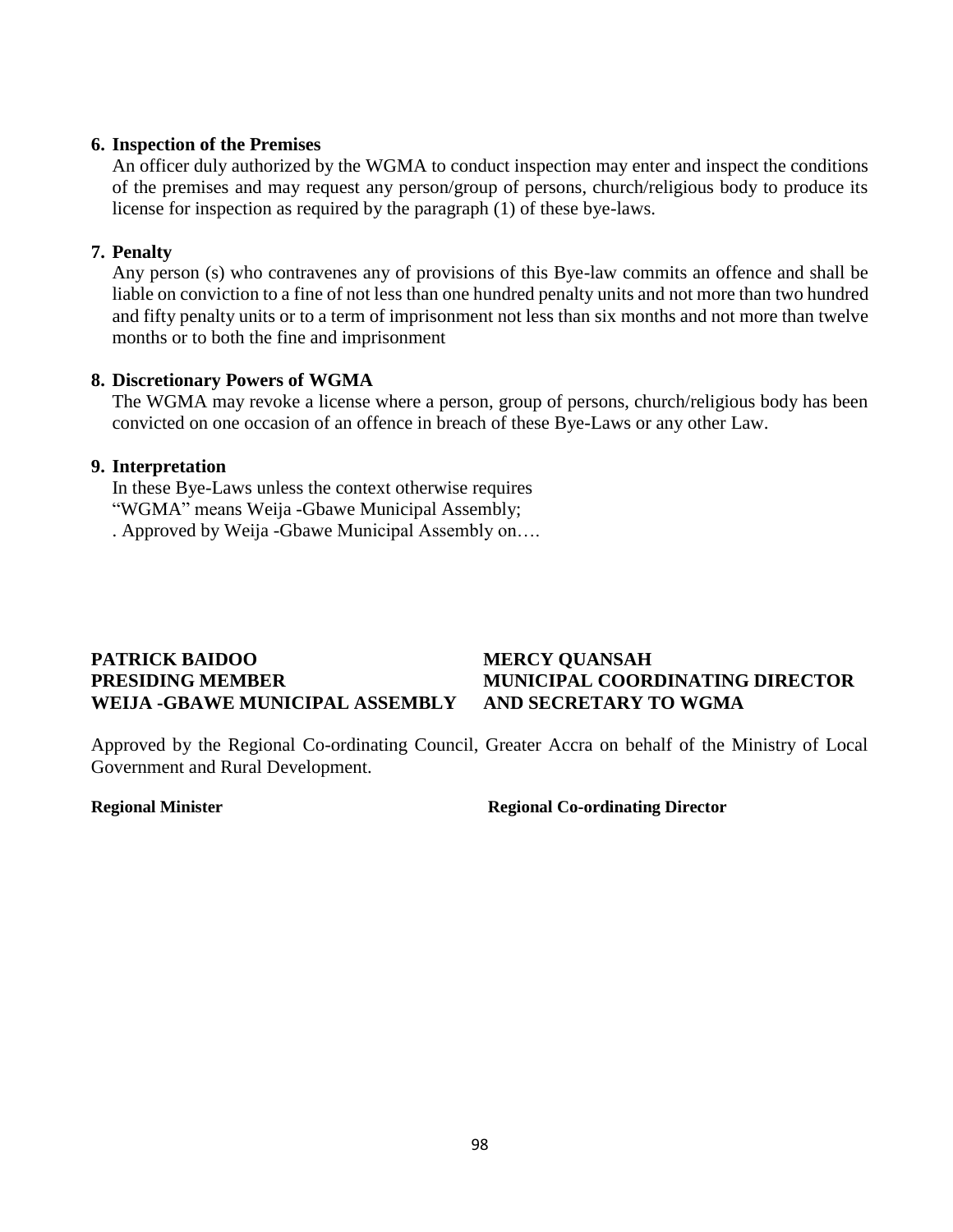#### **6. Inspection of the Premises**

An officer duly authorized by the WGMA to conduct inspection may enter and inspect the conditions of the premises and may request any person/group of persons, church/religious body to produce its license for inspection as required by the paragraph (1) of these bye-laws.

#### **7. Penalty**

Any person (s) who contravenes any of provisions of this Bye-law commits an offence and shall be liable on conviction to a fine of not less than one hundred penalty units and not more than two hundred and fifty penalty units or to a term of imprisonment not less than six months and not more than twelve months or to both the fine and imprisonment

#### **8. Discretionary Powers of WGMA**

The WGMA may revoke a license where a person, group of persons, church/religious body has been convicted on one occasion of an offence in breach of these Bye-Laws or any other Law.

#### **9. Interpretation**

In these Bye-Laws unless the context otherwise requires "WGMA" means Weija -Gbawe Municipal Assembly; . Approved by Weija -Gbawe Municipal Assembly on….

#### **PATRICK BAIDOO MERCY QUANSAH PRESIDING MEMBER MUNICIPAL COORDINATING DIRECTOR WEIJA -GBAWE MUNICIPAL ASSEMBLY AND SECRETARY TO WGMA**

Approved by the Regional Co-ordinating Council, Greater Accra on behalf of the Ministry of Local Government and Rural Development.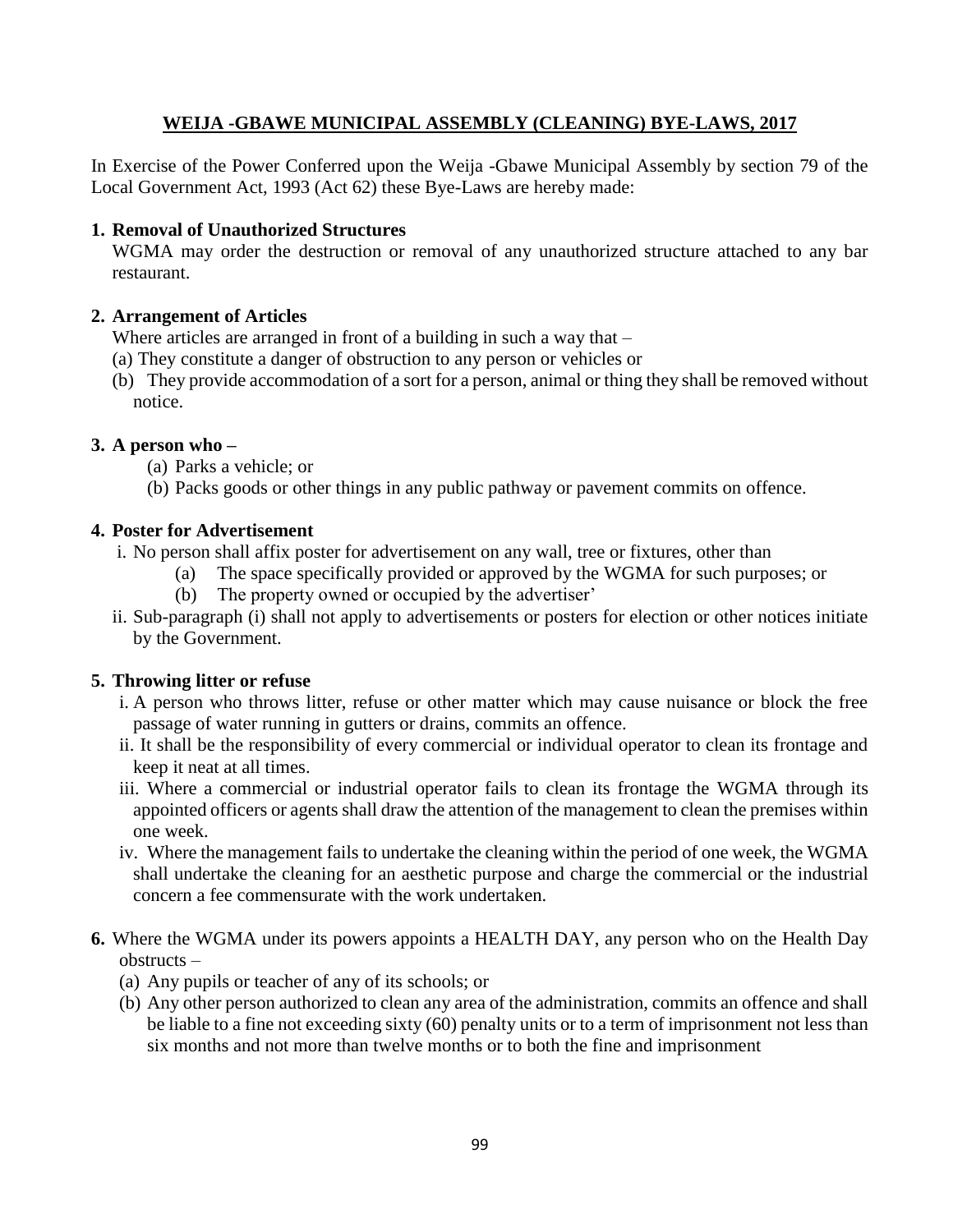## **WEIJA -GBAWE MUNICIPAL ASSEMBLY (CLEANING) BYE-LAWS, 2017**

In Exercise of the Power Conferred upon the Weija -Gbawe Municipal Assembly by section 79 of the Local Government Act, 1993 (Act 62) these Bye-Laws are hereby made:

#### **1. Removal of Unauthorized Structures**

WGMA may order the destruction or removal of any unauthorized structure attached to any bar restaurant.

#### **2. Arrangement of Articles**

Where articles are arranged in front of a building in such a way that –

- (a) They constitute a danger of obstruction to any person or vehicles or
- (b) They provide accommodation of a sort for a person, animal or thing they shall be removed without notice.

#### **3. A person who –**

- (a) Parks a vehicle; or
- (b) Packs goods or other things in any public pathway or pavement commits on offence.

#### **4. Poster for Advertisement**

- i. No person shall affix poster for advertisement on any wall, tree or fixtures, other than
	- (a) The space specifically provided or approved by the WGMA for such purposes; or
	- (b) The property owned or occupied by the advertiser'
- ii. Sub-paragraph (i) shall not apply to advertisements or posters for election or other notices initiate by the Government.

### **5. Throwing litter or refuse**

- i. A person who throws litter, refuse or other matter which may cause nuisance or block the free passage of water running in gutters or drains, commits an offence.
- ii. It shall be the responsibility of every commercial or individual operator to clean its frontage and keep it neat at all times.
- iii. Where a commercial or industrial operator fails to clean its frontage the WGMA through its appointed officers or agents shall draw the attention of the management to clean the premises within one week.
- iv. Where the management fails to undertake the cleaning within the period of one week, the WGMA shall undertake the cleaning for an aesthetic purpose and charge the commercial or the industrial concern a fee commensurate with the work undertaken.
- **6.** Where the WGMA under its powers appoints a HEALTH DAY, any person who on the Health Day obstructs –
	- (a) Any pupils or teacher of any of its schools; or
	- (b) Any other person authorized to clean any area of the administration, commits an offence and shall be liable to a fine not exceeding sixty (60) penalty units or to a term of imprisonment not less than six months and not more than twelve months or to both the fine and imprisonment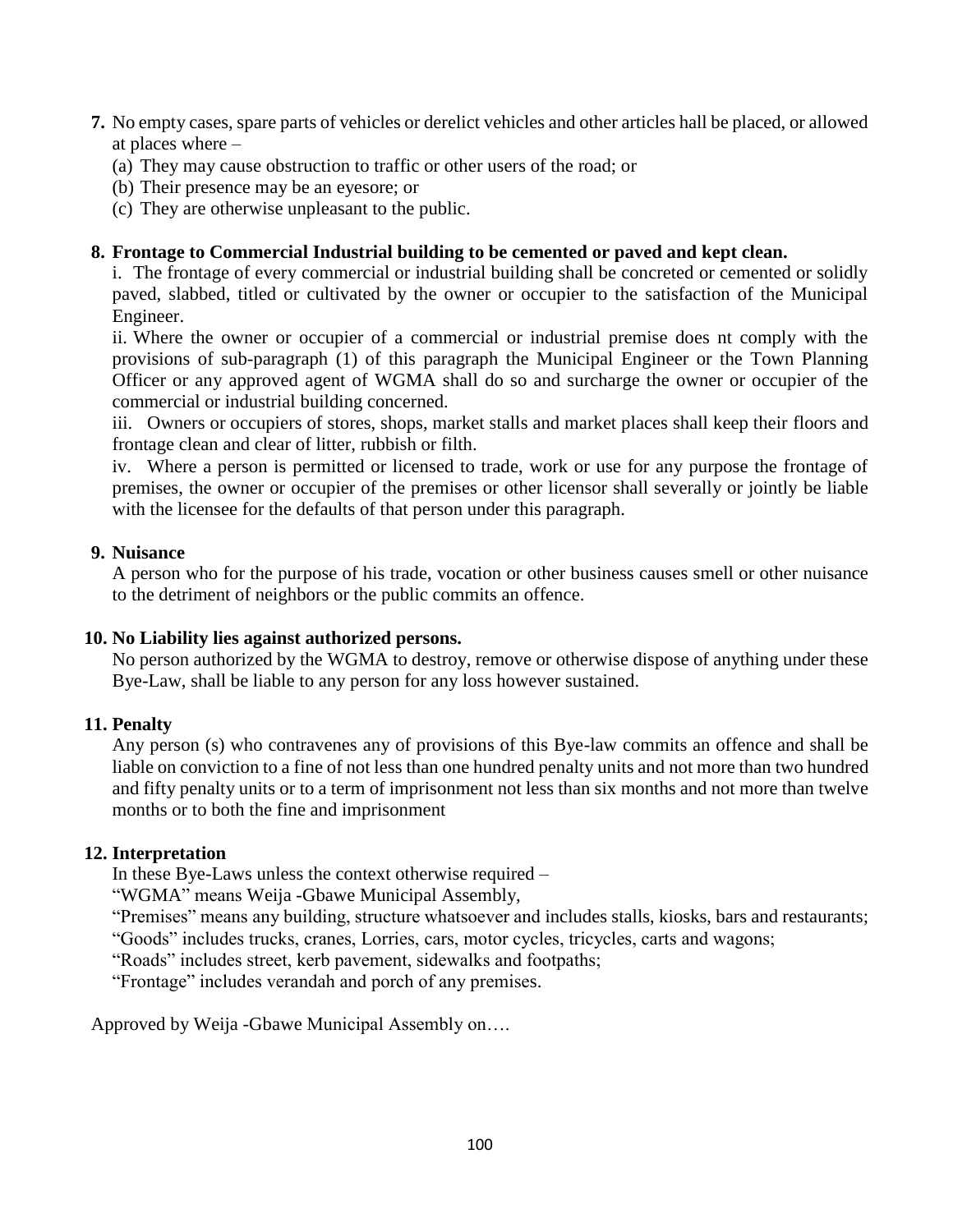- **7.** No empty cases, spare parts of vehicles or derelict vehicles and other articles hall be placed, or allowed at places where –
	- (a) They may cause obstruction to traffic or other users of the road; or
	- (b) Their presence may be an eyesore; or
	- (c) They are otherwise unpleasant to the public.

#### **8. Frontage to Commercial Industrial building to be cemented or paved and kept clean.**

i. The frontage of every commercial or industrial building shall be concreted or cemented or solidly paved, slabbed, titled or cultivated by the owner or occupier to the satisfaction of the Municipal Engineer.

ii. Where the owner or occupier of a commercial or industrial premise does nt comply with the provisions of sub-paragraph (1) of this paragraph the Municipal Engineer or the Town Planning Officer or any approved agent of WGMA shall do so and surcharge the owner or occupier of the commercial or industrial building concerned.

iii. Owners or occupiers of stores, shops, market stalls and market places shall keep their floors and frontage clean and clear of litter, rubbish or filth.

iv. Where a person is permitted or licensed to trade, work or use for any purpose the frontage of premises, the owner or occupier of the premises or other licensor shall severally or jointly be liable with the licensee for the defaults of that person under this paragraph.

#### **9. Nuisance**

A person who for the purpose of his trade, vocation or other business causes smell or other nuisance to the detriment of neighbors or the public commits an offence.

#### **10. No Liability lies against authorized persons.**

No person authorized by the WGMA to destroy, remove or otherwise dispose of anything under these Bye-Law, shall be liable to any person for any loss however sustained.

#### **11. Penalty**

Any person (s) who contravenes any of provisions of this Bye-law commits an offence and shall be liable on conviction to a fine of not less than one hundred penalty units and not more than two hundred and fifty penalty units or to a term of imprisonment not less than six months and not more than twelve months or to both the fine and imprisonment

#### **12. Interpretation**

In these Bye-Laws unless the context otherwise required –

"WGMA" means Weija -Gbawe Municipal Assembly,

"Premises" means any building, structure whatsoever and includes stalls, kiosks, bars and restaurants;

"Goods" includes trucks, cranes, Lorries, cars, motor cycles, tricycles, carts and wagons;

"Roads" includes street, kerb pavement, sidewalks and footpaths;

"Frontage" includes verandah and porch of any premises.

Approved by Weija -Gbawe Municipal Assembly on….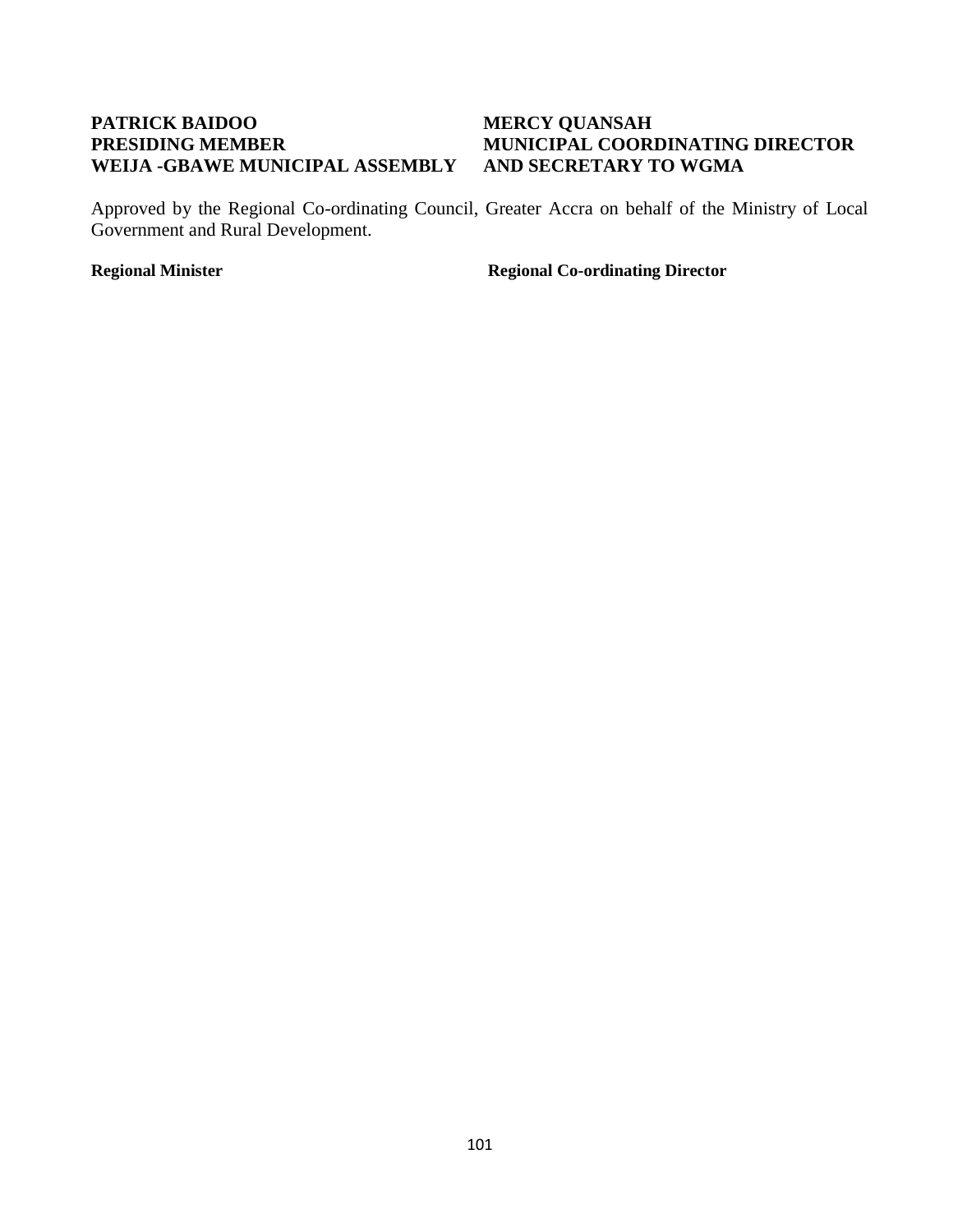## **PATRICK BAIDOO MERCY QUANSAH WEIJA -GBAWE MUNICIPAL ASSEMBLY AND SECRETARY TO WGMA**

# **PRESIDING MEMBER MUNICIPAL COORDINATING DIRECTOR**

Approved by the Regional Co-ordinating Council, Greater Accra on behalf of the Ministry of Local Government and Rural Development.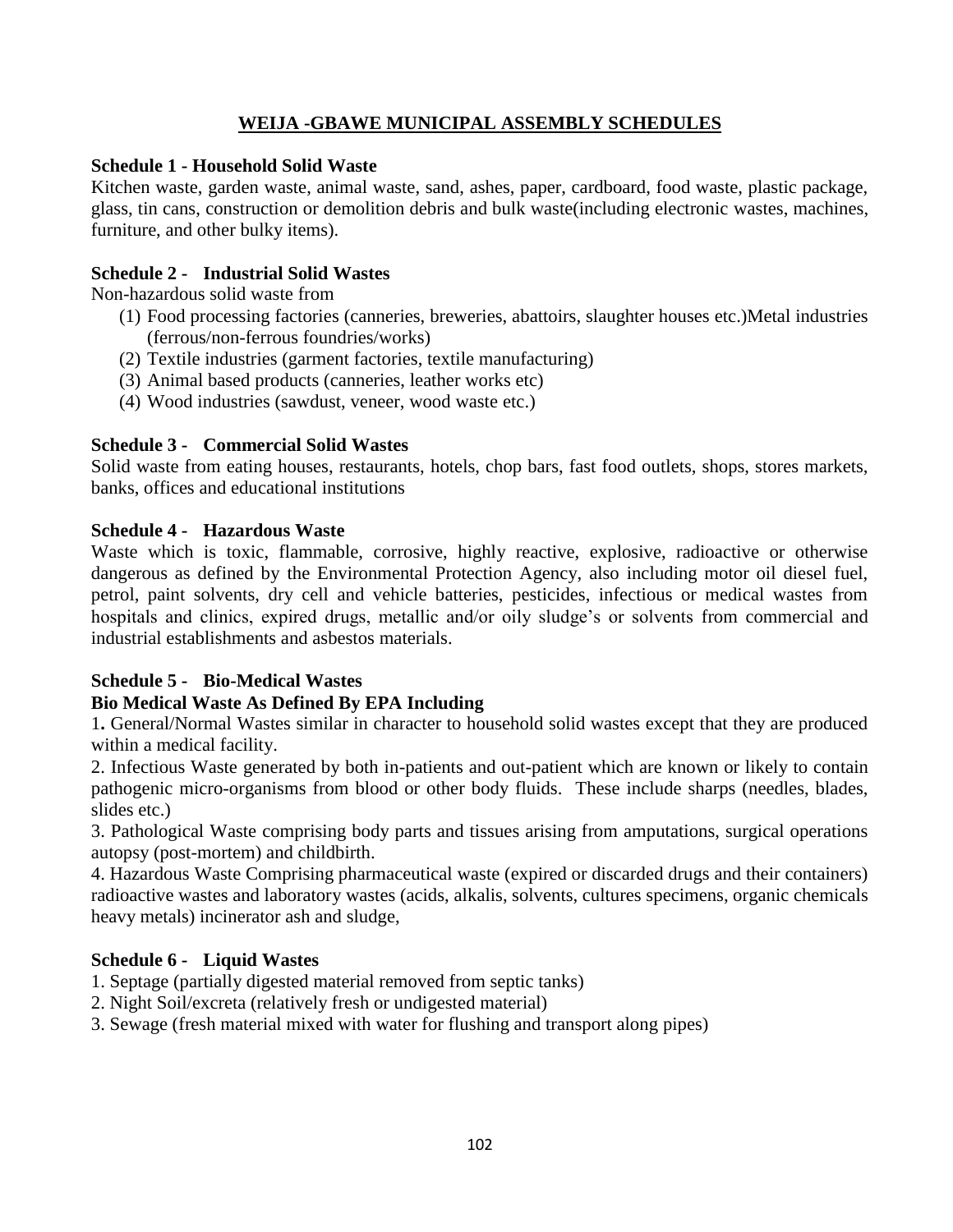## **WEIJA -GBAWE MUNICIPAL ASSEMBLY SCHEDULES**

#### **Schedule 1 - Household Solid Waste**

Kitchen waste, garden waste, animal waste, sand, ashes, paper, cardboard, food waste, plastic package, glass, tin cans, construction or demolition debris and bulk waste(including electronic wastes, machines, furniture, and other bulky items).

### **Schedule 2 - Industrial Solid Wastes**

Non-hazardous solid waste from

- (1) Food processing factories (canneries, breweries, abattoirs, slaughter houses etc.)Metal industries (ferrous/non-ferrous foundries/works)
- (2) Textile industries (garment factories, textile manufacturing)
- (3) Animal based products (canneries, leather works etc)
- (4) Wood industries (sawdust, veneer, wood waste etc.)

#### **Schedule 3 - Commercial Solid Wastes**

Solid waste from eating houses, restaurants, hotels, chop bars, fast food outlets, shops, stores markets, banks, offices and educational institutions

#### **Schedule 4 - Hazardous Waste**

Waste which is toxic, flammable, corrosive, highly reactive, explosive, radioactive or otherwise dangerous as defined by the Environmental Protection Agency, also including motor oil diesel fuel, petrol, paint solvents, dry cell and vehicle batteries, pesticides, infectious or medical wastes from hospitals and clinics, expired drugs, metallic and/or oily sludge's or solvents from commercial and industrial establishments and asbestos materials.

### **Schedule 5 - Bio-Medical Wastes**

### **Bio Medical Waste As Defined By EPA Including**

1**.** General/Normal Wastes similar in character to household solid wastes except that they are produced within a medical facility.

2. Infectious Waste generated by both in-patients and out-patient which are known or likely to contain pathogenic micro-organisms from blood or other body fluids. These include sharps (needles, blades, slides etc.)

3. Pathological Waste comprising body parts and tissues arising from amputations, surgical operations autopsy (post-mortem) and childbirth.

4. Hazardous Waste Comprising pharmaceutical waste (expired or discarded drugs and their containers) radioactive wastes and laboratory wastes (acids, alkalis, solvents, cultures specimens, organic chemicals heavy metals) incinerator ash and sludge,

#### **Schedule 6 - Liquid Wastes**

1. Septage (partially digested material removed from septic tanks)

2. Night Soil/excreta (relatively fresh or undigested material)

3. Sewage (fresh material mixed with water for flushing and transport along pipes)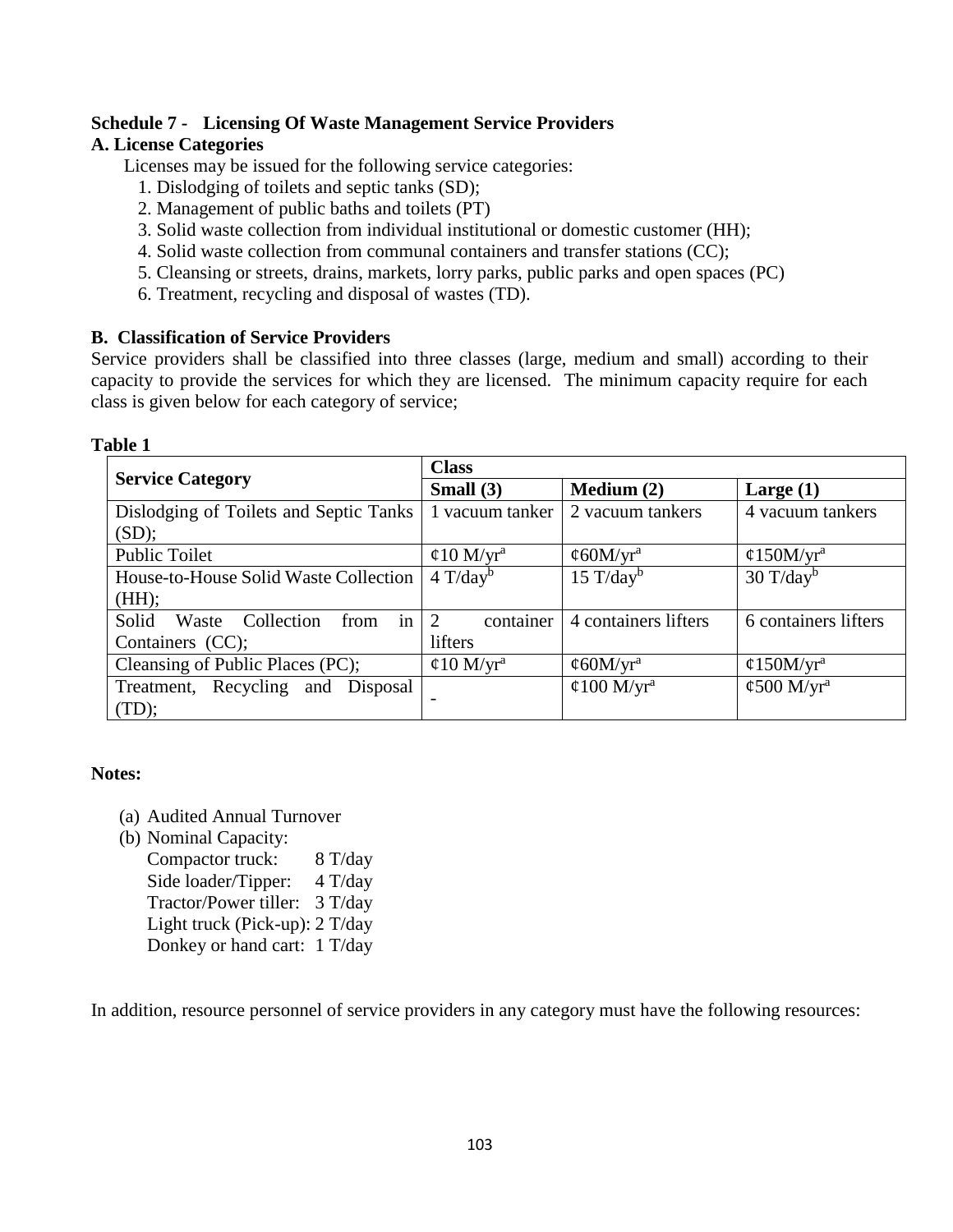## **Schedule 7 - Licensing Of Waste Management Service Providers**

#### **A. License Categories**

Licenses may be issued for the following service categories:

- 1. Dislodging of toilets and septic tanks (SD);
- 2. Management of public baths and toilets (PT)
- 3. Solid waste collection from individual institutional or domestic customer (HH);
- 4. Solid waste collection from communal containers and transfer stations (CC);
- 5. Cleansing or streets, drains, markets, lorry parks, public parks and open spaces (PC)
- 6. Treatment, recycling and disposal of wastes (TD).

### **B. Classification of Service Providers**

Service providers shall be classified into three classes (large, medium and small) according to their capacity to provide the services for which they are licensed. The minimum capacity require for each class is given below for each category of service;

|                                            | <b>Class</b>           |                        |                        |  |
|--------------------------------------------|------------------------|------------------------|------------------------|--|
| <b>Service Category</b>                    | Small $(3)$            | Medium $(2)$           | Large $(1)$            |  |
| Dislodging of Toilets and Septic Tanks     | 1 vacuum tanker        | 2 vacuum tankers       | 4 vacuum tankers       |  |
| (SD);                                      |                        |                        |                        |  |
| <b>Public Toilet</b>                       | ¢10 M/yr <sup>a</sup>  | ¢60M/yr <sup>a</sup>   | ¢150M/yr <sup>a</sup>  |  |
| House-to-House Solid Waste Collection      | $4$ T/day <sup>b</sup> | $15 \text{ T/day}^b$   | $30 \text{ T/day}^b$   |  |
| (HH);                                      |                        |                        |                        |  |
| in<br>Solid<br>Collection<br>Waste<br>from | container<br>2         | 4 containers lifters   | 6 containers lifters   |  |
| Containers (CC);                           | lifters                |                        |                        |  |
| Cleansing of Public Places (PC);           | ¢10 M/yr <sup>a</sup>  | ¢60M/yr <sup>a</sup>   | ¢150M/yr <sup>a</sup>  |  |
| Treatment, Recycling and Disposal          |                        | ¢100 M/yr <sup>a</sup> | ¢500 M/yr <sup>a</sup> |  |
| (TD);                                      |                        |                        |                        |  |

#### **Notes:**

**Table 1**

- (a) Audited Annual Turnover
- (b) Nominal Capacity:

Compactor truck: 8 T/day Side loader/Tipper: 4 T/day Tractor/Power tiller: 3 T/day Light truck (Pick-up): 2 T/day Donkey or hand cart: 1 T/day

In addition, resource personnel of service providers in any category must have the following resources: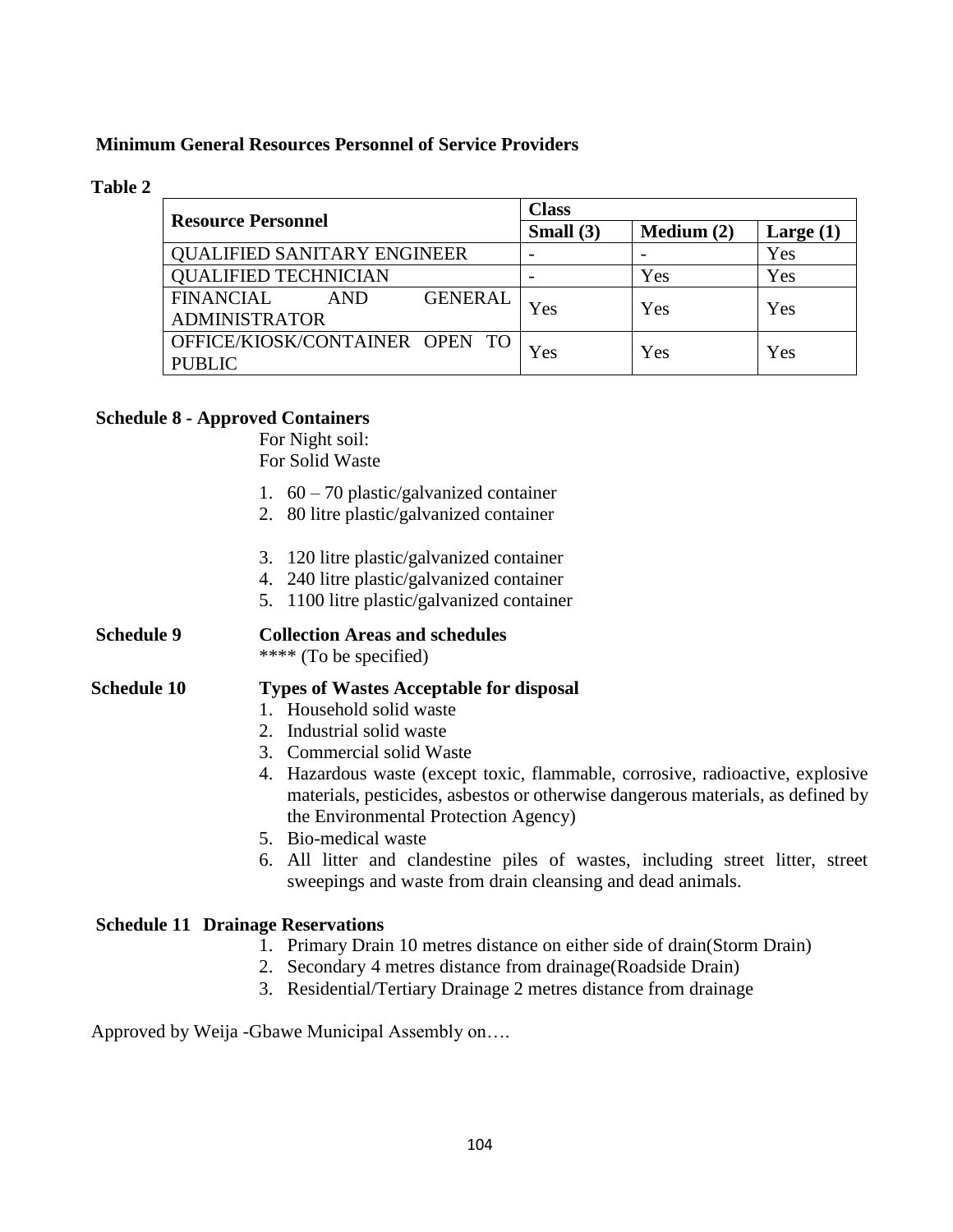#### **Minimum General Resources Personnel of Service Providers**

#### **Table 2**

| <b>Resource Personnel</b>                 | <b>Class</b> |              |             |
|-------------------------------------------|--------------|--------------|-------------|
|                                           | Small $(3)$  | Medium $(2)$ | Large $(1)$ |
| <b>QUALIFIED SANITARY ENGINEER</b>        |              |              | Yes         |
| <b>QUALIFIED TECHNICIAN</b>               |              | Yes          | Yes         |
| <b>FINANCIAL</b><br><b>GENERAL</b><br>AND | Yes          | Yes          | Yes         |
| <b>ADMINISTRATOR</b>                      |              |              |             |
| OFFICE/KIOSK/CONTAINER OPEN TO            | Yes          | Yes          | Yes         |
| <b>PUBLIC</b>                             |              |              |             |

#### **Schedule 8 - Approved Containers**

For Night soil:

For Solid Waste

- 1. 60 70 plastic/galvanized container
- 2. 80 litre plastic/galvanized container
- 3. 120 litre plastic/galvanized container
- 4. 240 litre plastic/galvanized container
- 5. 1100 litre plastic/galvanized container

#### **Schedule 9 Collection Areas and schedules** \*\*\*\* (To be specified)

#### **Schedule 10 Types of Wastes Acceptable for disposal**

- 1. Household solid waste
- 2. Industrial solid waste
- 3. Commercial solid Waste
- 4. Hazardous waste (except toxic, flammable, corrosive, radioactive, explosive materials, pesticides, asbestos or otherwise dangerous materials, as defined by the Environmental Protection Agency)
- 5. Bio-medical waste
- 6. All litter and clandestine piles of wastes, including street litter, street sweepings and waste from drain cleansing and dead animals.

#### **Schedule 11 Drainage Reservations**

- 1. Primary Drain 10 metres distance on either side of drain(Storm Drain)
- 2. Secondary 4 metres distance from drainage(Roadside Drain)
- 3. Residential/Tertiary Drainage 2 metres distance from drainage

Approved by Weija -Gbawe Municipal Assembly on….